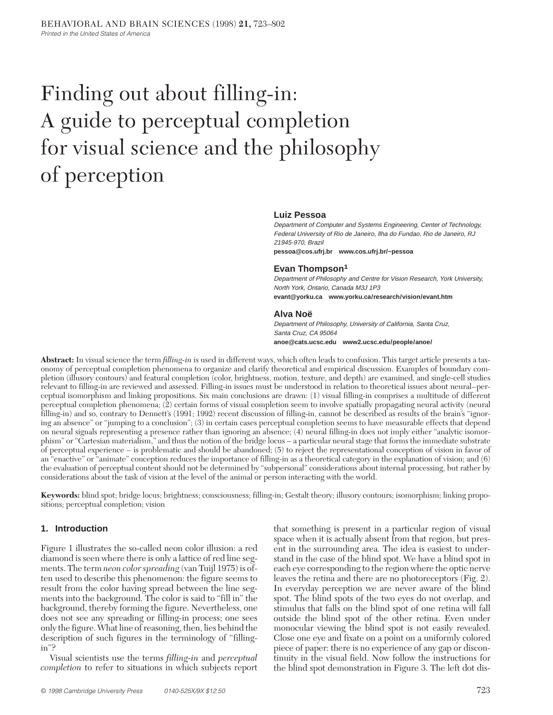# Finding out about filling-in: A guide to perceptual completion for visual science and the philosophy of perception

#### **Luiz Pessoa**

Department of Computer and Systems Engineering, Center of Technology, Federal University of Rio de Janeiro, llha do Fundao, Rio de Janeiro, RJ 21945-970, Brazil **pessoa@cos.ufrj.br www.cos.ufrj.br/~pessoa**

#### **Evan Thompson<sup>1</sup>**

Department of Philosophy and Centre for Vision Research, York University, North York, Ontario, Canada M3J 1P3

**evant@yorku.ca www.yorku.ca/research/vision/evant.htm**

#### **Alva Noë**

Department of Philosophy, University of California, Santa Cruz, Santa Cruz, CA 95064 **anoe@cats.ucsc.edu www2.ucsc.edu/people/anoe/**

**Abstract:** In visual science the term *filling-in* is used in different ways, which often leads to confusion. This target article presents a taxonomy of perceptual completion phenomena to organize and clarify theoretical and empirical discussion. Examples of boundary completion (illusory contours) and featural completion (color, brightness, motion, texture, and depth) are examined, and single-cell studies relevant to filling-in are reviewed and assessed. Filling-in issues must be understood in relation to theoretical issues about neural–perceptual isomorphism and linking propositions. Six main conclusions are drawn: (1) visual filling-in comprises a multitude of different perceptual completion phenomena; (2) certain forms of visual completion seem to involve spatially propagating neural activity (neural filling-in) and so, contrary to Dennett's (1991; 1992) recent discussion of filling-in, cannot be described as results of the brain's "ignoring an absence" or "jumping to a conclusion"; (3) in certain cases perceptual completion seems to have measurable effects that depend on neural signals representing a presence rather than ignoring an absence; (4) neural filling-in does not imply either "analytic isomorphism" or "Cartesian materialism," and thus the notion of the bridge locus – a particular neural stage that forms the immediate substrate of perceptual experience – is problematic and should be abandoned; (5) to reject the representational conception of vision in favor of an "enactive" or "animate" conception reduces the importance of filling-in as a theoretical category in the explanation of vision; and (6) the evaluation of perceptual content should not be determined by "subpersonal" considerations about internal processing, but rather by considerations about the task of vision at the level of the animal or person interacting with the world.

**Keywords:** blind spot; bridge locus; brightness; consciousness; filling-in; Gestalt theory; illusory contours; isomorphism; linking propositions; perceptual completion; vision

#### **1. Introduction**

Figure 1 illustrates the so-called neon color illusion: a red diamond is seen where there is only a lattice of red line segments. The term *neon color spreading* (van Tuijl 1975) is often used to describe this phenomenon: the figure seems to result from the color having spread between the line segments into the background. The color is said to "fill in" the background, thereby forming the figure. Nevertheless, one does not see any spreading or filling-in process; one sees only the figure. What line of reasoning, then, lies behind the description of such figures in the terminology of "fillingin"?

Visual scientists use the terms *filling-in* and *perceptual completion* to refer to situations in which subjects report

 $\circledcirc$  1998 Cambridge University Press  $12.3$  0140-525X/9X \$12.50  $723$ 

that something is present in a particular region of visual space when it is actually absent from that region, but present in the surrounding area. The idea is easiest to understand in the case of the blind spot. We have a blind spot in each eye corresponding to the region where the optic nerve leaves the retina and there are no photoreceptors (Fig. 2). In everyday perception we are never aware of the blind spot. The blind spots of the two eyes do not overlap, and stimulus that falls on the blind spot of one retina will fall outside the blind spot of the other retina. Even under monocular viewing the blind spot is not easily revealed. Close one eye and fixate on a point on a uniformly colored piece of paper: there is no experience of any gap or discontinuity in the visual field. Now follow the instructions for the blind spot demonstration in Figure 3. The left dot dis-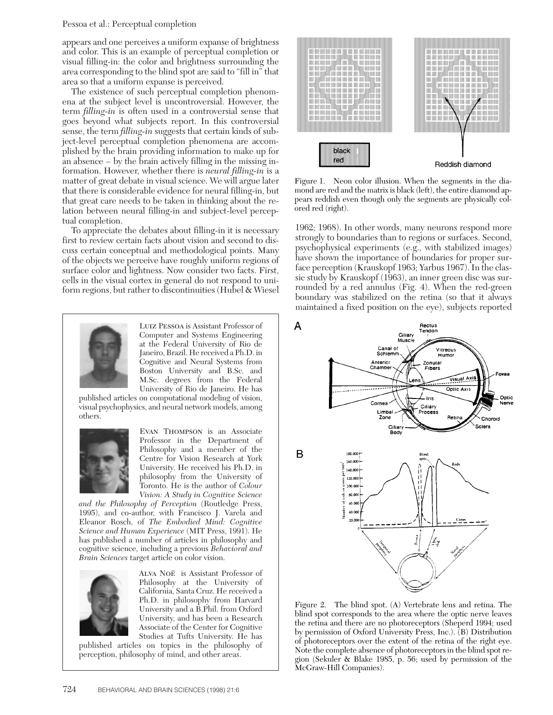appears and one perceives a uniform expanse of brightness and color. This is an example of perceptual completion or visual filling-in: the color and brightness surrounding the area corresponding to the blind spot are said to "fill in" that area so that a uniform expanse is perceived.

The existence of such perceptual completion phenomena at the subject level is uncontroversial. However, the term *filling-in* is often used in a controversial sense that goes beyond what subjects report. In this controversial sense, the term *filling-in* suggests that certain kinds of subject-level perceptual completion phenomena are accomplished by the brain providing information to make up for an absence – by the brain actively filling in the missing information. However, whether there is *neural filling-in* is a matter of great debate in visual science. We will argue later that there is considerable evidence for neural filling-in, but that great care needs to be taken in thinking about the relation between neural filling-in and subject-level perceptual completion.

To appreciate the debates about filling-in it is necessary first to review certain facts about vision and second to discuss certain conceptual and methodological points. Many of the objects we perceive have roughly uniform regions of surface color and lightness. Now consider two facts. First, cells in the visual cortex in general do not respond to uniform regions, but rather to discontinuities (Hubel & Wiesel



Luiz Pessoa is Assistant Professor of Computer and Systems Engineering at the Federal University of Rio de Janeiro, Brazil. He received a Ph.D. in Cognitive and Neural Systems from Boston University and B.Sc. and M.Sc. degrees from the Federal University of Rio de Janeiro. He has

published articles on computational modeling of vision, visual psychophysics, and neural network models, among others.



Evan Thompson is an Associate Professor in the Department of Philosophy and a member of the Centre for Vision Research at York University. He received his Ph.D. in philosophy from the University of Toronto. He is the author of *Colour Vision: A Study in Cognitive Science*

*and the Philosophy of Perception* (Routledge Press, 1995), and co-author, with Francisco J. Varela and Eleanor Rosch, of *The Embodied Mind: Cognitive Science and Human Experience* (MIT Press, 1991). He has published a number of articles in philosophy and cognitive science, including a previous *Behavioral and Brain Sciences* target article on color vision.



Alva Noë is Assistant Professor of Philosophy at the University of California, Santa Cruz. He received a Ph.D. in philosophy from Harvard University and a B.Phil. from Oxford University, and has been a Research Associate of the Center for Cognitive Studies at Tufts University. He has

published articles on topics in the philosophy of perception, philosophy of mind, and other areas.



Figure 1. Neon color illusion. When the segments in the diamond are red and the matrix is black (left), the entire diamond appears reddish even though only the segments are physically colored red (right).

1962; 1968). In other words, many neurons respond more strongly to boundaries than to regions or surfaces. Second, psychophysical experiments (e.g., with stabilized images) have shown the importance of boundaries for proper surface perception (Krauskopf 1963; Yarbus 1967). In the classic study by Krauskopf (1963), an inner green disc was surrounded by a red annulus (Fig. 4). When the red-green boundary was stabilized on the retina (so that it always maintained a fixed position on the eye), subjects reported



Figure 2. The blind spot. (A) Vertebrate lens and retina. The blind spot corresponds to the area where the optic nerve leaves the retina and there are no photoreceptors (Sheperd 1994; used by permission of Oxford University Press, Inc.). (B) Distribution of photoreceptors over the extent of the retina of the right eye. Note the complete absence of photoreceptors in the blind spot region (Sekuler & Blake 1985, p. 56; used by permission of the McGraw-Hill Companies).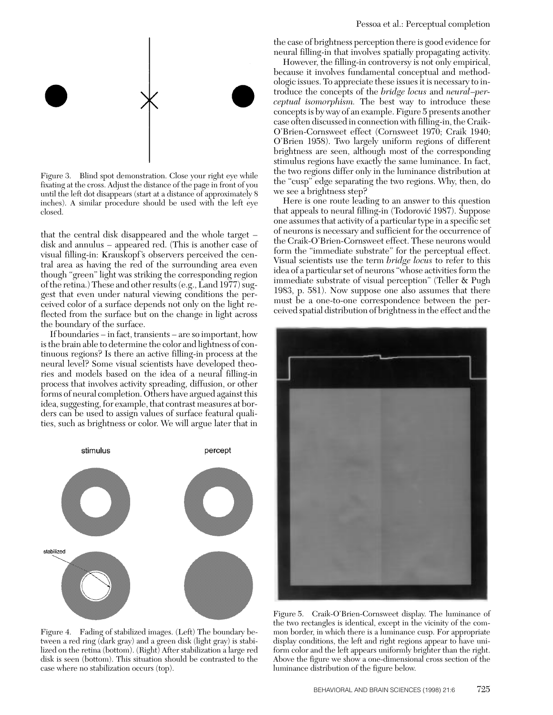

Figure 3. Blind spot demonstration. Close your right eye while fixating at the cross. Adjust the distance of the page in front of you until the left dot disappears (start at a distance of approximately 8 inches). A similar procedure should be used with the left eye closed.

that the central disk disappeared and the whole target – disk and annulus – appeared red. (This is another case of visual filling-in: Krauskopf's observers perceived the central area as having the red of the surrounding area even though "green" light was striking the corresponding region of the retina.) These and other results (e.g., Land 1977) suggest that even under natural viewing conditions the perceived color of a surface depends not only on the light reflected from the surface but on the change in light across the boundary of the surface.

If boundaries – in fact, transients – are so important, how is the brain able to determine the color and lightness of continuous regions? Is there an active filling-in process at the neural level? Some visual scientists have developed theories and models based on the idea of a neural filling-in process that involves activity spreading, diffusion, or other forms of neural completion. Others have argued against this idea, suggesting, for example, that contrast measures at borders can be used to assign values of surface featural qualities, such as brightness or color. We will argue later that in



Figure 4. Fading of stabilized images. (Left) The boundary between a red ring (dark gray) and a green disk (light gray) is stabilized on the retina (bottom). (Right) After stabilization a large red disk is seen (bottom). This situation should be contrasted to the case where no stabilization occurs (top).

the case of brightness perception there is good evidence for neural filling-in that involves spatially propagating activity.

However, the filling-in controversy is not only empirical, because it involves fundamental conceptual and methodologic issues. To appreciate these issues it is necessary to introduce the concepts of the *bridge locus* and *neural–perceptual isomorphism.* The best way to introduce these concepts is by way of an example. Figure 5 presents another case often discussed in connection with filling-in, the Craik-O'Brien-Cornsweet effect (Cornsweet 1970; Craik 1940; O'Brien 1958). Two largely uniform regions of different brightness are seen, although most of the corresponding stimulus regions have exactly the same luminance. In fact, the two regions differ only in the luminance distribution at the "cusp" edge separating the two regions. Why, then, do we see a brightness step?

Here is one route leading to an answer to this question that appeals to neural filling-in (Todorovic´ 1987). Suppose one assumes that activity of a particular type in a specific set of neurons is necessary and sufficient for the occurrence of the Craik-O'Brien-Cornsweet effect. These neurons would form the "immediate substrate" for the perceptual effect. Visual scientists use the term *bridge locus* to refer to this idea of a particular set of neurons "whose activities form the immediate substrate of visual perception" (Teller & Pugh 1983, p. 581). Now suppose one also assumes that there must be a one-to-one correspondence between the perceived spatial distribution of brightness in the effect and the



Figure 5. Craik-O'Brien-Cornsweet display. The luminance of the two rectangles is identical, except in the vicinity of the common border, in which there is a luminance cusp. For appropriate display conditions, the left and right regions appear to have uniform color and the left appears uniformly brighter than the right. Above the figure we show a one-dimensional cross section of the luminance distribution of the figure below.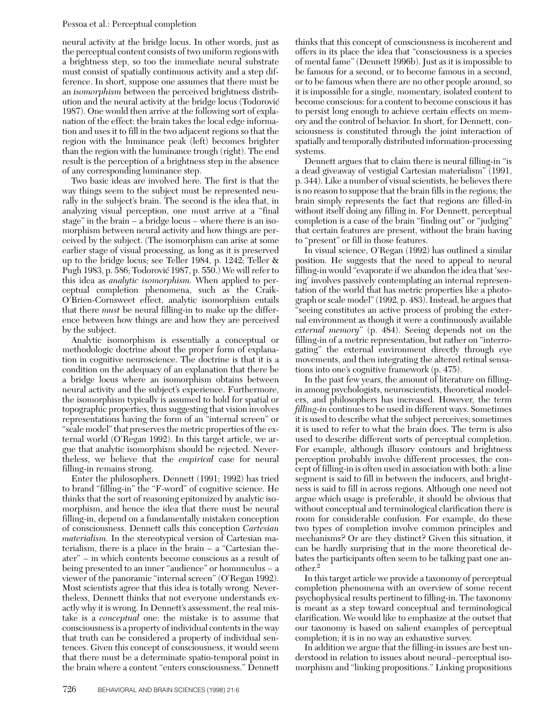neural activity at the bridge locus. In other words, just as the perceptual content consists of two uniform regions with a brightness step, so too the immediate neural substrate must consist of spatially continuous activity and a step difference. In short, suppose one assumes that there must be an *isomorphism* between the perceived brightness distribution and the neural activity at the bridge locus (Todorovic´ 1987). One would then arrive at the following sort of explanation of the effect: the brain takes the local edge information and uses it to fill in the two adjacent regions so that the region with the luminance peak (left) becomes brighter than the region with the luminance trough (right). The end result is the perception of a brightness step in the absence of any corresponding luminance step.

Two basic ideas are involved here. The first is that the way things seem to the subject must be represented neurally in the subject's brain. The second is the idea that, in analyzing visual perception, one must arrive at a "final stage" in the brain – a bridge locus – where there is an isomorphism between neural activity and how things are perceived by the subject. (The isomorphism can arise at some earlier stage of visual processing, as long as it is preserved up to the bridge locus; see Teller 1984, p. 1242; Teller & Pugh 1983, p. 586; Todorovic´ 1987, p. 550.) We will refer to this idea as *analytic isomorphism.* When applied to perceptual completion phenomena, such as the Craik-O'Brien-Cornsweet effect, analytic isomorphism entails that there *must* be neural filling-in to make up the difference between how things are and how they are perceived by the subject.

Analytic isomorphism is essentially a conceptual or methodologic doctrine about the proper form of explanation in cognitive neuroscience. The doctrine is that it is a condition on the adequacy of an explanation that there be a bridge locus where an isomorphism obtains between neural activity and the subject's experience. Furthermore, the isomorphism typically is assumed to hold for spatial or topographic properties, thus suggesting that vision involves representations having the form of an "internal screen" or "scale model" that preserves the metric properties of the external world (O'Regan 1992). In this target article, we argue that analytic isomorphism should be rejected. Nevertheless, we believe that the *empirical* case for neural filling-in remains strong.

Enter the philosophers. Dennett (1991; 1992) has tried to brand "filling-in" the "F-word" of cognitive science. He thinks that the sort of reasoning epitomized by analytic isomorphism, and hence the idea that there must be neural filling-in, depend on a fundamentally mistaken conception of consciousness. Dennett calls this conception *Cartesian materialism.* In the stereotypical version of Cartesian materialism, there is a place in the brain – a "Cartesian theater" – in which contents become conscious as a result of being presented to an inner "audience" or homunculus – a viewer of the panoramic "internal screen" (O'Regan 1992). Most scientists agree that this idea is totally wrong. Nevertheless, Dennett thinks that not everyone understands exactly why it is wrong. In Dennett's assessment, the real mistake is a *conceptual* one: the mistake is to assume that consciousness is a property of individual contents in the way that truth can be considered a property of individual sentences. Given this concept of consciousness, it would seem that there must be a determinate spatio-temporal point in the brain where a content "enters consciousness." Dennett

thinks that this concept of consciousness is incoherent and offers in its place the idea that "consciousness is a species of mental fame" (Dennett 1996b). Just as it is impossible to be famous for a second, or to become famous in a second, or to be famous when there are no other people around, so it is impossible for a single, momentary, isolated content to become conscious: for a content to become conscious it has to persist long enough to achieve certain effects on memory and the control of behavior. In short, for Dennett, consciousness is constituted through the joint interaction of spatially and temporally distributed information-processing systems.

Dennett argues that to claim there is neural filling-in "is a dead giveaway of vestigial Cartesian materialism" (1991, p. 344). Like a number of visual scientists, he believes there is no reason to suppose that the brain fills in the regions; the brain simply represents the fact that regions are filled-in without itself doing any filling in. For Dennett, perceptual completion is a case of the brain "finding out" or "judging" that certain features are present, without the brain having to "present" or fill in those features.

In visual science, O'Regan (1992) has outlined a similar position. He suggests that the need to appeal to neural filling-in would "evaporate if we abandon the idea that 'seeing' involves passively contemplating an internal representation of the world that has metric properties like a photograph or scale model" (1992, p. 483). Instead, he argues that "seeing constitutes an active process of probing the external environment as though it were a continuously available *external memory*" (p. 484). Seeing depends not on the filling-in of a metric representation, but rather on "interrogating" the external environment directly through eye movements, and then integrating the altered retinal sensations into one's cognitive framework (p. 475).

In the past few years, the amount of literature on fillingin among psychologists, neuroscientists, theoretical modelers, and philosophers has increased. However, the term *filling-in* continues to be used in different ways. Sometimes it is used to describe what the subject perceives; sometimes it is used to refer to what the brain does. The term is also used to describe different sorts of perceptual completion. For example, although illusory contours and brightness perception probably involve different processes, the concept of filling-in is often used in association with both: a line segment is said to fill in between the inducers, and brightness is said to fill in across regions. Although one need not argue which usage is preferable, it should be obvious that without conceptual and terminological clarification there is room for considerable confusion. For example, do these two types of completion involve common principles and mechanisms? Or are they distinct? Given this situation, it can be hardly surprising that in the more theoretical debates the participants often seem to be talking past one another.2

In this target article we provide a taxonomy of perceptual completion phenomena with an overview of some recent psychophysical results pertinent to filling-in. The taxonomy is meant as a step toward conceptual and terminological clarification. We would like to emphasize at the outset that our taxonomy is based on salient examples of perceptual completion; it is in no way an exhaustive survey.

In addition we argue that the filling-in issues are best understood in relation to issues about neural–perceptual isomorphism and "linking propositions." Linking propositions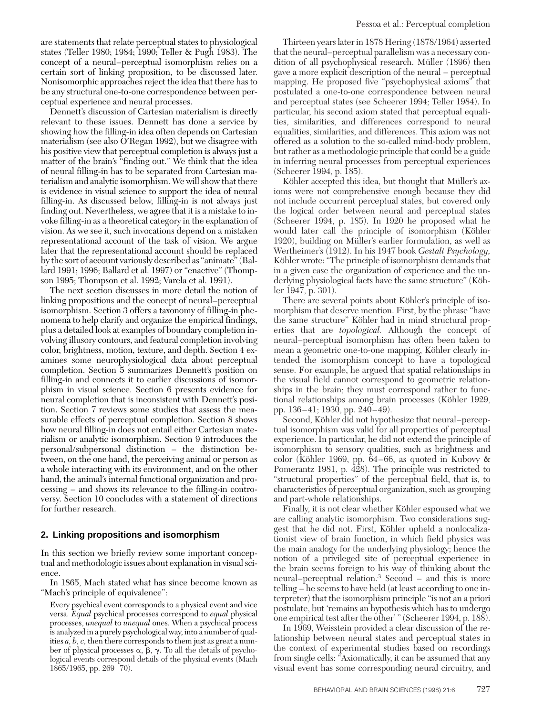are statements that relate perceptual states to physiological states (Teller 1980; 1984; 1990; Teller & Pugh 1983). The concept of a neural–perceptual isomorphism relies on a certain sort of linking proposition, to be discussed later. Nonisomorphic approaches reject the idea that there has to be any structural one-to-one correspondence between perceptual experience and neural processes.

Dennett's discussion of Cartesian materialism is directly relevant to these issues. Dennett has done a service by showing how the filling-in idea often depends on Cartesian materialism (see also O'Regan 1992), but we disagree with his positive view that perceptual completion is always just a matter of the brain's "finding out." We think that the idea of neural filling-in has to be separated from Cartesian materialism and analytic isomorphism. We will show that there is evidence in visual science to support the idea of neural filling-in. As discussed below, filling-in is not always just finding out. Nevertheless, we agree that it is a mistake to invoke filling-in as a theoretical category in the explanation of vision. As we see it, such invocations depend on a mistaken representational account of the task of vision. We argue later that the representational account should be replaced by the sort of account variously described as "animate" (Ballard 1991; 1996; Ballard et al. 1997) or "enactive" (Thompson 1995; Thompson et al. 1992; Varela et al. 1991).

The next section discusses in more detail the notion of linking propositions and the concept of neural–perceptual isomorphism. Section 3 offers a taxonomy of filling-in phenomena to help clarify and organize the empirical findings, plus a detailed look at examples of boundary completion involving illusory contours, and featural completion involving color, brightness, motion, texture, and depth. Section 4 examines some neurophysiological data about perceptual completion. Section 5 summarizes Dennett's position on filling-in and connects it to earlier discussions of isomorphism in visual science. Section 6 presents evidence for neural completion that is inconsistent with Dennett's position. Section 7 reviews some studies that assess the measurable effects of perceptual completion. Section 8 shows how neural filling-in does not entail either Cartesian materialism or analytic isomorphism. Section 9 introduces the personal/subpersonal distinction – the distinction between, on the one hand, the perceiving animal or person as a whole interacting with its environment, and on the other hand, the animal's internal functional organization and processing – and shows its relevance to the filling-in controversy. Section 10 concludes with a statement of directions for further research.

## **2. Linking propositions and isomorphism**

In this section we briefly review some important conceptual and methodologic issues about explanation in visual science.

In 1865, Mach stated what has since become known as "Mach's principle of equivalence":

Every psychical event corresponds to a physical event and vice versa. *Equal* psychical processes correspond to *equal* physical processes, *unequal* to *unequal* ones. When a psychical process is analyzed in a purely psychological way, into a number of qualities *a, b, c,* then there corresponds to them just as great a number of physical processes  $\alpha$ ,  $\beta$ ,  $\gamma$ . To all the details of psychological events correspond details of the physical events (Mach 1865/1965, pp. 269–70).

Thirteen years later in 1878 Hering (1878/1964) asserted that the neural–perceptual parallelism was a necessary condition of all psychophysical research. Müller (1896) then gave a more explicit description of the neural – perceptual mapping. He proposed five "psychophysical axioms" that postulated a one-to-one correspondence between neural and perceptual states (see Scheerer 1994; Teller 1984). In particular, his second axiom stated that perceptual equalities, similarities, and differences correspond to neural equalities, similarities, and differences. This axiom was not offered as a solution to the so-called mind-body problem, but rather as a methodologic principle that could be a guide in inferring neural processes from perceptual experiences (Scheerer 1994, p. 185).

Köhler accepted this idea, but thought that Müller's axioms were not comprehensive enough because they did not include occurrent perceptual states, but covered only the logical order between neural and perceptual states (Scheerer 1994, p. 185). In 1920 he proposed what he would later call the principle of isomorphism (Köhler 1920), building on Müller's earlier formulation, as well as Wertheimer's (1912). In his 1947 book *Gestalt Psychology,* Köhler wrote: "The principle of isomorphism demands that in a given case the organization of experience and the underlying physiological facts have the same structure" (Köhler 1947, p. 301).

There are several points about Köhler's principle of isomorphism that deserve mention. First, by the phrase "have the same structure" Köhler had in mind structural properties that are *topological.* Although the concept of neural–perceptual isomorphism has often been taken to mean a geometric one-to-one mapping, Köhler clearly intended the isomorphism concept to have a topological sense. For example, he argued that spatial relationships in the visual field cannot correspond to geometric relationships in the brain; they must correspond rather to functional relationships among brain processes (Köhler 1929, pp. 136–41; 1930, pp. 240–49).

Second, Köhler did not hypothesize that neural–perceptual isomorphism was valid for all properties of perceptual experience. In particular, he did not extend the principle of isomorphism to sensory qualities, such as brightness and color (Köhler 1969, pp. 64–66, as quoted in Kubovy & Pomerantz 1981, p. 428). The principle was restricted to "structural properties" of the perceptual field, that is, to characteristics of perceptual organization, such as grouping and part-whole relationships.

Finally, it is not clear whether Köhler espoused what we are calling analytic isomorphism. Two considerations suggest that he did not. First, Köhler upheld a nonlocalizationist view of brain function, in which field physics was the main analogy for the underlying physiology; hence the notion of a privileged site of perceptual experience in the brain seems foreign to his way of thinking about the neural–perceptual relation.<sup>3</sup> Second – and this is more telling – he seems to have held (at least according to one interpreter) that the isomorphism principle "is not an a priori postulate, but 'remains an hypothesis which has to undergo one empirical test after the other' " (Scheerer 1994, p. 188).

In 1969, Weisstein provided a clear discussion of the relationship between neural states and perceptual states in the context of experimental studies based on recordings from single cells: "Axiomatically, it can be assumed that any visual event has some corresponding neural circuitry, and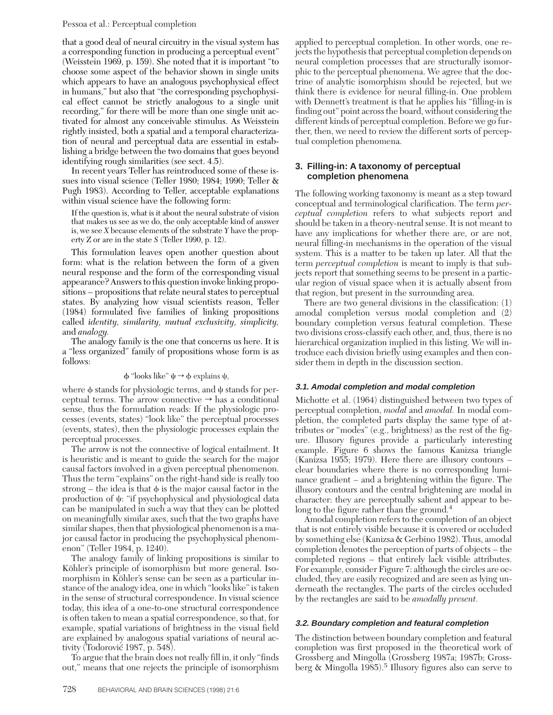that a good deal of neural circuitry in the visual system has a corresponding function in producing a perceptual event" (Weisstein 1969, p. 159). She noted that it is important "to choose some aspect of the behavior shown in single units which appears to have an analogous psychophysical effect in humans," but also that "the corresponding psychophysical effect cannot be strictly analogous to a single unit recording," for there will be more than one single unit activated for almost any conceivable stimulus. As Weisstein rightly insisted, both a spatial and a temporal characterization of neural and perceptual data are essential in establishing a bridge between the two domains that goes beyond identifying rough similarities (see sect. 4.5).

In recent years Teller has reintroduced some of these issues into visual science (Teller 1980; 1984; 1990; Teller & Pugh 1983). According to Teller, acceptable explanations within visual science have the following form:

If the question is, what is it about the neural substrate of vision that makes us see as we do, the only acceptable kind of answer is, we see *X* because elements of the substrate *Y* have the property *Z* or are in the state *S* (Teller 1990, p. 12).

This formulation leaves open another question about form: what is the relation between the form of a given neural response and the form of the corresponding visual appearance? Answers to this question invoke linking propositions – propositions that relate neural states to perceptual states. By analyzing how visual scientists reason, Teller (1984) formulated five families of linking propositions called *identity, similarity, mutual exclusivity, simplicity,* and *analogy.*

The analogy family is the one that concerns us here. It is a "less organized" family of propositions whose form is as follows:

# $\phi$  "looks like"  $\psi \rightarrow \phi$  explains  $\psi$ ,

where  $\phi$  stands for physiologic terms, and  $\psi$  stands for perceptual terms. The arrow connective  $\rightarrow$  has a conditional sense, thus the formulation reads: If the physiologic processes (events, states) "look like" the perceptual processes (events, states), then the physiologic processes explain the perceptual processes.

The arrow is not the connective of logical entailment. It is heuristic and is meant to guide the search for the major causal factors involved in a given perceptual phenomenon. Thus the term "explains" on the right-hand side is really too strong – the idea is that  $\phi$  is the major causal factor in the production of  $\psi$ : "if psychophysical and physiological data can be manipulated in such a way that they can be plotted on meaningfully similar axes, such that the two graphs have similar shapes, then that physiological phenomenon is a major causal factor in producing the psychophysical phenomenon" (Teller 1984, p. 1240).

The analogy family of linking propositions is similar to Köhler's principle of isomorphism but more general. Isomorphism in Köhler's sense can be seen as a particular instance of the analogy idea, one in which "looks like" is taken in the sense of structural correspondence. In visual science today, this idea of a one-to-one structural correspondence is often taken to mean a spatial correspondence, so that, for example, spatial variations of brightness in the visual field are explained by analogous spatial variations of neural activity (Todorovic´ 1987, p. 548).

To argue that the brain does not really fill in, it only "finds out," means that one rejects the principle of isomorphism applied to perceptual completion. In other words, one rejects the hypothesis that perceptual completion depends on neural completion processes that are structurally isomorphic to the perceptual phenomena. We agree that the doctrine of analytic isomorphism should be rejected, but we think there is evidence for neural filling-in. One problem with Dennett's treatment is that he applies his "filling-in is" finding out" point across the board, without considering the different kinds of perceptual completion. Before we go further, then, we need to review the different sorts of perceptual completion phenomena.

### **3. Filling-in: A taxonomy of perceptual completion phenomena**

The following working taxonomy is meant as a step toward conceptual and terminological clarification. The term *perceptual completion* refers to what subjects report and should be taken in a theory-neutral sense. It is not meant to have any implications for whether there are, or are not, neural filling-in mechanisms in the operation of the visual system. This is a matter to be taken up later. All that the term *perceptual completion* is meant to imply is that subjects report that something seems to be present in a particular region of visual space when it is actually absent from that region, but present in the surrounding area.

There are two general divisions in the classification: (1) amodal completion versus modal completion and (2) boundary completion versus featural completion. These two divisions cross-classify each other, and, thus, there is no hierarchical organization implied in this listing. We will introduce each division briefly using examples and then consider them in depth in the discussion section.

#### **3.1. Amodal completion and modal completion**

Michotte et al. (1964) distinguished between two types of perceptual completion, *modal* and *amodal.* In modal completion, the completed parts display the same type of attributes or "modes" (e.g., brightness) as the rest of the figure. Illusory figures provide a particularly interesting example. Figure 6 shows the famous Kanizsa triangle (Kanizsa 1955; 1979). Here there are illusory contours – clear boundaries where there is no corresponding luminance gradient – and a brightening within the figure. The illusory contours and the central brightening are modal in character: they are perceptually salient and appear to belong to the figure rather than the ground.<sup>4</sup>

Amodal completion refers to the completion of an object that is not entirely visible because it is covered or occluded by something else (Kanizsa & Gerbino 1982). Thus, amodal completion denotes the perception of parts of objects – the completed regions – that entirely lack visible attributes. For example, consider Figure 7: although the circles are occluded, they are easily recognized and are seen as lying underneath the rectangles. The parts of the circles occluded by the rectangles are said to be *amodally present.*

#### **3.2. Boundary completion and featural completion**

The distinction between boundary completion and featural completion was first proposed in the theoretical work of Grossberg and Mingolla (Grossberg 1987a; 1987b; Grossberg & Mingolla 1985).<sup>5</sup> Illusory figures also can serve to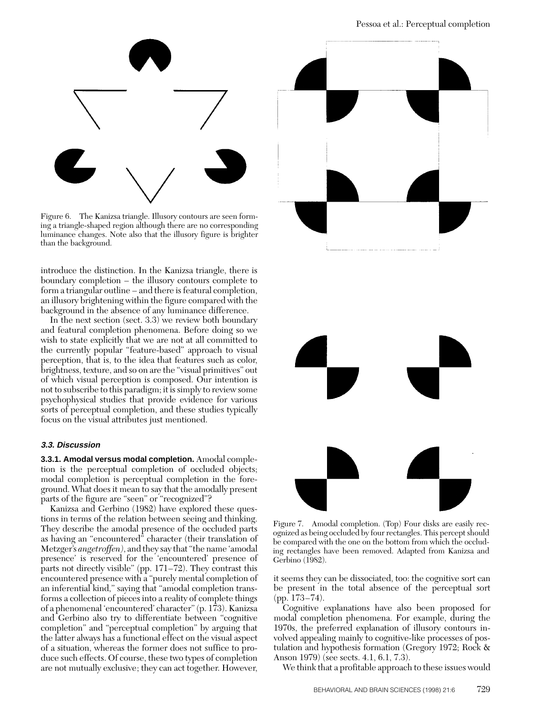

Figure 6. The Kanizsa triangle. Illusory contours are seen forming a triangle-shaped region although there are no corresponding luminance changes. Note also that the illusory figure is brighter than the background.

introduce the distinction. In the Kanizsa triangle, there is boundary completion – the illusory contours complete to form a triangular outline – and there is featural completion, an illusory brightening within the figure compared with the background in the absence of any luminance difference.

In the next section (sect. 3.3) we review both boundary and featural completion phenomena. Before doing so we wish to state explicitly that we are not at all committed to the currently popular "feature-based" approach to visual perception, that is, to the idea that features such as color, brightness, texture, and so on are the "visual primitives" out of which visual perception is composed. Our intention is not to subscribe to this paradigm; it is simply to review some psychophysical studies that provide evidence for various sorts of perceptual completion, and these studies typically focus on the visual attributes just mentioned.

## **3.3. Discussion**

**3.3.1. Amodal versus modal completion.** Amodal completion is the perceptual completion of occluded objects; modal completion is perceptual completion in the foreground. What does it mean to say that the amodally present parts of the figure are "seen" or "recognized"?

Kanizsa and Gerbino (1982) have explored these questions in terms of the relation between seeing and thinking. They describe the amodal presence of the occluded parts as having an "encountered" character (their translation of Metzger's *angetroffen)*, and they say that "the name 'amodal presence' is reserved for the 'encountered' presence of parts not directly visible" (pp. 171–72). They contrast this encountered presence with a "purely mental completion of an inferential kind," saying that "amodal completion transforms a collection of pieces into a reality of complete things of a phenomenal 'encountered' character" (p. 173). Kanizsa and Gerbino also try to differentiate between "cognitive completion" and "perceptual completion" by arguing that the latter always has a functional effect on the visual aspect of a situation, whereas the former does not suffice to produce such effects. Of course, these two types of completion are not mutually exclusive; they can act together. However,





Figure 7. Amodal completion. (Top) Four disks are easily recognized as being occluded by four rectangles. This percept should be compared with the one on the bottom from which the occluding rectangles have been removed. Adapted from Kanizsa and Gerbino (1982).

it seems they can be dissociated, too: the cognitive sort can be present in the total absence of the perceptual sort (pp. 173–74).

Cognitive explanations have also been proposed for modal completion phenomena. For example, during the 1970s, the preferred explanation of illusory contours involved appealing mainly to cognitive-like processes of postulation and hypothesis formation (Gregory 1972; Rock & Anson 1979) (see sects. 4.1, 6.1, 7.3).

We think that a profitable approach to these issues would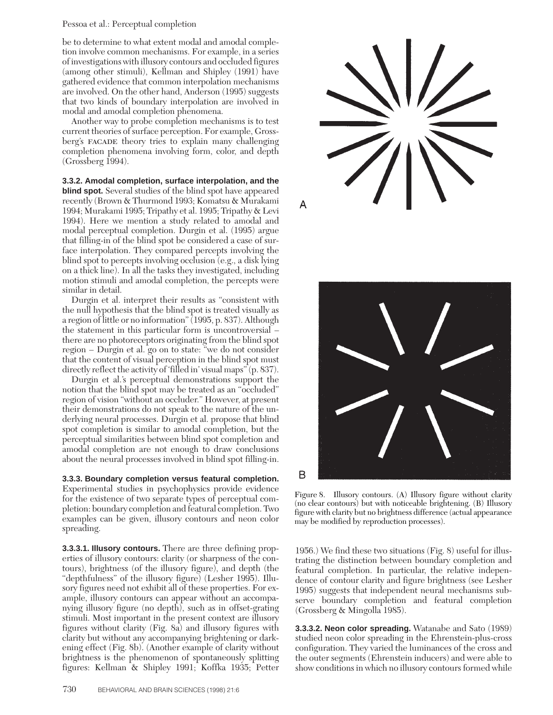be to determine to what extent modal and amodal completion involve common mechanisms. For example, in a series of investigations with illusory contours and occluded figures (among other stimuli), Kellman and Shipley (1991) have gathered evidence that common interpolation mechanisms are involved. On the other hand, Anderson (1995) suggests that two kinds of boundary interpolation are involved in modal and amodal completion phenomena.

Another way to probe completion mechanisms is to test current theories of surface perception. For example, Grossberg's FACADE theory tries to explain many challenging completion phenomena involving form, color, and depth (Grossberg 1994).

**3.3.2. Amodal completion, surface interpolation, and the blind spot.** Several studies of the blind spot have appeared recently (Brown & Thurmond 1993; Komatsu & Murakami 1994; Murakami 1995; Tripathy et al. 1995; Tripathy & Levi 1994). Here we mention a study related to amodal and modal perceptual completion. Durgin et al. (1995) argue that filling-in of the blind spot be considered a case of surface interpolation. They compared percepts involving the blind spot to percepts involving occlusion (e.g., a disk lying on a thick line). In all the tasks they investigated, including motion stimuli and amodal completion, the percepts were similar in detail.

Durgin et al. interpret their results as "consistent with the null hypothesis that the blind spot is treated visually as a region of little or no information" (1995, p. 837). Although the statement in this particular form is uncontroversial – there are no photoreceptors originating from the blind spot region – Durgin et al. go on to state: "we do not consider that the content of visual perception in the blind spot must directly reflect the activity of 'filled in' visual maps'<sup>7</sup>(p. 837).

Durgin et al.'s perceptual demonstrations support the notion that the blind spot may be treated as an "occluded" region of vision "without an occluder." However, at present their demonstrations do not speak to the nature of the underlying neural processes. Durgin et al. propose that blind spot completion is similar to amodal completion, but the perceptual similarities between blind spot completion and amodal completion are not enough to draw conclusions about the neural processes involved in blind spot filling-in.

**3.3.3. Boundary completion versus featural completion.** Experimental studies in psychophysics provide evidence for the existence of two separate types of perceptual completion: boundary completion and featural completion. Two examples can be given, illusory contours and neon color spreading.

**3.3.3.1. Illusory contours.** There are three defining properties of illusory contours: clarity (or sharpness of the contours), brightness (of the illusory figure), and depth (the "depthfulness" of the illusory figure) (Lesher 1995). Illusory figures need not exhibit all of these properties. For example, illusory contours can appear without an accompanying illusory figure (no depth), such as in offset-grating stimuli. Most important in the present context are illusory figures without clarity (Fig. 8a) and illusory figures with clarity but without any accompanying brightening or darkening effect (Fig. 8b). (Another example of clarity without brightness is the phenomenon of spontaneously splitting figures: Kellman & Shipley 1991; Koffka 1935; Petter

A

Figure 8. Illusory contours. (A) Illusory figure without clarity (no clear contours) but with noticeable brightening. (B) Illusory figure with clarity but no brightness difference (actual appearance may be modified by reproduction processes).

В

1956.) We find these two situations (Fig. 8) useful for illustrating the distinction between boundary completion and featural completion. In particular, the relative independence of contour clarity and figure brightness (see Lesher 1995) suggests that independent neural mechanisms subserve boundary completion and featural completion (Grossberg & Mingolla 1985).

**3.3.3.2. Neon color spreading.** Watanabe and Sato (1989) studied neon color spreading in the Ehrenstein-plus-cross configuration. They varied the luminances of the cross and the outer segments (Ehrenstein inducers) and were able to show conditions in which no illusory contours formed while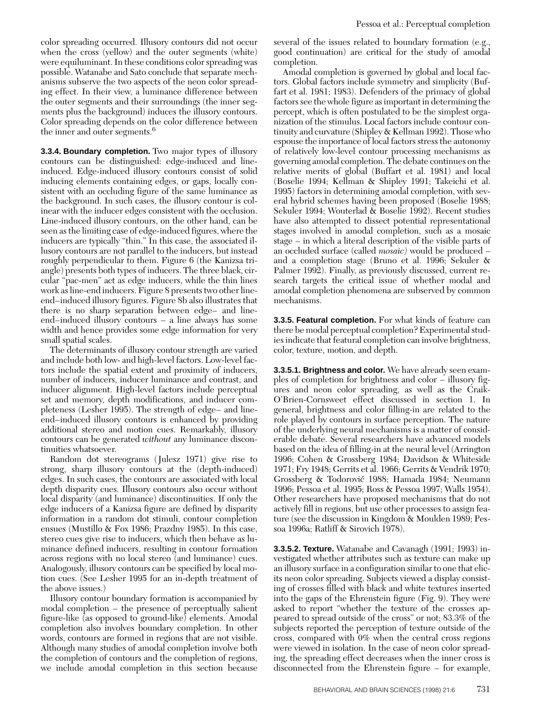color spreading occurred. Illusory contours did not occur when the cross (yellow) and the outer segments (white) were equiluminant. In these conditions color spreading was possible. Watanabe and Sato conclude that separate mechanisms subserve the two aspects of the neon color spreading effect. In their view, a luminance difference between the outer segments and their surroundings (the inner segments plus the background) induces the illusory contours. Color spreading depends on the color difference between the inner and outer segments.<sup>6</sup>

**3.3.4. Boundary completion.** Two major types of illusory contours can be distinguished: edge-induced and lineinduced. Edge-induced illusory contours consist of solid inducing elements containing edges, or gaps, locally consistent with an occluding figure of the same luminance as the background. In such cases, the illusory contour is colinear with the inducer edges consistent with the occlusion. Line-induced illusory contours, on the other hand, can be seen as the limiting case of edge-induced figures, where the inducers are typically "thin." In this case, the associated illusory contours are not parallel to the inducers, but instead roughly perpendicular to them. Figure 6 (the Kanizsa triangle) presents both types of inducers. The three black, circular "pac-men" act as edge inducers, while the thin lines work as line-end inducers. Figure 8 presents two other lineend–induced illusory figures. Figure 8b also illustrates that there is no sharp separation between edge– and lineend–induced illusory contours – a line always has some width and hence provides some edge information for very small spatial scales.

The determinants of illusory contour strength are varied and include both low- and high-level factors. Low-level factors include the spatial extent and proximity of inducers, number of inducers, inducer luminance and contrast, and inducer alignment. High-level factors include perceptual set and memory, depth modifications, and inducer completeness (Lesher 1995). The strength of edge– and lineend–induced illusory contours is enhanced by providing additional stereo and motion cues. Remarkably, illusory contours can be generated *without* any luminance discontinuities whatsoever.

Random dot stereograms (Julesz 1971) give rise to strong, sharp illusory contours at the (depth-induced) edges. In such cases, the contours are associated with local depth disparity cues. Illusory contours also occur without local disparity (and luminance) discontinuities. If only the edge inducers of a Kanizsa figure are defined by disparity information in a random dot stimuli, contour completion ensues (Mustillo & Fox 1986; Prazdny 1985). In this case, stereo cues give rise to inducers, which then behave as luminance defined inducers, resulting in contour formation across regions with no local stereo (and luminance) cues. Analogously, illusory contours can be specified by local motion cues. (See Lesher 1995 for an in-depth treatment of the above issues.)

Illusory contour boundary formation is accompanied by modal completion – the presence of perceptually salient figure-like (as opposed to ground-like) elements. Amodal completion also involves boundary completion. In other words, contours are formed in regions that are not visible. Although many studies of amodal completion involve both the completion of contours and the completion of regions, we include amodal completion in this section because

several of the issues related to boundary formation (e.g., good continuation) are critical for the study of amodal completion.

Amodal completion is governed by global and local factors. Global factors include symmetry and simplicity (Buffart et al. 1981; 1983). Defenders of the primacy of global factors see the whole figure as important in determining the percept, which is often postulated to be the simplest organization of the stimulus. Local factors include contour continuity and curvature (Shipley & Kellman 1992). Those who espouse the importance of local factors stress the autonomy of relatively low-level contour processing mechanisms as governing amodal completion. The debate continues on the relative merits of global (Buffart et al. 1981) and local (Boselie 1994; Kellman & Shipley 1991; Takeichi et al. 1995) factors in determining amodal completion, with several hybrid schemes having been proposed (Boselie 1988; Sekuler 1994; Wouterlad & Boselie 1992). Recent studies have also attempted to dissect potential representational stages involved in amodal completion, such as a mosaic stage – in which a literal description of the visible parts of an occluded surface (called *mosaic)* would be produced – and a completion stage (Bruno et al. 1996; Sekuler & Palmer 1992). Finally, as previously discussed, current research targets the critical issue of whether modal and amodal completion phenomena are subserved by common mechanisms.

**3.3.5. Featural completion.** For what kinds of feature can there be modal perceptual completion? Experimental studies indicate that featural completion can involve brightness, color, texture, motion, and depth.

**3.3.5.1. Brightness and color.** We have already seen examples of completion for brightness and color – illusory figures and neon color spreading, as well as the Craik-O'Brien-Cornsweet effect discussed in section 1. In general, brightness and color filling-in are related to the role played by contours in surface perception. The nature of the underlying neural mechanisms is a matter of considerable debate. Several researchers have advanced models based on the idea of filling-in at the neural level (Arrington 1996; Cohen & Grossberg 1984; Davidson & Whiteside 1971; Fry 1948; Gerrits et al. 1966; Gerrits & Vendrik 1970; Grossberg & Todorović 1988; Hamada 1984; Neumann 1996; Pessoa et al. 1995; Ross & Pessoa 1997; Walls 1954). Other researchers have proposed mechanisms that do not actively fill in regions, but use other processes to assign feature (see the discussion in Kingdom & Moulden 1989; Pessoa 1996a; Ratliff & Sirovich 1978).

**3.3.5.2. Texture.** Watanabe and Cavanagh (1991; 1993) investigated whether attributes such as texture can make up an illusory surface in a configuration similar to one that elicits neon color spreading. Subjects viewed a display consisting of crosses filled with black and white textures inserted into the gaps of the Ehrenstein figure (Fig. 9). They were asked to report "whether the texture of the crosses appeared to spread outside of the cross" or not; 83.3% of the subjects reported the perception of texture outside of the cross, compared with 0% when the central cross regions were viewed in isolation. In the case of neon color spreading, the spreading effect decreases when the inner cross is disconnected from the Ehrenstein figure – for example,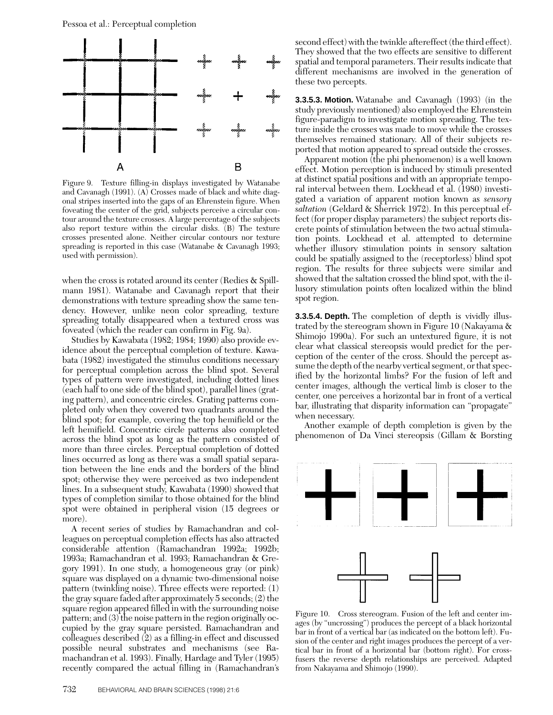

Figure 9. Texture filling-in displays investigated by Watanabe and Cavanagh (1991). (A) Crosses made of black and white diagonal stripes inserted into the gaps of an Ehrenstein figure. When foveating the center of the grid, subjects perceive a circular contour around the texture crosses. A large percentage of the subjects also report texture within the circular disks. (B) The texture crosses presented alone. Neither circular contours nor texture spreading is reported in this case (Watanabe & Cavanagh 1993; used with permission).

when the cross is rotated around its center (Redies & Spillmann 1981). Watanabe and Cavanagh report that their demonstrations with texture spreading show the same tendency. However, unlike neon color spreading, texture spreading totally disappeared when a textured cross was foveated (which the reader can confirm in Fig. 9a).

Studies by Kawabata (1982; 1984; 1990) also provide evidence about the perceptual completion of texture. Kawabata (1982) investigated the stimulus conditions necessary for perceptual completion across the blind spot. Several types of pattern were investigated, including dotted lines (each half to one side of the blind spot), parallel lines (grating pattern), and concentric circles. Grating patterns completed only when they covered two quadrants around the blind spot; for example, covering the top hemifield or the left hemifield. Concentric circle patterns also completed across the blind spot as long as the pattern consisted of more than three circles. Perceptual completion of dotted lines occurred as long as there was a small spatial separation between the line ends and the borders of the blind spot; otherwise they were perceived as two independent lines. In a subsequent study, Kawabata (1990) showed that types of completion similar to those obtained for the blind spot were obtained in peripheral vision (15 degrees or more).

A recent series of studies by Ramachandran and colleagues on perceptual completion effects has also attracted considerable attention (Ramachandran 1992a; 1992b; 1993a; Ramachandran et al. 1993; Ramachandran & Gregory 1991). In one study, a homogeneous gray (or pink) square was displayed on a dynamic two-dimensional noise pattern (twinkling noise). Three effects were reported: (1) the gray square faded after approximately 5 seconds; (2) the square region appeared filled in with the surrounding noise pattern; and (3) the noise pattern in the region originally occupied by the gray square persisted. Ramachandran and colleagues described (2) as a filling-in effect and discussed possible neural substrates and mechanisms (see Ramachandran et al. 1993). Finally, Hardage and Tyler (1995) recently compared the actual filling in (Ramachandran's

second effect) with the twinkle aftereffect (the third effect). They showed that the two effects are sensitive to different spatial and temporal parameters. Their results indicate that different mechanisms are involved in the generation of these two percepts.

> **3.3.5.3. Motion.** Watanabe and Cavanagh (1993) (in the study previously mentioned) also employed the Ehrenstein figure-paradigm to investigate motion spreading. The texture inside the crosses was made to move while the crosses themselves remained stationary. All of their subjects reported that motion appeared to spread outside the crosses.

> Apparent motion (the phi phenomenon) is a well known effect. Motion perception is induced by stimuli presented at distinct spatial positions and with an appropriate temporal interval between them. Lockhead et al. (1980) investigated a variation of apparent motion known as *sensory saltation* (Geldard & Sherrick 1972). In this perceptual effect (for proper display parameters) the subject reports discrete points of stimulation between the two actual stimulation points. Lockhead et al. attempted to determine whether illusory stimulation points in sensory saltation could be spatially assigned to the (receptorless) blind spot region. The results for three subjects were similar and showed that the saltation crossed the blind spot, with the illusory stimulation points often localized within the blind spot region.

> **3.3.5.4. Depth.** The completion of depth is vividly illustrated by the stereogram shown in Figure 10 (Nakayama & Shimojo 1990a). For such an untextured figure, it is not clear what classical stereopsis would predict for the perception of the center of the cross. Should the percept assume the depth of the nearby vertical segment, or that specified by the horizontal limbs? For the fusion of left and center images, although the vertical limb is closer to the center, one perceives a horizontal bar in front of a vertical bar, illustrating that disparity information can "propagate" when necessary.

> Another example of depth completion is given by the phenomenon of Da Vinci stereopsis (Gillam & Borsting



Figure 10. Cross stereogram. Fusion of the left and center images (by "uncrossing") produces the percept of a black horizontal bar in front of a vertical bar (as indicated on the bottom left). Fusion of the center and right images produces the percept of a vertical bar in front of a horizontal bar (bottom right). For crossfusers the reverse depth relationships are perceived. Adapted from Nakayama and Shimojo (1990).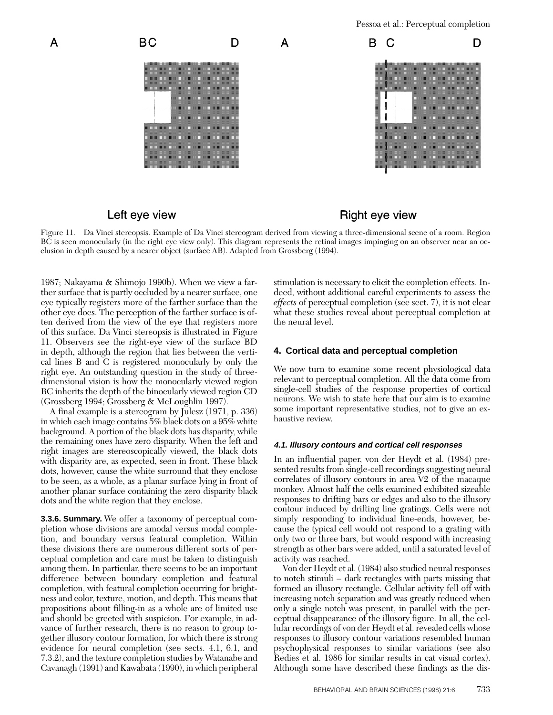



# Left eye view

# Right eye view

Figure 11. Da Vinci stereopsis. Example of Da Vinci stereogram derived from viewing a three-dimensional scene of a room. Region BC is seen monocularly (in the right eye view only). This diagram represents the retinal images impinging on an observer near an occlusion in depth caused by a nearer object (surface AB). Adapted from Grossberg (1994).

A

1987; Nakayama & Shimojo 1990b). When we view a farther surface that is partly occluded by a nearer surface, one eye typically registers more of the farther surface than the other eye does. The perception of the farther surface is often derived from the view of the eye that registers more of this surface. Da Vinci stereopsis is illustrated in Figure 11. Observers see the right-eye view of the surface BD in depth, although the region that lies between the vertical lines B and C is registered monocularly by only the right eye. An outstanding question in the study of threedimensional vision is how the monocularly viewed region BC inherits the depth of the binocularly viewed region CD (Grossberg 1994; Grossberg & McLoughlin 1997).

A final example is a stereogram by Julesz (1971, p. 336) in which each image contains 5% black dots on a 95% white background. A portion of the black dots has disparity, while the remaining ones have zero disparity. When the left and right images are stereoscopically viewed, the black dots with disparity are, as expected, seen in front. These black dots, however, cause the white surround that they enclose to be seen, as a whole, as a planar surface lying in front of another planar surface containing the zero disparity black dots and the white region that they enclose.

**3.3.6. Summary.** We offer a taxonomy of perceptual completion whose divisions are amodal versus modal completion, and boundary versus featural completion. Within these divisions there are numerous different sorts of perceptual completion and care must be taken to distinguish among them. In particular, there seems to be an important difference between boundary completion and featural completion, with featural completion occurring for brightness and color, texture, motion, and depth. This means that propositions about filling-in as a whole are of limited use and should be greeted with suspicion. For example, in advance of further research, there is no reason to group together illusory contour formation, for which there is strong evidence for neural completion (see sects. 4.1, 6.1, and 7.3.2), and the texture completion studies by Watanabe and Cavanagh (1991) and Kawabata (1990), in which peripheral

stimulation is necessary to elicit the completion effects. Indeed, without additional careful experiments to assess the *effects* of perceptual completion (see sect. 7), it is not clear what these studies reveal about perceptual completion at the neural level.

# **4. Cortical data and perceptual completion**

We now turn to examine some recent physiological data relevant to perceptual completion. All the data come from single-cell studies of the response properties of cortical neurons. We wish to state here that our aim is to examine some important representative studies, not to give an exhaustive review.

# **4.1. Illusory contours and cortical cell responses**

In an influential paper, von der Heydt et al. (1984) presented results from single-cell recordings suggesting neural correlates of illusory contours in area  $V2$  of the macaque monkey. Almost half the cells examined exhibited sizeable responses to drifting bars or edges and also to the illusory contour induced by drifting line gratings. Cells were not simply responding to individual line-ends, however, because the typical cell would not respond to a grating with only two or three bars, but would respond with increasing strength as other bars were added, until a saturated level of activity was reached.

Von der Heydt et al. (1984) also studied neural responses to notch stimuli – dark rectangles with parts missing that formed an illusory rectangle. Cellular activity fell off with increasing notch separation and was greatly reduced when only a single notch was present, in parallel with the perceptual disappearance of the illusory figure. In all, the cellular recordings of von der Heydt et al. revealed cells whose responses to illusory contour variations resembled human psychophysical responses to similar variations (see also Redies et al. 1986 for similar results in cat visual cortex). Although some have described these findings as the dis-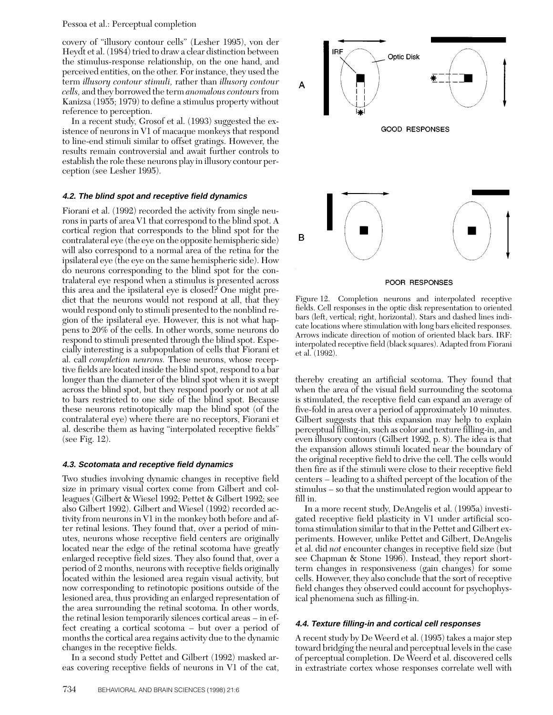covery of "illusory contour cells" (Lesher 1995), von der Heydt et al. (1984) tried to draw a clear distinction between the stimulus-response relationship, on the one hand, and perceived entities, on the other. For instance, they used the term *illusory contour stimuli,* rather than *illusory contour cells,* and they borrowed the term *anomalous contours* from Kanizsa (1955; 1979) to define a stimulus property without reference to perception.

In a recent study, Grosof et al. (1993) suggested the existence of neurons in V1 of macaque monkeys that respond to line-end stimuli similar to offset gratings. However, the results remain controversial and await further controls to establish the role these neurons play in illusory contour perception (see Lesher 1995).

#### **4.2. The blind spot and receptive field dynamics**

Fiorani et al. (1992) recorded the activity from single neurons in parts of area V1 that correspond to the blind spot. A cortical region that corresponds to the blind spot for the contralateral eye (the eye on the opposite hemispheric side) will also correspond to a normal area of the retina for the ipsilateral eye (the eye on the same hemispheric side). How do neurons corresponding to the blind spot for the contralateral eye respond when a stimulus is presented across this area and the ipsilateral eye is closed? One might predict that the neurons would not respond at all, that they would respond only to stimuli presented to the nonblind region of the ipsilateral eye. However, this is not what happens to 20% of the cells. In other words, some neurons do respond to stimuli presented through the blind spot. Especially interesting is a subpopulation of cells that Fiorani et al. call *completion neurons.* These neurons, whose receptive fields are located inside the blind spot, respond to a bar longer than the diameter of the blind spot when it is swept across the blind spot, but they respond poorly or not at all to bars restricted to one side of the blind spot. Because these neurons retinotopically map the blind spot (of the contralateral eye) where there are no receptors, Fiorani et al. describe them as having "interpolated receptive fields" (see Fig. 12).

#### **4.3. Scotomata and receptive field dynamics**

Two studies involving dynamic changes in receptive field size in primary visual cortex come from Gilbert and colleagues (Gilbert & Wiesel 1992; Pettet & Gilbert 1992; see also Gilbert 1992). Gilbert and Wiesel (1992) recorded activity from neurons in V1 in the monkey both before and after retinal lesions. They found that, over a period of minutes, neurons whose receptive field centers are originally located near the edge of the retinal scotoma have greatly enlarged receptive field sizes. They also found that, over a period of 2 months, neurons with receptive fields originally located within the lesioned area regain visual activity, but now corresponding to retinotopic positions outside of the lesioned area, thus providing an enlarged representation of the area surrounding the retinal scotoma. In other words, the retinal lesion temporarily silences cortical areas – in effect creating a cortical scotoma – but over a period of months the cortical area regains activity due to the dynamic changes in the receptive fields.

In a second study Pettet and Gilbert (1992) masked areas covering receptive fields of neurons in V1 of the cat,



POOR RESPONSES

Figure 12. Completion neurons and interpolated receptive fields. Cell responses in the optic disk representation to oriented bars (left, vertical; right, horizontal). Stars and dashed lines indicate locations where stimulation with long bars elicited responses. Arrows indicate direction of motion of oriented black bars. IRF: interpolated receptive field (black squares). Adapted from Fiorani et al. (1992).

thereby creating an artificial scotoma. They found that when the area of the visual field surrounding the scotoma is stimulated, the receptive field can expand an average of five-fold in area over a period of approximately 10 minutes. Gilbert suggests that this expansion may help to explain perceptual filling-in, such as color and texture filling-in, and even illusory contours (Gilbert 1992, p. 8). The idea is that the expansion allows stimuli located near the boundary of the original receptive field to drive the cell. The cells would then fire as if the stimuli were close to their receptive field centers – leading to a shifted percept of the location of the stimulus – so that the unstimulated region would appear to fill in.

In a more recent study, DeAngelis et al. (1995a) investigated receptive field plasticity in V1 under artificial scotoma stimulation similar to that in the Pettet and Gilbert experiments. However, unlike Pettet and Gilbert, DeAngelis et al. did *not* encounter changes in receptive field size (but see Chapman & Stone 1996). Instead, they report shortterm changes in responsiveness (gain changes) for some cells. However, they also conclude that the sort of receptive field changes they observed could account for psychophysical phenomena such as filling-in.

#### **4.4. Texture filling-in and cortical cell responses**

A recent study by De Weerd et al. (1995) takes a major step toward bridging the neural and perceptual levels in the case of perceptual completion. De Weerd et al. discovered cells in extrastriate cortex whose responses correlate well with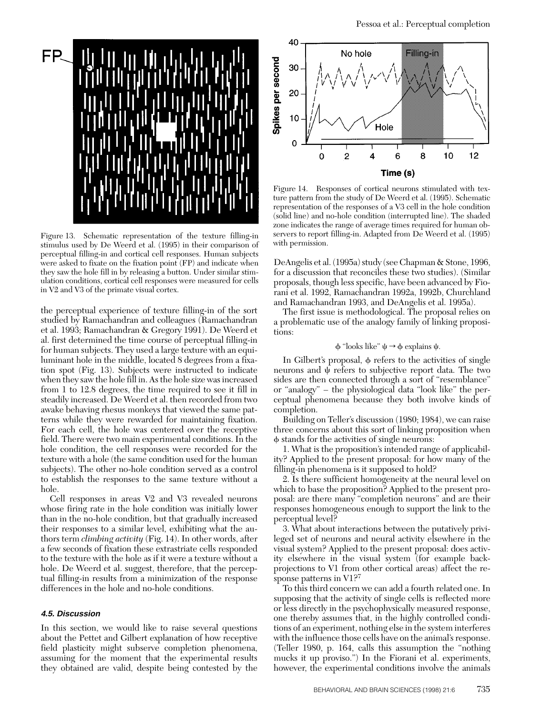

Figure 13. Schematic representation of the texture filling-in stimulus used by De Weerd et al. (1995) in their comparison of perceptual filling-in and cortical cell responses. Human subjects were asked to fixate on the fixation point (FP) and indicate when they saw the hole fill in by releasing a button. Under similar stimulation conditions, cortical cell responses were measured for cells in V2 and V3 of the primate visual cortex.

the perceptual experience of texture filling-in of the sort studied by Ramachandran and colleagues (Ramachandran et al. 1993; Ramachandran & Gregory 1991). De Weerd et al. first determined the time course of perceptual filling-in for human subjects. They used a large texture with an equiluminant hole in the middle, located 8 degrees from a fixation spot (Fig. 13). Subjects were instructed to indicate when they saw the hole fill in. As the hole size was increased from 1 to 12.8 degrees, the time required to see it fill in steadily increased. De Weerd et al. then recorded from two awake behaving rhesus monkeys that viewed the same patterns while they were rewarded for maintaining fixation. For each cell, the hole was centered over the receptive field. There were two main experimental conditions. In the hole condition, the cell responses were recorded for the texture with a hole (the same condition used for the human subjects). The other no-hole condition served as a control to establish the responses to the same texture without a hole.

Cell responses in areas V2 and V3 revealed neurons whose firing rate in the hole condition was initially lower than in the no-hole condition, but that gradually increased their responses to a similar level, exhibiting what the authors term *climbing activity* (Fig. 14). In other words, after a few seconds of fixation these extrastriate cells responded to the texture with the hole as if it were a texture without a hole. De Weerd et al. suggest, therefore, that the perceptual filling-in results from a minimization of the response differences in the hole and no-hole conditions.

#### **4.5. Discussion**

In this section, we would like to raise several questions about the Pettet and Gilbert explanation of how receptive field plasticity might subserve completion phenomena, assuming for the moment that the experimental results they obtained are valid, despite being contested by the



Figure 14. Responses of cortical neurons stimulated with texture pattern from the study of De Weerd et al. (1995). Schematic representation of the responses of a V3 cell in the hole condition (solid line) and no-hole condition (interrupted line). The shaded zone indicates the range of average times required for human observers to report filling-in. Adapted from De Weerd et al. (1995) with permission.

DeAngelis et al. (1995a) study (see Chapman & Stone, 1996, for a discussion that reconciles these two studies). (Similar proposals, though less specific, have been advanced by Fiorani et al. 1992, Ramachandran 1992a, 1992b, Churchland and Ramachandran 1993, and DeAngelis et al. 1995a).

The first issue is methodological. The proposal relies on a problematic use of the analogy family of linking propositions:

## $\phi$  "looks like"  $\psi \rightarrow \phi$  explains  $\psi$ .

In Gilbert's proposal,  $\phi$  refers to the activities of single neurons and  $\psi$  refers to subjective report data. The two sides are then connected through a sort of "resemblance" or "analogy" – the physiological data "look like" the perceptual phenomena because they both involve kinds of completion.

Building on Teller's discussion (1980; 1984), we can raise three concerns about this sort of linking proposition when  $\phi$  stands for the activities of single neurons:

1. What is the proposition's intended range of applicability? Applied to the present proposal: for how many of the filling-in phenomena is it supposed to hold?

2. Is there sufficient homogeneity at the neural level on which to base the proposition? Applied to the present proposal: are there many "completion neurons" and are their responses homogeneous enough to support the link to the perceptual level?

3. What about interactions between the putatively privileged set of neurons and neural activity elsewhere in the visual system? Applied to the present proposal: does activity elsewhere in the visual system (for example backprojections to V1 from other cortical areas) affect the response patterns in V1?<sup>7</sup>

To this third concern we can add a fourth related one. In supposing that the activity of single cells is reflected more or less directly in the psychophysically measured response, one thereby assumes that, in the highly controlled conditions of an experiment, nothing else in the system interferes with the influence those cells have on the animal's response. (Teller 1980, p. 164, calls this assumption the "nothing mucks it up proviso.") In the Fiorani et al. experiments, however, the experimental conditions involve the animals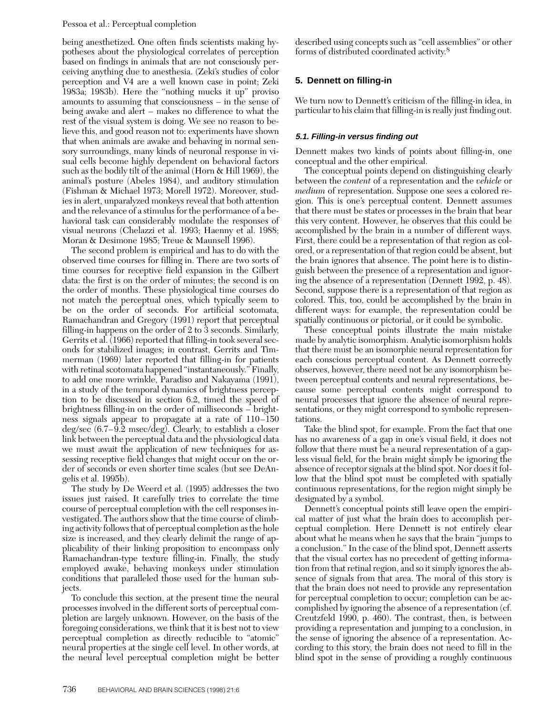being anesthetized. One often finds scientists making hypotheses about the physiological correlates of perception based on findings in animals that are not consciously perceiving anything due to anesthesia. (Zeki's studies of color perception and V4 are a well known case in point; Zeki 1983a; 1983b). Here the "nothing mucks it up" proviso amounts to assuming that consciousness – in the sense of being awake and alert – makes no difference to what the rest of the visual system is doing. We see no reason to believe this, and good reason not to: experiments have shown that when animals are awake and behaving in normal sensory surroundings, many kinds of neuronal response in visual cells become highly dependent on behavioral factors such as the bodily tilt of the animal (Horn & Hill 1969), the animal's posture (Abeles 1984), and auditory stimulation (Fishman & Michael 1973; Morell 1972). Moreover, studies in alert, unparalyzed monkeys reveal that both attention and the relevance of a stimulus for the performance of a behavioral task can considerably modulate the responses of visual neurons (Chelazzi et al. 1993; Haenny et al. 1988; Moran & Desimone 1985; Treue & Maunsell 1996).

The second problem is empirical and has to do with the observed time courses for filling in. There are two sorts of time courses for receptive field expansion in the Gilbert data: the first is on the order of minutes; the second is on the order of months. These physiological time courses do not match the perceptual ones, which typically seem to be on the order of seconds. For artificial scotomata, Ramachandran and Gregory (1991) report that perceptual filling-in happens on the order of 2 to 3 seconds. Similarly, Gerrits et al. (1966) reported that filling-in took several seconds for stabilized images; in contrast, Gerrits and Timmerman (1969) later reported that filling-in for patients with retinal scotomata happened "instantaneously." Finally, to add one more wrinkle, Paradiso and Nakayama (1991), in a study of the temporal dynamics of brightness perception to be discussed in section 6.2, timed the speed of brightness filling-in on the order of milliseconds – brightness signals appear to propagate at a rate of 110–150 deg/sec (6.7–9.2 msec/deg). Clearly, to establish a closer link between the perceptual data and the physiological data we must await the application of new techniques for assessing receptive field changes that might occur on the order of seconds or even shorter time scales (but see DeAngelis et al. 1995b).

The study by De Weerd et al. (1995) addresses the two issues just raised. It carefully tries to correlate the time course of perceptual completion with the cell responses investigated. The authors show that the time course of climbing activity follows that of perceptual completion as the hole size is increased, and they clearly delimit the range of applicability of their linking proposition to encompass only Ramachandran-type texture filling-in. Finally, the study employed awake, behaving monkeys under stimulation conditions that paralleled those used for the human subjects.

To conclude this section, at the present time the neural processes involved in the different sorts of perceptual completion are largely unknown. However, on the basis of the foregoing considerations, we think that it is best not to view perceptual completion as directly reducible to "atomic" neural properties at the single cell level. In other words, at the neural level perceptual completion might be better described using concepts such as "cell assemblies" or other forms of distributed coordinated activity.<sup>8</sup>

# **5. Dennett on filling-in**

We turn now to Dennett's criticism of the filling-in idea, in particular to his claim that filling-in is really just finding out.

# **5.1. Filling-in versus finding out**

Dennett makes two kinds of points about filling-in, one conceptual and the other empirical.

The conceptual points depend on distinguishing clearly between the *content* of a representation and the *vehicle* or *medium* of representation. Suppose one sees a colored region. This is one's perceptual content. Dennett assumes that there must be states or processes in the brain that bear this very content. However, he observes that this could be accomplished by the brain in a number of different ways. First, there could be a representation of that region as colored, or a representation of that region could be absent, but the brain ignores that absence. The point here is to distinguish between the presence of a representation and ignoring the absence of a representation (Dennett 1992, p. 48). Second, suppose there is a representation of that region as colored. This, too, could be accomplished by the brain in different ways: for example, the representation could be spatially continuous or pictorial, or it could be symbolic.

These conceptual points illustrate the main mistake made by analytic isomorphism. Analytic isomorphism holds that there must be an isomorphic neural representation for each conscious perceptual content. As Dennett correctly observes, however, there need not be any isomorphism between perceptual contents and neural representations, because some perceptual contents might correspond to neural processes that ignore the absence of neural representations, or they might correspond to symbolic representations.

Take the blind spot, for example. From the fact that one has no awareness of a gap in one's visual field, it does not follow that there must be a neural representation of a gapless visual field, for the brain might simply be ignoring the absence of receptor signals at the blind spot. Nor does it follow that the blind spot must be completed with spatially continuous representations, for the region might simply be designated by a symbol.

Dennett's conceptual points still leave open the empirical matter of just what the brain does to accomplish perceptual completion. Here Dennett is not entirely clear about what he means when he says that the brain "jumps to a conclusion." In the case of the blind spot, Dennett asserts that the visual cortex has no precedent of getting information from that retinal region, and so it simply ignores the absence of signals from that area. The moral of this story is that the brain does not need to provide any representation for perceptual completion to occur; completion can be accomplished by ignoring the absence of a representation (cf. Creutzfeld 1990, p. 460). The contrast, then, is between providing a representation and jumping to a conclusion, in the sense of ignoring the absence of a representation. According to this story, the brain does not need to fill in the blind spot in the sense of providing a roughly continuous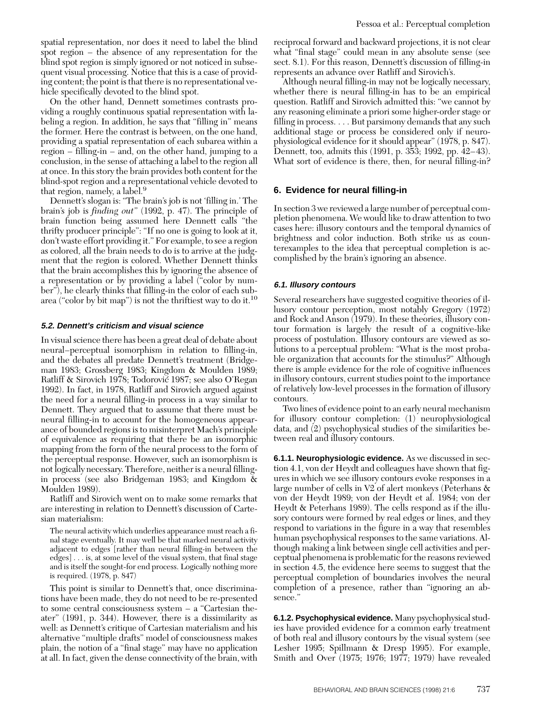spatial representation, nor does it need to label the blind spot region – the absence of any representation for the blind spot region is simply ignored or not noticed in subsequent visual processing. Notice that this is a case of providing content; the point is that there is no representational vehicle specifically devoted to the blind spot.

On the other hand, Dennett sometimes contrasts providing a roughly continuous spatial representation with labeling a region. In addition, he says that "filling in" means the former. Here the contrast is between, on the one hand, providing a spatial representation of each subarea within a region – filling-in – and, on the other hand, jumping to a conclusion, in the sense of attaching a label to the region all at once. In this story the brain provides both content for the blind-spot region and a representational vehicle devoted to that region, namely, a label.<sup>9</sup>

Dennett's slogan is: "The brain's job is not 'filling in.' The brain's job is *finding out"* (1992, p. 47). The principle of brain function being assumed here Dennett calls "the thrifty producer principle": "If no one is going to look at it, don't waste effort providing it." For example, to see a region as colored, all the brain needs to do is to arrive at the judgment that the region is colored. Whether Dennett thinks that the brain accomplishes this by ignoring the absence of a representation or by providing a label ("color by number"), he clearly thinks that filling-in the color of each subarea ("color by bit map") is not the thriftiest way to do it.10

#### **5.2. Dennett's criticism and visual science**

In visual science there has been a great deal of debate about neural–perceptual isomorphism in relation to filling-in, and the debates all predate Dennett's treatment (Bridgeman 1983; Grossberg 1983; Kingdom & Moulden 1989; Ratliff & Sirovich 1978; Todorovic<sup>I 1987</sup>; see also O'Regan 1992). In fact, in 1978, Ratliff and Sirovich argued against the need for a neural filling-in process in a way similar to Dennett. They argued that to assume that there must be neural filling-in to account for the homogeneous appearance of bounded regions is to misinterpret Mach's principle of equivalence as requiring that there be an isomorphic mapping from the form of the neural process to the form of the perceptual response. However, such an isomorphism is not logically necessary. Therefore, neither is a neural fillingin process (see also Bridgeman 1983; and Kingdom & Moulden 1989).

Ratliff and Sirovich went on to make some remarks that are interesting in relation to Dennett's discussion of Cartesian materialism:

The neural activity which underlies appearance must reach a final stage eventually. It may well be that marked neural activity adjacent to edges [rather than neural filling-in between the edges] . . . is, at some level of the visual system, that final stage and is itself the sought-for end process. Logically nothing more is required. (1978, p. 847)

This point is similar to Dennett's that, once discriminations have been made, they do not need to be re-presented to some central consciousness system – a "Cartesian theater" (1991, p. 344). However, there is a dissimilarity as well: as Dennett's critique of Cartesian materialism and his alternative "multiple drafts" model of consciousness makes plain, the notion of a "final stage" may have no application at all. In fact, given the dense connectivity of the brain, with

reciprocal forward and backward projections, it is not clear what "final stage" could mean in any absolute sense (see sect. 8.1). For this reason, Dennett's discussion of filling-in represents an advance over Ratliff and Sirovich's.

Although neural filling-in may not be logically necessary, whether there is neural filling-in has to be an empirical question. Ratliff and Sirovich admitted this: "we cannot by any reasoning eliminate a priori some higher-order stage or filling in process. . . . But parsimony demands that any such additional stage or process be considered only if neurophysiological evidence for it should appear" (1978, p. 847). Dennett, too, admits this (1991, p. 353; 1992, pp. 42–43). What sort of evidence is there, then, for neural filling-in?

#### **6. Evidence for neural filling-in**

In section 3 we reviewed a large number of perceptual completion phenomena. We would like to draw attention to two cases here: illusory contours and the temporal dynamics of brightness and color induction. Both strike us as counterexamples to the idea that perceptual completion is accomplished by the brain's ignoring an absence.

#### **6.1. Illusory contours**

Several researchers have suggested cognitive theories of illusory contour perception, most notably Gregory (1972) and Rock and Anson (1979). In these theories, illusory contour formation is largely the result of a cognitive-like process of postulation. Illusory contours are viewed as solutions to a perceptual problem: "What is the most probable organization that accounts for the stimulus?" Although there is ample evidence for the role of cognitive influences in illusory contours, current studies point to the importance of relatively low-level processes in the formation of illusory contours.

Two lines of evidence point to an early neural mechanism for illusory contour completion: (1) neurophysiological data, and (2) psychophysical studies of the similarities between real and illusory contours.

**6.1.1. Neurophysiologic evidence.** As we discussed in section 4.1, von der Heydt and colleagues have shown that figures in which we see illusory contours evoke responses in a large number of cells in V2 of alert monkeys (Peterhans & von der Heydt 1989; von der Heydt et al. 1984; von der Heydt & Peterhans 1989). The cells respond as if the illusory contours were formed by real edges or lines, and they respond to variations in the figure in a way that resembles human psychophysical responses to the same variations. Although making a link between single cell activities and perceptual phenomena is problematic for the reasons reviewed in section 4.5, the evidence here seems to suggest that the perceptual completion of boundaries involves the neural completion of a presence, rather than "ignoring an absence."

**6.1.2. Psychophysical evidence.** Many psychophysical studies have provided evidence for a common early treatment of both real and illusory contours by the visual system (see Lesher 1995; Spillmann & Dresp 1995). For example, Smith and Over (1975; 1976; 1977; 1979) have revealed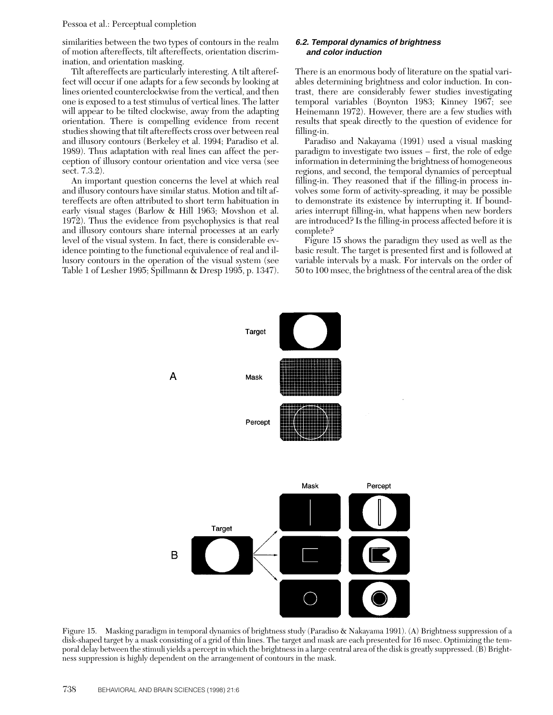similarities between the two types of contours in the realm of motion aftereffects, tilt aftereffects, orientation discrimination, and orientation masking.

Tilt aftereffects are particularly interesting. A tilt aftereffect will occur if one adapts for a few seconds by looking at lines oriented counterclockwise from the vertical, and then one is exposed to a test stimulus of vertical lines. The latter will appear to be tilted clockwise, away from the adapting orientation. There is compelling evidence from recent studies showing that tilt aftereffects cross over between real and illusory contours (Berkeley et al. 1994; Paradiso et al. 1989). Thus adaptation with real lines can affect the perception of illusory contour orientation and vice versa (see sect. 7.3.2).

An important question concerns the level at which real and illusory contours have similar status. Motion and tilt aftereffects are often attributed to short term habituation in early visual stages (Barlow & Hill 1963; Movshon et al. 1972). Thus the evidence from psychophysics is that real and illusory contours share internal processes at an early level of the visual system. In fact, there is considerable evidence pointing to the functional equivalence of real and illusory contours in the operation of the visual system (see Table 1 of Lesher 1995; Spillmann & Dresp 1995, p. 1347).

#### **6.2. Temporal dynamics of brightness and color induction**

There is an enormous body of literature on the spatial variables determining brightness and color induction. In contrast, there are considerably fewer studies investigating temporal variables (Boynton 1983; Kinney 1967; see Heinemann 1972). However, there are a few studies with results that speak directly to the question of evidence for filling-in.

Paradiso and Nakayama (1991) used a visual masking paradigm to investigate two issues – first, the role of edge information in determining the brightness of homogeneous regions, and second, the temporal dynamics of perceptual filling-in. They reasoned that if the filling-in process involves some form of activity-spreading, it may be possible to demonstrate its existence by interrupting it. If boundaries interrupt filling-in, what happens when new borders are introduced? Is the filling-in process affected before it is complete?

Figure 15 shows the paradigm they used as well as the basic result. The target is presented first and is followed at variable intervals by a mask. For intervals on the order of 50 to 100 msec, the brightness of the central area of the disk



Figure 15. Masking paradigm in temporal dynamics of brightness study (Paradiso & Nakayama 1991). (A) Brightness suppression of a disk-shaped target by a mask consisting of a grid of thin lines. The target and mask are each presented for 16 msec. Optimizing the temporal delay between the stimuli yields a percept in which the brightness in a large central area of the disk is greatly suppressed. (B) Brightness suppression is highly dependent on the arrangement of contours in the mask.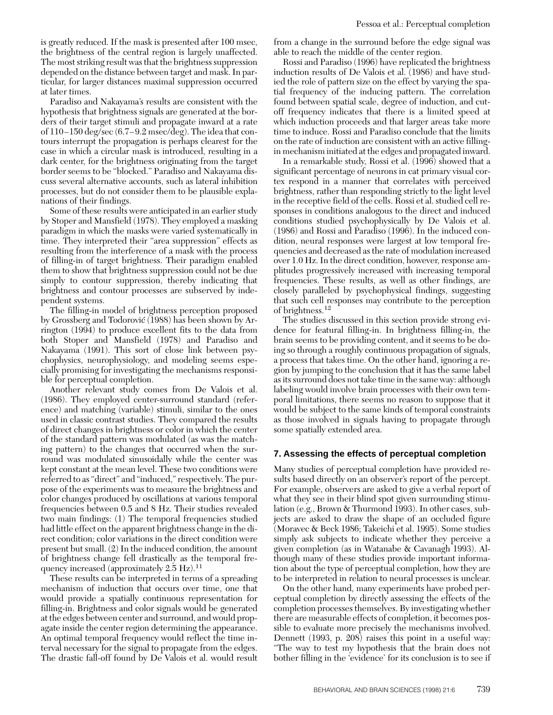is greatly reduced. If the mask is presented after 100 msec, the brightness of the central region is largely unaffected. The most striking result was that the brightness suppression depended on the distance between target and mask. In particular, for larger distances maximal suppression occurred at later times.

Paradiso and Nakayama's results are consistent with the hypothesis that brightness signals are generated at the borders of their target stimuli and propagate inward at a rate of 110–150 deg/sec (6.7–9.2 msec/deg). The idea that contours interrupt the propagation is perhaps clearest for the case in which a circular mask is introduced, resulting in a dark center, for the brightness originating from the target border seems to be "blocked." Paradiso and Nakayama discuss several alternative accounts, such as lateral inhibition processes, but do not consider them to be plausible explanations of their findings.

Some of these results were anticipated in an earlier study by Stoper and Mansfield (1978). They employed a masking paradigm in which the masks were varied systematically in time. They interpreted their "area suppression" effects as resulting from the interference of a mask with the process of filling-in of target brightness. Their paradigm enabled them to show that brightness suppression could not be due simply to contour suppression, thereby indicating that brightness and contour processes are subserved by independent systems.

The filling-in model of brightness perception proposed by Grossberg and Todorovic´ (1988) has been shown by Arrington (1994) to produce excellent fits to the data from both Stoper and Mansfield (1978) and Paradiso and Nakayama (1991). This sort of close link between psychophysics, neurophysiology, and modeling seems especially promising for investigating the mechanisms responsible for perceptual completion.

Another relevant study comes from De Valois et al. (1986). They employed center-surround standard (reference) and matching (variable) stimuli, similar to the ones used in classic contrast studies. They compared the results of direct changes in brightness or color in which the center of the standard pattern was modulated (as was the matching pattern) to the changes that occurred when the surround was modulated sinusoidally while the center was kept constant at the mean level. These two conditions were referred to as "direct" and "induced," respectively. The purpose of the experiments was to measure the brightness and color changes produced by oscillations at various temporal frequencies between 0.5 and 8 Hz. Their studies revealed two main findings: (1) The temporal frequencies studied had little effect on the apparent brightness change in the direct condition; color variations in the direct condition were present but small. (2) In the induced condition, the amount of brightness change fell drastically as the temporal frequency increased (approximately 2.5 Hz).<sup>11</sup>

These results can be interpreted in terms of a spreading mechanism of induction that occurs over time, one that would provide a spatially continuous representation for filling-in. Brightness and color signals would be generated at the edges between center and surround, and would propagate inside the center region determining the appearance. An optimal temporal frequency would reflect the time interval necessary for the signal to propagate from the edges. The drastic fall-off found by De Valois et al. would result from a change in the surround before the edge signal was able to reach the middle of the center region.

Rossi and Paradiso (1996) have replicated the brightness induction results of De Valois et al. (1986) and have studied the role of pattern size on the effect by varying the spatial frequency of the inducing pattern. The correlation found between spatial scale, degree of induction, and cutoff frequency indicates that there is a limited speed at which induction proceeds and that larger areas take more time to induce. Rossi and Paradiso conclude that the limits on the rate of induction are consistent with an active fillingin mechanism initiated at the edges and propagated inward.

In a remarkable study, Rossi et al. (1996) showed that a significant percentage of neurons in cat primary visual cortex respond in a manner that correlates with perceived brightness, rather than responding strictly to the light level in the receptive field of the cells. Rossi et al. studied cell responses in conditions analogous to the direct and induced conditions studied psychophysically by De Valois et al. (1986) and Rossi and Paradiso (1996). In the induced condition, neural responses were largest at low temporal frequencies and decreased as the rate of modulation increased over 1.0 Hz. In the direct condition, however, response amplitudes progressively increased with increasing temporal frequencies. These results, as well as other findings, are closely paralleled by psychophysical findings, suggesting that such cell responses may contribute to the perception of brightness.<sup>12</sup>

The studies discussed in this section provide strong evidence for featural filling-in. In brightness filling-in, the brain seems to be providing content, and it seems to be doing so through a roughly continuous propagation of signals, a process that takes time. On the other hand, ignoring a region by jumping to the conclusion that it has the same label as its surround does not take time in the same way: although labeling would involve brain processes with their own temporal limitations, there seems no reason to suppose that it would be subject to the same kinds of temporal constraints as those involved in signals having to propagate through some spatially extended area.

# **7. Assessing the effects of perceptual completion**

Many studies of perceptual completion have provided results based directly on an observer's report of the percept. For example, observers are asked to give a verbal report of what they see in their blind spot given surrounding stimulation (e.g., Brown & Thurmond 1993). In other cases, subjects are asked to draw the shape of an occluded figure (Moravec & Beck 1986; Takeichi et al. 1995). Some studies simply ask subjects to indicate whether they perceive a given completion (as in Watanabe & Cavanagh 1993). Although many of these studies provide important information about the type of perceptual completion, how they are to be interpreted in relation to neural processes is unclear.

On the other hand, many experiments have probed perceptual completion by directly assessing the effects of the completion processes themselves. By investigating whether there are measurable effects of completion, it becomes possible to evaluate more precisely the mechanisms involved. Dennett (1993, p. 208) raises this point in a useful way: "The way to test my hypothesis that the brain does not bother filling in the 'evidence' for its conclusion is to see if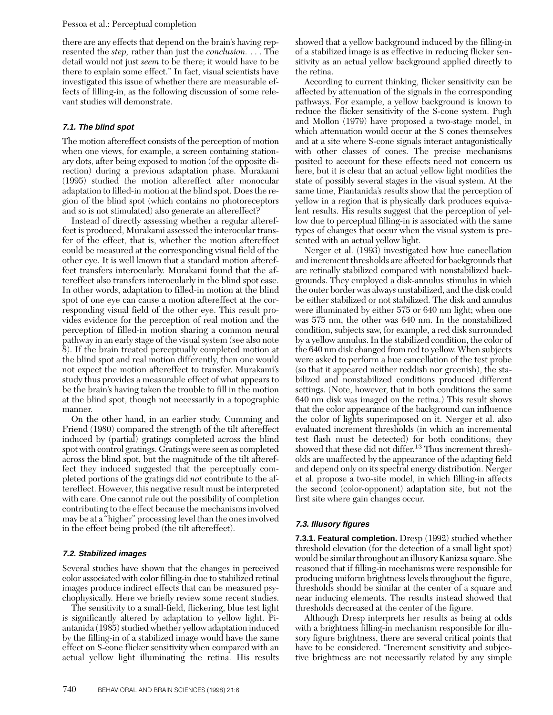there are any effects that depend on the brain's having represented the *step,* rather than just the *conclusion.* . . . The detail would not just *seem* to be there; it would have to be there to explain some effect." In fact, visual scientists have investigated this issue of whether there are measurable effects of filling-in, as the following discussion of some relevant studies will demonstrate.

# **7.1. The blind spot**

The motion aftereffect consists of the perception of motion when one views, for example, a screen containing stationary dots, after being exposed to motion (of the opposite direction) during a previous adaptation phase. Murakami (1995) studied the motion aftereffect after monocular adaptation to filled-in motion at the blind spot. Does the region of the blind spot (which contains no photoreceptors and so is not stimulated) also generate an aftereffect?

Instead of directly assessing whether a regular aftereffect is produced, Murakami assessed the interocular transfer of the effect, that is, whether the motion aftereffect could be measured at the corresponding visual field of the other eye. It is well known that a standard motion aftereffect transfers interocularly. Murakami found that the aftereffect also transfers interocularly in the blind spot case. In other words, adaptation to filled-in motion at the blind spot of one eye can cause a motion aftereffect at the corresponding visual field of the other eye. This result provides evidence for the perception of real motion and the perception of filled-in motion sharing a common neural pathway in an early stage of the visual system (see also note 8). If the brain treated perceptually completed motion at the blind spot and real motion differently, then one would not expect the motion aftereffect to transfer. Murakami's study thus provides a measurable effect of what appears to be the brain's having taken the trouble to fill in the motion at the blind spot, though not necessarily in a topographic manner.

On the other hand, in an earlier study, Cumming and Friend (1980) compared the strength of the tilt aftereffect induced by (partial) gratings completed across the blind spot with control gratings. Gratings were seen as completed across the blind spot, but the magnitude of the tilt aftereffect they induced suggested that the perceptually completed portions of the gratings did *not* contribute to the aftereffect. However, this negative result must be interpreted with care. One cannot rule out the possibility of completion contributing to the effect because the mechanisms involved may be at a "higher" processing level than the ones involved in the effect being probed (the tilt aftereffect).

# **7.2. Stabilized images**

Several studies have shown that the changes in perceived color associated with color filling-in due to stabilized retinal images produce indirect effects that can be measured psychophysically. Here we briefly review some recent studies.

The sensitivity to a small-field, flickering, blue test light is significantly altered by adaptation to yellow light. Piantanida (1985) studied whether yellow adaptation induced by the filling-in of a stabilized image would have the same effect on S-cone flicker sensitivity when compared with an actual yellow light illuminating the retina. His results showed that a yellow background induced by the filling-in of a stabilized image is as effective in reducing flicker sensitivity as an actual yellow background applied directly to the retina.

According to current thinking, flicker sensitivity can be affected by attenuation of the signals in the corresponding pathways. For example, a yellow background is known to reduce the flicker sensitivity of the S-cone system. Pugh and Mollon (1979) have proposed a two-stage model, in which attenuation would occur at the S cones themselves and at a site where S-cone signals interact antagonistically with other classes of cones. The precise mechanisms posited to account for these effects need not concern us here, but it is clear that an actual yellow light modifies the state of possibly several stages in the visual system. At the same time, Piantanida's results show that the perception of yellow in a region that is physically dark produces equivalent results. His results suggest that the perception of yellow due to perceptual filling-in is associated with the same types of changes that occur when the visual system is presented with an actual yellow light.

Nerger et al. (1993) investigated how hue cancellation and increment thresholds are affected for backgrounds that are retinally stabilized compared with nonstabilized backgrounds. They employed a disk-annulus stimulus in which the outer border was always unstabilized, and the disk could be either stabilized or not stabilized. The disk and annulus were illuminated by either 575 or 640 nm light; when one was 575 nm, the other was 640 nm. In the nonstabilized condition, subjects saw, for example, a red disk surrounded by a yellow annulus. In the stabilized condition, the color of the 640 nm disk changed from red to yellow. When subjects were asked to perform a hue cancellation of the test probe (so that it appeared neither reddish nor greenish), the stabilized and nonstabilized conditions produced different settings. (Note, however, that in both conditions the same 640 nm disk was imaged on the retina.) This result shows that the color appearance of the background can influence the color of lights superimposed on it. Nerger et al. also evaluated increment thresholds (in which an incremental test flash must be detected) for both conditions; they showed that these did not differ.<sup>13</sup> Thus increment thresholds are unaffected by the appearance of the adapting field and depend only on its spectral energy distribution. Nerger et al. propose a two-site model, in which filling-in affects the second (color-opponent) adaptation site, but not the first site where gain changes occur.

# **7.3. Illusory figures**

**7.3.1. Featural completion.** Dresp (1992) studied whether threshold elevation (for the detection of a small light spot) would be similar throughout an illusory Kanizsa square. She reasoned that if filling-in mechanisms were responsible for producing uniform brightness levels throughout the figure, thresholds should be similar at the center of a square and near inducing elements. The results instead showed that thresholds decreased at the center of the figure.

Although Dresp interprets her results as being at odds with a brightness filling-in mechanism responsible for illusory figure brightness, there are several critical points that have to be considered. "Increment sensitivity and subjective brightness are not necessarily related by any simple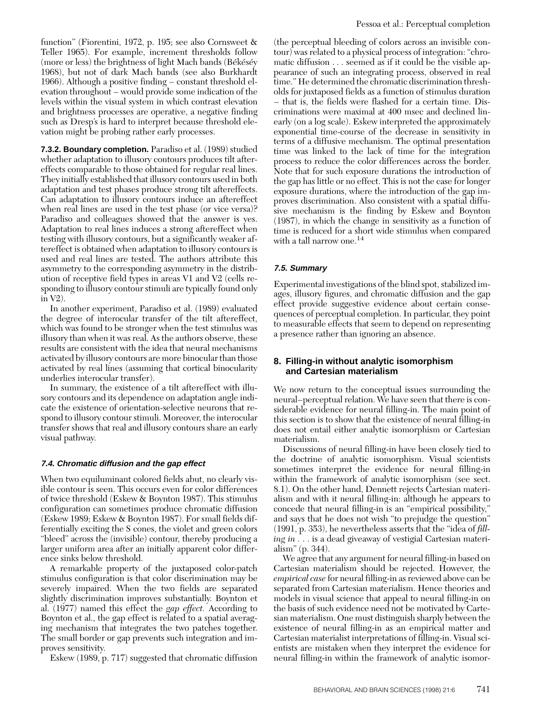function" (Fiorentini, 1972, p. 195; see also Cornsweet & Teller 1965). For example, increment thresholds follow (more or less) the brightness of light Mach bands (Békéséy 1968), but not of dark Mach bands (see also Burkhardt 1966). Although a positive finding – constant threshold elevation throughout – would provide some indication of the levels within the visual system in which contrast elevation and brightness processes are operative, a negative finding such as Dresp's is hard to interpret because threshold elevation might be probing rather early processes.

**7.3.2. Boundary completion.** Paradiso et al. (1989) studied whether adaptation to illusory contours produces tilt aftereffects comparable to those obtained for regular real lines. They initially established that illusory contours used in both adaptation and test phases produce strong tilt aftereffects. Can adaptation to illusory contours induce an aftereffect when real lines are used in the test phase (or vice versa)? Paradiso and colleagues showed that the answer is yes. Adaptation to real lines induces a strong aftereffect when testing with illusory contours, but a significantly weaker aftereffect is obtained when adaptation to illusory contours is used and real lines are tested. The authors attribute this asymmetry to the corresponding asymmetry in the distribution of receptive field types in areas V1 and V2 (cells responding to illusory contour stimuli are typically found only in V2).

In another experiment, Paradiso et al. (1989) evaluated the degree of interocular transfer of the tilt aftereffect, which was found to be stronger when the test stimulus was illusory than when it was real. As the authors observe, these results are consistent with the idea that neural mechanisms activated by illusory contours are more binocular than those activated by real lines (assuming that cortical binocularity underlies interocular transfer).

In summary, the existence of a tilt aftereffect with illusory contours and its dependence on adaptation angle indicate the existence of orientation-selective neurons that respond to illusory contour stimuli. Moreover, the interocular transfer shows that real and illusory contours share an early visual pathway.

#### **7.4. Chromatic diffusion and the gap effect**

When two equiluminant colored fields abut, no clearly visible contour is seen. This occurs even for color differences of twice threshold (Eskew & Boynton 1987). This stimulus configuration can sometimes produce chromatic diffusion (Eskew 1989; Eskew & Boynton 1987). For small fields differentially exciting the S cones, the violet and green colors "bleed" across the (invisible) contour, thereby producing a larger uniform area after an initially apparent color difference sinks below threshold.

A remarkable property of the juxtaposed color-patch stimulus configuration is that color discrimination may be severely impaired. When the two fields are separated slightly discrimination improves substantially. Boynton et al. (1977) named this effect the *gap effect.* According to Boynton et al., the gap effect is related to a spatial averaging mechanism that integrates the two patches together. The small border or gap prevents such integration and improves sensitivity.

Eskew (1989, p. 717) suggested that chromatic diffusion

(the perceptual bleeding of colors across an invisible contour) was related to a physical process of integration: "chromatic diffusion . . . seemed as if it could be the visible appearance of such an integrating process, observed in real time." He determined the chromatic discrimination thresholds for juxtaposed fields as a function of stimulus duration – that is, the fields were flashed for a certain time. Discriminations were maximal at 400 msec and declined linearly (on a log scale). Eskew interpreted the approximately exponential time-course of the decrease in sensitivity in terms of a diffusive mechanism. The optimal presentation time was linked to the lack of time for the integration process to reduce the color differences across the border. Note that for such exposure durations the introduction of the gap has little or no effect. This is not the case for longer exposure durations, where the introduction of the gap improves discrimination. Also consistent with a spatial diffusive mechanism is the finding by Eskew and Boynton (1987), in which the change in sensitivity as a function of time is reduced for a short wide stimulus when compared with a tall narrow one.<sup>14</sup>

# **7.5. Summary**

Experimental investigations of the blind spot, stabilized images, illusory figures, and chromatic diffusion and the gap effect provide suggestive evidence about certain consequences of perceptual completion. In particular, they point to measurable effects that seem to depend on representing a presence rather than ignoring an absence.

# **8. Filling-in without analytic isomorphism and Cartesian materialism**

We now return to the conceptual issues surrounding the neural–perceptual relation. We have seen that there is considerable evidence for neural filling-in. The main point of this section is to show that the existence of neural filling-in does not entail either analytic isomorphism or Cartesian materialism.

Discussions of neural filling-in have been closely tied to the doctrine of analytic isomorphism. Visual scientists sometimes interpret the evidence for neural filling-in within the framework of analytic isomorphism (see sect. 8.1). On the other hand, Dennett rejects Cartesian materialism and with it neural filling-in: although he appears to concede that neural filling-in is an "empirical possibility," and says that he does not wish "to prejudge the question" (1991, p. 353), he nevertheless asserts that the "idea of *filling in .* . . is a dead giveaway of vestigial Cartesian materialism" (p. 344).

We agree that any argument for neural filling-in based on Cartesian materialism should be rejected. However, the *empirical case* for neural filling-in as reviewed above can be separated from Cartesian materialism. Hence theories and models in visual science that appeal to neural filling-in on the basis of such evidence need not be motivated by Cartesian materialism. One must distinguish sharply between the existence of neural filling-in as an empirical matter and Cartesian materialist interpretations of filling-in. Visual scientists are mistaken when they interpret the evidence for neural filling-in within the framework of analytic isomor-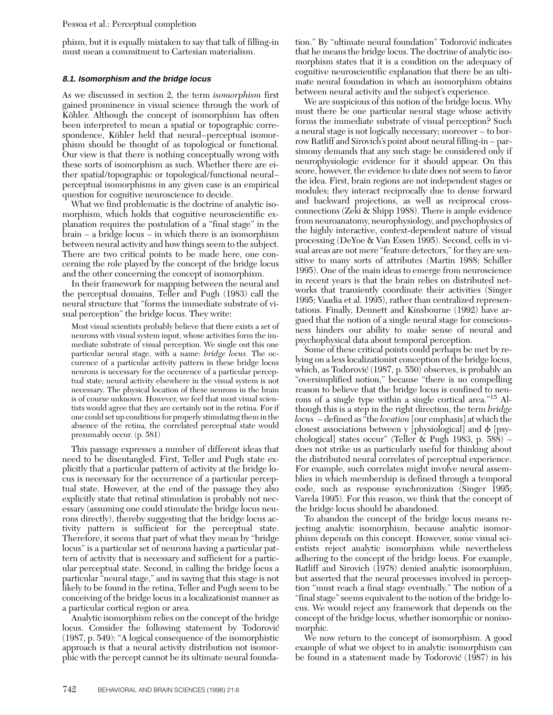phism, but it is equally mistaken to say that talk of filling-in must mean a commitment to Cartesian materialism.

# **8.1. Isomorphism and the bridge locus**

As we discussed in section 2, the term *isomorphism* first gained prominence in visual science through the work of Köhler. Although the concept of isomorphism has often been interpreted to mean a spatial or topographic correspondence, Köhler held that neural–perceptual isomorphism should be thought of as topological or functional. Our view is that there is nothing conceptually wrong with these sorts of isomorphism as such. Whether there are either spatial/topographic or topological/functional neural– perceptual isomorphisms in any given case is an empirical question for cognitive neuroscience to decide.

What we find problematic is the doctrine of analytic isomorphism, which holds that cognitive neuroscientific explanation requires the postulation of a "final stage" in the brain – a bridge locus – in which there is an isomorphism between neural activity and how things seem to the subject. There are two critical points to be made here, one concerning the role played by the concept of the bridge locus and the other concerning the concept of isomorphism.

In their framework for mapping between the neural and the perceptual domains, Teller and Pugh (1983) call the neural structure that "forms the immediate substrate of visual perception" the bridge locus. They write:

Most visual scientists probably believe that there exists a set of neurons with visual system input, whose activities form the immediate substrate of visual perception. We single out this one particular neural stage, with a name: *bridge locus.* The occurence of a particular activity pattern in these bridge locus neurons is necessary for the occurence of a particular perceptual state; neural activity elsewhere in the visual system is not necessary. The physical location of these neurons in the brain is of course unknown. However, we feel that most visual scientists would agree that they are certainly not in the retina. For if one could set up conditions for properly stimulating them in the absence of the retina, the correlated perceptual state would presumably occur. (p. 581)

This passage expresses a number of different ideas that need to be disentangled. First, Teller and Pugh state explicitly that a particular pattern of activity at the bridge locus is necessary for the occurrence of a particular perceptual state. However, at the end of the passage they also explicitly state that retinal stimulation is probably not necessary (assuming one could stimulate the bridge locus neurons directly), thereby suggesting that the bridge locus activity pattern is sufficient for the perceptual state. Therefore, it seems that part of what they mean by "bridge locus" is a particular set of neurons having a particular pattern of activity that is necessary and sufficient for a particular perceptual state. Second, in calling the bridge locus a particular "neural stage," and in saying that this stage is not likely to be found in the retina, Teller and Pugh seem to be conceiving of the bridge locus in a localizationist manner as a particular cortical region or area.

Analytic isomorphism relies on the concept of the bridge locus. Consider the following statement by Todorović (1987, p. 549): "A logical consequence of the isomorphistic approach is that a neural activity distribution not isomorphic with the percept cannot be its ultimate neural foundation." By "ultimate neural foundation" Todorovic´ indicates that he means the bridge locus. The doctrine of analytic isomorphism states that it is a condition on the adequacy of cognitive neuroscientific explanation that there be an ultimate neural foundation in which an isomorphism obtains between neural activity and the subject's experience.

We are suspicious of this notion of the bridge locus. Why must there be one particular neural stage whose activity forms the immediate substrate of visual perception? Such a neural stage is not logically necessary; moreover – to borrow Ratliff and Sirovich's point about neural filling-in – parsimony demands that any such stage be considered only if neurophysiologic evidence for it should appear. On this score, however, the evidence to date does not seem to favor the idea. First, brain regions are not independent stages or modules; they interact reciprocally due to dense forward and backward projections, as well as reciprocal crossconnections (Zeki & Shipp 1988). There is ample evidence from neuroanatomy, neurophysiology, and psychophysics of the highly interactive, context-dependent nature of visual processing (DeYoe & Van Essen 1995). Second, cells in visual areas are not mere "feature detectors," for they are sensitive to many sorts of attributes (Martin 1988; Schiller 1995). One of the main ideas to emerge from neuroscience in recent years is that the brain relies on distributed networks that transiently coordinate their activities (Singer 1995; Vaadia et al. 1995), rather than centralized representations. Finally, Dennett and Kinsbourne (1992) have argued that the notion of a single neural stage for consciousness hinders our ability to make sense of neural and psychophysical data about temporal perception.

Some of these critical points could perhaps be met by relying on a less localizationist conception of the bridge locus, which, as Todorović (1987, p. 550) observes, is probably an "oversimplified notion," because "there is no compelling reason to believe that the bridge locus is confined to neurons of a single type within a single cortical area."<sup>15</sup> Although this is a step in the right direction, the term *bridge locus* – defined as "the *location* [our emphasis] at which the closest associations between y [physiological] and  $\phi$  [psychological] states occur" (Teller & Pugh 1983, p. 588) – does not strike us as particularly useful for thinking about the distributed neural correlates of perceptual experience. For example, such correlates might involve neural assemblies in which membership is defined through a temporal code, such as response synchronization (Singer 1995; Varela 1995). For this reason, we think that the concept of the bridge locus should be abandoned.

To abandon the concept of the bridge locus means rejecting analytic isomorphism, because analytic isomorphism depends on this concept. However, some visual scientists reject analytic isomorphism while nevertheless adhering to the concept of the bridge locus. For example, Ratliff and Sirovich (1978) denied analytic isomorphism, but asserted that the neural processes involved in perception "must reach a final stage eventually." The notion of a "final stage" seems equivalent to the notion of the bridge locus. We would reject any framework that depends on the concept of the bridge locus, whether isomorphic or nonisomorphic.

We now return to the concept of isomorphism. A good example of what we object to in analytic isomorphism can be found in a statement made by Todorović (1987) in his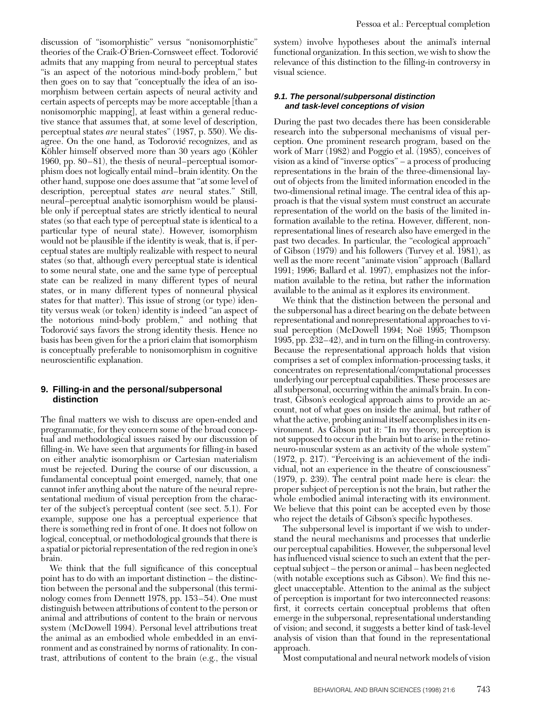discussion of "isomorphistic" versus "nonisomorphistic" theories of the Craik-O'Brien-Cornsweet effect. Todorovic´ admits that any mapping from neural to perceptual states "is an aspect of the notorious mind-body problem," but then goes on to say that "conceptually the idea of an isomorphism between certain aspects of neural activity and certain aspects of percepts may be more acceptable [than a nonisomorphic mapping], at least within a general reductive stance that assumes that, at some level of description, perceptual states *are* neural states" (1987, p. 550). We disagree. On the one hand, as Todorovic´ recognizes, and as Köhler himself observed more than 30 years ago (Köhler 1960, pp. 80–81), the thesis of neural–perceptual isomorphism does not logically entail mind–brain identity. On the other hand, suppose one does assume that "at some level of description, perceptual states *are* neural states." Still, neural–perceptual analytic isomorphism would be plausible only if perceptual states are strictly identical to neural states (so that each type of perceptual state is identical to a particular type of neural state). However, isomorphism would not be plausible if the identity is weak, that is, if perceptual states are multiply realizable with respect to neural states (so that, although every perceptual state is identical to some neural state, one and the same type of perceptual state can be realized in many different types of neural states, or in many different types of nonneural physical states for that matter). This issue of strong (or type) identity versus weak (or token) identity is indeed "an aspect of the notorious mind-body problem," and nothing that Todorović says favors the strong identity thesis. Hence no basis has been given for the a priori claim that isomorphism is conceptually preferable to nonisomorphism in cognitive neuroscientific explanation.

# **9. Filling-in and the personal/subpersonal distinction**

The final matters we wish to discuss are open-ended and programmatic, for they concern some of the broad conceptual and methodological issues raised by our discussion of filling-in. We have seen that arguments for filling-in based on either analytic isomorphism or Cartesian materialism must be rejected. During the course of our discussion, a fundamental conceptual point emerged, namely, that one cannot infer anything about the nature of the neural representational medium of visual perception from the character of the subject's perceptual content (see sect. 5.1). For example, suppose one has a perceptual experience that there is something red in front of one. It does not follow on logical, conceptual, or methodological grounds that there is a spatial or pictorial representation of the red region in one's brain.

We think that the full significance of this conceptual point has to do with an important distinction – the distinction between the personal and the subpersonal (this terminology comes from Dennett 1978, pp. 153–54). One must distinguish between attributions of content to the person or animal and attributions of content to the brain or nervous system (McDowell 1994). Personal level attributions treat the animal as an embodied whole embedded in an environment and as constrained by norms of rationality. In contrast, attributions of content to the brain (e.g., the visual

system) involve hypotheses about the animal's internal functional organization. In this section, we wish to show the relevance of this distinction to the filling-in controversy in visual science.

# **9.1. The personal/subpersonal distinction and task-level conceptions of vision**

During the past two decades there has been considerable research into the subpersonal mechanisms of visual perception. One prominent research program, based on the work of Marr (1982) and Poggio et al. (1985), conceives of vision as a kind of "inverse optics" – a process of producing representations in the brain of the three-dimensional layout of objects from the limited information encoded in the two-dimensional retinal image. The central idea of this approach is that the visual system must construct an accurate representation of the world on the basis of the limited information available to the retina. However, different, nonrepresentational lines of research also have emerged in the past two decades. In particular, the "ecological approach" of Gibson (1979) and his followers (Turvey et al. 1981), as well as the more recent "animate vision" approach (Ballard 1991; 1996; Ballard et al. 1997), emphasizes not the information available to the retina, but rather the information available to the animal as it explores its environment.

We think that the distinction between the personal and the subpersonal has a direct bearing on the debate between representational and nonrepresentational approaches to visual perception (McDowell 1994; Noë 1995; Thompson 1995, pp. 232–42), and in turn on the filling-in controversy. Because the representational approach holds that vision comprises a set of complex information-processing tasks, it concentrates on representational/computational processes underlying our perceptual capabilities. These processes are all subpersonal, occurring within the animal's brain. In contrast, Gibson's ecological approach aims to provide an account, not of what goes on inside the animal, but rather of what the active, probing animal itself accomplishes in its environment. As Gibson put it: "In my theory, perception is not supposed to occur in the brain but to arise in the retinoneuro-muscular system as an activity of the whole system" (1972, p. 217). "Perceiving is an achievement of the individual, not an experience in the theatre of consciousness" (1979, p. 239). The central point made here is clear: the proper subject of perception is not the brain, but rather the whole embodied animal interacting with its environment. We believe that this point can be accepted even by those who reject the details of Gibson's specific hypotheses.

The subpersonal level is important if we wish to understand the neural mechanisms and processes that underlie our perceptual capabilities. However, the subpersonal level has influenced visual science to such an extent that the perceptual subject – the person or animal – has been neglected (with notable exceptions such as Gibson). We find this neglect unacceptable. Attention to the animal as the subject of perception is important for two interconnected reasons: first, it corrects certain conceptual problems that often emerge in the subpersonal, representational understanding of vision; and second, it suggests a better kind of task-level analysis of vision than that found in the representational approach.

Most computational and neural network models of vision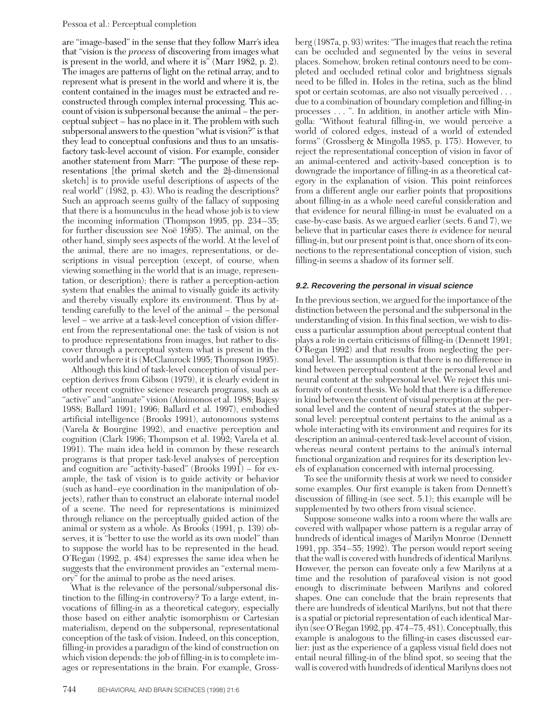are "image-based" in the sense that they follow Marr's idea that "vision is the *process* of discovering from images what is present in the world, and where it is" (Marr 1982, p. 2). The images are patterns of light on the retinal array, and to represent what is present in the world and where it is, the content contained in the images must be extracted and reconstructed through complex internal processing. This account of vision is subpersonal because the animal – the perceptual subject – has no place in it. The problem with such subpersonal answers to the question "what is vision?" is that they lead to conceptual confusions and thus to an unsatisfactory task-level account of vision. For example, consider another statement from Marr: "The purpose of these representations [the primal sketch and the  $2\frac{1}{2}$ -dimensional sketch] is to provide useful descriptions of aspects of the real world" (1982, p. 43). Who is reading the descriptions? Such an approach seems guilty of the fallacy of supposing that there is a homunculus in the head whose job is to view the incoming information (Thompson 1995, pp. 234–35; for further discussion see Noë 1995). The animal, on the other hand, simply sees aspects of the world. At the level of the animal, there are no images, representations, or descriptions in visual perception (except, of course, when viewing something in the world that is an image, representation, or description); there is rather a perception-action system that enables the animal to visually guide its activity and thereby visually explore its environment. Thus by attending carefully to the level of the animal – the personal level – we arrive at a task-level conception of vision different from the representational one: the task of vision is not to produce representations from images, but rather to discover through a perceptual system what is present in the world and where it is (McClamrock 1995; Thompson 1995).

Although this kind of task-level conception of visual perception derives from Gibson (1979), it is clearly evident in other recent cognitive science research programs, such as "active" and "animate" vision (Aloimonos et al. 1988; Bajcsy 1988; Ballard 1991; 1996; Ballard et al. 1997), embodied artificial intelligence (Brooks 1991), autonomous systems (Varela & Bourgine 1992), and enactive perception and cognition (Clark 1996; Thompson et al. 1992; Varela et al. 1991). The main idea held in common by these research programs is that proper task-level analyses of perception and cognition are "activity-based" (Brooks 1991) – for example, the task of vision is to guide activity or behavior (such as hand–eye coordination in the manipulation of objects), rather than to construct an elaborate internal model of a scene. The need for representations is minimized through reliance on the perceptually guided action of the animal or system as a whole. As Brooks (1991, p. 139) observes, it is "better to use the world as its own model" than to suppose the world has to be represented in the head. O'Regan (1992, p. 484) expresses the same idea when he suggests that the environment provides an "external memory" for the animal to probe as the need arises.

What is the relevance of the personal/subpersonal distinction to the filling-in controversy? To a large extent, invocations of filling-in as a theoretical category, especially those based on either analytic isomorphism or Cartesian materialism, depend on the subpersonal, representational conception of the task of vision. Indeed, on this conception, filling-in provides a paradigm of the kind of construction on which vision depends: the job of filling-in is to complete images or representations in the brain. For example, Grossberg (1987a, p. 93) writes: "The images that reach the retina can be occluded and segmented by the veins in several places. Somehow, broken retinal contours need to be completed and occluded retinal color and brightness signals need to be filled in. Holes in the retina, such as the blind spot or certain scotomas, are also not visually perceived . . . due to a combination of boundary completion and filling-in processes . . . ". In addition, in another article with Mingolla: "Without featural filling-in, we would perceive a world of colored edges, instead of a world of extended forms" (Grossberg & Mingolla 1985, p. 175). However, to reject the representational conception of vision in favor of an animal-centered and activity-based conception is to downgrade the importance of filling-in as a theoretical category in the explanation of vision. This point reinforces from a different angle our earlier points that propositions about filling-in as a whole need careful consideration and that evidence for neural filling-in must be evaluated on a case-by-case basis. As we argued earlier (sects. 6 and 7), we believe that in particular cases there *is* evidence for neural filling-in, but our present point is that, once shorn of its connections to the representational conception of vision, such filling-in seems a shadow of its former self.

# **9.2. Recovering the personal in visual science**

In the previous section, we argued for the importance of the distinction between the personal and the subpersonal in the understanding of vision. In this final section, we wish to discuss a particular assumption about perceptual content that plays a role in certain criticisms of filling-in (Dennett 1991; O'Regan 1992) and that results from neglecting the personal level. The assumption is that there is no difference in kind between perceptual content at the personal level and neural content at the subpersonal level. We reject this uniformity of content thesis. We hold that there is a difference in kind between the content of visual perception at the personal level and the content of neural states at the subpersonal level: perceptual content pertains to the animal as a whole interacting with its environment and requires for its description an animal-centered task-level account of vision, whereas neural content pertains to the animal's internal functional organization and requires for its description levels of explanation concerned with internal processing.

To see the uniformity thesis at work we need to consider some examples. Our first example is taken from Dennett's discussion of filling-in (see sect. 5.1); this example will be supplemented by two others from visual science.

Suppose someone walks into a room where the walls are covered with wallpaper whose pattern is a regular array of hundreds of identical images of Marilyn Monroe (Dennett 1991, pp. 354–55; 1992). The person would report seeing that the wall is covered with hundreds of identical Marilyns. However, the person can foveate only a few Marilyns at a time and the resolution of parafoveal vision is not good enough to discriminate between Marilyns and colored shapes. One can conclude that the brain represents that there are hundreds of identical Marilyns, but not that there is a spatial or pictorial representation of each identical Marilyn (see O'Regan 1992, pp. 474–75, 481). Conceptually, this example is analogous to the filling-in cases discussed earlier: just as the experience of a gapless visual field does not entail neural filling-in of the blind spot, so seeing that the wall is covered with hundreds of identical Marilyns does not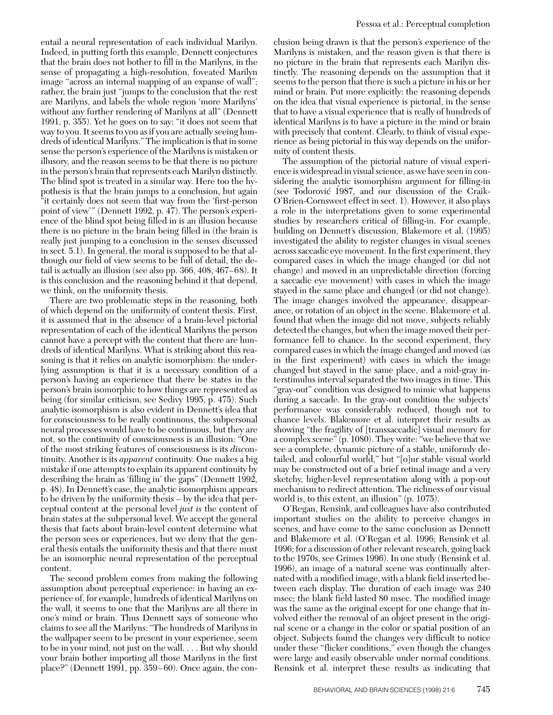entail a neural representation of each individual Marilyn. Indeed, in putting forth this example, Dennett conjectures that the brain does not bother to fill in the Marilyns, in the sense of propagating a high-resolution, foveated Marilyn image "across an internal mapping of an expanse of wall"; rather, the brain just "jumps to the conclusion that the rest are Marilyns, and labels the whole region 'more Marilyns' without any further rendering of Marilyns at all" (Dennett 1991, p. 355). Yet he goes on to say: "it does not seem that way to you. It seems to you as if you are actually seeing hundreds of identical Marilyns." The implication is that in some sense the person's experience of the Marilyns is mistaken or illusory, and the reason seems to be that there is no picture in the person's brain that represents each Marilyn distinctly. The blind spot is treated in a similar way. Here too the hypothesis is that the brain jumps to a conclusion, but again "it certainly does not seem that way from the 'first-person point of view'" (Dennett 1992, p. 47). The person's experience of the blind spot being filled in is an illusion because there is no picture in the brain being filled in (the brain is really just jumping to a conclusion in the senses discussed in sect. 5.1). In general, the moral is supposed to be that although our field of view seems to be full of detail, the detail is actually an illusion (see also pp. 366, 408, 467–68). It is this conclusion and the reasoning behind it that depend, we think, on the uniformity thesis.

There are two problematic steps in the reasoning, both of which depend on the uniformity of content thesis. First, it is assumed that in the absence of a brain-level pictorial representation of each of the identical Marilyns the person cannot have a percept with the content that there are hundreds of identical Marilyns. What is striking about this reasoning is that it relies on analytic isomorphism: the underlying assumption is that it is a necessary condition of a person's having an experience that there be states in the person's brain isomorphic to how things are represented as being (for similar criticism, see Sedivy 1995, p. 475). Such analytic isomorphism is also evident in Dennett's idea that for consciousness to be really continuous, the subpersonal neural processes would have to be continuous, but they are not, so the continuity of consciousness is an illusion: "One of the most striking features of consciousness is its *disc*ontinuity. Another is its *apparent* continuity. One makes a big mistake if one attempts to explain its apparent continuity by describing the brain as 'filling in' the gaps" (Dennett 1992, p. 48). In Dennett's case, the analytic isomorphism appears to be driven by the uniformity thesis – by the idea that perceptual content at the personal level *just is* the content of brain states at the subpersonal level. We accept the general thesis that facts about brain-level content determine what the person sees or experiences, but we deny that the general thesis entails the uniformity thesis and that there must be an isomorphic neural representation of the perceptual content.

The second problem comes from making the following assumption about perceptual experience: in having an experience of, for example, hundreds of identical Marilyns on the wall, it seems to one that the Marilyns are all there in one's mind or brain. Thus Dennett says of someone who claims to see all the Marilyns: "The hundreds of Marilyns in the wallpaper seem to be present in your experience, seem to be in your mind, not just on the wall. . . . But why should your brain bother importing all those Marilyns in the first place?" (Dennett 1991, pp. 359–60). Once again, the con-

clusion being drawn is that the person's experience of the Marilyns is mistaken, and the reason given is that there is no picture in the brain that represents each Marilyn distinctly. The reasoning depends on the assumption that it seems to the person that there is such a picture in his or her mind or brain. Put more explicitly: the reasoning depends on the idea that visual experience is pictorial, in the sense that to have a visual experience that is really of hundreds of identical Marilyns is to have a picture in the mind or brain with precisely that content. Clearly, to think of visual experience as being pictorial in this way depends on the uniformity of content thesis.

The assumption of the pictorial nature of visual experience is widespread in visual science, as we have seen in considering the analytic isomorphism argument for filling-in (see Todorovic´ 1987, and our discussion of the Craik-O'Brien-Cornsweet effect in sect. 1). However, it also plays a role in the interpretations given to some experimental studies by researchers critical of filling-in. For example, building on Dennett's discussion, Blakemore et al. (1995) investigated the ability to register changes in visual scenes across saccadic eye movement. In the first experiment, they compared cases in which the image changed (or did not change) and moved in an unpredictable direction (forcing a saccadic eye movement) with cases in which the image stayed in the same place and changed (or did not change). The image changes involved the appearance, disappearance, or rotation of an object in the scene. Blakemore et al. found that when the image did not move, subjects reliably detected the changes, but when the image moved their performance fell to chance. In the second experiment, they compared cases in which the image changed and moved (as in the first experiment) with cases in which the image changed but stayed in the same place, and a mid-gray interstimulus interval separated the two images in time. This "gray-out" condition was designed to mimic what happens during a saccade. In the gray-out condition the subjects' performance was considerably reduced, though not to chance levels. Blakemore et al. interpret their results as showing "the fragility of [transsaccadic] visual memory for a complex scene" (p. 1080). They write: "we believe that we see a complete, dynamic picture of a stable, uniformly detailed, and colourful world," but "[o]ur stable visual world may be constructed out of a brief retinal image and a very sketchy, higher-level representation along with a pop-out mechanism to redirect attention. The richness of our visual world is, to this extent, an illusion" (p. 1075).

O'Regan, Rensink, and colleagues have also contributed important studies on the ability to perceive changes in scenes, and have come to the same conclusion as Dennett and Blakemore et al. (O'Regan et al. 1996; Rensink et al. 1996; for a discussion of other relevant research, going back to the 1970s, see Grimes 1996). In one study (Rensink et al. 1996), an image of a natural scene was continually alternated with a modified image, with a blank field inserted between each display. The duration of each image was 240 msec; the blank field lasted 80 msec. The modified image was the same as the original except for one change that involved either the removal of an object present in the original scene or a change in the color or spatial position of an object. Subjects found the changes very difficult to notice under these "flicker conditions," even though the changes were large and easily observable under normal conditions. Rensink et al. interpret these results as indicating that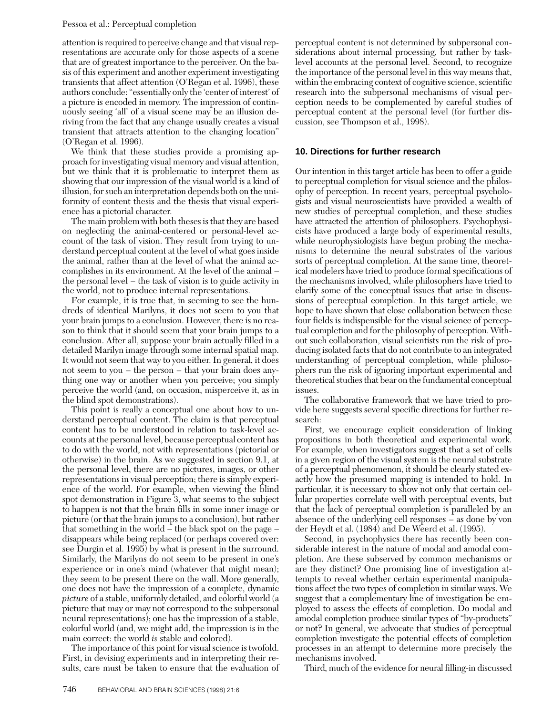attention is required to perceive change and that visual representations are accurate only for those aspects of a scene that are of greatest importance to the perceiver. On the basis of this experiment and another experiment investigating transients that affect attention (O'Regan et al. 1996), these authors conclude: "essentially only the 'center of interest' of a picture is encoded in memory. The impression of continuously seeing 'all' of a visual scene may be an illusion deriving from the fact that any change usually creates a visual transient that attracts attention to the changing location" (O'Regan et al. 1996).

We think that these studies provide a promising approach for investigating visual memory and visual attention, but we think that it is problematic to interpret them as showing that our impression of the visual world is a kind of illusion, for such an interpretation depends both on the uniformity of content thesis and the thesis that visual experience has a pictorial character.

The main problem with both theses is that they are based on neglecting the animal-centered or personal-level account of the task of vision. They result from trying to understand perceptual content at the level of what goes inside the animal, rather than at the level of what the animal accomplishes in its environment. At the level of the animal – the personal level – the task of vision is to guide activity in the world, not to produce internal representations.

For example, it is true that, in seeming to see the hundreds of identical Marilyns, it does not seem to you that your brain jumps to a conclusion. However, there is no reason to think that it should seem that your brain jumps to a conclusion. After all, suppose your brain actually filled in a detailed Marilyn image through some internal spatial map. It would not seem that way to you either. In general, it does not seem to you – the person – that your brain does anything one way or another when you perceive; you simply perceive the world (and, on occasion, misperceive it, as in the blind spot demonstrations).

This point is really a conceptual one about how to understand perceptual content. The claim is that perceptual content has to be understood in relation to task-level accounts at the personal level, because perceptual content has to do with the world, not with representations (pictorial or otherwise) in the brain. As we suggested in section 9.1, at the personal level, there are no pictures, images, or other representations in visual perception; there is simply experience of the world. For example, when viewing the blind spot demonstration in Figure 3, what seems to the subject to happen is not that the brain fills in some inner image or picture (or that the brain jumps to a conclusion), but rather that something in the world – the black spot on the page – disappears while being replaced (or perhaps covered over: see Durgin et al. 1995) by what is present in the surround. Similarly, the Marilyns do not seem to be present in one's experience or in one's mind (whatever that might mean); they seem to be present there on the wall. More generally, one does not have the impression of a complete, dynamic *picture* of a stable, uniformly detailed, and colorful world (a picture that may or may not correspond to the subpersonal neural representations); one has the impression of a stable, colorful world (and, we might add, the impression is in the main correct: the world *is* stable and colored).

The importance of this point for visual science is twofold. First, in devising experiments and in interpreting their results, care must be taken to ensure that the evaluation of perceptual content is not determined by subpersonal considerations about internal processing, but rather by tasklevel accounts at the personal level. Second, to recognize the importance of the personal level in this way means that, within the embracing context of cognitive science, scientific research into the subpersonal mechanisms of visual perception needs to be complemented by careful studies of perceptual content at the personal level (for further discussion, see Thompson et al., 1998).

# **10. Directions for further research**

Our intention in this target article has been to offer a guide to perceptual completion for visual science and the philosophy of perception. In recent years, perceptual psychologists and visual neuroscientists have provided a wealth of new studies of perceptual completion, and these studies have attracted the attention of philosophers. Psychophysicists have produced a large body of experimental results, while neurophysiologists have begun probing the mechanisms to determine the neural substrates of the various sorts of perceptual completion. At the same time, theoretical modelers have tried to produce formal specifications of the mechanisms involved, while philosophers have tried to clarify some of the conceptual issues that arise in discussions of perceptual completion. In this target article, we hope to have shown that close collaboration between these four fields is indispensible for the visual science of perceptual completion and for the philosophy of perception. Without such collaboration, visual scientists run the risk of producing isolated facts that do not contribute to an integrated understanding of perceptual completion, while philosophers run the risk of ignoring important experimental and theoretical studies that bear on the fundamental conceptual issues.

The collaborative framework that we have tried to provide here suggests several specific directions for further research:

First, we encourage explicit consideration of linking propositions in both theoretical and experimental work. For example, when investigators suggest that a set of cells in a given region of the visual system is the neural substrate of a perceptual phenomenon, it should be clearly stated exactly how the presumed mapping is intended to hold. In particular, it is necessary to show not only that certain cellular properties correlate well with perceptual events, but that the lack of perceptual completion is paralleled by an absence of the underlying cell responses – as done by von der Heydt et al. (1984) and De Weerd et al. (1995).

Second, in psychophysics there has recently been considerable interest in the nature of modal and amodal completion. Are these subserved by common mechanisms or are they distinct? One promising line of investigation attempts to reveal whether certain experimental manipulations affect the two types of completion in similar ways. We suggest that a complementary line of investigation be employed to assess the effects of completion. Do modal and amodal completion produce similar types of "by-products" or not? In general, we advocate that studies of perceptual completion investigate the potential effects of completion processes in an attempt to determine more precisely the mechanisms involved.

Third, much of the evidence for neural filling-in discussed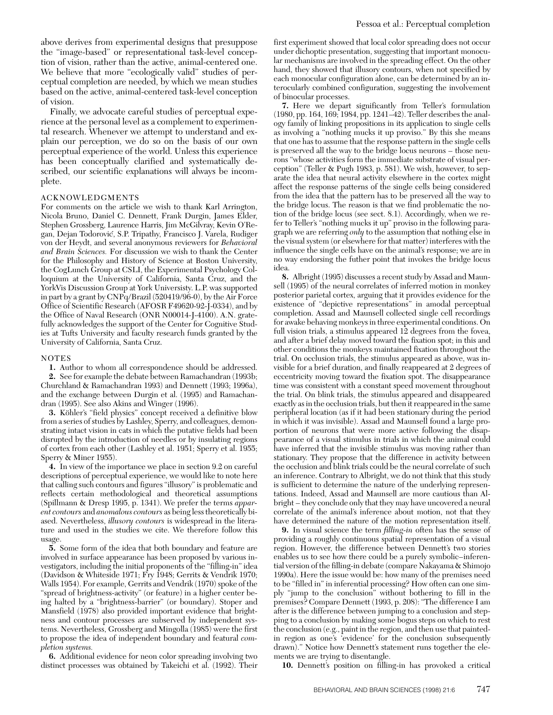above derives from experimental designs that presuppose the "image-based" or representational task-level conception of vision, rather than the active, animal-centered one. We believe that more "ecologically valid" studies of perceptual completion are needed, by which we mean studies based on the active, animal-centered task-level conception of vision.

Finally, we advocate careful studies of perceptual experience at the personal level as a complement to experimental research. Whenever we attempt to understand and explain our perception, we do so on the basis of our own perceptual experience of the world. Unless this experience has been conceptually clarified and systematically described, our scientific explanations will always be incomplete.

#### ACKNOWLEDGMENTS

For comments on the article we wish to thank Karl Arrington, Nicola Bruno, Daniel C. Dennett, Frank Durgin, James Elder, Stephen Grossberg, Laurence Harris, Jim McGilvray, Kevin O'Regan, Dejan Todorovic´, S.P. Tripathy, Francisco J. Varela, Rudiger von der Heydt, and several anonymous reviewers for *Behavioral and Brain Sciences.* For discussion we wish to thank the Center for the Philosophy and History of Science at Boston University, the CogLunch Group at CSLI, the Experimental Psychology Colloquium at the University of California, Santa Cruz, and the YorkVis Discussion Group at York Universisty. L.P. was supported in part by a grant by CNPq/Brazil (520419/96-0), by the Air Force Office of Scientific Research (AFOSR F49620-92-J-0334), and by the Office of Naval Research (ONR N00014-J-4100). A.N. gratefully acknowledges the support of the Center for Cognitive Studies at Tufts University and faculty research funds granted by the University of California, Santa Cruz.

#### NOTES

**1.** Author to whom all correspondence should be addressed. **2.** See for example the debate between Ramachandran (1993b; Churchland & Ramachandran 1993) and Dennett (1993; 1996a), and the exchange between Durgin et al. (1995) and Ramachandran (1995). See also Akins and Winger (1996).

**3.** Köhler's "field physics" concept received a definitive blow from a series of studies by Lashley, Sperry, and colleagues, demonstrating intact vision in cats in which the putative fields had been disrupted by the introduction of needles or by insulating regions of cortex from each other (Lashley et al. 1951; Sperry et al. 1955; Sperry & Miner 1955).

**4.** In view of the importance we place in section 9.2 on careful descriptions of perceptual experience, we would like to note here that calling such contours and figures "illusory" is problematic and reflects certain methodological and theoretical assumptions (Spillmann & Dresp 1995, p. 1341). We prefer the terms *apparent contours* and *anomalous contours* as being less theoretically biased. Nevertheless, *illusory contours* is widespread in the literature and used in the studies we cite. We therefore follow this usage.

**5.** Some form of the idea that both boundary and feature are involved in surface appearance has been proposed by various investigators, including the initial proponents of the "filling-in" idea (Davidson & Whiteside 1971; Fry 1948; Gerrits & Vendrik 1970; Walls 1954). For example, Gerrits and Vendrik (1970) spoke of the "spread of brightness-activity" (or feature) in a higher center being halted by a "brightness-barrier" (or boundary). Stoper and Mansfield (1978) also provided important evidence that brightness and contour processes are subserved by independent systems. Nevertheless, Grossberg and Mingolla (1985) were the first to propose the idea of independent boundary and featural *completion systems.*

**6.** Additional evidence for neon color spreading involving two distinct processes was obtained by Takeichi et al. (1992). Their

first experiment showed that local color spreading does not occur under dichoptic presentation, suggesting that important monocular mechanisms are involved in the spreading effect. On the other hand, they showed that illusory contours, when not specified by each monocular configuration alone, can be determined by an interocularly combined configuration, suggesting the involvement of binocular processes.

**7.** Here we depart significantly from Teller's formulation (1980, pp. 164, 169; 1984, pp. 1241–42). Teller describes the analogy family of linking propositions in its application to single cells as involving a "nothing mucks it up proviso." By this she means that one has to assume that the response pattern in the single cells is preserved all the way to the bridge locus neurons – those neurons "whose activities form the immediate substrate of visual perception" (Teller & Pugh 1983, p. 581). We wish, however, to separate the idea that neural activity elsewhere in the cortex might affect the response patterns of the single cells being considered from the idea that the pattern has to be preserved all the way to the bridge locus. The reason is that we find problematic the notion of the bridge locus (see sect. 8.1). Accordingly, when we refer to Teller's "nothing mucks it up" proviso in the following paragraph we are referring *only* to the assumption that nothing else in the visual system (or elsewhere for that matter) interferes with the influence the single cells have on the animal's response; we are in no way endorsing the futher point that invokes the bridge locus idea.

**8.** Albright (1995) discusses a recent study by Assad and Maunsell (1995) of the neural correlates of inferred motion in monkey posterior parietal cortex, arguing that it provides evidence for the existence of "depictive representations" in amodal perceptual completion. Assad and Maunsell collected single cell recordings for awake behaving monkeys in three experimental conditions. On full vision trials, a stimulus appeared 12 degrees from the fovea, and after a brief delay moved toward the fixation spot; in this and other conditions the monkeys maintained fixation throughout the trial. On occlusion trials, the stimulus appeared as above, was invisible for a brief duration, and finally reappeared at 2 degrees of eccentricity moving toward the fixation spot. The disappearance time was consistent with a constant speed movement throughout the trial. On blink trials, the stimulus appeared and disappeared exactly as in the occlusion trials, but then it reappeared in the same peripheral location (as if it had been stationary during the period in which it was invisible). Assad and Maunsell found a large proportion of neurons that were more active following the disappearance of a visual stimulus in trials in which the animal could have inferred that the invisible stimulus was moving rather than stationary. They propose that the difference in activity between the occlusion and blink trials could be the neural correlate of such an inference. Contrary to Albright, we do not think that this study is sufficient to determine the nature of the underlying representations. Indeed, Assad and Maunsell are more cautious than Albright – they conclude only that they may have uncovered a neural correlate of the animal's inference about motion, not that they have determined the nature of the motion representation itself.

**9.** In visual science the term *filling-in* often has the sense of providing a roughly continuous spatial representation of a visual region. However, the difference between Dennett's two stories enables us to see how there could be a purely symbolic–inferential version of the filling-in debate (compare Nakayama & Shimojo 1990a). Here the issue would be: how many of the premises need to be "filled in" in inferential processing? How often can one simply "jump to the conclusion" without bothering to fill in the premises? Compare Dennett (1993, p. 208): "The difference I am after is the difference between jumping to a conclusion and stepping to a conclusion by making some bogus steps on which to rest the conclusion (e.g., paint in the region, and then use that paintedin region as one's 'evidence' for the conclusion subsequently drawn)." Notice how Dennett's statement runs together the elements we are trying to disentangle.

**10.** Dennett's position on filling-in has provoked a critical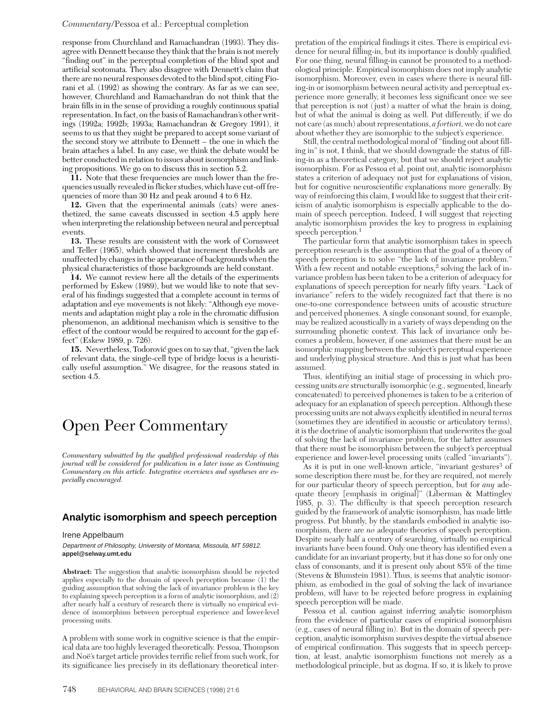# *Commentary/*Pessoa et al.: Perceptual completion

response from Churchland and Ramachandran (1993). They disagree with Dennett because they think that the brain is not merely "finding out" in the perceptual completion of the blind spot and artificial scotomata. They also disagree with Dennett's claim that there are no neural responses devoted to the blind spot, citing Fiorani et al. (1992) as showing the contrary. As far as we can see, however, Churchland and Ramachandran do not think that the brain fills in in the sense of providing a roughly continuous spatial representation. In fact, on the basis of Ramachandran's other writings (1992a; 1992b; 1993a; Ramachandran & Gregory 1991), it seems to us that they might be prepared to accept some variant of the second story we attribute to Dennett – the one in which the brain attaches a label. In any case, we think the debate would be better conducted in relation to issues about isomorphism and linking propositions. We go on to discuss this in section 5.2.

**11.** Note that these frequencies are much lower than the frequencies usually revealed in flicker studies, which have cut-off frequencies of more than 30 Hz and peak around 4 to 6 Hz.

**12.** Given that the experimental animals (cats) were anesthetized, the same caveats discussed in section 4.5 apply here when interpreting the relationship between neural and perceptual events

**13.** These results are consistent with the work of Cornsweet and Teller (1965), which showed that increment thresholds are unaffected by changes in the appearance of backgrounds when the physical characteristics of those backgrounds are held constant.

**14.** We cannot review here all the details of the experiments performed by Eskew (1989), but we would like to note that several of his findings suggested that a complete account in terms of adaptation and eye movements is not likely: "Although eye movements and adaptation might play a role in the chromatic diffusion phenomenon, an additional mechanism which is sensitive to the effect of the contour would be required to account for the gap effect" (Eskew 1989, p. 726).

15. Nevertheless, Todorović goes on to say that, "given the lack" of relevant data, the single-cell type of bridge locus is a heuristically useful assumption." We disagree, for the reasons stated in section 4.5.

# Open Peer Commentary

*Commentary submitted by the qualified professional readership of this journal will be considered for publication in a later issue as Continuing Commentary on this article. Integrative overviews and syntheses are especially encouraged.*

# **Analytic isomorphism and speech perception**

#### Irene Appelbaum

Department of Philosophy, University of Montana, Missoula, MT 59812. **appel@selway.umt.edu**

**Abstract:** The suggestion that analytic isomorphism should be rejected applies especially to the domain of speech perception because (1) the guiding assumption that solving the lack of invariance problem is the key to explaining speech perception is a form of analytic isomorphism, and  $(2)$ after nearly half a century of research there is virtually no empirical evidence of isomorphism between perceptual experience and lower-level processing units.

A problem with some work in cognitive science is that the empirical data are too highly leveraged theoretically. Pessoa, Thompson and Noë's target article provides terrific relief from such work, for its significance lies precisely in its deflationary theoretical interpretation of the empirical findings it cites. There is empirical evidence for neural filling-in, but its importance is doubly qualified. For one thing, neural filling-in cannot be promoted to a methodological principle. Empirical isomorphism does not imply analytic isomorphism. Moreover, even in cases where there is neural filling-in or isomorphism between neural activity and perceptual experience more generally, it becomes less significant once we see that perception is not (just) a matter of what the brain is doing, but of what the animal is doing as well. Put differently, if we do not care (as much) about representations, *a fortiori,*we do not care about whether they are isomorphic to the subject's experience.

Still, the central methodological moral of "finding out about filling in" is not, I think, that we should downgrade the status of filling-in as a theoretical category, but that we should reject analytic isomorphism. For as Pessoa et al. point out, analytic isomorphism states a criterion of adequacy not just for explanations of vision, but for cognitive neuroscientific explanations more generally. By way of reinforcing this claim, I would like to suggest that their criticism of analytic isomorphism is especially applicable to the domain of speech perception. Indeed, I will suggest that rejecting analytic isomorphism provides the key to progress in explaining speech perception.<sup>1</sup>

The particular form that analytic isomorphism takes in speech perception research is the assumption that the goal of a theory of speech perception is to solve "the lack of invariance problem." With a few recent and notable exceptions,<sup>2</sup> solving the lack of invariance problem has been taken to be a criterion of adequacy for explanations of speech perception for nearly fifty years. "Lack of invariance" refers to the widely recognized fact that there is no one-to-one correspondence between units of acoustic structure and perceived phonemes. A single consonant sound, for example, may be realized acoustically in a variety of ways depending on the surrounding phonetic context. This lack of invariance only becomes a problem, however, if one assumes that there must be an isomorphic mapping between the subject's perceptual experience and underlying physical structure. And this is just what has been assumed.

Thus, identifying an initial stage of processing in which processing units *are* structurally isomorphic (e.g., segmented, linearly concatenated) to perceived phonemes is taken to be a criterion of adequacy for an explanation of speech perception. Although these processing units are not always explicitly identified in neural terms (sometimes they are identified in acoustic or articulatory terms), it is the doctrine of analytic isomorphism that underwrites the goal of solving the lack of invariance problem, for the latter assumes that there must be isomorphism between the subject's perceptual experience and lower-level processing units (called "invariants").

As it is put in one well-known article, "invariant gestures<sup>3</sup> of some description there must be, for they are required, not merely for our particular theory of speech perception, but for *any* adequate theory [emphasis in original]" (Liberman & Mattingley 1985, p. 3). The difficulty is that speech perception research guided by the framework of analytic isomorphism, has made little progress. Put bluntly, by the standards embodied in analytic isomorphism, there are *no* adequate theories of speech perception. Despite nearly half a century of searching, virtually no empirical invariants have been found. Only one theory has identified even a candidate for an invariant property, but it has done so for only one class of consonants, and it is present only about 85% of the time (Stevens & Blumstein 1981). Thus, is seems that analytic isomorphism, as embodied in the goal of solving the lack of invariance problem, will have to be rejected before progress in explaining speech perception will be made.

Pessoa et al. caution against inferring analytic isomorphism from the evidence of particular cases of empirical isomorphism (e.g., cases of neural filling in). But in the domain of speech perception, analytic isomorphism survives despite the virtual absence of empirical confirmation. This suggests that in speech perception, at least, analytic isomorphism functions not merely as a methodological principle, but as dogma. If so, it is likely to prove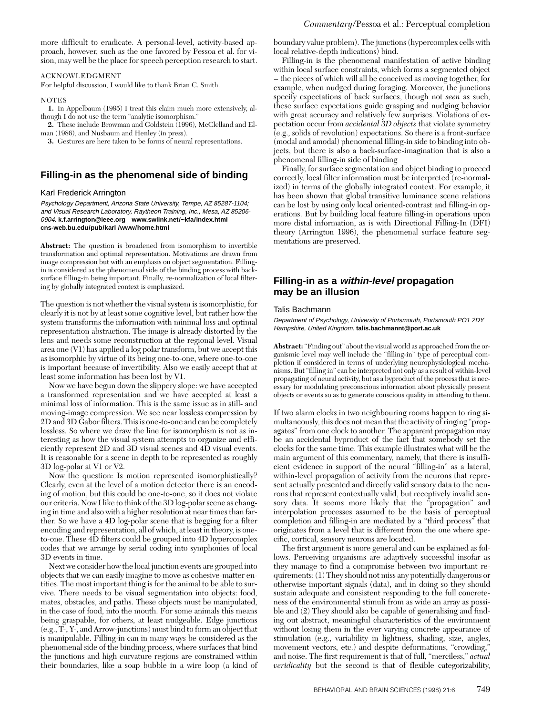more difficult to eradicate. A personal-level, activity-based approach, however, such as the one favored by Pessoa et al. for vision, may well be the place for speech perception research to start.

#### ACKNOWLEDGMENT

For helpful discussion, I would like to thank Brian C. Smith.

#### **NOTES**

**1.** In Appelbaum (1995) I treat this claim much more extensively, although I do not use the term "analytic isomorphism."

**2.** These include Browman and Goldstein (1996), McClelland and Elman (1986), and Nusbaum and Henley (in press).

**3.** Gestures are here taken to be forms of neural representations.

# **Filling-in as the phenomenal side of binding**

#### Karl Frederick Arrington

Psychology Department, Arizona State University, Tempe, AZ 85287-1104; and Visual Research Laboratory, Raytheon Training, Inc., Mesa, AZ 85206- 0904. **k.f.arrington@ieee.org www.swlink.net/~kfa/index.html cns-web.bu.edu/pub/karl /www/home.html**

**Abstract:** The question is broadened from isomorphism to invertible transformation and optimal representation. Motivations are drawn from image compression but with an emphasis on object segmentation. Fillingin is considered as the phenomenal side of the binding process with backsurface filling-in being important. Finally, re-normalization of local filtering by globally integrated context is emphasized.

The question is not whether the visual system is isomorphistic, for clearly it is not by at least some cognitive level, but rather how the system transforms the information with minimal loss and optimal representation abstraction. The image is already distorted by the lens and needs some reconstruction at the regional level. Visual area one (V1) has applied a log polar transform, but we accept this as isomorphic by virtue of its being one-to-one, where one-to-one is important because of invertibility. Also we easily accept that at least some information has been lost by V1.

Now we have begun down the slippery slope: we have accepted a transformed representation and we have accepted at least a minimal loss of information. This is the same issue as in still- and moving-image compression. We see near lossless compression by 2D and 3D Gabor filters. This is one-to-one and can be completely lossless. So where we draw the line for isomorphism is not as interesting as how the visual system attempts to organize and efficiently represent 2D and 3D visual scenes and 4D visual events. It is reasonable for a scene in depth to be represented as roughly 3D log-polar at V1 or V2.

Now the question: Is motion represented isomorphistically? Clearly, even at the level of a motion detector there is an encoding of motion, but this could be one-to-one, so it does not violate our criteria. Now I like to think of the 3D log-polar scene as changing in time and also with a higher resolution at near times than farther. So we have a 4D log-polar scene that is begging for a filter encoding and representation, all of which, at least in theory, is oneto-one. These 4D filters could be grouped into 4D hypercomplex codes that we arrange by serial coding into symphonies of local 3D events in time.

Next we consider how the local junction events are grouped into objects that we can easily imagine to move as cohesive-matter entities. The most important thing is for the animal to be able to survive. There needs to be visual segmentation into objects: food, mates, obstacles, and paths. These objects must be manipulated, in the case of food, into the mouth. For some animals this means being graspable, for others, at least nudgeable. Edge junctions (e.g., T-, Y-, and Arrow-junctions) must bind to form an object that is manipulable. Filling-in can in many ways be considered as the phenomenal side of the binding process, where surfaces that bind the junctions and high curvature regions are constrained within their boundaries, like a soap bubble in a wire loop (a kind of boundary value problem). The junctions (hypercomplex cells with local relative-depth indications) bind.

Filling-in is the phenomenal manifestation of active binding within local surface constraints, which forms a segmented object – the pieces of which will all be conceived as moving together, for example, when nudged during foraging. Moreover, the junctions specify expectations of back surfaces, though not *seen* as such, these surface expectations guide grasping and nudging behavior with great accuracy and relatively few surprises. Violations of expectation occur from *accidental 3D objects* that violate symmetry (e.g., solids of revolution) expectations. So there is a front-surface (modal and amodal) phenomenal filling-in side to binding into objects, but there is also a back-surface-imagination that is also a phenomenal filling-in side of binding

Finally, for surface segmentation and object binding to proceed correctly, local filter information must be interpreted (re-normalized) in terms of the globally integrated context. For example, it has been shown that global transitive luminance scene relations can be lost by using only local oriented-contrast and filling-in operations. But by building local feature filling-in operations upon more distal information, as is with Directional Filling-In (DFI) theory (Arrington 1996), the phenomenal surface feature segmentations are preserved.

# **Filling-in as a within-level propagation may be an illusion**

#### Talis Bachmann

Department of Psychology, University of Portsmouth, Portsmouth PO1 2DY Hampshire, United Kingdom. **talis.bachmannt@port.ac.uk**

**Abstract:** "Finding out" about the visual world as approached from the organismic level may well include the "filling-in" type of perceptual completion if considered in terms of underlying neurophysiological mechanisms. But "filling in" can be interpreted not only as a result of within-level propagating of neural activity, but as a byproduct of the process that is necessary for modulating preconscious information about physically present objects or events so as to generate conscious quality in attending to them.

If two alarm clocks in two neighbouring rooms happen to ring simultaneously, this does not mean that the activity of ringing "propagates" from one clock to another. The apparent propagation may be an accidental byproduct of the fact that somebody set the clocks for the same time. This example illustrates what will be the main argument of this commentary, namely, that there is insufficient evidence in support of the neural "filling-in" as a lateral, within-level propagation of activity from the neurons that represent actually presented and directly valid sensory data to the neurons that represent contextually valid, but receptively invalid sensory data. It seems more likely that the "propagation" and interpolation processes assumed to be the basis of perceptual completion and filling-in are mediated by a "third process" that originates from a level that is different from the one where specific, cortical, sensory neurons are located.

The first argument is more general and can be explained as follows. Perceiving organisms are adaptively successful insofar as they manage to find a compromise between two important requirements: (1) They should not miss any potentially dangerous or otherwise important signals (data), and in doing so they should sustain adequate and consistent responding to the full concreteness of the environmental stimuli from as wide an array as possible and (2) They should also be capable of generalising and finding out abstract, meaningful characteristics of the environment without losing them in the ever varying concrete appearance of stimulation (e.g., variability in lightness, shading, size, angles, movement vectors, etc.) and despite deformations, "crowding," and noise. The first requirement is that of full, "merciless," *actual veridicality* but the second is that of flexible categorizability,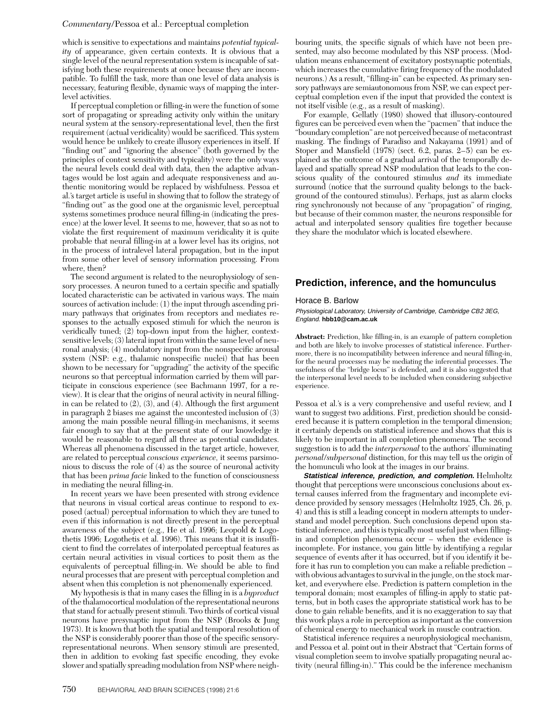# *Commentary/*Pessoa et al.: Perceptual completion

which is sensitive to expectations and maintains *potential typicality* of appearance, given certain contexts. It is obvious that a single level of the neural representation system is incapable of satisfying both these requirements at once because they are incompatible. To fulfill the task, more than one level of data analysis is necessary, featuring flexible, dynamic ways of mapping the interlevel activities.

If perceptual completion or filling-in were the function of some sort of propagating or spreading activity only within the unitary neural system at the sensory-representational level, then the first requirement (actual veridicality) would be sacrificed. This system would hence be unlikely to create illusory experiences in itself. If "finding out" and "ignoring the absence" (both governed by the principles of context sensitivity and typicality) were the only ways the neural levels could deal with data, then the adaptive advantages would be lost again and adequate responsiveness and authentic monitoring would be replaced by wishfulness. Pessoa et al.'s target article is useful in showing that to follow the strategy of "finding out" as the good one at the organismic level, perceptual systems sometimes produce neural filling-in (indicating the presence) at the lower level. It seems to me, however, that so as not to violate the first requirement of maximum veridicality it is quite probable that neural filling-in at a lower level has its origins, not in the process of intralevel lateral propagation, but in the input from some other level of sensory information processing. From where, then?

The second argument is related to the neurophysiology of sensory processes. A neuron tuned to a certain specific and spatially located characteristic can be activated in various ways. The main sources of activation include: (1) the input through ascending primary pathways that originates from receptors and mediates responses to the actually exposed stimuli for which the neuron is veridically tuned; (2) top-down input from the higher, contextsensitive levels; (3) lateral input from within the same level of neuronal analysis; (4) modulatory input from the nonspecific arousal system (NSP: e.g., thalamic nonspecific nuclei) that has been shown to be necessary for "upgrading" the activity of the specific neurons so that perceptual information carried by them will participate in conscious experience (see Bachmann 1997, for a review). It is clear that the origins of neural activity in neural fillingin can be related to (2), (3), and (4). Although the first argument in paragraph 2 biases me against the uncontested inclusion of (3) among the main possible neural filling-in mechanisms, it seems fair enough to say that at the present state of our knowledge it would be reasonable to regard all three as potential candidates. Whereas all phenomena discussed in the target article, however, are related to perceptual *conscious experience,* it seems parsimonious to discuss the role of (4) as the source of neuronal activity that has been *prima facie* linked to the function of consciousness in mediating the neural filling-in.

In recent years we have been presented with strong evidence that neurons in visual cortical areas continue to respond to exposed (actual) perceptual information to which they are tuned to even if this information is not directly present in the perceptual awareness of the subject (e.g., He et al. 1996; Leopold & Logothetis 1996; Logothetis et al. 1996). This means that it is insufficient to find the correlates of interpolated perceptual features as certain neural activities in visual cortices to posit them as the equivalents of perceptual filling-in. We should be able to find neural processes that are present with perceptual completion and absent when this completion is not phenomenally experienced.

My hypothesis is that in many cases the filling in is a *byproduct* of the thalamocortical modulation of the representational neurons that stand for actually present stimuli. Two thirds of cortical visual neurons have presynaptic input from the NSP (Brooks & Jung 1973). It is known that both the spatial and temporal resolution of the NSP is considerably poorer than those of the specific sensoryrepresentational neurons. When sensory stimuli are presented, then in addition to evoking fast specific encoding, they evoke slower and spatially spreading modulation from NSP where neighbouring units, the specific signals of which have not been presented, may also become modulated by this NSP process. (Modulation means enhancement of excitatory postsynaptic potentials, which increases the cumulative firing frequency of the modulated neurons.) As a result, "filling-in" can be expected. As primary sensory pathways are semiautonomous from NSP, we can expect perceptual completion even if the input that provided the context is not itself visible (e.g., as a result of masking).

For example, Gellatly (1980) showed that illusory-contoured figures can be perceived even when the "pacmen" that induce the "boundary completion" are not perceived because of metacontrast masking. The findings of Paradiso and Nakayama (1991) and of Stoper and Mansfield (1978) (sect. 6.2, paras. 2–5) can be explained as the outcome of a gradual arrival of the temporally delayed and spatially spread NSP modulation that leads to the conscious quality of the contoured stimulus *and* its immediate surround (notice that the surround quality belongs to the background of the contoured stimulus). Perhaps, just as alarm clocks ring synchronously not because of any "propagation" of ringing, but because of their common master, the neurons responsible for actual and interpolated sensory qualities fire together because they share the modulator which is located elsewhere.

# **Prediction, inference, and the homunculus**

#### Horace B. Barlow

Physiological Laboratory, University of Cambridge, Cambridge CB2 3EG, England. **hbb10@cam.ac.uk**

**Abstract:** Prediction, like filling-in, is an example of pattern completion and both are likely to involve processes of statistical inference. Furthermore, there is no incompatibility between inference and neural filling-in, for the neural processes may be mediating the inferential processes. The usefulness of the "bridge locus" is defended, and it is also suggested that the interpersonal level needs to be included when considering subjective experience.

Pessoa et al.'s is a very comprehensive and useful review, and I want to suggest two additions. First, prediction should be considered because it is pattern completion in the temporal dimension; it certainly depends on statistical inference and shows that this is likely to be important in all completion phenomena. The second suggestion is to add the *interpersonal* to the authors' illuminating *personal/subpersonal* distinction, for this may tell us the origin of the homunculi who look at the images in our brains.

**Statistical inference, prediction, and completion.** Helmholtz thought that perceptions were unconscious conclusions about external causes inferred from the fragmentary and incomplete evidence provided by sensory messages (Helmholtz 1925, Ch. 26, p. 4) and this is still a leading concept in modern attempts to understand and model perception. Such conclusions depend upon statistical inference, and this is typically most useful just when fillingin and completion phenomena occur – when the evidence is incomplete. For instance, you gain little by identifying a regular sequence of events after it has occurred, but if you identify it before it has run to completion you can make a reliable prediction – with obvious advantages to survival in the jungle, on the stock market, and everywhere else. Prediction is pattern completion in the temporal domain; most examples of filling-in apply to static patterns, but in both cases the appropriate statistical work has to be done to gain reliable benefits, and it is no exaggeration to say that this work plays a role in perception as important as the conversion of chemical energy to mechanical work in muscle contraction.

Statistical inference requires a neurophysiological mechanism, and Pessoa et al. point out in their Abstract that "Certain forms of visual completion seem to involve spatially propagating neural activity (neural filling-in)." This could be the inference mechanism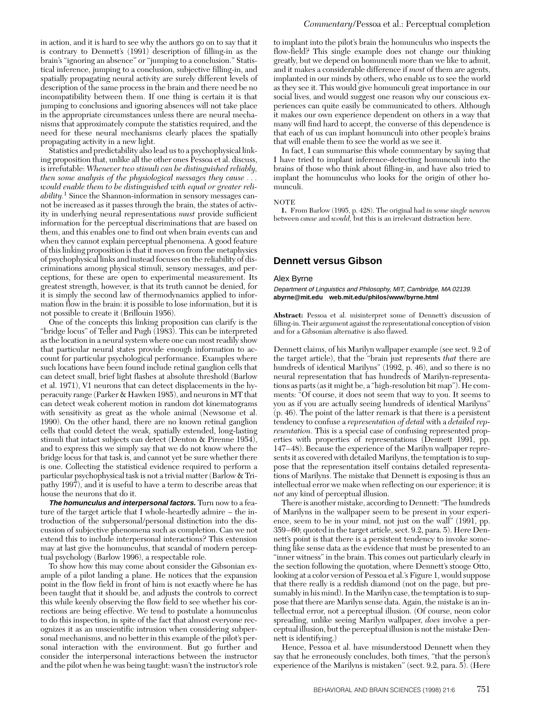in action, and it is hard to see why the authors go on to say that it is contrary to Dennett's (1991) description of filling-in as the brain's "ignoring an absence" or "jumping to a conclusion." Statistical inference, jumping to a conclusion, subjective filling-in, and spatially propagating neural activity are surely different levels of description of the same process in the brain and there need be no incompatibility between them. If one thing is certain it is that jumping to conclusions and ignoring absences will not take place in the appropriate circumstances unless there are neural mechanisms that approximately compute the statistics required, and the need for these neural mechanisms clearly places the spatially propagating activity in a new light.

Statistics and predictability also lead us to a psychophysical linking proposition that, unlike all the other ones Pessoa et al. discuss, is irrefutable: *Whenever two stimuli can be distinguished reliably, then some analysis of the physiological messages they cause . . . would enable them to be distinguished with equal or greater reliability.*<sup>1</sup> Since the Shannon-information in sensory messages cannot be increased as it passes through the brain, the states of activity in underlying neural representations *must* provide sufficient information for the perceptual discriminations that are based on them, and this enables one to find out when brain events can and when they cannot explain perceptual phenomena. A good feature of this linking proposition is that it moves on from the metaphysics of psychophysical links and instead focuses on the reliability of discriminations among physical stimuli, sensory messages, and perceptions, for these are open to experimental measurement. Its greatest strength, however, is that its truth cannot be denied, for it is simply the second law of thermodynamics applied to information flow in the brain: it is possible to lose information, but it is not possible to create it (Brillouin 1956).

One of the concepts this linking proposition can clarify is the "bridge locus" of Teller and Pugh (1983). This can be interpreted as the location in a neural system where one can most readily show that particular neural states provide enough information to account for particular psychological performance. Examples where such locations have been found include retinal ganglion cells that can detect small, brief light flashes at absolute threshold (Barlow et al. 1971), V1 neurons that can detect displacements in the hyperacuity range (Parker & Hawken 1985), and neurons in MT that can detect weak coherent motion in random dot kinematograms with sensitivity as great as the whole animal (Newsome et al. 1990). On the other hand, there are no known retinal ganglion cells that could detect the weak, spatially extended, long-lasting stimuli that intact subjects can detect (Denton & Pirenne 1954), and to express this we simply say that we do not know where the bridge locus for that task is, and cannot yet be sure whether there is one. Collecting the statistical evidence required to perform a particular psychophysical task is not a trivial matter (Barlow & Tripathy 1997), and it is useful to have a term to describe areas that house the neurons that do it.

**The homunculus and interpersonal factors.** Turn now to a feature of the target article that I whole-heartedly admire – the introduction of the subpersonal/personal distinction into the discussion of subjective phenomena such as completion. Can we not extend this to include interpersonal interactions? This extension may at last give the homunculus, that scandal of modern perceptual psychology (Barlow 1996), a respectable role.

To show how this may come about consider the Gibsonian example of a pilot landing a plane. He notices that the expansion point in the flow field in front of him is not exactly where he has been taught that it should be, and adjusts the controls to correct this while keenly observing the flow field to see whether his corrections are being effective. We tend to postulate a homunculus to do this inspection, in spite of the fact that almost everyone recognizes it as an unscientific intrusion when considering subpersonal mechanisms, and no better in this example of the pilot's personal interaction with the environment. But go further and consider the interpersonal interactions between the instructor and the pilot when he was being taught: wasn't the instructor's role

to implant into the pilot's brain the homunculus who inspects the flow-field? This single example does not change our thinking greatly, but we depend on homunculi more than we like to admit, and it makes a considerable difference if *most* of them are agents, implanted in our minds by others, who enable us to see the world as they see it. This would give homunculi great importance in our social lives, and would suggest one reason why our conscious experiences can quite easily be communicated to others. Although it makes our own experience dependent on others in a way that many will find hard to accept, the converse of this dependence is that each of us can implant homunculi into other people's brains that will enable them to see the world as we see it.

In fact, I can summarise this whole commentary by saying that I have tried to implant inference-detecting homunculi into the brains of those who think about filling-in, and have also tried to implant the homunculus who looks for the origin of other homunculi.

#### NOTE

**1.** From Barlow (1995, p. 428). The original had *in some single neuron* between *cause* and *would,* but this is an irrelevant distraction here.

# **Dennett versus Gibson**

#### Alex Byrne

Department of Linguistics and Philosophy, MIT, Cambridge, MA 02139. **abyrne@mit.edu web.mit.edu/philos/www/byrne.html**

Abstract: Pessoa et al. misinterpret some of Dennett's discussion of filling-in. Their argument against the representational conception of vision and for a Gibsonian alternative is also flawed.

Dennett claims, of his Marilyn wallpaper example (see sect. 9.2 of the target article), that the "brain just represents *that* there are hundreds of identical Marilyns" (1992, p. 46), and so there is no neural representation that has hundreds of Marilyn-representations as parts (as it might be, a "high-resolution bit map"). He comments: "Of course, it does not seem that way to you. It seems to you as if you are actually seeing hundreds of identical Marilyns" (p. 46). The point of the latter remark is that there is a persistent tendency to confuse a *representation of detail* with a *detailed representation.* This is a special case of confusing represented properties with properties of representations (Dennett 1991, pp. 147–48). Because the experience of the Marilyn wallpaper represents it as covered with detailed Marilyns, the temptation is to suppose that the representation itself contains detailed representations of Marilyns. The mistake that Dennett is exposing is thus an intellectual error we make when reflecting on our experience; it is *not* any kind of perceptual illusion.

There is another mistake, according to Dennett: "The hundreds of Marilyns in the wallpaper seem to be present in your experience, seem to be in your mind, not just on the wall" (1991, pp. 359–60; quoted in the target article, sect. 9.2, para. 5). Here Dennett's point is that there is a persistent tendency to invoke something like sense data as the evidence that must be presented to an "inner witness" in the brain. This comes out particularly clearly in the section following the quotation, where Dennett's stooge Otto, looking at a color version of Pessoa et al.'s Figure 1, would suppose that there really is a reddish diamond (not on the page, but presumably in his mind). In the Marilyn case, the temptation is to suppose that there are Marilyn sense data. Again, the mistake is an intellectual error, not a perceptual illusion. (Of course, neon color spreading, unlike seeing Marilyn wallpaper, *does* involve a perceptual illusion, but the perceptual illusion is not the mistake Dennett is identifying.)

Hence, Pessoa et al. have misunderstood Dennett when they say that he erroneously concludes, both times, "that the person's experience of the Marilyns is mistaken" (sect. 9.2, para. 5). (Here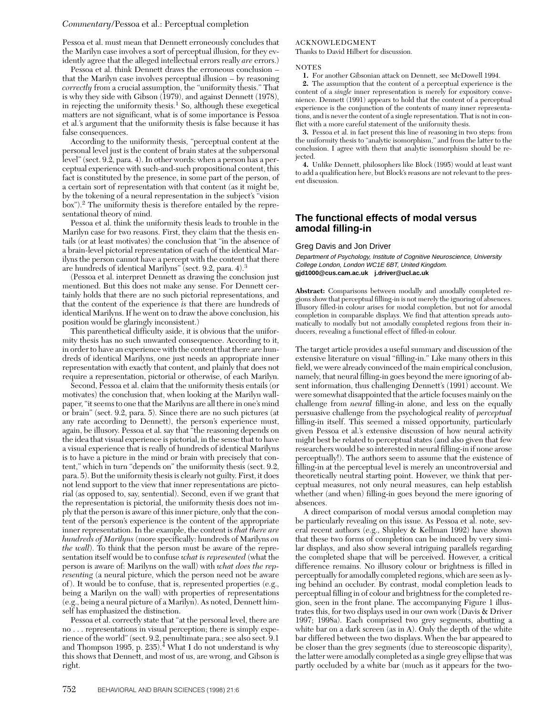# *Commentary/*Pessoa et al.: Perceptual completion

Pessoa et al. must mean that Dennett erroneously concludes that the Marilyn case involves a sort of perceptual illusion, for they evidently agree that the alleged intellectual errors really *are* errors.)

Pessoa et al. think Dennett draws the erroneous conclusion – that the Marilyn case involves perceptual illusion – by reasoning *correctly* from a crucial assumption, the "uniformity thesis." That is why they side with Gibson (1979), and against Dennett (1978), in rejecting the uniformity thesis.<sup>1</sup> So, although these exegetical matters are not significant, what is of some importance is Pessoa et al.'s argument that the uniformity thesis is false because it has false consequences.

According to the uniformity thesis, "perceptual content at the personal level just is the content of brain states at the subpersonal level" (sect. 9.2, para. 4). In other words: when a person has a perceptual experience with such-and-such propositional content, this fact is constituted by the presence, in some part of the person, of a certain sort of representation with that content (as it might be, by the tokening of a neural representation in the subject's "vision box").<sup>2</sup> The uniformity thesis is therefore entailed by the representational theory of mind.

Pessoa et al. think the uniformity thesis leads to trouble in the Marilyn case for two reasons. First, they claim that the thesis entails (or at least motivates) the conclusion that "in the absence of a brain-level pictorial representation of each of the identical Marilyns the person cannot have a percept with the content that there are hundreds of identical Marilyns" (sect. 9.2, para. 4).<sup>3</sup>

(Pessoa et al. interpret Dennett as drawing the conclusion just mentioned. But this does not make any sense. For Dennett certainly holds that there are no such pictorial representations, and that the content of the experience *is* that there are hundreds of identical Marilyns. If he went on to draw the above conclusion, his position would be glaringly inconsistent.)

This parenthetical difficulty aside, it is obvious that the uniformity thesis has no such unwanted consequence. According to it, in order to have an experience with the content that there are hundreds of identical Marilyns, one just needs an appropriate inner representation with exactly that content, and plainly that does not require a representation, pictorial or otherwise, of each Marilyn.

Second, Pessoa et al. claim that the uniformity thesis entails (or motivates) the conclusion that, when looking at the Marilyn wallpaper, "it seems to one that the Marilyns are all there in one's mind or brain" (sect. 9.2, para. 5). Since there are no such pictures (at any rate according to Dennett), the person's experience must, again, be illusory. Pessoa et al. say that "the reasoning depends on the idea that visual experience is pictorial, in the sense that to have a visual experience that is really of hundreds of identical Marilyns is to have a picture in the mind or brain with precisely that content," which in turn "depends on" the uniformity thesis (sect. 9.2, para. 5). But the uniformity thesis is clearly not guilty. First, it does not lend support to the view that inner representations are pictorial (as opposed to, say, sentential). Second, even if we grant that the representation is pictorial, the uniformity thesis does not imply that the person is aware of this inner picture, only that the content of the person's experience is the content of the appropriate inner representation. In the example, the content is *that there are hundreds of Marilyns* (more specifically: hundreds of Marilyns *on the wall*). To think that the person must be aware of the representation itself would be to confuse *what is represented* (what the person is aware of: Marilyns on the wall) with *what does the representing* (a neural picture, which the person need not be aware of). It would be to confuse, that is, represented properties (e.g., being a Marilyn on the wall) with properties of representations (e.g., being a neural picture of a Marilyn). As noted, Dennett himself has emphasized the distinction.

Pessoa et al. correctly state that "at the personal level, there are no . . . representations in visual perception; there is simply experience of the world" (sect. 9.2, penultimate para.; see also sect. 9.1 and Thompson 1995, p. 235).<sup>4</sup> What I do not understand is why this shows that Dennett, and most of us, are wrong, and Gibson is right.

# ACKNOWLEDGMENT

Thanks to David Hilbert for discussion.

#### **NOTES**

**1.** For another Gibsonian attack on Dennett, see McDowell 1994.

**2.** The assumption that the content of a perceptual experience is the content of a *single* inner representation is merely for expository convenience. Dennett (1991) appears to hold that the content of a perceptual experience is the conjunction of the contents of many inner representations, and is never the content of a single representation. That is not in conflict with a more careful statement of the uniformity thesis.

**3.** Pessoa et al. in fact present this line of reasoning in two steps: from the uniformity thesis to "analytic isomorphism," and from the latter to the conclusion. I agree with them that analytic isomorphism should be rejected.

**4.** Unlike Dennett, philosophers like Block (1995) would at least want to add a qualification here, but Block's reasons are not relevant to the present discussion.

# **The functional effects of modal versus amodal filling-in**

#### Greg Davis and Jon Driver

Department of Psychology, Institute of Cognitive Neuroscience, University College London, London WC1E 6BT, United Kingdom. **gjd1000@cus.cam.ac.uk j.driver@ucl.ac.uk**

**Abstract:** Comparisons between modally and amodally completed regions show that perceptual filling-in is not merely the ignoring of absences. Illusory filled-in colour arises for modal completion, but not for amodal completion in comparable displays. We find that attention spreads automatically to modally but not amodally completed regions from their inducers, revealing a functional effect of filled-in colour.

The target article provides a useful summary and discussion of the extensive literature on visual "filling-in." Like many others in this field, we were already convinced of the main empirical conclusion, namely, that neural filling-in goes beyond the mere ignoring of absent information, thus challenging Dennett's (1991) account. We were somewhat disappointed that the article focuses mainly on the challenge from *neural* filling-in alone, and less on the equally persuasive challenge from the psychological reality of *perceptual* filling-in itself. This seemed a missed opportunity, particularly given Pessoa et al.'s extensive discussion of how neural activity might best be related to perceptual states (and also given that few researchers would be so interested in neural filling-in if none arose perceptually!). The authors seem to assume that the existence of filling-in at the perceptual level is merely an uncontroversial and theoretically neutral starting point. However, we think that perceptual measures, not only neural measures, can help establish whether (and when) filling-in goes beyond the mere ignoring of absences.

A direct comparison of modal versus amodal completion may be particularly revealing on this issue. As Pessoa et al. note, several recent authors (e.g., Shipley & Kellman 1992) have shown that these two forms of completion can be induced by very similar displays, and also show several intriguing parallels regarding the completed shape that will be perceived. However, a critical difference remains. No illusory colour or brightness is filled in perceptually for amodally completed regions, which are seen as lying behind an occluder. By contrast, modal completion leads to perceptual filling in of colour and brightness for the completed region, seen in the front plane. The accompanying Figure 1 illustrates this, for two displays used in our own work (Davis & Driver 1997; 1998a). Each comprised two grey segments, abutting a white bar on a dark screen (as in A). Only the depth of the white bar differed between the two displays. When the bar appeared to be closer than the grey segments (due to stereoscopic disparity), the latter were amodally completed as a single grey ellipse that was partly occluded by a white bar (much as it appears for the two-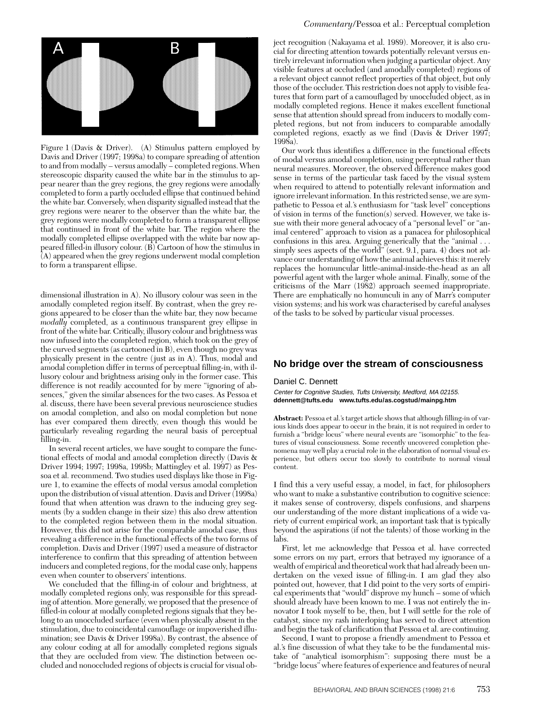

Figure 1 (Davis & Driver). (A) Stimulus pattern employed by Davis and Driver (1997; 1998a) to compare spreading of attention to and from modally – versus amodally – completed regions. When stereoscopic disparity caused the white bar in the stimulus to appear nearer than the grey regions, the grey regions were amodally completed to form a partly occluded ellipse that continued behind the white bar. Conversely, when disparity signalled instead that the grey regions were nearer to the observer than the white bar, the grey regions were modally completed to form a transparent ellipse that continued in front of the white bar. The region where the modally completed ellipse overlapped with the white bar now appeared filled-in illusory colour. (B) Cartoon of how the stimulus in (A) appeared when the grey regions underwent modal completion to form a transparent ellipse.

dimensional illustration in A). No illusory colour was seen in the amodally completed region itself. By contrast, when the grey regions appeared to be closer than the white bar, they now became *modally* completed, as a continuous transparent grey ellipse in front of the white bar. Critically, illusory colour and brightness was now infused into the completed region, which took on the grey of the curved segments (as cartooned in B), even though no grey was physically present in the centre (just as in A). Thus, modal and amodal completion differ in terms of perceptual filling-in, with illusory colour and brightness arising only in the former case. This difference is not readily accounted for by mere "ignoring of absences," given the similar absences for the two cases. As Pessoa et al. discuss, there have been several previous neuroscience studies on amodal completion, and also on modal completion but none has ever compared them directly, even though this would be particularly revealing regarding the neural basis of perceptual filling-in.

In several recent articles, we have sought to compare the functional effects of modal and amodal completion directly (Davis & Driver 1994; 1997; 1998a, 1998b; Mattingley et al. 1997) as Pessoa et al. recommend. Two studies used displays like those in Figure 1, to examine the effects of modal versus amodal completion upon the distribution of visual attention. Davis and Driver (1998a) found that when attention was drawn to the inducing grey segments (by a sudden change in their size) this also drew attention to the completed region between them in the modal situation. However, this did not arise for the comparable amodal case, thus revealing a difference in the functional effects of the two forms of completion. Davis and Driver (1997) used a measure of distractor interference to confirm that this spreading of attention between inducers and completed regions, for the modal case only, happens even when counter to observers' intentions.

We concluded that the filling-in of colour and brightness, at modally completed regions only, was responsible for this spreading of attention. More generally, we proposed that the presence of filled-in colour at modally completed regions signals that they belong to an unoccluded surface (even when physically absent in the stimulation, due to coincidental camouflage or impoverished illumination; see Davis & Driver 1998a). By contrast, the absence of any colour coding at all for amodally completed regions signals that they are occluded from view. The distinction between occluded and nonoccluded regions of objects is crucial for visual object recognition (Nakayama et al. 1989). Moreover, it is also crucial for directing attention towards potentially relevant versus entirely irrelevant information when judging a particular object. Any visible features at occluded (and amodally completed) regions of a relevant object cannot reflect properties of that object, but only those of the occluder. This restriction does not apply to visible features that form part of a camouflaged by unoccluded object, as in modally completed regions. Hence it makes excellent functional sense that attention should spread from inducers to modally completed regions, but not from inducers to comparable amodally completed regions, exactly as we find (Davis & Driver 1997; 1998a).

Our work thus identifies a difference in the functional effects of modal versus amodal completion, using perceptual rather than neural measures. Moreover, the observed difference makes good sense in terms of the particular task faced by the visual system when required to attend to potentially relevant information and ignore irrelevant information. In this restricted sense, we are sympathetic to Pessoa et al.'s enthusiasm for "task level" conceptions of vision in terms of the function(s) served. However, we take issue with their more general advocacy of a "personal level" or "animal centered" approach to vision as a panacea for philosophical confusions in this area. Arguing generically that the "animal . . . simply sees aspects of the world" (sect. 9.1, para. 4) does not advance our understanding of how the animal achieves this: it merely replaces the homuncular little-animal-inside-the-head as an all powerful agent with the larger whole animal. Finally, some of the criticisms of the Marr (1982) approach seemed inappropriate. There are emphatically no homunculi in any of Marr's computer vision systems; and his work was characterised by careful analyses of the tasks to be solved by particular visual processes.

# **No bridge over the stream of consciousness**

#### Daniel C. Dennett

Center for Cognitive Studies, Tufts University, Medford, MA 02155. **ddennett@tufts.edu www.tufts.edu/as.cogstud/mainpg.htm**

**Abstract:** Pessoa et al.'s target article shows that although filling-in of various kinds does appear to occur in the brain, it is not required in order to furnish a "bridge locus" where neural events are "isomorphic" to the features of visual consciousness. Some recently uncovered completion phenomena may well play a crucial role in the elaboration of normal visual experience, but others occur too slowly to contribute to normal visual content.

I find this a very useful essay, a model, in fact, for philosophers who want to make a substantive contribution to cognitive science: it makes sense of controversy, dispels confusions, and sharpens our understanding of the more distant implications of a wide variety of current empirical work, an important task that is typically beyond the aspirations (if not the talents) of those working in the labs.

First, let me acknowledge that Pessoa et al. have corrected some errors on my part, errors that betrayed my ignorance of a wealth of empirical and theoretical work that had already been undertaken on the vexed issue of filling-in. I am glad they also pointed out, however, that I did point to the very sorts of empirical experiments that "would" disprove my hunch – some of which should already have been known to me. I was not entirely the innovator I took myself to be, then, but I will settle for the role of catalyst, since my rash interloping has served to direct attention and begin the task of clarification that Pessoa et al. are continuing.

Second, I want to propose a friendly amendment to Pessoa et al.'s fine discussion of what they take to be the fundamental mistake of "analytical isomorphism": supposing there must be a "bridge locus" where features of experience and features of neural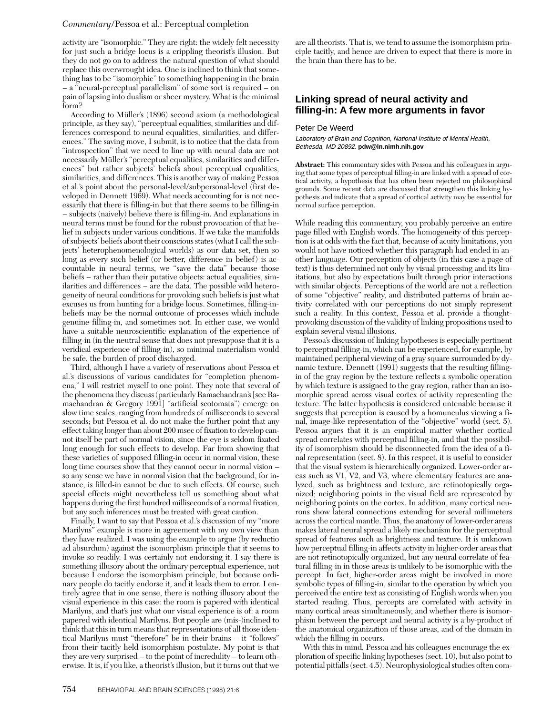# *Commentary/*Pessoa et al.: Perceptual completion

activity are "isomorphic." They are right: the widely felt necessity for just such a bridge locus is a crippling theorist's illusion. But they do not go on to address the natural question of what should replace this overwrought idea. One is inclined to think that something has to be "isomorphic" to something happening in the brain – a "neural-perceptual parallelism" of some sort is required – on pain of lapsing into dualism or sheer mystery. What is the minimal form?

According to Müller's (1896) second axiom (a methodological principle, as they say), "perceptual equalities, similarities and differences correspond to neural equalities, similarities, and differences." The saving move, I submit, is to notice that the data from "introspection" that we need to line up with neural data are not necessarily Müller's "perceptual equalities, similarities and differences" but rather subjects' beliefs about perceptual equalities, similarities, and differences. This is another way of making Pessoa et al.'s point about the personal-level/subpersonal-level (first developed in Dennett 1969). What needs accounting for is not necessarily that there is filling-in but that there seems to be filling-in – subjects (naively) believe there is filling-in. And explanations in neural terms must be found for the robust provocation of that belief in subjects under various conditions. If we take the manifolds of subjects' beliefs about their conscious states (what I call the subjects' heterophenomenological worlds) as our data set, then so long as every such belief (or better, difference in belief) is accountable in neural terms, we "save the data" because those beliefs – rather than their putative objects: actual equalities, similarities and differences – are the data. The possible wild heterogeneity of neural conditions for provoking such beliefs is just what excuses us from hunting for a bridge locus. Sometimes, filling-inbeliefs may be the normal outcome of processes which include genuine filling-in, and sometimes not. In either case, we would have a suitable neuroscientific explanation of the experience of filling-in (in the neutral sense that does not presuppose that it is a veridical experience of filling-in), so minimal materialism would be safe, the burden of proof discharged.

Third, although I have a variety of reservations about Pessoa et al.'s discussions of various candidates for "completion phenomena," I will restrict myself to one point. They note that several of the phenomena they discuss (particularly Ramachandran's [see Ramachandran & Gregory 1991] "artificial scotomata") emerge on slow time scales, ranging from hundreds of milliseconds to several seconds; but Pessoa et al. do not make the further point that any effect taking longer than about 200 msec of fixation to develop cannot itself be part of normal vision, since the eye is seldom fixated long enough for such effects to develop. Far from showing that these varieties of supposed filling-in occur in normal vision, these long time courses show that they cannot occur in normal vision – so any sense we have in normal vision that the background, for instance, is filled-in cannot be due to such effects. Of course, such special effects might nevertheless tell us something about what happens during the first hundred milliseconds of a normal fixation, but any such inferences must be treated with great caution.

Finally, I want to say that Pessoa et al.'s discussion of my "more Marilyns" example is more in agreement with my own view than they have realized. I was using the example to argue (by reductio ad absurdum) against the isomorphism principle that it seems to invoke so readily. I was certainly not endorsing it. I say there is something illusory about the ordinary perceptual experience, not because I endorse the isomorphism principle, but because ordinary people do tacitly endorse it, and it leads them to error. I entirely agree that in one sense, there is nothing illusory about the visual experience in this case: the room is papered with identical Marilyns, and that's just what our visual experience is of: a room papered with identical Marilyns. But people are (mis-)inclined to think that this in turn means that representations of all those identical Marilyns must "therefore" be in their brains – it "follows" from their tacitly held isomorphism postulate. My point is that they are very surprised – to the point of incredulity – to learn otherwise. It is, if you like, a theorist's illusion, but it turns out that we are all theorists. That is, we tend to assume the isomorphism principle tacitly, and hence are driven to expect that there is more in the brain than there has to be.

# **Linking spread of neural activity and filling-in: A few more arguments in favor**

#### Peter De Weerd

Laboratory of Brain and Cognition, National Institute of Mental Health, Bethesda, MD 20892. **pdw@ln.nimh.nih.gov**

**Abstract:** This commentary sides with Pessoa and his colleagues in arguing that some types of perceptual filling-in are linked with a spread of cortical activity, a hypothesis that has often been rejected on philosophical grounds. Some recent data are discussed that strengthen this linking hypothesis and indicate that a spread of cortical activity may be essential for normal surface perception.

While reading this commentary, you probably perceive an entire page filled with English words. The homogeneity of this perception is at odds with the fact that, because of acuity limitations, you would not have noticed whether this paragraph had ended in another language. Our perception of objects (in this case a page of text) is thus determined not only by visual processing and its limitations, but also by expectations built through prior interactions with similar objects. Perceptions of the world are not a reflection of some "objective" reality, and distributed patterns of brain activity correlated with our perceptions do not simply represent such a reality. In this context, Pessoa et al. provide a thoughtprovoking discussion of the validity of linking propositions used to explain several visual illusions.

Pessoa's discussion of linking hypotheses is especially pertinent to perceptual filling-in, which can be experienced, for example, by maintained peripheral viewing of a gray square surrounded by dynamic texture. Dennett (1991) suggests that the resulting fillingin of the gray region by the texture reflects a symbolic operation by which texture is assigned to the gray region, rather than an isomorphic spread across visual cortex of activity representing the texture. The latter hypothesis is considered untenable because it suggests that perception is caused by a homunculus viewing a final, image-like representation of the "objective" world (sect. 5). Pessoa argues that it is an empirical matter whether cortical spread correlates with perceptual filling-in, and that the possibility of isomorphism should be disconnected from the idea of a final representation (sect. 8). In this respect, it is useful to consider that the visual system is hierarchically organized. Lower-order areas such as V1, V2, and V3, where elementary features are analyzed, such as brightness and texture, are retinotopically organized; neighboring points in the visual field are represented by neighboring points on the cortex. In addition, many cortical neurons show lateral connections extending for several millimeters across the cortical mantle. Thus, the anatomy of lower-order areas makes lateral neural spread a likely mechanism for the perceptual spread of features such as brightness and texture. It is unknown how perceptual filling-in affects activity in higher-order areas that are not retinotopically organized, but any neural correlate of featural filling-in in those areas is unlikely to be isomorphic with the percept. In fact, higher-order areas might be involved in more symbolic types of filling-in, similar to the operation by which you perceived the entire text as consisting of English words when you started reading. Thus, percepts are correlated with activity in many cortical areas simultaneously, and whether there is isomorphism between the percept and neural activity is a by-product of the anatomical organization of those areas, and of the domain in which the filling-in occurs.

With this in mind, Pessoa and his colleagues encourage the exploration of specific linking hypotheses (sect. 10), but also point to potential pitfalls (sect. 4.5). Neurophysiological studies often com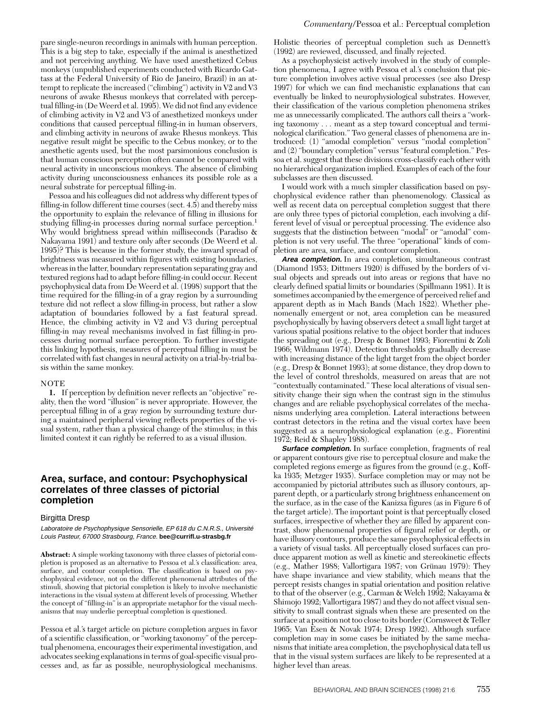pare single-neuron recordings in animals with human perception. This is a big step to take, especially if the animal is anesthetized and not perceiving anything. We have used anesthetized Cebus monkeys (unpublished experiments conducted with Ricardo Gattass at the Federal University of Rio de Janeiro, Brazil) in an attempt to replicate the increased ("climbing") activity in V2 and V3 neurons of awake Rhesus monkeys that correlated with perceptual filling-in (De Weerd et al. 1995). We did not find any evidence of climbing activity in V2 and V3 of anesthetized monkeys under conditions that caused perceptual filling-in in human observers, and climbing activity in neurons of awake Rhesus monkeys. This negative result might be specific to the Cebus monkey, or to the anesthetic agents used, but the most parsimonious conclusion is that human conscious perception often cannot be compared with neural activity in unconscious monkeys. The absence of climbing activity during unconsciousness enhances its possible role as a neural substrate for perceptual filling-in.

Pessoa and his colleagues did not address why different types of filling-in follow different time courses (sect. 4.5) and thereby miss the opportunity to explain the relevance of filling in illusions for studying filling-in processes during normal surface perception.<sup>1</sup> Why would brightness spread within milliseconds (Paradiso & Nakayama 1991) and texture only after seconds (De Weerd et al. 1995)? This is because in the former study, the inward spread of brightness was measured within figures with existing boundaries, whereas in the latter, boundary representation separating gray and textured regions had to adapt before filling-in could occur. Recent psychophysical data from De Weerd et al. (1998) support that the time required for the filling-in of a gray region by a surrounding texture did not reflect a slow filling-in process, but rather a slow adaptation of boundaries followed by a fast featural spread. Hence, the climbing activity in V2 and V3 during perceptual filling-in may reveal mechanisms involved in fast filling-in processes during normal surface perception. To further investigate this linking hypothesis, measures of perceptual filling in must be correlated with fast changes in neural activity on a trial-by-trial basis within the same monkey.

#### NOTE

**1.** If perception by definition never reflects an "objective" reality, then the word "illusion" is never appropriate. However, the perceptual filling in of a gray region by surrounding texture during a maintained peripheral viewing reflects properties of the visual system, rather than a physical change of the stimulus; in this limited context it can rightly be referred to as a visual illusion.

# **Area, surface, and contour: Psychophysical correlates of three classes of pictorial completion**

# Birgitta Dresp

Laboratoire de Psychophysique Sensorielle, EP 618 du C.N.R.S., Université Louis Pasteur, 67000 Strasbourg, France. **bee@currifl.u-strasbg.fr**

**Abstract:** A simple working taxonomy with three classes of pictorial completion is proposed as an alternative to Pessoa et al.'s classification: area, surface, and contour completion. The classification is based on psychophysical evidence, not on the different phenomenal attributes of the stimuli, showing that pictorial completion is likely to involve mechanistic interactions in the visual system at different levels of processing. Whether the concept of "filling-in" is an appropriate metaphor for the visual mechanisms that may underlie perceptual completion is questioned.

Pessoa et al.'s target article on picture completion argues in favor of a scientific classification, or "working taxonomy" of the perceptual phenomena, encourages their experimental investigation, and advocates seeking explanations in terms of goal-specific visual processes and, as far as possible, neurophysiological mechanisms. Holistic theories of perceptual completion such as Dennett's (1992) are reviewed, discussed, and finally rejected.

As a psychophysicist actively involved in the study of completion phenomena, I agree with Pessoa et al.'s conclusion that picture completion involves active visual processes (see also Dresp 1997) for which we can find mechanistic explanations that can eventually be linked to neurophysiological substrates. However, their classification of the various completion phenomena strikes me as unnecessarily complicated. The authors call theirs a "working taxonomy . . . meant as a step toward conceptual and terminological clarification." Two general classes of phenomena are introduced: (1) "amodal completion" versus "modal completion" and (2) "boundary completion" versus "featural completion." Pessoa et al. suggest that these divisions cross-classify each other with no hierarchical organization implied. Examples of each of the four subclasses are then discussed.

I would work with a much simpler classification based on psychophysical evidence rather than phenomenology. Classical as well as recent data on perceptual completion suggest that there are only three types of pictorial completion, each involving a different level of visual or perceptual processing. The evidence also suggests that the distinction between "modal" or "amodal" completion is not very useful. The three "operational" kinds of completion are area, surface, and contour completion.

**Area completion.** In area completion, simultaneous contrast (Diamond 1953; Dittmers 1920) is diffused by the borders of visual objects and spreads out into areas or regions that have no clearly defined spatial limits or boundaries (Spillmann 1981). It is sometimes accompanied by the emergence of perceived relief and apparent depth as in Mach Bands (Mach 1822). Whether phenomenally emergent or not, area completion can be measured psychophysically by having observers detect a small light target at various spatial positions relative to the object border that induces the spreading out (e.g., Dresp & Bonnet 1993; Fiorentini & Zoli 1966; Wildmann 1974). Detection thresholds gradually decrease with increasing distance of the light target from the object border (e.g., Dresp & Bonnet 1993); at some distance, they drop down to the level of control thresholds, measured on areas that are not "contextually contaminated." These local alterations of visual sensitivity change their sign when the contrast sign in the stimulus changes and are reliable psychophysical correlates of the mechanisms underlying area completion. Lateral interactions between contrast detectors in the retina and the visual cortex have been suggested as a neurophysiological explanation (e.g., Fiorentini 1972; Reid & Shapley 1988).

**Surface completion.** In surface completion, fragments of real or apparent contours give rise to perceptual closure and make the completed regions emerge as figures from the ground (e.g., Koffka 1935; Metzger 1935). Surface completion may or may not be accompanied by pictorial attributes such as illusory contours, apparent depth, or a particularly strong brightness enhancement on the surface, as in the case of the Kanizsa figures (as in Figure 6 of the target article). The important point is that perceptually closed surfaces, irrespective of whether they are filled by apparent contrast, show phenomenal properties of figural relief or depth, or have illusory contours, produce the same psychophysical effects in a variety of visual tasks. All perceptually closed surfaces can produce apparent motion as well as kinetic and stereokinetic effects (e.g., Mather 1988; Vallortigara 1987; von Grünau 1979): They have shape invariance and view stability, which means that the percept resists changes in spatial orientation and position relative to that of the observer (e.g., Carman & Welch 1992; Nakayama & Shimojo 1992; Vallortigara 1987) and they do not affect visual sensitivity to small contrast signals when these are presented on the surface at a position not too close to its border (Cornsweet & Teller 1965; Van Esen & Novak 1974; Dresp 1992). Although surface completion may in some cases be initiated by the same mechanisms that initiate area completion, the psychophysical data tell us that in the visual system surfaces are likely to be represented at a higher level than areas.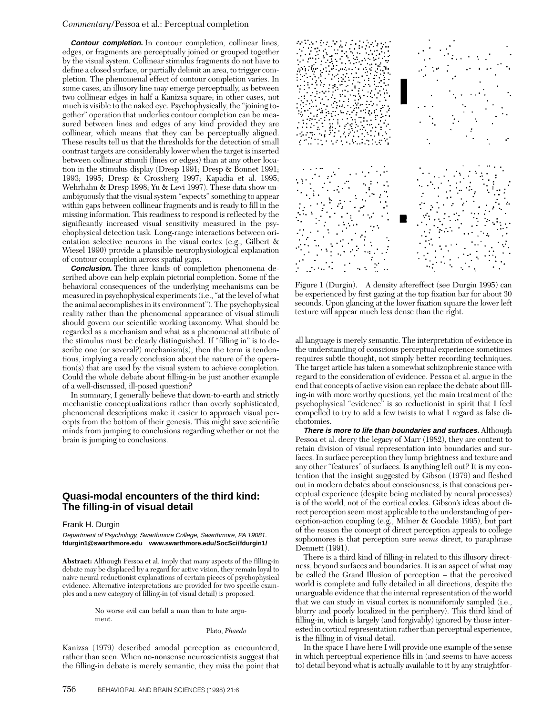**Contour completion.** In contour completion, collinear lines, edges, or fragments are perceptually joined or grouped together by the visual system. Collinear stimulus fragments do not have to define a closed surface, or partially delimit an area, to trigger completion. The phenomenal effect of contour completion varies. In some cases, an illusory line may emerge perceptually, as between two collinear edges in half a Kanizsa square; in other cases, not much is visible to the naked eye. Psychophysically, the "joining together" operation that underlies contour completion can be measured between lines and edges of any kind provided they are collinear, which means that they can be perceptually aligned. These results tell us that the thresholds for the detection of small contrast targets are considerably lower when the target is inserted between collinear stimuli (lines or edges) than at any other location in the stimulus display (Dresp 1991; Dresp & Bonnet 1991; 1993; 1995; Dresp & Grossberg 1997; Kapadia et al. 1995; Wehrhahn & Dresp 1998; Yu & Levi 1997). These data show unambiguously that the visual system "expects" something to appear within gaps between collinear fragments and is ready to fill in the missing information. This readiness to respond is reflected by the significantly increased visual sensitivity measured in the psychophysical detection task. Long-range interactions between orientation selective neurons in the visual cortex (e.g., Gilbert & Wiesel 1990) provide a plausible neurophysiological explanation of contour completion across spatial gaps.

**Conclusion.** The three kinds of completion phenomena described above can help explain pictorial completion. Some of the behavioral consequences of the underlying mechanisms can be measured in psychophysical experiments (i.e., "at the level of what the animal accomplishes in its environment"). The psychophysical reality rather than the phenomenal appearance of visual stimuli should govern our scientific working taxonomy. What should be regarded as a mechanism and what as a phenomenal attribute of the stimulus must be clearly distinguished. If "filling in" is to describe one (or several?) mechanism(s), then the term is tendentious, implying a ready conclusion about the nature of the operation(s) that are used by the visual system to achieve completion. Could the whole debate about filling-in be just another example of a well-discussed, ill-posed question?

In summary, I generally believe that down-to-earth and strictly mechanistic conceptualizations rather than overly sophisticated, phenomenal descriptions make it easier to approach visual percepts from the bottom of their genesis. This might save scientific minds from jumping to conclusions regarding whether or not the brain is jumping to conclusions.

# **Quasi-modal encounters of the third kind: The filling-in of visual detail**

#### Frank H. Durgin

Department of Psychology, Swarthmore College, Swarthmore, PA 19081. **fdurgin1@swarthmore.edu www.swarthmore.edu/SocSci/fdurgin1/**

**Abstract:** Although Pessoa et al. imply that many aspects of the filling-in debate may be displaced by a regard for active vision, they remain loyal to naive neural reductionist explanations of certain pieces of psychophysical evidence. Alternative interpretations are provided for two specific examples and a new category of filling-in (of visual detail) is proposed.

> No worse evil can befall a man than to hate argument.

#### Plato, *Phaedo*

Kanizsa (1979) described amodal perception as encountered, rather than seen. When no-nonsense neuroscientists suggest that the filling-in debate is merely semantic, they miss the point that



Figure 1 (Durgin). A density aftereffect (see Durgin 1995) can be experienced by first gazing at the top fixation bar for about 30 seconds. Upon glancing at the lower fixation square the lower left texture will appear much less dense than the right.

all language is merely semantic. The interpretation of evidence in the understanding of conscious perceptual experience sometimes requires subtle thought, not simply better recording techniques. The target article has taken a somewhat schizophrenic stance with regard to the consideration of evidence. Pessoa et al. argue in the end that concepts of active vision can replace the debate about filling-in with more worthy questions, yet the main treatment of the psychophysical "evidence" is so reductionist in spirit that I feel compelled to try to add a few twists to what I regard as false dichotomies.

**There is more to life than boundaries and surfaces.** Although Pessoa et al. decry the legacy of Marr (1982), they are content to retain division of visual representation into boundaries and surfaces. In surface perception they lump brightness and texture and any other "features" of surfaces. Is anything left out? It is my contention that the insight suggested by Gibson (1979) and fleshed out in modern debates about consciousness, is that conscious perceptual experience (despite being mediated by neural processes) is of the world, not of the cortical codes. Gibson's ideas about direct perception seem most applicable to the understanding of perception-action coupling (e.g., Milner & Goodale 1995), but part of the reason the concept of direct perception appeals to college sophomores is that perception sure *seems* direct, to paraphrase Dennett (1991).

There is a third kind of filling-in related to this illusory directness, beyond surfaces and boundaries. It is an aspect of what may be called the Grand Illusion of perception – that the perceived world is complete and fully detailed in all directions, despite the unarguable evidence that the internal representation of the world that we can study in visual cortex is nonuniformly sampled (i.e., blurry and poorly localized in the periphery). This third kind of filling-in, which is largely (and forgivably) ignored by those interested in cortical representation rather than perceptual experience, is the filling in of visual detail.

In the space I have here I will provide one example of the sense in which perceptual experience fills in (and seems to have access to) detail beyond what is actually available to it by any straightfor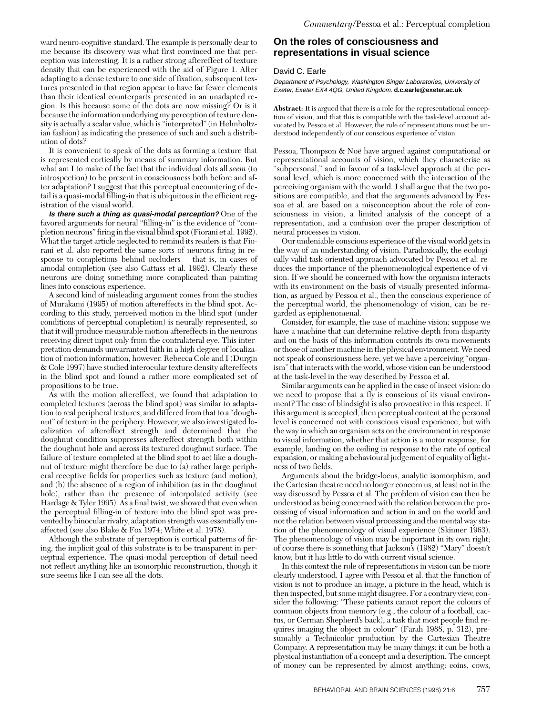ward neuro-cognitive standard. The example is personally dear to me because its discovery was what first convinced me that perception was interesting. It is a rather strong aftereffect of texture density that can be experienced with the aid of Figure 1. After adapting to a dense texture to one side of fixation, subsequent textures presented in that region appear to have far fewer elements than their identical counterparts presented in an unadapted region. Is this because some of the dots are now missing? Or is it because the information underlying my perception of texture density is actually a scalar value, which is "interpreted" (in Helmholtzian fashion) as indicating the presence of such and such a distribution of dots?

It is convenient to speak of the dots as forming a texture that is represented cortically by means of summary information. But what am I to make of the fact that the individual dots all *seem* (to introspection) to be present in consciousness both before and after adaptation? I suggest that this perceptual encountering of detail is a quasi-modal filling-in that is ubiquitous in the efficient registration of the visual world.

**Is there such a thing as quasi-modal perception?** One of the favored arguments for neural "filling-in" is the evidence of "completion neurons" firing in the visual blind spot (Fiorani et al. 1992). What the target article neglected to remind its readers is that Fiorani et al. also reported the same sorts of neurons firing in response to completions behind occluders – that is, in cases of amodal completion (see also Gattass et al. 1992). Clearly these neurons are doing something more complicated than painting lines into conscious experience.

A second kind of misleading argument comes from the studies of Murakami (1995) of motion aftereffects in the blind spot. According to this study, perceived motion in the blind spot (under conditions of perceptual completion) is neurally represented, so that it will produce measurable motion aftereffects in the neurons receiving direct input only from the contralateral eye. This interpretation demands unwarranted faith in a high degree of localization of motion information, however. Rebecca Cole and I (Durgin & Cole 1997) have studied interocular texture density aftereffects in the blind spot and found a rather more complicated set of propositions to be true.

As with the motion aftereffect, we found that adaptation to completed textures (across the blind spot) was similar to adaptation to real peripheral textures, and differed from that to a "doughnut" of texture in the periphery. However, we also investigated localization of aftereffect strength and determined that the doughnut condition suppresses aftereffect strength both within the doughnut hole and across its textured doughnut surface. The failure of texture completed at the blind spot to act like a doughnut of texture might therefore be due to (a) rather large peripheral receptive fields for properties such as texture (and motion), and (b) the absence of a region of inhibition (as in the doughnut hole), rather than the presence of interpolated activity (see Hardage & Tyler 1995). As a final twist, we showed that even when the perceptual filling-in of texture into the blind spot was prevented by binocular rivalry, adaptation strength was essentially unaffected (see also Blake & Fox 1974; White et al. 1978).

Although the substrate of perception is cortical patterns of firing, the implicit goal of this substrate is to be transparent in perceptual experience. The quasi-modal perception of detail need not reflect anything like an isomorphic reconstruction, though it sure seems like I can see all the dots.

# **On the roles of consciousness and representations in visual science**

#### David C. Earle

Department of Psychology, Washington Singer Laboratories, University of Exeter, Exeter EX4 4QG, United Kingdom. **d.c.earle@exeter.ac.uk**

**Abstract:** It is argued that there is a role for the representational conception of vision, and that this is compatible with the task-level account advocated by Pessoa et al. However, the role of representations must be understood independently of our conscious experience of vision.

Pessoa, Thompson & Noë have argued against computational or representational accounts of vision, which they characterise as "subpersonal," and in favour of a task-level approach at the personal level, which is more concerned with the interaction of the perceiving organism with the world. I shall argue that the two positions are compatible, and that the arguments advanced by Pessoa et al. are based on a misconception about the role of consciousness in vision, a limited analysis of the concept of a representation, and a confusion over the proper description of neural processes in vision.

Our undeniable conscious experience of the visual world gets in the way of an understanding of vision. Paradoxically, the ecologically valid task-oriented approach advocated by Pessoa et al. reduces the importance of the phenomenological experience of vision. If we should be concerned with how the organism interacts with its environment on the basis of visually presented information, as argued by Pessoa et al., then the conscious experience of the perceptual world, the phenomenology of vision, can be regarded as epiphenomenal.

Consider, for example, the case of machine vision: suppose we have a machine that can determine relative depth from disparity and on the basis of this information controls its own movements or those of another machine in the physical environment. We need not speak of consciousness here, yet we have a perceiving "organism" that interacts with the world, whose vision can be understood at the task-level in the way described by Pessoa et al.

Similar arguments can be applied in the case of insect vision: do we need to propose that a fly is conscious of its visual environment? The case of blindsight is also provocative in this respect. If this argument is accepted, then perceptual content at the personal level is concerned not with conscious visual experience, but with the way in which an organism acts on the environment in response to visual information, whether that action is a motor response, for example, landing on the ceiling in response to the rate of optical expansion, or making a behavioural judgement of equality of lightness of two fields.

Arguments about the bridge-locus, analytic isomorphism, and the Cartesian theatre need no longer concern us, at least not in the way discussed by Pessoa et al. The problem of vision can then be understood as being concerned with the relation between the processing of visual information and action in and on the world and not the relation between visual processing and the mental way station of the phenomenology of visual experience (Skinner 1963). The phenomenology of vision may be important in its own right; of course there is something that Jackson's (1982) "Mary" doesn't know, but it has little to do with current visual science.

In this context the role of representations in vision can be more clearly understood. I agree with Pessoa et al. that the function of vision is not to produce an image, a picture in the head, which is then inspected, but some might disagree. For a contrary view, consider the following: "These patients cannot report the colours of common objects from memory (e.g., the colour of a football, cactus, or German Shepherd's back), a task that most people find requires imaging the object in colour" (Farah 1988, p. 312), presumably a Technicolor production by the Cartesian Theatre Company. A representation may be many things: it can be both a physical instantiation of a concept and a description. The concept of money can be represented by almost anything: coins, cows,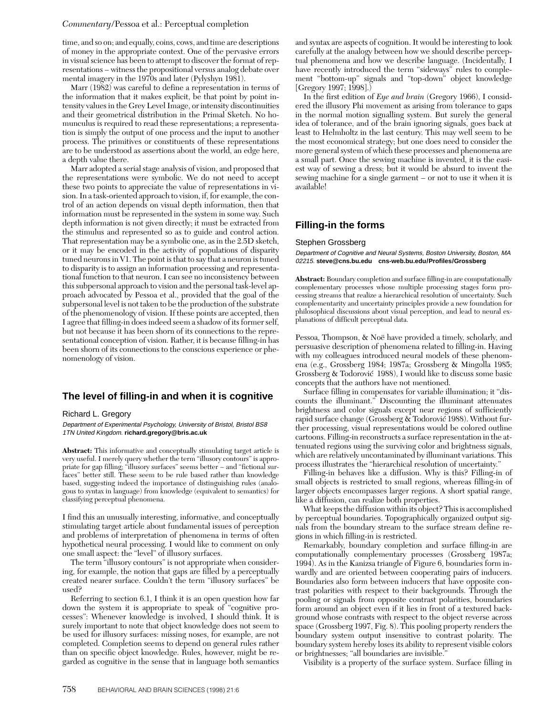# *Commentary/*Pessoa et al.: Perceptual completion

time, and so on; and equally, coins, cows, and time are descriptions of money in the appropriate context. One of the pervasive errors in visual science has been to attempt to discover the format of representations – witness the propositional versus analog debate over mental imagery in the 1970s and later (Pylyshyn 1981).

Marr (1982) was careful to define a representation in terms of the information that it makes explicit, be that point by point intensity values in the Grey Level Image, or intensity discontinuities and their geometrical distribution in the Primal Sketch. No homunculus is required to read these representations; a representation is simply the output of one process and the input to another process. The primitives or constituents of these representations are to be understood as assertions about the world, an edge here, a depth value there.

Marr adopted a serial stage analysis of vision, and proposed that the representations were symbolic. We do not need to accept these two points to appreciate the value of representations in vision. In a task-oriented approach to vision, if, for example, the control of an action depends on visual depth information, then that information must be represented in the system in some way. Such depth information is not given directly; it must be extracted from the stimulus and represented so as to guide and control action. That representation may be a symbolic one, as in the 2.5D sketch, or it may be encoded in the activity of populations of disparity tuned neurons in V1. The point is that to say that a neuron is tuned to disparity is to assign an information processing and representational function to that neuron. I can see no inconsistency between this subpersonal approach to vision and the personal task-level approach advocated by Pessoa et al., provided that the goal of the subpersonal level is not taken to be the production of the substrate of the phenomenology of vision. If these points are accepted, then I agree that filling-in does indeed seem a shadow of its former self, but not because it has been shorn of its connections to the representational conception of vision. Rather, it is because filling-in has been shorn of its connections to the conscious experience or phenomenology of vision.

# **The level of filling-in and when it is cognitive**

Richard L. Gregory

Department of Experimental Psychology, University of Bristol, Bristol BS8 1TN United Kingdom. **richard.gregory@bris.ac.uk**

**Abstract:** This informative and conceptually stimulating target article is very useful. I merely query whether the term "illusory contours" is appropriate for gap filling; "illusory surfaces" seems better – and "fictional surfaces" better still. These seem to be rule based rather than knowledge based, suggesting indeed the importance of distinguishing rules (analogous to syntax in language) from knowledge (equivalent to semantics) for classifying perceptual phenomena.

I find this an unusually interesting, informative, and conceptually stimulating target article about fundamental issues of perception and problems of interpretation of phenomena in terms of often hypothetical neural processing. I would like to comment on only one small aspect: the "level" of illusory surfaces.

The term "illusory contours" is not appropriate when considering, for example, the notion that gaps are filled by a perceptually created nearer surface. Couldn't the term "illusory surfaces" be used?

Referring to section 6.1, I think it is an open question how far down the system it is appropriate to speak of "cognitive processes": Whenever knowledge is involved, I should think. It is surely important to note that object knowledge does not seem to be used for illusory surfaces: missing noses, for example, are not completed. Completion seems to depend on general rules rather than on specific object knowledge. Rules, however, might be regarded as cognitive in the sense that in language both semantics and syntax are aspects of cognition. It would be interesting to look carefully at the analogy between how we should describe perceptual phenomena and how we describe language. (Incidentally, I have recently introduced the term "sideways" rules to complement "bottom-up" signals and "top-down" object knowledge  $[Geogory 1997; 1998].]$ 

In the first edition of *Eye and brain* (Gregory 1966), I considered the illusory Phi movement as arising from tolerance to gaps in the normal motion signalling system. But surely the general idea of tolerance, and of the brain ignoring signals, goes back at least to Helmholtz in the last century. This may well seem to be the most economical strategy; but one does need to consider the more general system of which these processes and phenomena are a small part. Once the sewing machine is invented, it is the easiest way of sewing a dress; but it would be absurd to invent the sewing machine for a single garment – or not to use it when it is available!

# **Filling-in the forms**

#### Stephen Grossberg

Department of Cognitive and Neural Systems, Boston University, Boston, MA 02215. **steve@cns.bu.edu cns-web.bu.edu/Profiles/Grossberg**

**Abstract:** Boundary completion and surface filling-in are computationally complementary processes whose multiple processing stages form processing streams that realize a hierarchical resolution of uncertainty. Such complementarity and uncertainty principles provide a new foundation for philosophical discussions about visual perception, and lead to neural explanations of difficult perceptual data.

Pessoa, Thompson, & Noë have provided a timely, scholarly, and persuasive description of phenomena related to filling-in. Having with my colleagues introduced neural models of these phenomena (e.g., Grossberg 1984; 1987a; Grossberg & Mingolla 1985; Grossberg & Todorovic´ 1988), I would like to discuss some basic concepts that the authors have not mentioned.

Surface filling in compensates for variable illumination; it "discounts the illuminant." Discounting the illuminant attenuates brightness and color signals except near regions of sufficiently rapid surface change (Grossberg & Todorovic<sup>'</sup> 1988). Without further processing, visual representations would be colored outline cartoons. Filling-in reconstructs a surface representation in the attenuated regions using the surviving color and brightness signals, which are relatively uncontaminated by illuminant variations. This process illustrates the "hierarchical resolution of uncertainty."

Filling-in behaves like a diffusion. Why is this? Filling-in of small objects is restricted to small regions, whereas filling-in of larger objects encompasses larger regions. A short spatial range, like a diffusion, can realize both properties.

What keeps the diffusion within its object? This is accomplished by perceptual boundaries. Topographically organized output signals from the boundary stream to the surface stream define regions in which filling-in is restricted.

Remarkably, boundary completion and surface filling-in are computationally complementary processes (Grossberg 1987a; 1994). As in the Kanizsa triangle of Figure 6, boundaries form inwardly and are oriented between cooperating pairs of inducers. Boundaries also form between inducers that have opposite contrast polarities with respect to their backgrounds. Through the pooling or signals from opposite contrast polarities, boundaries form around an object even if it lies in front of a textured background whose contrasts with respect to the object reverse across space (Grossberg 1997, Fig. 8). This pooling property renders the boundary system output insensitive to contrast polarity. The boundary system hereby loses its ability to represent visible colors or brightnesses; "all boundaries are invisible."

Visibility is a property of the surface system. Surface filling in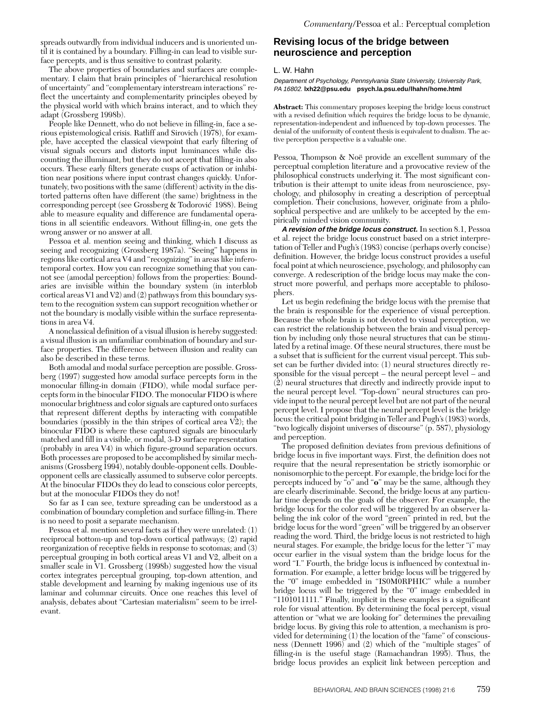spreads outwardly from individual inducers and is unoriented until it is contained by a boundary. Filling-in can lead to visible surface percepts, and is thus sensitive to contrast polarity.

The above properties of boundaries and surfaces are complementary. I claim that brain principles of "hierarchical resolution of uncertainty" and "complementary interstream interactions" reflect the uncertainty and complementarity principles obeyed by the physical world with which brains interact, and to which they adapt (Grossberg 1998b).

People like Dennett, who do not believe in filling-in, face a serious epistemological crisis. Ratliff and Sirovich (1978), for example, have accepted the classical viewpoint that early filtering of visual signals occurs and distorts input luminances while discounting the illuminant, but they do not accept that filling-in also occurs. These early filters generate cusps of activation or inhibition near positions where input contrast changes quickly. Unfortunately, two positions with the same (different) activity in the distorted patterns often have different (the same) brightness in the corresponding percept (see Grossberg & Todorovic´ 1988). Being able to measure equality and difference are fundamental operations in all scientific endeavors. Without filling-in, one gets the wrong answer or no answer at all.

Pessoa et al. mention seeing and thinking, which I discuss as seeing and recognizing (Grossberg 1987a). "Seeing" happens in regions like cortical area V4 and "recognizing" in areas like inferotemporal cortex. How you can recognize something that you cannot see (amodal perception) follows from the properties: Boundaries are invisible within the boundary system (in interblob cortical areas V1 and V2) and (2) pathways from this boundary system to the recognition system can support recognition whether or not the boundary is modally visible within the surface representations in area V4.

A nonclassical definition of a visual illusion is hereby suggested: a visual illusion is an unfamiliar combination of boundary and surface properties. The difference between illusion and reality can also be described in these terms.

Both amodal and modal surface perception are possible. Grossberg (1997) suggested how amodal surface percepts form in the monocular filling-in domain (FIDO), while modal surface percepts form in the binocular FIDO. The monocular FIDO is where monocular brightness and color signals are captured onto surfaces that represent different depths by interacting with compatible boundaries (possibly in the thin stripes of cortical area V2); the binocular FIDO is where these captured signals are binocularly matched and fill in a visible, or modal, 3-D surface representation (probably in area V4) in which figure-ground separation occurs. Both processes are proposed to be accomplished by similar mechanisms (Grossberg 1994), notably double-opponent cells. Doubleopponent cells are classically assumed to subserve color percepts. At the binocular FIDOs they do lead to conscious color percepts, but at the monocular FIDOs they do not!

So far as I can see, texture spreading can be understood as a combination of boundary completion and surface filling-in. There is no need to posit a separate mechanism.

Pessoa et al. mention several facts as if they were unrelated: (1) reciprocal bottom-up and top-down cortical pathways; (2) rapid reorganization of receptive fields in response to scotomas; and (3) perceptual grouping in both cortical areas V1 and V2, albeit on a smaller scale in V1. Grossberg (1998b) suggested how the visual cortex integrates perceptual grouping, top-down attention, and stable development and learning by making ingenious use of its laminar and columnar circuits. Once one reaches this level of analysis, debates about "Cartesian materialism" seem to be irrelevant.

# **Revising locus of the bridge between neuroscience and perception**

#### L. W. Hahn

Department of Psychology, Pennsylvania State University, University Park, PA 16802. **lxh22@psu.edu psych.la.psu.edu/lhahn/home.html**

**Abstract:** This commentary proposes keeping the bridge locus construct with a revised definition which requires the bridge locus to be dynamic, representation-independent and influenced by top-down processes. The denial of the uniformity of content thesis is equivalent to dualism. The active perception perspective is a valuable one.

Pessoa, Thompson & Noë provide an excellent summary of the perceptual completion literature and a provocative review of the philosophical constructs underlying it. The most significant contribution is their attempt to unite ideas from neuroscience, psychology, and philosophy in creating a description of perceptual completion. Their conclusions, however, originate from a philosophical perspective and are unlikely to be accepted by the empirically minded vision community.

**<sup>A</sup> revision of the bridge locus construct.** In section 8.1, Pessoa et al. reject the bridge locus construct based on a strict interpretation of Teller and Pugh's (1983) concise (perhaps overly concise) definition. However, the bridge locus construct provides a useful focal point at which neuroscience, psychology, and philosophy can converge. A redescription of the bridge locus may make the construct more powerful, and perhaps more acceptable to philosophers.

Let us begin redefining the bridge locus with the premise that the brain is responsible for the experience of visual perception. Because the whole brain is not devoted to visual perception, we can restrict the relationship between the brain and visual perception by including only those neural structures that can be stimulated by a retinal image. Of these neural structures, there must be a subset that is sufficient for the current visual percept. This subset can be further divided into: (1) neural structures directly responsible for the visual percept – the neural percept level – and (2) neural structures that directly and indirectly provide input to the neural percept level. "Top-down" neural structures can provide input to the neural percept level but are not part of the neural percept level. I propose that the neural percept level is the bridge locus: the critical point bridging in Teller and Pugh's (1983) words, "two logically disjoint universes of discourse" (p. 587), physiology and perception.

The proposed definition deviates from previous definitions of bridge locus in five important ways. First, the definition does not require that the neural representation be strictly isomorphic or nonisomorphic to the percept. For example, the bridge loci for the percepts induced by "o" and "**o**" may be the same, although they are clearly discriminable. Second, the bridge locus at any particular time depends on the goals of the observer. For example, the bridge locus for the color red will be triggered by an observer labeling the ink color of the word "green" printed in red, but the bridge locus for the word "green" will be triggered by an observer reading the word. Third, the bridge locus is not restricted to high neural stages. For example, the bridge locus for the letter "i" may occur earlier in the visual system than the bridge locus for the word "I." Fourth, the bridge locus is influenced by contextual information. For example, a letter bridge locus will be triggered by the "0" image embedded in "IS0M0RPHIC" while a number bridge locus will be triggered by the "0" image embedded in "1101011111." Finally, implicit in these examples is a significant role for visual attention. By determining the focal percept, visual attention or "what we are looking for" determines the prevailing bridge locus. By giving this role to attention, a mechanism is provided for determining (1) the location of the "fame" of consciousness (Dennett 1996) and (2) which of the "multiple stages" of filling-in is the useful stage (Ramachandran 1995). Thus, the bridge locus provides an explicit link between perception and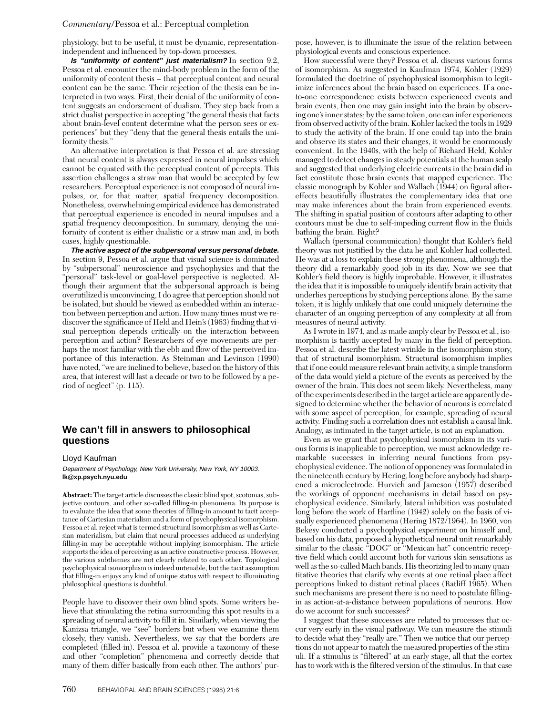physiology, but to be useful, it must be dynamic, representationindependent and influenced by top-down processes.

**Is "uniformity of content" just materialism?** In section 9.2, Pessoa et al. encounter the mind-body problem in the form of the uniformity of content thesis – that perceptual content and neural content can be the same. Their rejection of the thesis can be interpreted in two ways. First, their denial of the uniformity of content suggests an endorsement of dualism. They step back from a strict dualist perspective in accepting "the general thesis that facts about brain-level content determine what the person sees or experiences" but they "deny that the general thesis entails the uniformity thesis."

An alternative interpretation is that Pessoa et al. are stressing that neural content is always expressed in neural impulses which cannot be equated with the perceptual content of percepts. This assertion challenges a straw man that would be accepted by few researchers. Perceptual experience is not composed of neural impulses, or, for that matter, spatial frequency decomposition. Nonetheless, overwhelming empirical evidence has demonstrated that perceptual experience is encoded in neural impulses and a spatial frequency decomposition. In summary, denying the uniformity of content is either dualistic or a straw man and, in both cases, highly questionable.

**The active aspect of the subpersonal versus personal debate.** In section 9, Pessoa et al. argue that visual science is dominated by "subpersonal" neuroscience and psychophysics and that the "personal" task-level or goal-level perspective is neglected. Although their argument that the subpersonal approach is being overutilized is unconvincing, I do agree that perception should not be isolated, but should be viewed as embedded within an interaction between perception and action. How many times must we rediscover the significance of Held and Hein's (1963) finding that visual perception depends critically on the interaction between perception and action? Researchers of eye movements are perhaps the most familiar with the ebb and flow of the perceived importance of this interaction. As Steinman and Levinson (1990) have noted, "we are inclined to believe, based on the history of this area, that interest will last a decade or two to be followed by a period of neglect" (p. 115).

# **We can't fill in answers to philosophical questions**

#### Lloyd Kaufman

Department of Psychology, New York University, New York, NY 10003. **lk@xp.psych.nyu.edu**

**Abstract:** The target article discusses the classic blind spot, scotomas, subjective contours, and other so-called filling-in phenomena. Its purpose is to evaluate the idea that some theories of filling-in amount to tacit acceptance of Cartesian materialism and a form of psychophysical isomorphism. Pessoa et al. reject what is termed structural isomorphism as well as Cartesian materialism, but claim that neural processes adduced as underlying filling-in may be acceptable without implying isomorphism. The article supports the idea of perceiving as an active constructive process. However, the various subthemes are not clearly related to each other. Topological psychophysical isomorphism is indeed untenable, but the tacit assumption that filling-in enjoys any kind of unique status with respect to illuminating philosophical questions is doubtful.

People have to discover their own blind spots. Some writers believe that stimulating the retina surrounding this spot results in a spreading of neural activity to fill it in. Similarly, when viewing the Kanizsa triangle, we "see" borders but when we examine them closely, they vanish. Nevertheless, we say that the borders are completed (filled-in). Pessoa et al. provide a taxonomy of these and other "completion" phenomena and correctly decide that many of them differ basically from each other. The authors' purpose, however, is to illuminate the issue of the relation between physiological events and conscious experience.

How successful were they? Pessoa et al. discuss various forms of isomorphism. As suggested in Kaufman 1974, Kohler (1929) formulated the doctrine of psychophysical isomorphism to legitimize inferences about the brain based on experiences. If a oneto-one correspondence exists between experienced events and brain events, then one may gain insight into the brain by observing one's inner states; by the same token, one can infer experiences from observed activity of the brain. Kohler lacked the tools in 1929 to study the activity of the brain. If one could tap into the brain and observe its states and their changes, it would be enormously convenient. In the 1940s, with the help of Richard Held, Kohler managed to detect changes in steady potentials at the human scalp and suggested that underlying electric currents in the brain did in fact constitute those brain events that mapped experience. The classic monograph by Kohler and Wallach (1944) on figural aftereffects beautifully illustrates the complementary idea that one may make inferences about the brain from experienced events. The shifting in spatial position of contours after adapting to other contours must be due to self-impeding current flow in the fluids bathing the brain. Right?

Wallach (personal communication) thought that Kohler's field theory was not justified by the data he and Kohler had collected. He was at a loss to explain these strong phenomena, although the theory did a remarkably good job in its day. Now we see that Kohler's field theory is highly improbable. However, it illustrates the idea that it is impossible to uniquely identify brain activity that underlies perceptions by studying perceptions alone. By the same token, it is highly unlikely that one could uniquely determine the character of an ongoing perception of any complexity at all from measures of neural activity.

As I wrote in 1974, and as made amply clear by Pessoa et al., isomorphism is tacitly accepted by many in the field of perception. Pessoa et al. describe the latest wrinkle in the isomorphism story, that of structural isomorphism. Structural isomorphism implies that if one could measure relevant brain activity, a simple transform of the data would yield a picture of the events as perceived by the owner of the brain. This does not seem likely. Nevertheless, many of the experiments described in the target article are apparently designed to determine whether the behavior of neurons is correlated with some aspect of perception, for example, spreading of neural activity. Finding such a correlation does not establish a causal link. Analogy, as intimated in the target article, is not an explanation.

Even as we grant that psychophysical isomorphism in its various forms is inapplicable to perception, we must acknowledge remarkable successes in inferring neural functions from psychophysical evidence. The notion of opponency was formulated in the nineteenth century by Hering, long before anybody had sharpened a microelectrode. Hurvich and Jameson (1957) described the workings of opponent mechanisms in detail based on psychophysical evidence. Similarly, lateral inhibition was postulated long before the work of Hartline (1942) solely on the basis of visually experienced phenomena (Hering 1872/1964). In 1960, von Bekesy conducted a psychophysical experiment on himself and, based on his data, proposed a hypothetical neural unit remarkably similar to the classic "DOG" or "Mexican hat" concentric receptive field which could account both for various skin sensations as well as the so-called Mach bands. His theorizing led to many quantitative theories that clarify why events at one retinal place affect perceptions linked to distant retinal places (Ratliff 1965). When such mechanisms are present there is no need to postulate fillingin as action-at-a-distance between populations of neurons. How do we account for such successes?

I suggest that these successes are related to processes that occur very early in the visual pathway. We can measure the stimuli to decide what they "really are." Then we notice that our perceptions do not appear to match the measured properties of the stimuli. If a stimulus is "filtered" at an early stage, all that the cortex has to work with is the filtered version of the stimulus. In that case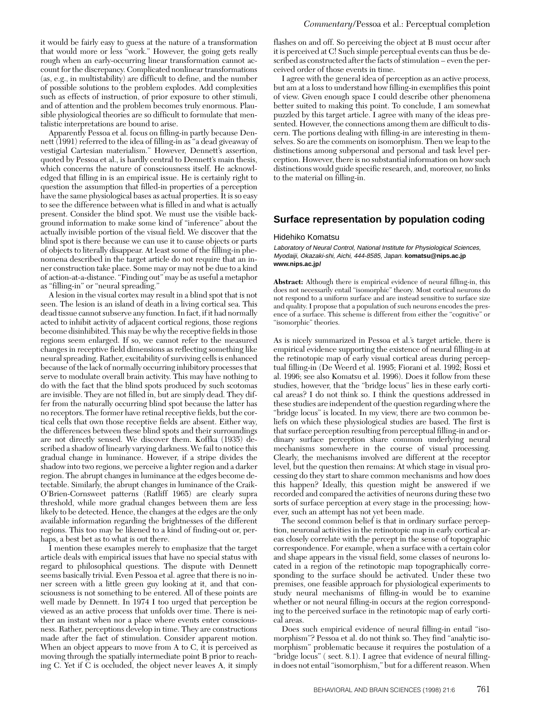it would be fairly easy to guess at the nature of a transformation that would more or less "work." However, the going gets really rough when an early-occurring linear transformation cannot account for the discrepancy. Complicated nonlinear transformations (as, e.g., in multistability) are difficult to define, and the number of possible solutions to the problem explodes. Add complexities such as effects of instruction, of prior exposure to other stimuli, and of attention and the problem becomes truly enormous. Plausible physiological theories are so difficult to formulate that mentalistic interpretations are bound to arise.

Apparently Pessoa et al. focus on filling-in partly because Dennett (1991) referred to the idea of filling-in as "a dead giveaway of vestigial Cartesian materialism." However, Dennett's assertion, quoted by Pessoa et al., is hardly central to Dennett's main thesis, which concerns the nature of consciousness itself. He acknowledged that filling in is an empirical issue. He is certainly right to question the assumption that filled-in properties of a perception have the same physiological bases as actual properties. It is so easy to see the difference between what is filled in and what is actually present. Consider the blind spot. We must use the visible background information to make some kind of "inference" about the actually invisible portion of the visual field. We discover that the blind spot is there because we can use it to cause objects or parts of objects to literally disappear. At least some of the filling-in phenomena described in the target article do not require that an inner construction take place. Some may or may not be due to a kind of action-at-a-distance. "Finding out" may be as useful a metaphor as "filling-in" or "neural spreading."

A lesion in the visual cortex may result in a blind spot that is not seen. The lesion is an island of death in a living cortical sea. This dead tissue cannot subserve any function. In fact, if it had normally acted to inhibit activity of adjacent cortical regions, those regions become disinhibited. This may be why the receptive fields in those regions seem enlarged. If so, we cannot refer to the measured changes in receptive field dimensions as reflecting something like neural spreading. Rather, excitability of surviving cells is enhanced because of the lack of normally occurring inhibitory processes that serve to modulate overall brain activity. This may have nothing to do with the fact that the blind spots produced by such scotomas are invisible. They are not filled in, but are simply dead. They differ from the naturally occurring blind spot because the latter has no receptors. The former have retinal receptive fields, but the cortical cells that own those receptive fields are absent. Either way, the differences between these blind spots and their surroundings are not directly sensed. We discover them. Koffka (1935) described a shadow of linearly varying darkness. We fail to notice this gradual change in luminance. However, if a stripe divides the shadow into two regions, we perceive a lighter region and a darker region. The abrupt changes in luminance at the edges become detectable. Similarly, the abrupt changes in luminance of the Craik-O'Brien-Cornsweet patterns (Ratliff 1965) are clearly supra threshold, while more gradual changes between them are less likely to be detected. Hence, the changes at the edges are the only available information regarding the brightnesses of the different regions. This too may be likened to a kind of finding-out or, perhaps, a best bet as to what is out there.

I mention these examples merely to emphasize that the target article deals with empirical issues that have no special status with regard to philosophical questions. The dispute with Dennett seems basically trivial. Even Pessoa et al. agree that there is no inner screen with a little green guy looking at it, and that consciousness is not something to be entered. All of these points are well made by Dennett. In 1974 I too urged that perception be viewed as an active process that unfolds over time. There is neither an instant when nor a place where events enter consciousness. Rather, perceptions develop in time. They are constructions made after the fact of stimulation. Consider apparent motion. When an object appears to move from A to C, it is perceived as moving through the spatially intermediate point B prior to reaching C. Yet if C is occluded, the object never leaves A, it simply

flashes on and off. So perceiving the object at B must occur after it is perceived at C! Such simple perceptual events can thus be described as constructed after the facts of stimulation – even the perceived order of those events in time.

I agree with the general idea of perception as an active process, but am at a loss to understand how filling-in exemplifies this point of view. Given enough space I could describe other phenomena better suited to making this point. To conclude, I am somewhat puzzled by this target article. I agree with many of the ideas presented. However, the connections among them are difficult to discern. The portions dealing with filling-in are interesting in themselves. So are the comments on isomorphism. Then we leap to the distinctions among subpersonal and personal and task level perception. However, there is no substantial information on how such distinctions would guide specific research, and, moreover, no links to the material on filling-in.

# **Surface representation by population coding**

#### Hidehiko Komatsu

Laboratory of Neural Control, National Institute for Physiological Sciences, Myodaiji, Okazaki-shi, Aichi, 444-8585, Japan. **komatsu@nips.ac.jp www.nips.ac.jp/**

**Abstract:** Although there is empirical evidence of neural filling-in, this does not necessarily entail "isomorphic" theory. Most cortical neurons do not respond to a uniform surface and are instead sensitive to surface size and quality. I propose that a population of such neurons encodes the presence of a surface. This scheme is different from either the "cognitive" or "isomorphic" theories.

As is nicely summarized in Pessoa et al.'s target article, there is empirical evidence supporting the existence of neural filling-in at the retinotopic map of early visual cortical areas during perceptual filling-in (De Weerd et al. 1995; Fiorani et al. 1992; Rossi et al. 1996; see also Komatsu et al. 1996). Does it follow from these studies, however, that the "bridge locus" lies in these early cortical areas? I do not think so. I think the questions addressed in these studies are independent of the question regarding where the "bridge locus" is located. In my view, there are two common beliefs on which these physiological studies are based. The first is that surface perception resulting from perceptual filling-in and ordinary surface perception share common underlying neural mechanisms somewhere in the course of visual processing. Clearly, the mechanisms involved are different at the receptor level, but the question then remains: At which stage in visual processing do they start to share common mechanisms and how does this happen? Ideally, this question might be answered if we recorded and compared the activities of neurons during these two sorts of surface perception at every stage in the processing; however, such an attempt has not yet been made.

The second common belief is that in ordinary surface perception, neuronal activities in the retinotopic map in early cortical areas closely correlate with the percept in the sense of topographic correspondence. For example, when a surface with a certain color and shape appears in the visual field, some classes of neurons located in a region of the retinotopic map topographically corresponding to the surface should be activated. Under these two premises, one feasible approach for physiological experiments to study neural mechanisms of filling-in would be to examine whether or not neural filling-in occurs at the region corresponding to the perceived surface in the retinotopic map of early cortical areas.

Does such empirical evidence of neural filling-in entail "isomorphism"? Pessoa et al. do not think so. They find "analytic isomorphism" problematic because it requires the postulation of a "bridge locus" ( sect. 8.1). I agree that evidence of neural fillingin does not entail "isomorphism," but for a different reason. When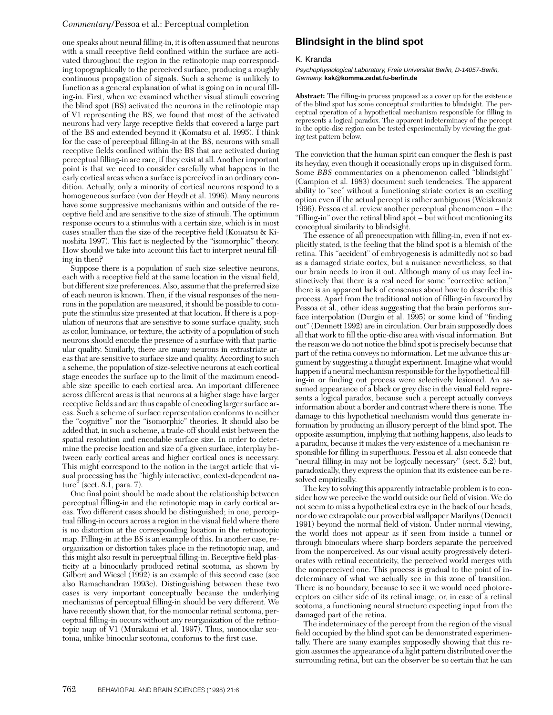one speaks about neural filling-in, it is often assumed that neurons with a small receptive field confined within the surface are activated throughout the region in the retinotopic map corresponding topographically to the perceived surface, producing a roughly continuous propagation of signals. Such a scheme is unlikely to function as a general explanation of what is going on in neural filling-in. First, when we examined whether visual stimuli covering the blind spot (BS) activated the neurons in the retinotopic map of V1 representing the BS, we found that most of the activated neurons had very large receptive fields that covered a large part of the BS and extended beyond it (Komatsu et al. 1995). I think for the case of perceptual filling-in at the BS, neurons with small receptive fields confined within the BS that are activated during perceptual filling-in are rare, if they exist at all. Another important point is that we need to consider carefully what happens in the early cortical areas when a surface is perceived in an ordinary condition. Actually, only a minority of cortical neurons respond to a homogeneous surface (von der Heydt et al. 1996). Many neurons have some suppressive mechanisms within and outside of the receptive field and are sensitive to the size of stimuli. The optimum response occurs to a stimulus with a certain size, which is in most cases smaller than the size of the receptive field (Komatsu & Kinoshita 1997). This fact is neglected by the "isomorphic" theory. How should we take into account this fact to interpret neural filling-in then?

Suppose there is a population of such size-selective neurons, each with a receptive field at the same location in the visual field, but different size preferences. Also, assume that the preferred size of each neuron is known. Then, if the visual responses of the neurons in the population are measured, it should be possible to compute the stimulus size presented at that location. If there is a population of neurons that are sensitive to some surface quality, such as color, luminance, or texture, the activity of a population of such neurons should encode the presence of a surface with that particular quality. Similarly, there are many neurons in extrastriate areas that are sensitive to surface size and quality. According to such a scheme, the population of size-selective neurons at each cortical stage encodes the surface up to the limit of the maximum encodable size specific to each cortical area. An important difference across different areas is that neurons at a higher stage have larger receptive fields and are thus capable of encoding larger surface areas. Such a scheme of surface representation conforms to neither the "cognitive" nor the "isomorphic" theories. It should also be added that, in such a scheme, a trade-off should exist between the spatial resolution and encodable surface size. In order to determine the precise location and size of a given surface, interplay between early cortical areas and higher cortical ones is necessary. This might correspond to the notion in the target article that visual processing has the "highly interactive, context-dependent nature" (sect. 8.1, para. 7).

One final point should be made about the relationship between perceptual filling-in and the retinotopic map in early cortical areas. Two different cases should be distinguished; in one, perceptual filling-in occurs across a region in the visual field where there is no distortion at the corresponding location in the retinotopic map. Filling-in at the BS is an example of this. In another case, reorganization or distortion takes place in the retinotopic map, and this might also result in perceptual filling-in. Receptive field plasticity at a binocularly produced retinal scotoma, as shown by Gilbert and Wiesel (1992) is an example of this second case (see also Ramachandran 1993c). Distinguishing between these two cases is very important conceptually because the underlying mechanisms of perceptual filling-in should be very different. We have recently shown that, for the monocular retinal scotoma, perceptual filling-in occurs without any reorganization of the retinotopic map of V1 (Murakami et al. 1997). Thus, monocular scotoma, unlike binocular scotoma, conforms to the first case.

# **Blindsight in the blind spot**

#### K. Kranda

Psychophysiological Laboratory, Freie Universität Berlin, D-14057-Berlin, Germany. **ksk@komma.zedat.fu-berlin.de**

**Abstract:** The filling-in process proposed as a cover up for the existence of the blind spot has some conceptual similarities to blindsight. The perceptual operation of a hypothetical mechanism responsible for filling in represents a logical paradox. The apparent indeterminacy of the percept in the optic-disc region can be tested experimentally by viewing the grating test pattern below.

The conviction that the human spirit can conquer the flesh is past its heyday, even though it occasionally crops up in disguised form. Some *BBS* commentaries on a phenomenon called "blindsight" (Campion et al. 1983) document such tendencies. The apparent ability to "see" without a functioning striate cortex is an exciting option even if the actual percept is rather ambiguous (Weiskrantz 1996). Pessoa et al. review another perceptual phenomenon – the "filling-in" over the retinal blind spot – but without mentioning its conceptual similarity to blindsight.

The essence of all preoccupation with filling-in, even if not explicitly stated, is the feeling that the blind spot is a blemish of the retina. This "accident" of embryogenesis is admittedly not so bad as a damaged striate cortex, but a nuisance nevertheless, so that our brain needs to iron it out. Although many of us may feel instinctively that there is a real need for some "corrective action," there is an apparent lack of consensus about how to describe this process. Apart from the traditional notion of filling-in favoured by Pessoa et al., other ideas suggesting that the brain performs surface interpolation (Durgin et al. 1995) or some kind of "finding out" (Dennett 1992) are in circulation. Our brain supposedly does all that work to fill the optic-disc area with visual information. But the reason we do not notice the blind spot is precisely because that part of the retina conveys no information. Let me advance this argument by suggesting a thought experiment. Imagine what would happen if a neural mechanism responsible for the hypothetical filling-in or finding out process were selectively lesioned. An assumed appearance of a black or grey disc in the visual field represents a logical paradox, because such a percept actually conveys information about a border and contrast where there is none. The damage to this hypothetical mechanism would thus generate information by producing an illusory percept of the blind spot. The opposite assumption, implying that nothing happens, also leads to a paradox, because it makes the very existence of a mechanism responsible for filling-in superfluous. Pessoa et al. also concede that "neural filling-in may not be logically necessary" (sect. 5.2) but, paradoxically, they express the opinion that its existence can be resolved empirically.

The key to solving this apparently intractable problem is to consider how we perceive the world outside our field of vision. We do not seem to miss a hypothetical extra eye in the back of our heads, nor do we extrapolate our proverbial wallpaper Marilyns (Dennett 1991) beyond the normal field of vision. Under normal viewing, the world does not appear as if seen from inside a tunnel or through binoculars where sharp borders separate the perceived from the nonperceived. As our visual acuity progressively deteriorates with retinal eccentricity, the perceived world merges with the nonperceived one. This process is gradual to the point of indeterminacy of what we actually see in this zone of transition. There is no boundary, because to see it we would need photoreceptors on either side of its retinal image, or, in case of a retinal scotoma, a functioning neural structure expecting input from the damaged part of the retina.

The indeterminacy of the percept from the region of the visual field occupied by the blind spot can be demonstrated experimentally. There are many examples supposedly showing that this region assumes the appearance of a light pattern distributed over the surrounding retina, but can the observer be so certain that he can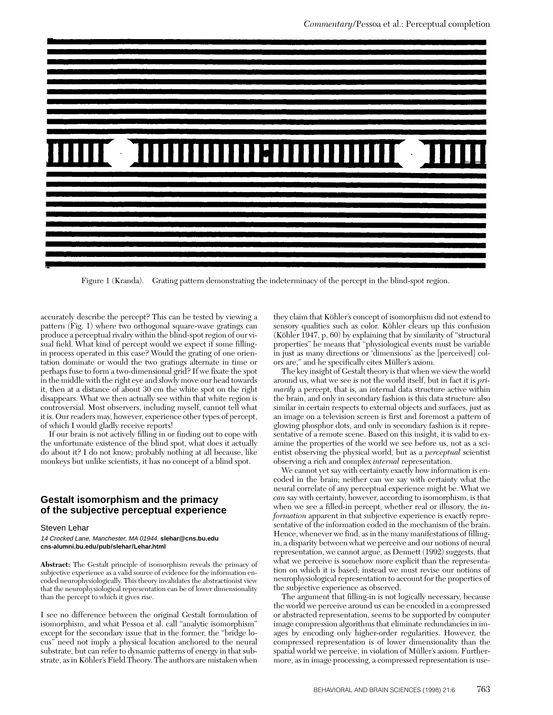

Figure 1 (Kranda). Grating pattern demonstrating the indeterminacy of the percept in the blind-spot region.

accurately describe the percept? This can be tested by viewing a pattern (Fig. 1) where two orthogonal square-wave gratings can produce a perceptual rivalry within the blind-spot region of our visual field. What kind of percept would we expect if some fillingin process operated in this case? Would the grating of one orientation dominate or would the two gratings alternate in time or perhaps fuse to form a two-dimensional grid? If we fixate the spot in the middle with the right eye and slowly move our head towards it, then at a distance of about 30 cm the white spot on the right disappears. What we then actually see within that white region is controversial. Most observers, including myself, cannot tell what it is. Our readers may, however, experience other types of percept, of which I would gladly receive reports!

If our brain is not actively filling in or finding out to cope with the unfortunate existence of the blind spot, what does it actually do about it? I do not know; probably nothing at all because, like monkeys but unlike scientists, it has no concept of a blind spot.

# **Gestalt isomorphism and the primacy of the subjective perceptual experience**

Steven Lehar

14 Crocked Lane, Manchester, MA 01944. **slehar@cns.bu.edu cns-alumni.bu.edu/pub/slehar/Lehar.html**

**Abstract:** The Gestalt principle of isomorphism reveals the primacy of subjective experience as a valid source of evidence for the information encoded neurophysiologically. This theory invalidates the abstractionist view that the neurophysiological representation can be of lower dimensionality than the percept to which it gives rise.

I see no difference between the original Gestalt formulation of isomorphism, and what Pessoa et al. call "analytic isomorphism" except for the secondary issue that in the former, the "bridge locus" need not imply a physical location anchored to the neural substrate, but can refer to dynamic patterns of energy in that substrate, as in Köhler's Field Theory. The authors are mistaken when

they claim that Köhler's concept of isomorphism did not extend to sensory qualities such as color. Köhler clears up this confusion (Köhler 1947, p. 60) by explaining that by similarity of "structural properties" he means that "physiological events must be variable in just as many directions or 'dimensions' as the [perceived] colors are," and he specifically cites Müller's axiom.

The key insight of Gestalt theory is that when we view the world around us, what we see is not the world itself, but in fact it is *primarily* a percept, that is, an internal data structure active within the brain, and only in secondary fashion is this data structure also similar in certain respects to external objects and surfaces, just as an image on a television screen is first and foremost a pattern of glowing phosphor dots, and only in secondary fashion is it representative of a remote scene. Based on this insight, it is valid to examine the properties of the world we see before us, not as a scientist observing the physical world, but as a *perceptual* scientist observing a rich and complex *internal* representation.

We cannot yet say with certainty exactly how information is encoded in the brain; neither can we say with certainty what the neural correlate of any perceptual experience might be. What we *can* say with certainty, however, according to isomorphism, is that when we see a filled-in percept, whether real or illusory, the *information* apparent in that subjective experience is exactly representative of the information coded in the mechanism of the brain. Hence, whenever we find, as in the many manifestations of fillingin, a disparity between what we perceive and our notions of neural representation, we cannot argue, as Dennett (1992) suggests, that what we perceive is somehow more explicit than the representation on which it is based; instead we must revise our notions of neurophysiological representation to account for the properties of the subjective experience as observed.

The argument that filling-in is not logically necessary, because the world we perceive around us can be encoded in a compressed or abstracted representation, seems to be supported by computer image compression algorithms that eliminate redundancies in images by encoding only higher-order regularities. However, the compressed representation is of lower dimensionality than the spatial world we perceive, in violation of Müller's axiom. Furthermore, as in image processing, a compressed representation is use-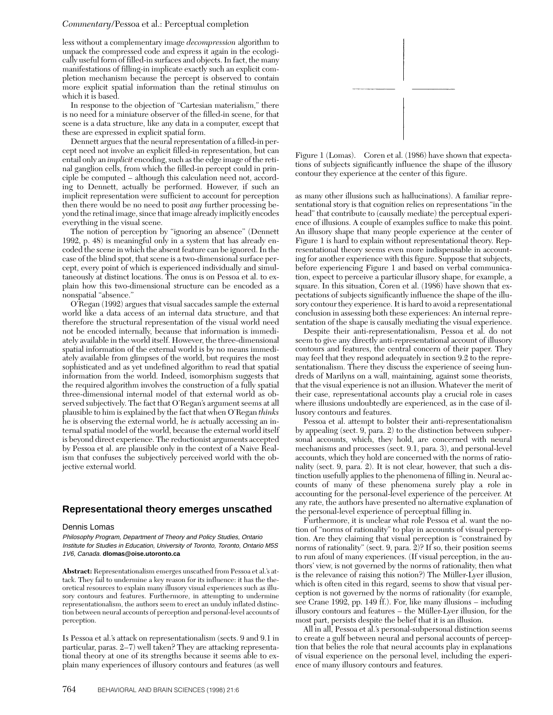less without a complementary image *decompression* algorithm to unpack the compressed code and express it again in the ecologically useful form of filled-in surfaces and objects. In fact, the many manifestations of filling-in implicate exactly such an explicit completion mechanism because the percept is observed to contain more explicit spatial information than the retinal stimulus on which it is based.

In response to the objection of "Cartesian materialism," there is no need for a miniature observer of the filled-in scene, for that scene is a data structure, like any data in a computer, except that these are expressed in explicit spatial form.

Dennett argues that the neural representation of a filled-in percept need not involve an explicit filled-in representation, but can entail only an *implicit* encoding, such as the edge image of the retinal ganglion cells, from which the filled-in percept could in principle be computed – although this calculation need not, according to Dennett, actually be performed. However, if such an implicit representation were sufficient to account for perception then there would be no need to posit *any* further processing beyond the retinal image, since that image already implicitly encodes everything in the visual scene.

The notion of perception by "ignoring an absence" (Dennett 1992, p. 48) is meaningful only in a system that has already encoded the scene in which the absent feature can be ignored. In the case of the blind spot, that scene is a two-dimensional surface percept, every point of which is experienced individually and simultaneously at distinct locations. The onus is on Pessoa et al. to explain how this two-dimensional structure can be encoded as a nonspatial "absence."

O'Regan (1992) argues that visual saccades sample the external world like a data access of an internal data structure, and that therefore the structural representation of the visual world need not be encoded internally, because that information is immediately available in the world itself. However, the three-dimensional spatial information of the external world is by no means immediately available from glimpses of the world, but requires the most sophisticated and as yet undefined algorithm to read that spatial information from the world. Indeed, isomorphism suggests that the required algorithm involves the construction of a fully spatial three-dimensional internal model of that external world as observed subjectively. The fact that O'Regan's argument seems at all plausible to him is explained by the fact that when O'Regan *thinks* he is observing the external world, he *is* actually accessing an internal spatial model of the world, because the external world itself is beyond direct experience. The reductionist arguments accepted by Pessoa et al. are plausible only in the context of a Naive Realism that confuses the subjectively perceived world with the objective external world.

# **Representational theory emerges unscathed**

#### Dennis Lomas

Philosophy Program, Department of Theory and Policy Studies, Ontario Institute for Studies in Education, University of Toronto, Toronto, Ontario M5S 1V6, Canada. **dlomas@oise.utoronto.ca**

**Abstract:** Representationalism emerges unscathed from Pessoa et al.'s attack. They fail to undermine a key reason for its influence: it has the theoretical resources to explain many illusory visual experiences such as illusory contours and features. Furthermore, in attempting to undermine representationalism, the authors seem to erect an unduly inflated distinction between neural accounts of perception and personal-level accounts of perception.

Is Pessoa et al.'s attack on representationalism (sects. 9 and 9.1 in particular, paras. 2–7) well taken? They are attacking representational theory at one of its strengths because it seems able to explain many experiences of illusory contours and features (as well



Figure 1 (Lomas). Coren et al. (1986) have shown that expectations of subjects significantly influence the shape of the illusory contour they experience at the center of this figure.

as many other illusions such as hallucinations). A familiar representational story is that cognition relies on representations "in the head" that contribute to (causally mediate) the perceptual experience of illusions. A couple of examples suffice to make this point. An illusory shape that many people experience at the center of Figure 1 is hard to explain without representational theory. Representational theory seems even more indispensable in accounting for another experience with this figure. Suppose that subjects, before experiencing Figure 1 and based on verbal communication, expect to perceive a particular illusory shape, for example, a square. In this situation, Coren et al. (1986) have shown that expectations of subjects significantly influence the shape of the illusory contour they experience. It is hard to avoid a representational conclusion in assessing both these experiences: An internal representation of the shape is causally mediating the visual experience.

Despite their anti-representationalism, Pessoa et al. do not seem to give any directly anti-representational account of illusory contours and features, the central concern of their paper. They may feel that they respond adequately in section 9.2 to the representationalism. There they discuss the experience of seeing hundreds of Marilyns on a wall, maintaining, against some theorists, that the visual experience is not an illusion. Whatever the merit of their case, representational accounts play a crucial role in cases where illusions undoubtedly are experienced, as in the case of illusory contours and features.

Pessoa et al. attempt to bolster their anti-representationalism by appealing (sect. 9, para. 2) to the distinction between subpersonal accounts, which, they hold, are concerned with neural mechanisms and processes (sect. 9.1, para. 3), and personal-level accounts, which they hold are concerned with the norms of rationality (sect. 9, para. 2). It is not clear, however, that such a distinction usefully applies to the phenomena of filling in. Neural accounts of many of these phenomena surely play a role in accounting for the personal-level experience of the perceiver. At any rate, the authors have presented no alternative explanation of the personal-level experience of perceptual filling in.

Furthermore, it is unclear what role Pessoa et al. want the notion of "norms of rationality" to play in accounts of visual perception. Are they claiming that visual perception is "constrained by norms of rationality" (sect. 9, para. 2)? If so, their position seems to run afoul of many experiences. (If visual perception, in the authors' view, is not governed by the norms of rationality, then what is the relevance of raising this notion?) The Müller-Lyer illusion, which is often cited in this regard, seems to show that visual perception is not governed by the norms of rationality (for example, see Crane 1992, pp. 149 ff.). For, like many illusions – including illusory contours and features – the Müller-Lyer illusion, for the most part, persists despite the belief that it is an illusion.

All in all, Pessoa et al.'s personal-subpersonal distinction seems to create a gulf between neural and personal accounts of perception that belies the role that neural accounts play in explanations of visual experience on the personal level, including the experience of many illusory contours and features.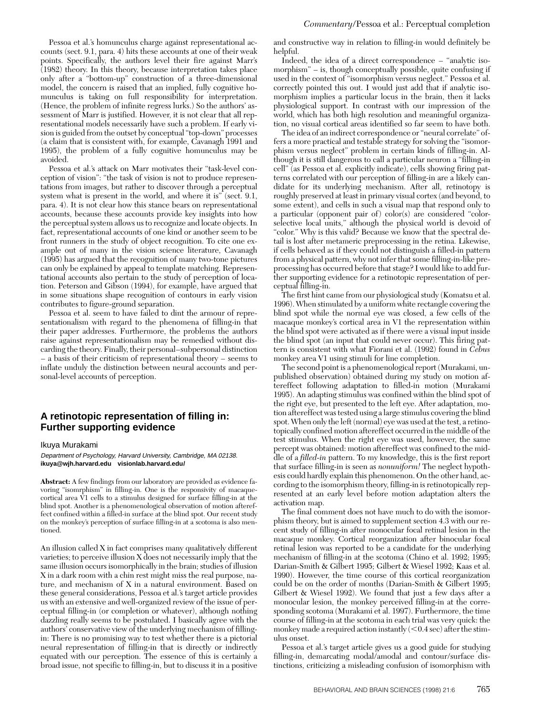Pessoa et al.'s homunculus charge against representational accounts (sect. 9.1, para. 4) hits these accounts at one of their weak points. Specifically, the authors level their fire against Marr's (1982) theory. In this theory, because interpretation takes place only after a "bottom-up" construction of a three-dimensional model, the concern is raised that an implied, fully cognitive homunculus is taking on full responsibility for interpretation. (Hence, the problem of infinite regress lurks.) So the authors' assessment of Marr is justified. However, it is not clear that all representational models necessarily have such a problem. If early vision is guided from the outset by conceptual "top-down" processes (a claim that is consistent with, for example, Cavanagh 1991 and 1995), the problem of a fully cognitive homunculus may be avoided.

Pessoa et al.'s attack on Marr motivates their "task-level conception of vision": "the task of vision is not to produce representations from images, but rather to discover through a perceptual system what is present in the world, and where it is" (sect. 9.1, para. 4). It is not clear how this stance bears on representational accounts, because these accounts provide key insights into how the perceptual system allows us to recognize and locate objects. In fact, representational accounts of one kind or another seem to be front runners in the study of object recognition. To cite one example out of many in the vision science literature, Cavanagh (1995) has argued that the recognition of many two-tone pictures can only be explained by appeal to template matching. Representational accounts also pertain to the study of perception of location. Peterson and Gibson (1994), for example, have argued that in some situations shape recognition of contours in early vision contributes to figure-ground separation.

Pessoa et al. seem to have failed to dint the armour of representationalism with regard to the phenomena of filling-in that their paper addresses. Furthermore, the problems the authors raise against representationalism may be remedied without discarding the theory. Finally, their personal–subpersonal distinction – a basis of their criticism of representational theory – seems to inflate unduly the distinction between neural accounts and personal-level accounts of perception.

# **A retinotopic representation of filling in: Further supporting evidence**

#### Ikuya Murakami

Department of Psychology, Harvard University, Cambridge, MA 02138. **ikuya@wjh.harvard.edu visionlab.harvard.edu/**

**Abstract:** A few findings from our laboratory are provided as evidence favoring "isomrphism" in filling-in. One is the responsivity of macaquecortical area V1 cells to a stimulus designed for surface filling-in at the blind spot. Another is a phenomenological observation of motion aftereffect confined within a filled-in surface at the blind spot. Our recent study on the monkey's perception of surface filling-in at a scotoma is also mentioned.

An illusion called X in fact comprises many qualitatively different varieties; to perceive illusion X does not necessarily imply that the same illusion occurs isomorphically in the brain; studies of illusion X in a dark room with a chin rest might miss the real purpose, nature, and mechanism of X in a natural environment. Based on these general considerations, Pessoa et al.'s target article provides us with an extensive and well-organized review of the issue of perceptual filling-in (or completion or whatever), although nothing dazzling really seems to be postulated. I basically agree with the authors' conservative view of the underlying mechanism of fillingin: There is no promising way to test whether there is a pictorial neural representation of filling-in that is directly or indirectly equated with our perception. The essence of this is certainly a broad issue, not specific to filling-in, but to discuss it in a positive

and constructive way in relation to filling-in would definitely be helpful.

Indeed, the idea of a direct correspondence – "analytic isomorphism" – is, though conceptually possible, quite confusing if used in the context of "isomorphism versus neglect." Pessoa et al. correctly pointed this out. I would just add that if analytic isomorphism implies a particular locus in the brain, then it lacks physiological support. In contrast with our impression of the world, which has both high resolution and meaningful organization, no visual cortical areas identified so far seem to have both.

The idea of an indirect correspondence or "neural correlate" offers a more practical and testable strategy for solving the "isomorphism versus neglect" problem in certain kinds of filling-in. Although it is still dangerous to call a particular neuron a "filling-in cell" (as Pessoa et al. explicitly indicate), cells showing firing patterns correlated with our perception of filling-in are a likely candidate for its underlying mechanism. After all, retinotopy is roughly preserved at least in primary visual cortex (and beyond, to some extent), and cells in such a visual map that respond only to a particular (opponent pair of) color(s) are considered "colorselective local units," although the physical world is devoid of "color." Why is this valid? Because we know that the spectral detail is lost after metameric preprocessing in the retina. Likewise, if cells behaved as if they could not distinguish a filled-in pattern from a physical pattern, why not infer that some filling-in-like preprocessing has occurred before that stage? I would like to add further supporting evidence for a retinotopic representation of perceptual filling-in.

The first hint came from our physiological study (Komatsu et al. 1996). When stimulated by a uniform white rectangle covering the blind spot while the normal eye was closed, a few cells of the macaque monkey's cortical area in V1 the representation within the blind spot were activated as if there were a visual input inside the blind spot (an input that could never occur). This firing pattern is consistent with what Fiorani et al. (1992) found in *Cebus* monkey area V1 using stimuli for line completion.

The second point is a phenomenological report (Murakami, unpublished observation) obtained during my study on motion aftereffect following adaptation to filled-in motion (Murakami 1995). An adapting stimulus was confined within the blind spot of the right eye, but presented to the left eye. After adaptation, motion aftereffect was tested using a large stimulus covering the blind spot. When only the left (normal) eye was used at the test, a retinotopically confined motion aftereffect occurred in the middle of the test stimulus. When the right eye was used, however, the same percept was obtained: motion aftereffect was confined to the middle of a *filled-in* pattern. To my knowledge, this is the first report that surface filling-in is seen as *nonuniform!* The neglect hypothesis could hardly explain this phenomenon. On the other hand, according to the isomorphism theory, filling-in is retinotopically represented at an early level before motion adaptation alters the activation map.

The final comment does not have much to do with the isomorphism theory, but is aimed to supplement section 4.3 with our recent study of filling-in after monocular focal retinal lesion in the macaque monkey. Cortical reorganization after binocular focal retinal lesion was reported to be a candidate for the underlying mechanism of filling-in at the scotoma (Chino et al. 1992; 1995; Darian-Smith & Gilbert 1995; Gilbert & Wiesel 1992; Kaas et al. 1990). However, the time course of this cortical reorganization could be on the order of months (Darian-Smith & Gilbert 1995; Gilbert & Wiesel 1992). We found that just a few days after a monocular lesion, the monkey perceived filling-in at the corresponding scotoma (Murakami et al. 1997). Furthermore, the time course of filling-in at the scotoma in each trial was very quick: the monkey made a required action instantly  $(< 0.4$  sec) after the stimulus onset.

Pessoa et al.'s target article gives us a good guide for studying filling-in, demarcating modal/amodal and contour/surface distinctions, criticizing a misleading confusion of isomorphism with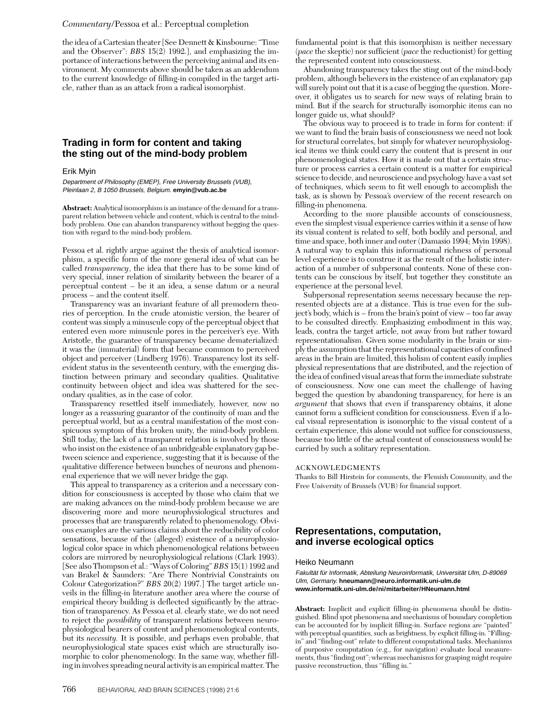the idea of a Cartesian theater [See Dennett & Kinsbourne: "Time and the Observer": *BBS* 15(2) 1992.], and emphasizing the importance of interactions between the perceiving animal and its environment. My comments above should be taken as an addendum to the current knowledge of filling-in compiled in the target article, rather than as an attack from a radical isomorphist.

# **Trading in form for content and taking the sting out of the mind-body problem**

#### Erik Myin

Department of Philosophy (EMEP), Free University Brussels (VUB), Pleinlaan 2, B 1050 Brussels, Belgium. **emyin@vub.ac.be**

**Abstract:** Analytical isomorphism is an instance of the demand for a transparent relation between vehicle and content, which is central to the mindbody problem. One can abandon transparency without begging the question with regard to the mind-body problem.

Pessoa et al. rightly argue against the thesis of analytical isomorphism, a specific form of the more general idea of what can be called *transparency*, the idea that there has to be some kind of very special, inner relation of similarity between the bearer of a perceptual content – be it an idea, a sense datum or a neural process – and the content itself.

Transparency was an invariant feature of all premodern theories of perception. In the crude atomistic version, the bearer of content was simply a minuscule copy of the perceptual object that entered even more minuscule pores in the perceiver's eye. With Aristotle, the guarantee of transparency became dematerialized: it was the (immaterial) form that became common to perceived object and perceiver (Lindberg 1976). Transparency lost its selfevident status in the seventeenth century, with the emerging distinction between primary and secondary qualities. Qualitative continuity between object and idea was shattered for the secondary qualities, as in the case of color.

Transparency resettled itself immediately, however, now no longer as a reassuring guarantor of the continuity of man and the perceptual world, but as a central manifestation of the most conspicuous symptom of this broken unity, the mind-body problem. Still today, the lack of a transparent relation is involved by those who insist on the existence of an unbridgeable explanatory gap between science and experience, suggesting that it is because of the qualitative difference between bunches of neurons and phenomenal experience that we will never bridge the gap.

This appeal to transparency as a criterion and a necessary condition for consciousness is accepted by those who claim that we are making advances on the mind-body problem because we are discovering more and more neurophysiological structures and processes that are transparently related to phenomenology. Obvious examples are the various claims about the reducibility of color sensations, because of the (alleged) existence of a neurophysiological color space in which phenomenological relations between colors are mirrored by neurophysiological relations (Clark 1993). [See also Thompson et al.: "Ways of Coloring" *BBS* 15(1) 1992 and van Brakel & Saunders: "Are There Nontrivial Constraints on Colour Categorization?" *BBS* 20(2) 1997.] The target article unveils in the filling-in literature another area where the course of empirical theory building is deflected significantly by the attraction of transparency. As Pessoa et al. clearly state, we do not need to reject the *possibility* of transparent relations between neurophysiological bearers of content and phenomenological contents, but its *necessity.* It is possible, and perhaps even probable, that neurophysiological state spaces exist which are structurally isomorphic to color phenomenology. In the same way, whether filling in involves spreading neural activity is an empirical matter. The fundamental point is that this isomorphism is neither necessary (*pace* the skeptic) nor sufficient (*pace* the reductionist) for getting the represented content into consciousness.

Abandoning transparency takes the sting out of the mind-body problem, although believers in the existence of an explanatory gap will surely point out that it is a case of begging the question. Moreover, it obligates us to search for new ways of relating brain to mind. But if the search for structurally isomorphic items can no longer guide us, what should?

The obvious way to proceed is to trade in form for content: if we want to find the brain basis of consciousness we need not look for structural correlates, but simply for whatever neurophysiological items we think could carry the content that is present in our phenomenological states. How it is made out that a certain structure or process carries a certain content is a matter for empirical science to decide, and neuroscience and psychology have a vast set of techniques, which seem to fit well enough to accomplish the task, as is shown by Pessoa's overview of the recent research on filling-in phenomena.

According to the more plausible accounts of consciousness, even the simplest visual experience carries within it a sense of how its visual content is related to self, both bodily and personal, and time and space, both inner and outer (Damasio 1994; Myin 1998). A natural way to explain this informational richness of personal level experience is to construe it as the result of the holistic interaction of a number of subpersonal contents. None of these contents can be conscious by itself, but together they constitute an experience at the personal level.

Subpersonal representation seems necessary because the represented objects are at a distance. This is true even for the subject's body, which is – from the brain's point of view – too far away to be consulted directly. Emphasizing embodiment in this way, leads, contra the target article, not away from but rather toward representationalism. Given some modularity in the brain or simply the assumption that the representational capacities of confined areas in the brain are limited, this holism of content easily implies physical representations that are distributed, and the rejection of the idea of confined visual areas that form the immediate substrate of consciousness. Now one can meet the challenge of having begged the question by abandoning transparency, for here is an *argument* that shows that even if transparency obtains, it alone cannot form a sufficient condition for consciousness. Even if a local visual representation is isomorphic to the visual content of a certain experience, this alone would not suffice for consciousness, because too little of the actual content of consciousness would be carried by such a solitary representation.

#### ACKNOWLEDGMENTS

Thanks to Bill Hirstein for comments, the Flemish Community, and the Free University of Brussels (VUB) for financial support.

# **Representations, computation, and inverse ecological optics**

#### Heiko Neumann

Fakultät für Informatik, Abteilung Neuroinformatik, Universität Ulm, D-89069 Ulm, Germany. **hneumann@neuro.informatik.uni-ulm.de www.informatik.uni-ulm.de/ni/mitarbeiter/HNeumann.html**

**Abstract:** Implicit and explicit filling-in phenomena should be distinguished. Blind spot phenomena and mechanisms of boundary completion can be accounted for by implicit filling-in. Surface regions are "painted" with perceptual quantities, such as brightness, by explicit filling-in. "Fillingin" and "finding-out" relate to different computational tasks. Mechanisms of purposive computation (e.g., for navigation) evaluate local measurements, thus "finding out"; whereas mechanisms for grasping might require passive reconstruction, thus "filling in."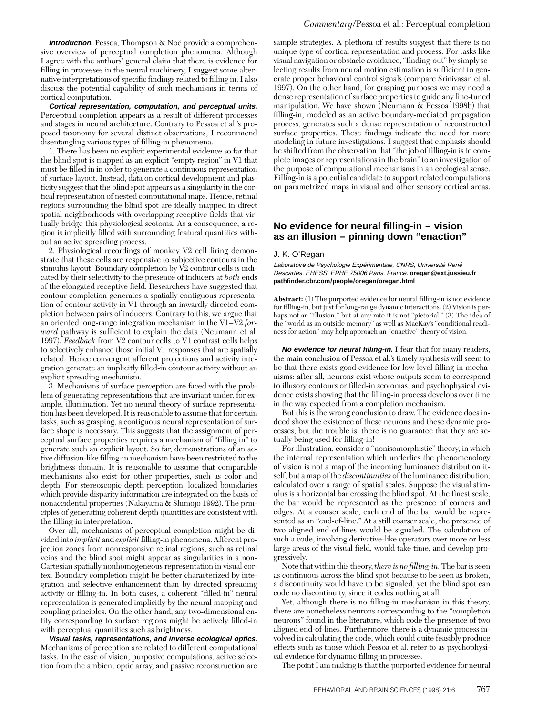**Introduction.** Pessoa, Thompson & Noë provide a comprehensive overview of perceptual completion phenomena. Although I agree with the authors' general claim that there is evidence for filling-in processes in the neural machinery, I suggest some alternative interpretations of specific findings related to filling in. I also discuss the potential capability of such mechanisms in terms of cortical computation.

**Cortical representation, computation, and perceptual units.** Perceptual completion appears as a result of different processes and stages in neural architecture. Contrary to Pessoa et al.'s proposed taxonomy for several distinct observations, I recommend disentangling various types of filling-in phenomena.

1. There has been no explicit experimental evidence so far that the blind spot is mapped as an explicit "empty region" in V1 that must be filled in in order to generate a continuous representation of surface layout. Instead, data on cortical development and plasticity suggest that the blind spot appears as a singularity in the cortical representation of nested computational maps. Hence, retinal regions surrounding the blind spot are ideally mapped in direct spatial neighborhoods with overlapping receptive fields that virtually bridge this physiological scotoma. As a consequence, a region is implicitly filled with surrounding featural quantities without an active spreading process.

2. Physiological recordings of monkey V2 cell firing demonstrate that these cells are responsive to subjective contours in the stimulus layout. Boundary completion by V2 contour cells is indicated by their selectivity to the presence of inducers at *both* ends of the elongated receptive field. Researchers have suggested that contour completion generates a spatially contiguous representation of contour activity in V1 through an inwardly directed completion between pairs of inducers. Contrary to this, we argue that an oriented long-range integration mechanism in the V1–V2 *forward* pathway is sufficient to explain the data (Neumann et al. 1997). *Feedback* from V2 contour cells to V1 contrast cells helps to selectively enhance those initial V1 responses that are spatially related. Hence convergent afferent projections and activity integration generate an implicitly filled-in contour activity without an explicit spreading mechanism.

3. Mechanisms of surface perception are faced with the problem of generating representations that are invariant under, for example, illumination. Yet no neural theory of surface representation has been developed. It is reasonable to assume that for certain tasks, such as grasping, a contiguous neural representation of surface shape is necessary. This suggests that the assignment of perceptual surface properties requires a mechanism of "filling in" to generate such an explicit layout. So far, demonstrations of an active diffusion-like filling-in mechanism have been restricted to the brightness domain. It is reasonable to assume that comparable mechanisms also exist for other properties, such as color and depth. For stereoscopic depth perception, localized boundaries which provide disparity information are integrated on the basis of nonaccidental properties (Nakayama & Shimojo 1992). The principles of generating coherent depth quantities are consistent with the filling-in interpretation.

Over all, mechanisms of perceptual completion might be divided into *implicit* and *explicit* filling-in phenomena. Afferent projection zones from nonresponsive retinal regions, such as retinal veins and the blind spot might appear as singularities in a non-Cartesian spatially nonhomogeneous representation in visual cortex. Boundary completion might be better characterized by integration and selective enhancement than by directed spreading activity or filling-in. In both cases, a coherent "filled-in" neural representation is generated implicitly by the neural mapping and coupling principles. On the other hand, any two-dimensional entity corresponding to surface regions might be actively filled-in with perceptual quantities such as brightness.

**Visual tasks, representations, and inverse ecological optics.** Mechanisms of perception are related to different computational tasks. In the case of vision, purposive computations, active selection from the ambient optic array, and passive reconstruction are

sample strategies. A plethora of results suggest that there is no unique type of cortical representation and process. For tasks like visual navigation or obstacle avoidance, "finding-out" by simply selecting results from neural motion estimation is sufficient to generate proper behavioral control signals (compare Srinivasan et al. 1997). On the other hand, for grasping purposes we may need a dense representation of surface properties to guide any fine-tuned manipulation. We have shown (Neumann & Pessoa 1998b) that filling-in, modeled as an active boundary-mediated propagation process, generates such a dense representation of reconstructed surface properties. These findings indicate the need for more modeling in future investigations. I suggest that emphasis should be shifted from the observation that "the job of filling-in is to complete images or representations in the brain" to an investigation of the purpose of computational mechanisms in an ecological sense. Filling-in is a potential candidate to support related computations on parametrized maps in visual and other sensory cortical areas.

# **No evidence for neural filling-in – vision as an illusion – pinning down "enaction"**

#### J. K. O'Regan

Laboratoire de Psychologie Expérimentale, CNRS, Université René Descartes, EHESS, EPHE 75006 Paris, France. **oregan@ext.jussieu.fr pathfinder.cbr.com/people/oregan/oregan.html**

**Abstract:** (1) The purported evidence for neural filling-in is not evidence for filling-in, but just for long-range dynamic interactions. (2) Vision is perhaps not an "illusion," but at any rate it is not "pictorial." (3) The idea of the "world as an outside memory" as well as MacKay's "conditional readiness for action" may help approach an "enactive" theory of vision.

**No evidence for neural filling-in.** I fear that for many readers, the main conclusion of Pessoa et al.'s timely synthesis will seem to be that there exists good evidence for low-level filling-in mechanisms: after all, neurons exist whose outputs seem to correspond to illusory contours or filled-in scotomas, and psychophysical evidence exists showing that the filling-in process develops over time in the way expected from a completion mechanism.

But this is the wrong conclusion to draw. The evidence does indeed show the existence of these neurons and these dynamic processes, but the trouble is: there is no guarantee that they are actually being used for filling-in!

For illustration, consider a "nonisomorphistic" theory, in which the internal representation which underlies the phenomenology of vision is not a map of the incoming luminance distribution itself, but a map of the *discontinuities* of the luminance distribution, calculated over a range of spatial scales. Suppose the visual stimulus is a horizontal bar crossing the blind spot. At the finest scale, the bar would be represented as the presence of corners and edges. At a coarser scale, each end of the bar would be represented as an "end-of-line." At a still coarser scale, the presence of two aligned end-of-lines would be signaled. The calculation of such a code, involving derivative-like operators over more or less large areas of the visual field, would take time, and develop progressively.

Note that within this theory, *there is no filling-in.* The bar is seen as continuous across the blind spot because to be seen as broken, a discontinuity would have to be signaled, yet the blind spot can code no discontinuity, since it codes nothing at all.

Yet, although there is no filling-in mechanism in this theory, there are nonetheless neurons corresponding to the "completion neurons" found in the literature, which code the presence of two aligned end-of-lines. Furthermore, there is a dynamic process involved in calculating the code, which could quite feasibly produce effects such as those which Pessoa et al. refer to as psychophysical evidence for dynamic filling-in processes.

The point I am making is that the purported evidence for neural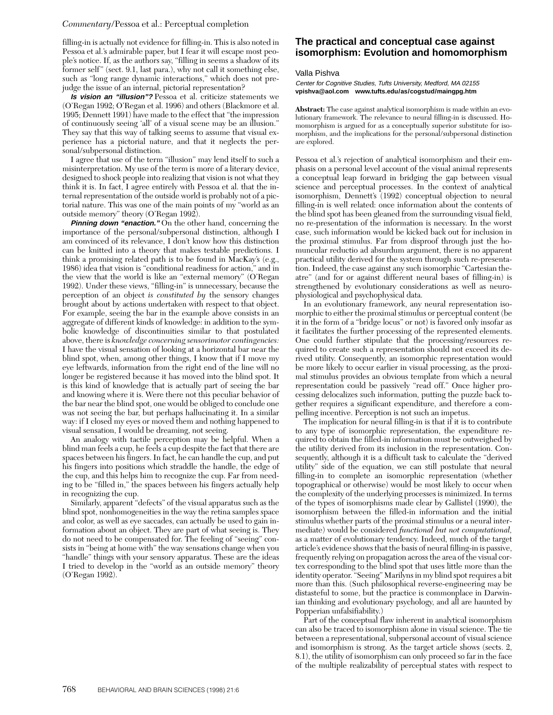filling-in is actually not evidence for filling-in. This is also noted in Pessoa et al.'s admirable paper, but I fear it will escape most people's notice. If, as the authors say, "filling in seems a shadow of its former self" (sect. 9.1, last para.), why not call it something else, such as "long range dynamic interactions," which does not prejudge the issue of an internal, pictorial representation?

**Is vision an "illusion"?** Pessoa et al. criticize statements we (O'Regan 1992; O'Regan et al. 1996) and others (Blackmore et al. 1995; Dennett 1991) have made to the effect that "the impression of continuously seeing 'all' of a visual scene may be an illusion." They say that this way of talking seems to assume that visual experience has a pictorial nature, and that it neglects the personal/subpersonal distinction.

I agree that use of the term "illusion" may lend itself to such a misinterpretation. My use of the term is more of a literary device, designed to shock people into realizing that vision is not what they think it is. In fact, I agree entirely with Pessoa et al. that the internal representation of the outside world is probably not of a pictorial nature. This was one of the main points of my "world as an outside memory" theory (O'Regan 1992).

**Pinning down "enaction."** On the other hand, concerning the importance of the personal/subpersonal distinction, although I am convinced of its relevance, I don't know how this distinction can be knitted into a theory that makes testable predictions. I think a promising related path is to be found in MacKay's (e.g., 1986) idea that vision is "conditional readiness for action," and in the view that the world is like an "external memory" (O'Regan 1992). Under these views, "filling-in" is unnecessary, because the perception of an object *is constituted by* the sensory changes brought about by actions undertaken with respect to that object. For example, seeing the bar in the example above consists in an aggregate of different kinds of knowledge: in addition to the symbolic knowledge of discontinuities similar to that postulated above, there is *knowledge concerning sensorimotor contingencies:* I have the visual sensation of looking at a horizontal bar near the blind spot, when, among other things, I know that if I move my eye leftwards, information from the right end of the line will no longer be registered because it has moved into the blind spot. It is this kind of knowledge that is actually part of seeing the bar and knowing where it is. Were there not this peculiar behavior of the bar near the blind spot, one would be obliged to conclude one was not seeing the bar, but perhaps hallucinating it. In a similar way: if I closed my eyes or moved them and nothing happened to visual sensation, I would be dreaming, not seeing.

An analogy with tactile perception may be helpful. When a blind man feels a cup, he feels a cup despite the fact that there are spaces between his fingers. In fact, he can handle the cup, and put his fingers into positions which straddle the handle, the edge of the cup, and this helps him to recognize the cup. Far from needing to be "filled in," the spaces between his fingers actually help in recognizing the cup.

Similarly, apparent "defects" of the visual apparatus such as the blind spot, nonhomogeneities in the way the retina samples space and color, as well as eye saccades, can actually be used to gain information about an object. They are part of what seeing is. They do not need to be compensated for. The feeling of "seeing" consists in "being at home with" the way sensations change when you "handle" things with your sensory apparatus. These are the ideas I tried to develop in the "world as an outside memory" theory (O'Regan 1992).

# **The practical and conceptual case against isomorphism: Evolution and homomorphism**

#### Valla Pishva

Center for Cognitive Studies, Tufts University, Medford, MA 02155 **vpishva@aol.com www.tufts.edu/as/cogstud/maingpg.htm**

**Abstract:** The case against analytical isomorphism is made within an evolutionary framework. The relevance to neural filling-in is discussed. Homomorphism is argued for as a conceptually superior substitute for isomorphism, and the implications for the personal/subpersonal distinction are explored.

Pessoa et al.'s rejection of analytical isomorphism and their emphasis on a personal level account of the visual animal represents a conceptual leap forward in bridging the gap between visual science and perceptual processes. In the context of analytical isomorphism, Dennett's (1992) conceptual objection to neural filling-in is well related: once information about the contents of the blind spot has been gleaned from the surrounding visual field, no re-presentation of the information is necessary. In the worst case, such information would be kicked back out for inclusion in the proximal stimulus. Far from disproof through just the homuncular reductio ad absurdum argument, there is no apparent practical utility derived for the system through such re-presentation. Indeed, the case against any such isomorphic "Cartesian theatre" (and for or against different neural bases of filling-in) is strengthened by evolutionary considerations as well as neurophysiological and psychophysical data.

In an evolutionary framework, any neural representation isomorphic to either the proximal stimulus or perceptual content (be it in the form of a "bridge locus" or not) is favored only insofar as it facilitates the further processing of the represented elements. One could further stipulate that the processing/resources required to create such a representation should not exceed its derived utility. Consequently, an isomorphic representation would be more likely to occur earlier in visual processing, as the proximal stimulus provides an obvious template from which a neural representation could be passively "read off." Once higher processing delocalizes such information, putting the puzzle back together requires a significant expenditure, and therefore a compelling incentive. Perception is not such an impetus.

The implication for neural filling-in is that if it is to contribute to any type of isomorphic representation, the expenditure required to obtain the filled-in information must be outweighed by the utility derived from its inclusion in the representation. Consequently, although it is a difficult task to calculate the "derived utility" side of the equation, we can still postulate that neural filling-in to complete an isomorphic representation (whether topographical or otherwise) would be most likely to occur when the complexity of the underlying processes is minimized. In terms of the types of isomorphisms made clear by Gallistel (1990), the isomorphism between the filled-in information and the initial stimulus whether parts of the proximal stimulus or a neural intermediate) would be considered *functional but not computational,* as a matter of evolutionary tendency. Indeed, much of the target article's evidence shows that the basis of neural filling-in is passive, frequently relying on propagation across the area of the visual cortex corresponding to the blind spot that uses little more than the identity operator. "Seeing" Marilyns in my blind spot requires a bit more than this. (Such philosophical reverse-engineering may be distasteful to some, but the practice is commonplace in Darwinian thinking and evolutionary psychology, and all are haunted by Popperian unfalsifiability.)

Part of the conceptual flaw inherent in analytical isomorphism can also be traced to isomorphism alone in visual science. The tie between a representational, subpersonal account of visual science and isomorphism is strong. As the target article shows (sects. 2, 8.1), the utility of isomorphism can only proceed so far in the face of the multiple realizability of perceptual states with respect to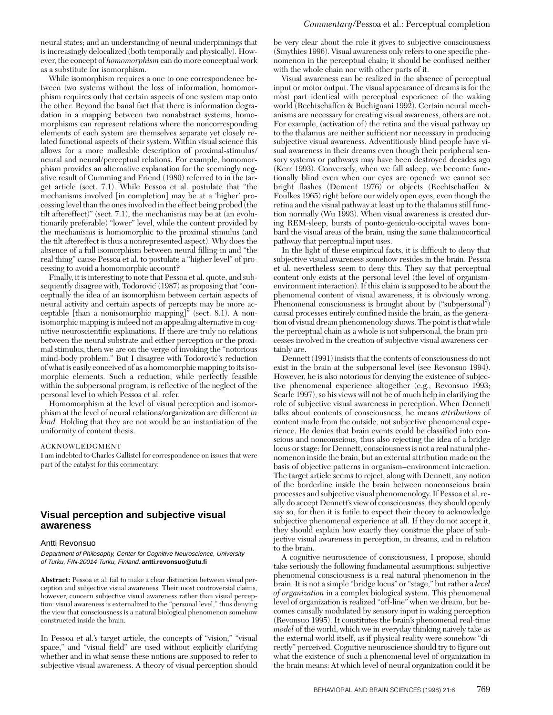neural states; and an understanding of neural underpinnings that is increasingly delocalized (both temporally and physically). However, the concept of *homomorphism* can do more conceptual work as a substitute for isomorphism.

While isomorphism requires a one to one correspondence between two systems without the loss of information, homomorphism requires only that certain aspects of one system map onto the other. Beyond the banal fact that there is information degradation in a mapping between two nonabstract systems, homomorphisms can represent relations where the noncorresponding elements of each system are themselves separate yet closely related functional aspects of their system. Within visual science this allows for a more malleable description of proximal-stimulus/ neural and neural/perceptual relations. For example, homomorphism provides an alternative explanation for the seemingly negative result of Cumming and Friend (1980) referred to in the target article (sect. 7.1). While Pessoa et al. postulate that "the mechanisms involved [in completion] may be at a 'higher' processing level than the ones involved in the effect being probed (the tilt aftereffect)" (sect. 7.1), the mechanisms may be at (an evolutionarily preferable) "lower" level, while the content provided by the mechanisms is homomorphic to the proximal stimulus (and the tilt aftereffect is thus a nonrepresented aspect). Why does the absence of a full isomorphism between neural filling-in and "the real thing" cause Pessoa et al. to postulate a "higher level" of processing to avoid a homomorphic account?

Finally, it is interesting to note that Pessoa et al. quote, and subsequently disagree with, Todorovic<sup>'</sup> (1987) as proposing that "conceptually the idea of an isomorphism between certain aspects of neural activity and certain aspects of percepts may be more acceptable [than a nonisomorphic mapping]" (sect. 8.1). A nonisomorphic mapping is indeed not an appealing alternative in cognitive neuroscientific explanations. If there are truly no relations between the neural substrate and either perception or the proximal stimulus, then we are on the verge of invoking the "notorious mind-body problem." But I disagree with Todorović's reduction of what is easily conceived of as a homomorphic mapping to its isomorphic elements. Such a reduction, while perfectly feasible within the subpersonal program, is reflective of the neglect of the personal level to which Pessoa et al. refer.

Homomorphism at the level of visual perception and isomorphism at the level of neural relations/organization are different *in kind.* Holding that they are not would be an instantiation of the uniformity of content thesis.

### ACKNOWLEDGMENT

I am indebted to Charles Gallistel for correspondence on issues that were part of the catalyst for this commentary.

# **Visual perception and subjective visual awareness**

#### Antti Revonsuo

Department of Philosophy, Center for Cognitive Neuroscience, University of Turku, FIN-20014 Turku, Finland. **antti.revonsuo@utu.fi**

**Abstract:** Pessoa et al. fail to make a clear distinction between visual perception and subjective visual awareness. Their most controversial claims, however, concern subjective visual awareness rather than visual perception: visual awareness is externalized to the "personal level," thus denying the view that consciousness is a natural biological phenomenon somehow constructed inside the brain.

In Pessoa et al.'s target article, the concepts of "vision," "visual space," and "visual field" are used without explicitly clarifying whether and in what sense these notions are supposed to refer to subjective visual awareness. A theory of visual perception should be very clear about the role it gives to subjective consciousness (Smythies 1996). Visual awareness only refers to one specific phenomenon in the perceptual chain; it should be confused neither with the whole chain nor with other parts of it.

Visual awareness can be realized in the absence of perceptual input or motor output. The visual appearance of dreams is for the most part identical with perceptual experience of the waking world (Rechtschaffen & Buchignani 1992). Certain neural mechanisms are necessary for creating visual awareness, others are not. For example, (activation of) the retina and the visual pathway up to the thalamus are neither sufficient nor necessary in producing subjective visual awareness. Adventitiously blind people have visual awareness in their dreams even though their peripheral sensory systems or pathways may have been destroyed decades ago (Kerr 1993). Conversely, when we fall asleep, we become functionally blind even when our eyes are opened: we cannot see bright flashes (Dement 1976) or objects (Rechtschaffen & Foulkes 1965) right before our widely open eyes, even though the retina and the visual pathway at least up to the thalamus still function normally (Wu 1993). When visual awareness is created during REM-sleep, bursts of ponto-geniculo-occipital waves bombard the visual areas of the brain, using the same thalamocortical pathway that perceptual input uses.

In the light of these empirical facts, it is difficult to deny that subjective visual awareness somehow resides in the brain. Pessoa et al. nevertheless seem to deny this. They say that perceptual content only exists at the personal level (the level of organismenvironment interaction). If this claim is supposed to be about the phenomenal content of visual awareness, it is obviously wrong. Phenomenal consciousness is brought about by ("subpersonal") causal processes entirely confined inside the brain, as the generation of visual dream phenomenology shows. The point is that while the perceptual chain as a whole is not subpersonal, the brain processes involved in the creation of subjective visual awareness certainly are.

Dennett (1991) insists that the contents of consciousness do not exist in the brain at the subpersonal level (see Revonsuo 1994). However, he is also notorious for denying the existence of subjective phenomenal experience altogether (e.g., Revonsuo 1993; Searle 1997), so his views will not be of much help in clarifying the role of subjective visual awareness in perception. When Dennett talks about contents of consciousness, he means *attributions* of content made from the outside, not subjective phenomenal experience. He denies that brain events could be classified into conscious and nonconscious, thus also rejecting the idea of a bridge locus or stage: for Dennett, consciousness is not a real natural phenomenon inside the brain, but an external attribution made on the basis of objective patterns in organism–environment interaction. The target article seems to reject, along with Dennett, any notion of the borderline inside the brain between nonconscious brain processes and subjective visual phenomenology. If Pessoa et al. really do accept Dennett's view of consciousness, they should openly say so, for then it is futile to expect their theory to acknowledge subjective phenomenal experience at all. If they do not accept it, they should explain how exactly they construe the place of subjective visual awareness in perception, in dreams, and in relation to the brain.

A cognitive neuroscience of consciousness, I propose, should take seriously the following fundamental assumptions: subjective phenomenal consciousness is a real natural phenomenon in the brain. It is not a simple "bridge locus" or "stage," but rather a *level of organization* in a complex biological system. This phenomenal level of organization is realized "off-line" when we dream, but becomes causally modulated by sensory input in waking perception (Revonsuo 1995). It constitutes the brain's phenomenal real-time *model* of the world, which we in everyday thinking naively take as the external world itself, as if physical reality were somehow "directly" perceived. Cognitive neuroscience should try to figure out what the existence of such a phenomenal level of organization in the brain means: At which level of neural organization could it be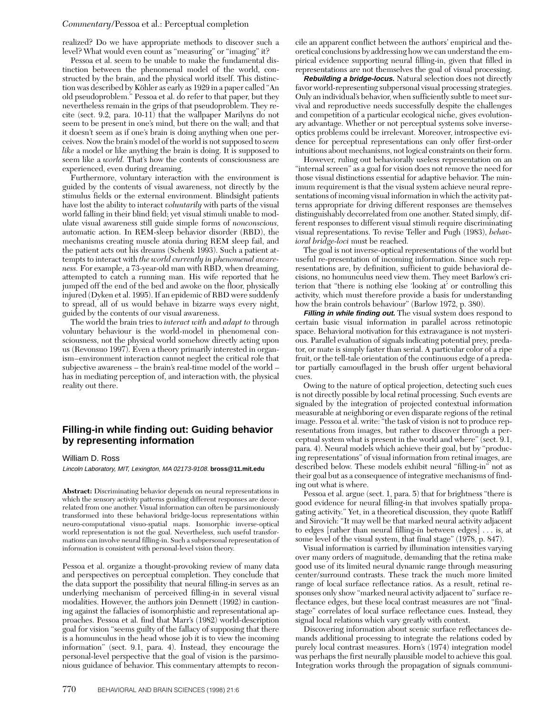realized? Do we have appropriate methods to discover such a level? What would even count as "measuring" or "imaging" it?

Pessoa et al. seem to be unable to make the fundamental distinction between the phenomenal model of the world, constructed by the brain, and the physical world itself. This distinction was described by Köhler as early as 1929 in a paper called "An old pseudoproblem." Pessoa et al. do refer to that paper, but they nevertheless remain in the grips of that pseudoproblem. They recite (sect. 9.2, para. 10-11) that the wallpaper Marilyns do not seem to be present in one's mind, but there on the wall; and that it doesn't seem as if one's brain is doing anything when one perceives. Now the brain's model of the world is not supposed to *seem like* a model or like anything the brain is doing. It is supposed to seem like a *world.* That's how the contents of consciousness are experienced, even during dreaming.

Furthermore, voluntary interaction with the environment is guided by the contents of visual awareness, not directly by the stimulus fields or the external environment. Blindsight patients have lost the ability to interact *voluntarily* with parts of the visual world falling in their blind field; yet visual stimuli unable to modulate visual awareness still guide simple forms of *nonconscious,* automatic action. In REM-sleep behavior disorder (RBD), the mechanisms creating muscle atonia during REM sleep fail, and the patient acts out his dreams (Schenk 1993). Such a patient attempts to interact with *the world currently in phenomenal awareness.* For example, a 73-year-old man with RBD, when dreaming, attempted to catch a running man. His wife reported that he jumped off the end of the bed and awoke on the floor, physically injured (Dyken et al. 1995). If an epidemic of RBD were suddenly to spread, all of us would behave in bizarre ways every night, guided by the contents of our visual awareness.

The world the brain tries to *interact with* and *adapt to* through voluntary behaviour is the world-model in phenomenal consciousness, not the physical world somehow directly acting upon us (Revonsuo 1997). Even a theory primarily interested in organism–environment interaction cannot neglect the critical role that subjective awareness – the brain's real-time model of the world – has in mediating perception of, and interaction with, the physical reality out there.

# **Filling-in while finding out: Guiding behavior by representing information**

William D. Ross

Lincoln Laboratory, MIT, Lexington, MA 02173-9108. **bross@11.mit.edu**

**Abstract:** Discriminating behavior depends on neural representations in which the sensory activity patterns guiding different responses are decorrelated from one another. Visual information can often be parsimoniously transformed into these behavioral bridge-locus representations within neuro-computational visuo-spatial maps. Isomorphic inverse-optical world representation is not the goal. Nevertheless, such useful transformations can involve neural filling-in. Such a subpersonal representation of information is consistent with personal-level vision theory.

Pessoa et al. organize a thought-provoking review of many data and perspectives on perceptual completion. They conclude that the data support the possibility that neural filling-in serves as an underlying mechanism of perceived filling-in in several visual modalities. However, the authors join Dennett (1992) in cautioning against the fallacies of isomorphistic and representational approaches. Pessoa et al. find that Marr's (1982) world-description goal for vision "seems guilty of the fallacy of supposing that there is a homunculus in the head whose job it is to view the incoming information" (sect. 9.1, para. 4). Instead, they encourage the personal-level perspective that the goal of vision is the parsimonious guidance of behavior. This commentary attempts to reconcile an apparent conflict between the authors' empirical and theoretical conclusions by addressing how we can understand the empirical evidence supporting neural filling-in, given that filled in representations are not themselves the goal of visual processing.

**Rebuilding a bridge-locus.** Natural selection does not directly favor world-representing subpersonal visual processing strategies. Only an individual's behavior, when sufficiently subtle to meet survival and reproductive needs successfully despite the challenges and competition of a particular ecological niche, gives evolutionary advantage. Whether or not perceptual systems solve inverseoptics problems could be irrelevant. Moreover, introspective evidence for perceptual representations can only offer first-order intuitions about mechanisms, not logical constraints on their form.

However, ruling out behaviorally useless representation on an "internal screen" as a goal for vision does not remove the need for those visual distinctions essential for adaptive behavior. The minimum requirement is that the visual system achieve neural representations of incoming visual information in which the activity patterns appropriate for driving different responses are themselves distinguishably decorrelated from one another. Stated simply, different responses to different visual stimuli require discriminating visual representations. To revise Teller and Pugh (1983), *behavioral bridge-loci* must be reached.

The goal is not inverse-optical representations of the world but useful re-presentation of incoming information. Since such representations are, by definition, sufficient to guide behavioral decisions, no homunculus need view them. They meet Barlow's criterion that "there is nothing else 'looking at' or controlling this activity, which must therefore provide a basis for understanding how the brain controls behaviour" (Barlow 1972, p. 380).

**Filling in while finding out.** The visual system does respond to certain basic visual information in parallel across retinotopic space. Behavioral motivation for this extravagance is not mysterious. Parallel evaluation of signals indicating potential prey, predator, or mate is simply faster than serial. A particular color of a ripe fruit, or the tell-tale orientation of the continuous edge of a predator partially camouflaged in the brush offer urgent behavioral cues.

Owing to the nature of optical projection, detecting such cues is not directly possible by local retinal processing. Such events are signaled by the integration of projected contextual information measurable at neighboring or even disparate regions of the retinal image. Pessoa et al. write: "the task of vision is not to produce representations from images, but rather to discover through a perceptual system what is present in the world and where" (sect. 9.1, para. 4). Neural models which achieve their goal, but by "producing representations" of visual information from retinal images, are described below. These models exhibit neural "filling-in" not as their goal but as a consequence of integrative mechanisms of finding out what is where.

Pessoa et al. argue (sect. 1, para. 5) that for brightness "there is good evidence for neural filling-in that involves spatially propagating activity." Yet, in a theoretical discussion, they quote Ratliff and Sirovich: "It may well be that marked neural activity adjacent to edges [rather than neural filling-in between edges] . . . is, at some level of the visual system, that final stage" (1978, p. 847).

Visual information is carried by illumination intensities varying over many orders of magnitude, demanding that the retina make good use of its limited neural dynamic range through measuring center/surround contrasts. These track the much more limited range of local surface reflectance ratios. As a result, retinal responses only show "marked neural activity adjacent to" surface reflectance edges, but these local contrast measures are not "finalstage" correlates of local surface reflectance cues. Instead, they signal local relations which vary greatly with context.

Discovering information about scenic surface reflectances demands additional processing to integrate the relations coded by purely local contrast measures. Horn's (1974) integration model was perhaps the first neurally plausible model to achieve this goal. Integration works through the propagation of signals communi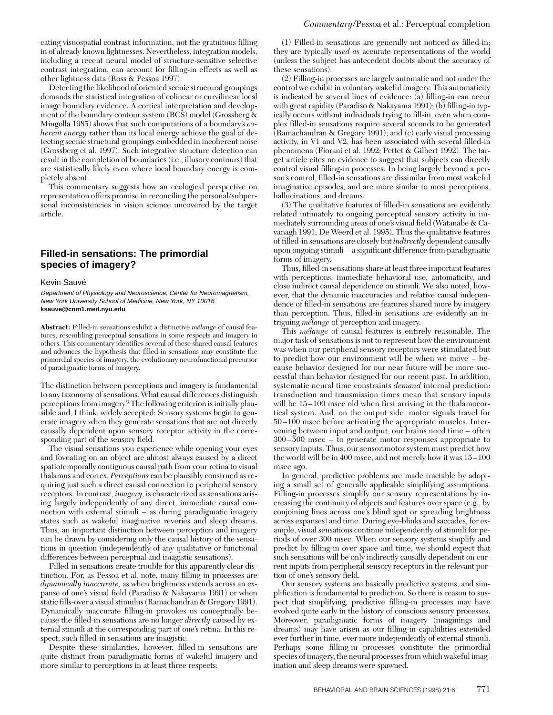cating visuospatial contrast information, not the gratuitous filling in of already known lightnesses. Nevertheless, integration models, including a recent neural model of structure-sensitive selective contrast integration, can account for filling-in effects as well as other lightness data (Ross & Pessoa 1997).

Detecting the likelihood of oriented scenic structural groupings demands the statistical integration of colinear or curvilinear local image boundary evidence. A cortical interpretation and development of the boundary contour system (BCS) model (Grossberg & Mingolla 1985) shows that such computations of a boundary's *coherent energy* rather than its local energy achieve the goal of detecting scenic structural groupings embedded in incoherent noise (Grossberg et al. 1997). Such integrative structure detection can result in the completion of boundaries (i.e., illusory contours) that are statistically likely even where local boundary energy is completely absent.

This commentary suggests how an ecological perspective on representation offers promise in reconciling the personal/subpersonal inconsistencies in vision science uncovered by the target article.

# **Filled-in sensations: The primordial species of imagery?**

### Kevin Sauvé

Department of Physiology and Neuroscience, Center for Neuromagnetism, New York University School of Medicine, New York, NY 10016. **ksauve@cnm1.med.nyu.edu**

**Abstract:** Filled-in sensations exhibit a distinctive *mélange* of causal features, resembling perceptual sensations in some respects and imagery in others. This commentary identifies several of these shared causal features and advances the hypothesis that filled-in sensations may constitute the primordial species of imagery, the evolutionary neurofunctional precursor of paradigmatic forms of imagery.

The distinction between perceptions and imagery is fundamental to any taxonomy of sensations. What causal differences distinguish perceptions from imagery? The following criterion is initially plausible and, I think, widely accepted: Sensory systems begin to generate imagery when they generate sensations that are not directly causally dependent upon sensory receptor activity in the corresponding part of the sensory field.

The visual sensations you experience while opening your eyes and foveating on an object are almost always caused by a direct spatiotemporally contiguous causal path from your retina to visual thalamus and cortex. *Perceptions* can be plausibly construed as requiring just such a direct causal connection to peripheral sensory receptors. In contrast, *imagery,* is characterized as sensations arising largely independently of any direct, immediate causal connection with external stimuli – as during paradigmatic imagery states such as wakeful imaginative reveries and sleep dreams. Thus, an important distinction between perception and imagery can be drawn by considering only the causal history of the sensations in question (independently of any qualitative or functional differences between perceptual and imagistic sensations).

Filled-in sensations create trouble for this apparently clear distinction. For, as Pessoa et al. note, many filling-in processes are *dynamically inaccurate,* as when brightness extends across an expanse of one's visual field (Paradiso & Nakayama 1991) or when static fills-over a visual stimulus (Ramachandran & Gregory 1991). Dynamically inaccurate filling-in provokes us conceptually because the filled-in sensations are no longer *directly* caused by external stimuli at the corresponding part of one's retina. In this respect, such filled-in sensations are imagistic.

Despite these similarities, however, filled-in sensations are quite distinct from paradigmatic forms of wakeful imagery and more similar to perceptions in at least three respects:

(1) Filled-in sensations are generally not noticed *as* filled-in; they are typically *used as* accurate representations of the world (unless the subject has antecedent doubts about the accuracy of these sensations).

(2) Filling-in processes are largely automatic and not under the control we exhibit in voluntary wakeful imagery. This automaticity is indicated by several lines of evidence: (a) filling-in can occur with great rapidity (Paradiso & Nakayama 1991); (b) filling-in typically occurs without individuals trying to fill-in, even when complex filled-in sensations require several seconds to be generated (Ramachandran & Gregory 1991); and (c) early visual processing activity, in V1 and V2, has been associated with several filled-in phenomena (Fiorani et al. 1992; Pettet & Gilbert 1992). The target article cites no evidence to suggest that subjects can directly control visual filling-in processes. In being largely beyond a person's control, filled-in sensations are dissimilar from most wakeful imaginative episodes, and are more similar to most perceptions, hallucinations, and dreams.

(3) The qualitative features of filled-in sensations are evidently related intimately to ongoing perceptual sensory activity in immediately surrounding areas of one's visual field (Watanabe & Cavanagh 1991; De Weerd et al. 1995). Thus the qualitative features of filled-in sensations are closely but *indirectly* dependent causally upon ongoing stimuli – a significant difference from paradigmatic forms of imagery.

Thus, filled-in sensations share at least three important features with perceptions: immediate behavioral use, automaticity, and close indirect causal dependence on stimuli. We also noted, however, that the dynamic inaccuracies and relative causal independence of filled-in sensations are features shared more by imagery than perception. Thus, filled-in sensations are evidently an intriguing *mélange* of perception and imagery.

This *mélange* of causal features is entirely reasonable. The major task of sensations is not to represent how the environment was when our peripheral sensory receptors were stimulated but to predict how our environment will be when we move – because behavior designed for our near future will be more successful than behavior designed for our recent past. In addition, systematic neural time constraints *demand* internal prediction: transduction and transmission times mean that sensory inputs will be  $15-100$  msec old when first arriving in the thalamocortical system. And, on the output side, motor signals travel for 50 –100 msec before activating the appropriate muscles. Intervening between input and output, our brains need time – often 300 – 500 msec – to generate motor responses appropriate to sensory inputs. Thus, our sensorimotor system must predict how the world will be in 400 msec, and not merely how it was 15 –100 msec ago.

In general, predictive problems are made tractable by adopting a small set of generally applicable simplifying assumptions. Filling-in processes simplify our sensory representations by increasing the continuity of objects and features over space (e.g., by conjoining lines across one's blind spot or spreading brightness across expanses) and time. During eye-blinks and saccades, for example, visual sensations continue independently of stimuli for periods of over 300 msec. When our sensory systems simplify and predict by filling-in over space and time, we should expect that such sensations will be only indirectly causally dependent on current inputs from peripheral sensory receptors in the relevant portion of one's sensory field.

Our sensory systems are basically predictive systems, and simplification is fundamental to prediction. So there is reason to suspect that simplifying, predictive filling-in processes may have evolved quite early in the history of conscious sensory processes. Moreover, paradigmatic forms of imagery (imaginings and dreams) may have arisen as our filling-in capabilities extended ever further in time, ever more independently of external stimuli. Perhaps some filling-in processes constitute the primordial species of imagery, the neural processes from which wakeful imagination and sleep dreams were spawned.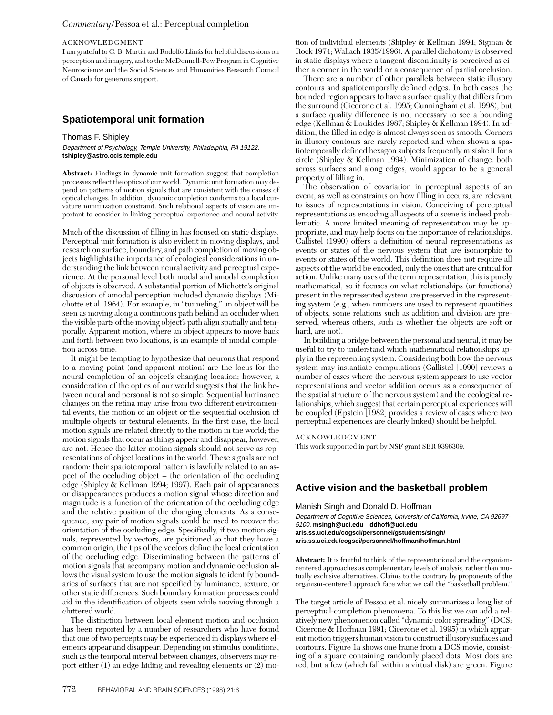#### ACKNOWLEDGMENT

I am grateful to C. B. Martin and Rodolfo Llinás for helpful discussions on perception and imagery, and to the McDonnell-Pew Program in Cognitive Neuroscience and the Social Sciences and Humanities Research Council of Canada for generous support.

# **Spatiotemporal unit formation**

#### Thomas F. Shipley

Department of Psychology, Temple University, Philadelphia, PA 19122. **tshipley@astro.ocis.temple.edu**

**Abstract:** Findings in dynamic unit formation suggest that completion processes reflect the optics of our world. Dynamic unit formation may depend on patterns of motion signals that are consistent with the causes of optical changes. In addition, dynamic completion conforms to a local curvature minimization constraint. Such relational aspects of vision are important to consider in linking perceptual experience and neural activity.

Much of the discussion of filling in has focused on static displays. Perceptual unit formation is also evident in moving displays, and research on surface, boundary, and path completion of moving objects highlights the importance of ecological considerations in understanding the link between neural activity and perceptual experience. At the personal level both modal and amodal completion of objects is observed. A substantial portion of Michotte's original discussion of amodal perception included dynamic displays (Michotte et al. 1964). For example, in "tunneling," an object will be seen as moving along a continuous path behind an occluder when the visible parts of the moving object's path align spatially and temporally. Apparent motion, where an object appears to move back and forth between two locations, is an example of modal completion across time.

It might be tempting to hypothesize that neurons that respond to a moving point (and apparent motion) are the locus for the neural completion of an object's changing location; however, a consideration of the optics of our world suggests that the link between neural and personal is not so simple. Sequential luminance changes on the retina may arise from two different environmental events, the motion of an object or the sequential occlusion of multiple objects or textural elements. In the first case, the local motion signals are related directly to the motion in the world; the motion signals that occur as things appear and disappear, however, are not. Hence the latter motion signals should not serve as representations of object locations in the world. These signals are not random; their spatiotemporal pattern is lawfully related to an aspect of the occluding object – the orientation of the occluding edge (Shipley & Kellman 1994; 1997). Each pair of appearances or disappearances produces a motion signal whose direction and magnitude is a function of the orientation of the occluding edge and the relative position of the changing elements. As a consequence, any pair of motion signals could be used to recover the orientation of the occluding edge. Specifically, if two motion signals, represented by vectors, are positioned so that they have a common origin, the tips of the vectors define the local orientation of the occluding edge. Discriminating between the patterns of motion signals that accompany motion and dynamic occlusion allows the visual system to use the motion signals to identify boundaries of surfaces that are not specified by luminance, texture, or other static differences. Such boundary formation processes could aid in the identification of objects seen while moving through a cluttered world.

The distinction between local element motion and occlusion has been reported by a number of researchers who have found that one of two percepts may be experienced in displays where elements appear and disappear. Depending on stimulus conditions, such as the temporal interval between changes, observers may report either (1) an edge hiding and revealing elements or (2) motion of individual elements (Shipley & Kellman 1994; Sigman & Rock 1974; Wallach 1935/1996). A parallel dichotomy is observed in static displays where a tangent discontinuity is perceived as either a corner in the world or a consequence of partial occlusion.

There are a number of other parallels between static illusory contours and spatiotemporally defined edges. In both cases the bounded region appears to have a surface quality that differs from the surround (Cicerone et al. 1995; Cunningham et al. 1998), but a surface quality difference is not necessary to see a bounding edge (Kellman & Loukides 1987; Shipley & Kellman 1994). In addition, the filled in edge is almost always seen as smooth. Corners in illusory contours are rarely reported and when shown a spatiotemporally defined hexagon subjects frequently mistake it for a circle (Shipley & Kellman 1994). Minimization of change, both across surfaces and along edges, would appear to be a general property of filling in.

The observation of covariation in perceptual aspects of an event, as well as constraints on how filling in occurs, are relevant to issues of representations in vision. Conceiving of perceptual representations as encoding all aspects of a scene is indeed problematic. A more limited meaning of representation may be appropriate, and may help focus on the importance of relationships. Gallistel (1990) offers a definition of neural representations as events or states of the nervous system that are isomorphic to events or states of the world. This definition does not require all aspects of the world be encoded, only the ones that are critical for action. Unlike many uses of the term representation, this is purely mathematical, so it focuses on what relationships (or functions) present in the represented system are preserved in the representing system (e.g., when numbers are used to represent quantities of objects, some relations such as addition and division are preserved, whereas others, such as whether the objects are soft or hard, are not).

In building a bridge between the personal and neural, it may be useful to try to understand which mathematical relationships apply in the representing system. Considering both how the nervous system may instantiate computations (Gallistel [1990] reviews a number of cases where the nervous system appears to use vector representations and vector addition occurs as a consequence of the spatial structure of the nervous system) and the ecological relationships, which suggest that certain perceptual experiences will be coupled (Epstein [1982] provides a review of cases where two perceptual experiences are clearly linked) should be helpful.

#### ACKNOWLEDGMENT

This work supported in part by NSF grant SBR 9396309.

# **Active vision and the basketball problem**

Manish Singh and Donald D. Hoffman Department of Cognitive Sciences, University of California, Irvine, CA 92697- 5100. **msingh@uci.edu ddhoff@uci.edu aris.ss.uci.edu/cogsci/personnel/gstudents/singh/ aris.ss.uci.edu/cogsci/personnel/hoffman/hoffman.html**

**Abstract:** It is fruitful to think of the representational and the organismcentered approaches as complementary levels of analysis, rather than mutually exclusive alternatives. Claims to the contrary by proponents of the organism-centered approach face what we call the "basketball problem."

The target article of Pessoa et al. nicely summarizes a long list of perceptual-completion phenomena. To this list we can add a relatively new phenomenon called "dynamic color spreading" (DCS; Cicerone & Hoffman 1991; Cicerone et al. 1995) in which apparent motion triggers human vision to construct illusory surfaces and contours. Figure 1a shows one frame from a DCS movie, consisting of a square containing randomly placed dots. Most dots are red, but a few (which fall within a virtual disk) are green. Figure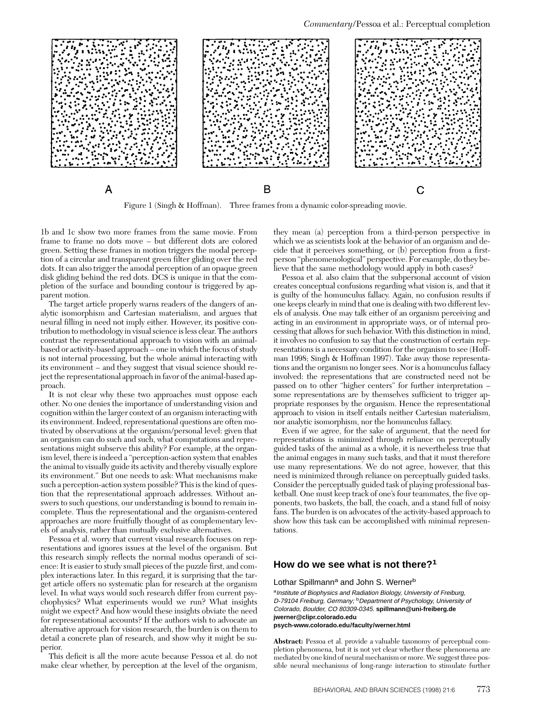

Figure 1 (Singh & Hoffman). Three frames from a dynamic color-spreading movie.

1b and 1c show two more frames from the same movie. From frame to frame no dots move – but different dots are colored green. Setting these frames in motion triggers the modal perception of a circular and transparent green filter gliding over the red dots. It can also trigger the amodal perception of an opaque green disk gliding behind the red dots. DCS is unique in that the completion of the surface and bounding contour is triggered by apparent motion.

The target article properly warns readers of the dangers of analytic isomorphism and Cartesian materialism, and argues that neural filling in need not imply either. However, its positive contribution to methodology in visual science is less clear. The authors contrast the representational approach to vision with an animalbased or activity-based approach – one in which the focus of study is not internal processing, but the whole animal interacting with its environment – and they suggest that visual science should reject the representational approach in favor of the animal-based approach.

It is not clear why these two approaches must oppose each other. No one denies the importance of understanding vision and cognition within the larger context of an organism interacting with its environment. Indeed, representational questions are often motivated by observations at the organism/personal level: given that an organism can do such and such, what computations and representations might subserve this ability? For example, at the organism level, there is indeed a "perception-action system that enables the animal to visually guide its activity and thereby visually explore its environment." But one needs to ask: What mechanisms make such a perception-action system possible? This is the kind of question that the representational approach addresses. Without answers to such questions, our understanding is bound to remain incomplete. Thus the representational and the organism-centered approaches are more fruitfully thought of as complementary levels of analysis, rather than mutually exclusive alternatives.

Pessoa et al. worry that current visual research focuses on representations and ignores issues at the level of the organism. But this research simply reflects the normal modus operandi of science: It is easier to study small pieces of the puzzle first, and complex interactions later. In this regard, it is surprising that the target article offers no systematic plan for research at the organism level. In what ways would such research differ from current psychophysics? What experiments would we run? What insights might we expect? And how would these insights obviate the need for representational accounts? If the authors wish to advocate an alternative approach for vision research, the burden is on them to detail a concrete plan of research, and show why it might be superior.

This deficit is all the more acute because Pessoa et al. do not make clear whether, by perception at the level of the organism, they mean (a) perception from a third-person perspective in which we as scientists look at the behavior of an organism and decide that it perceives something, or (b) perception from a firstperson "phenomenological" perspective. For example, do they believe that the same methodology would apply in both cases?

Pessoa et al. also claim that the subpersonal account of vision creates conceptual confusions regarding what vision is, and that it is guilty of the homunculus fallacy. Again, no confusion results if one keeps clearly in mind that one is dealing with two different levels of analysis. One may talk either of an organism perceiving and acting in an environment in appropriate ways, or of internal processing that allows for such behavior. With this distinction in mind, it involves no confusion to say that the construction of certain representations is a necessary condition for the organism to see (Hoffman 1998; Singh & Hoffman 1997). Take away those representations and the organism no longer sees. Nor is a homunculus fallacy involved: the representations that are constructed need not be passed on to other "higher centers" for further interpretation – some representations are by themselves sufficient to trigger appropriate responses by the organism. Hence the representational approach to vision in itself entails neither Cartesian materialism, nor analytic isomorphism, nor the homunculus fallacy.

Even if we agree, for the sake of argument, that the need for representations is minimized through reliance on perceptually guided tasks of the animal as a whole, it is nevertheless true that the animal engages in many such tasks, and that it must therefore use many representations. We do not agree, however, that this need is minimized through reliance on perceptually guided tasks. Consider the perceptually guided task of playing professional basketball. One must keep track of one's four teammates, the five opponents, two baskets, the ball, the coach, and a stand full of noisy fans. The burden is on advocates of the activity-based approach to show how this task can be accomplished with minimal representations.

### **How do we see what is not there?<sup>1</sup>**

#### Lothar Spillmann<sup>a</sup> and John S. Werner<sup>b</sup>

aInstitute of Biophysics and Radiation Biology, University of Freiburg, D-79104 Freiburg, Germany; <sup>b</sup>Department of Psychology, University of Colorado, Boulder, CO 80309-0345. **spillmann@uni-freiberg.de jwerner@clipr.colorado.edu**

**psych-www.colorado.edu/faculty/werner.html**

**Abstract:** Pessoa et al. provide a valuable taxonomy of perceptual completion phenomena, but it is not yet clear whether these phenomena are mediated by one kind of neural mechanism or more. We suggest three possible neural mechanisms of long-range interaction to stimulate further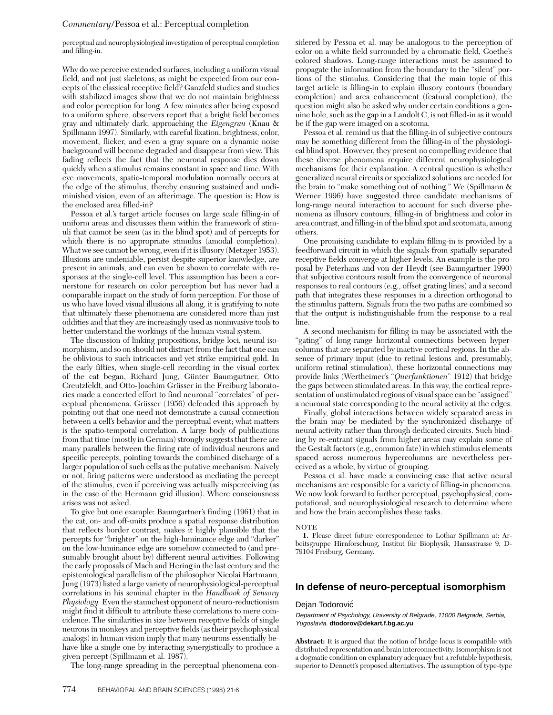perceptual and neurophysiological investigation of perceptual completion and filling-in.

Why do we perceive extended surfaces, including a uniform visual field, and not just skeletons, as might be expected from our concepts of the classical receptive field? Ganzfeld studies and studies with stabilized images show that we do not maintain brightness and color perception for long. A few minutes after being exposed to a uniform sphere, observers report that a bright field becomes gray and ultimately dark, approaching the *Eigengrau* (Knau & Spillmann 1997). Similarly, with careful fixation, brightness, color, movement, flicker, and even a gray square on a dynamic noise background will become degraded and disappear from view. This fading reflects the fact that the neuronal response dies down quickly when a stimulus remains constant in space and time. With eye movements, spatio-temporal modulation normally occurs at the edge of the stimulus, thereby ensuring sustained and undiminished vision, even of an afterimage. The question is: How is the enclosed area filled-in?

Pessoa et al.'s target article focuses on large scale filling-in of uniform areas and discusses them within the framework of stimuli that cannot be seen (as in the blind spot) and of percepts for which there is no appropriate stimulus (amodal completion). What we see cannot be wrong, even if it is illusory (Metzger 1953). Illusions are undeniable, persist despite superior knowledge, are present in animals, and can even be shown to correlate with responses at the single-cell level. This assumption has been a cornerstone for research on color perception but has never had a comparable impact on the study of form perception. For those of us who have loved visual illusions all along, it is gratifying to note that ultimately these phenomena are considered more than just oddities and that they are increasingly used as noninvasive tools to better understand the workings of the human visual system.

The discussion of linking propositions, bridge loci, neural isomorphism, and so on should not distract from the fact that one can be oblivious to such intricacies and yet strike empirical gold. In the early fifties, when single-cell recording in the visual cortex of the cat began, Richard Jung, Günter Baumgartner, Otto Creutzfeldt, and Otto-Joachim Grüsser in the Freiburg laboratories made a concerted effort to find neuronal "correlates" of perceptual phenomena. Grüsser (1956) defended this approach by pointing out that one need not demonstrate a causal connection between a cell's behavior and the perceptual event; what matters is the spatio-temporal correlation. A large body of publications from that time (mostly in German) strongly suggests that there are many parallels between the firing rate of individual neurons and specific percepts, pointing towards the combined discharge of a larger population of such cells as the putative mechanism. Naively or not, firing patterns were understood as mediating the percept of the stimulus, even if perceiving was actually misperceiving (as in the case of the Hermann grid illusion). Where consciousness arises was not asked.

To give but one example: Baumgartner's finding (1961) that in the cat, on- and off-units produce a spatial response distribution that reflects border contrast, makes it highly plausible that the percepts for "brighter" on the high-luminance edge and "darker" on the low-luminance edge are somehow connected to (and presumably brought about by) different neural activities. Following the early proposals of Mach and Hering in the last century and the epistemological parallelism of the philosopher Nicolai Hartmann, Jung (1973) listed a large variety of neurophysiological-perceptual correlations in his seminal chapter in the *Handbook of Sensory Physiology.* Even the staunchest opponent of neuro-reductionism might find it difficult to attribute these correlations to mere coincidence. The similarities in size between receptive fields of single neurons in monkeys and perceptive fields (as their psychophysical analogs) in human vision imply that many neurons essentially behave like a single one by interacting synergistically to produce a given percept (Spillmann et al. 1987).

The long-range spreading in the perceptual phenomena con-

sidered by Pessoa et al. may be analogous to the perception of color on a white field surrounded by a chromatic field, Goethe's colored shadows. Long-range interactions must be assumed to propagate the information from the boundary to the "silent" portions of the stimulus. Considering that the main topic of this target article is filling-in to explain illusory contours (boundary completion) and area enhancement (featural completion), the question might also be asked why under certain conditions a genuine hole, such as the gap in a Landolt C, is not filled-in as it would be if the gap were imaged on a scotoma.

Pessoa et al. remind us that the filling-in of subjective contours may be something different from the filling-in of the physiological blind spot. However, they present no compelling evidence that these diverse phenomena require different neurophysiological mechanisms for their explanation. A central question is whether generalized neural circuits or specialized solutions are needed for the brain to "make something out of nothing." We (Spillmann & Werner 1996) have suggested three candidate mechanisms of long-range neural interaction to account for such diverse phenomena as illusory contours, filling-in of brightness and color in area contrast, and filling-in of the blind spot and scotomata, among others.

One promising candidate to explain filling-in is provided by a feedforward circuit in which the signals from spatially separated receptive fields converge at higher levels. An example is the proposal by Peterhans and von der Heydt (see Baumgartner 1990) that subjective contours result from the convergence of neuronal responses to real contours (e.g., offset grating lines) and a second path that integrates these responses in a direction orthogonal to the stimulus pattern. Signals from the two paths are combined so that the output is indistinguishable from the response to a real line.

A second mechanism for filling-in may be associated with the "gating" of long-range horizontal connections between hypercolumns that are separated by inactive cortical regions. In the absence of primary input (due to retinal lesions and, presumably, uniform retinal stimulation), these horizontal connections may provide links (Wertheimer's "*Querfunktionen*" 1912) that bridge the gaps between stimulated areas. In this way, the cortical representation of unstimulated regions of visual space can be "assigned" a neuronal state corresponding to the neural activity at the edges.

Finally, global interactions between widely separated areas in the brain may be mediated by the synchronized discharge of neural activity rather than through dedicated circuits. Such binding by re-entrant signals from higher areas may explain some of the Gestalt factors (e.g., common fate) in which stimulus elements spaced across numerous hypercolumns are nevertheless perceived as a whole, by virtue of grouping.

Pessoa et al. have made a convincing case that active neural mechanisms are responsible for a variety of filling-in phenomena. We now look forward to further perceptual, psychophysical, computational, and neurophysiological research to determine where and how the brain accomplishes these tasks.

#### NOTE

**1.** Please direct future correspondence to Lothar Spillmann at: Arbeitsgruppe Hirnforschung, Institut für Biophysik, Hansastrasse 9, D-79104 Freiburg, Germany.

# **In defense of neuro-perceptual isomorphism**

#### Dejan Todorovic´

Department of Psychology, University of Belgrade, 11000 Belgrade, Serbia, Yugoslavia. **dtodorov@dekart.f.bg.ac.yu**

**Abstract:** It is argued that the notion of bridge locus is compatible with distributed representation and brain interconnectivity. Isomorphism is not a dogmatic condition on explanatory adequacy but a refutable hypothesis, superior to Dennett's proposed alternatives. The assumption of type-type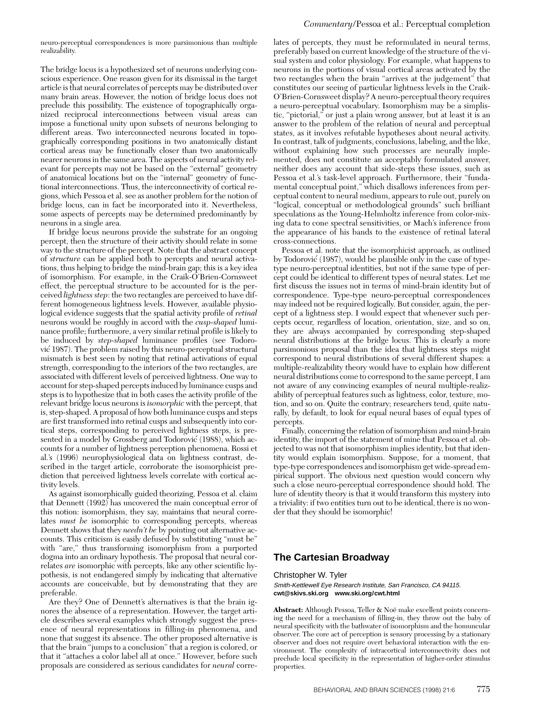neuro-perceptual correspondences is more parsimonious than multiple realizability.

The bridge locus is a hypothesized set of neurons underlying conscious experience. One reason given for its dismissal in the target article is that neural correlates of percepts may be distributed over many brain areas. However, the notion of bridge locus does not preclude this possibility. The existence of topographically organized reciprocal interconnections between visual areas can impose a functional unity upon subsets of neurons belonging to different areas. Two interconnected neurons located in topographically corresponding positions in two anatomically distant cortical areas may be functionally closer than two anatomically nearer neurons in the same area. The aspects of neural activity relevant for percepts may not be based on the "external" geometry of anatomical locations but on the "internal" geometry of functional interconnections. Thus, the interconnectivity of cortical regions, which Pessoa et al. see as another problem for the notion of bridge locus, can in fact be incorporated into it. Nevertheless, some aspects of percepts may be determined predominantly by neurons in a single area.

If bridge locus neurons provide the substrate for an ongoing percept, then the structure of their activity should relate in some way to the structure of the percept. Note that the abstract concept of *structure* can be applied both to percepts and neural activations, thus helping to bridge the mind-brain gap; this is a key idea of isomorphism. For example, in the Craik-O'Brien-Cornsweet effect, the perceptual structure to be accounted for is the perceived *lightness step*: the two rectangles are perceived to have different homogeneous lightness levels. However, available physiological evidence suggests that the spatial activity profile of *retinal* neurons would be roughly in accord with the *cusp-shaped* luminance profile; furthermore, a very similar retinal profile is likely to be induced by *step-shaped* luminance profiles (see Todorovic´ 1987). The problem raised by this neuro-perceptual structural mismatch is best seen by noting that retinal activations of equal strength, corresponding to the interiors of the two rectangles, are associated with different levels of perceived lightness. One way to account for step-shaped percepts induced by luminance cusps and steps is to hypothesize that in both cases the activity profile of the relevant bridge locus neurons is *isomorphic* with the percept, that is, step-shaped. A proposal of how both luminance cusps and steps are first transformed into retinal cusps and subsequently into cortical steps, corresponding to perceived lightness steps, is presented in a model by Grossberg and Todorovic<sup></sup> (1988), which accounts for a number of lightness perception phenomena. Rossi et al.'s (1996) neurophysiological data on lightness contrast, described in the target article, corroborate the isomorphicist prediction that perceived lightness levels correlate with cortical activity levels.

As against isomorphically guided theorizing, Pessoa et al. claim that Dennett (1992) has uncovered the main conceptual error of this notion: isomorphism, they say, maintains that neural correlates *must be* isomorphic to corresponding percepts, whereas Dennett shows that they *needn't be* by pointing out alternative accounts. This criticism is easily defused by substituting "must be" with "are," thus transforming isomorphism from a purported dogma into an ordinary hypothesis. The proposal that neural correlates *are* isomorphic with percepts, like any other scientific hypothesis, is not endangered simply by indicating that alternative accounts are conceivable, but by demonstrating that they are preferable.

Are they? One of Dennett's alternatives is that the brain ignores the absence of a representation. However, the target article describes several examples which strongly suggest the presence of neural representations in filling-in phenomena, and none that suggest its absence. The other proposed alternative is that the brain "jumps to a conclusion" that a region is colored, or that it "attaches a color label all at once." However, before such proposals are considered as serious candidates for *neural* corre-

lates of percepts, they must be reformulated in neural terms, preferably based on current knowledge of the structure of the visual system and color physiology. For example, what happens to neurons in the portions of visual cortical areas activated by the two rectangles when the brain "arrives at the judgement" that constitutes our seeing of particular lightness levels in the Craik-O'Brien-Cornsweet display? A neuro-perceptual theory requires a neuro-perceptual vocabulary. Isomorphism may be a simplistic, "pictorial," or just a plain wrong answer, but at least it is an answer to the problem of the relation of neural and perceptual states, as it involves refutable hypotheses about neural activity. In contrast, talk of judgments, conclusions, labeling, and the like, without explaining how such processes are neurally implemented, does not constitute an acceptably formulated answer, neither does any account that side-steps these issues, such as Pessoa et al.'s task-level approach. Furthermore, their "fundamental conceptual point," which disallows inferences from perceptual content to neural medium, appears to rule out, purely on "logical, conceptual or methodological grounds" such brilliant speculations as the Young-Helmholtz inference from color-mixing data to cone spectral sensitivities, or Mach's inference from the appearance of his bands to the existence of retinal lateral cross-connections.

Pessoa et al. note that the isomorphicist approach, as outlined by Todorovic´ (1987), would be plausible only in the case of typetype neuro-perceptual identities, but not if the same type of percept could be identical to different types of neural states. Let me first discuss the issues not in terms of mind-brain identity but of correspondence. Type-type neuro-perceptual correspondences may indeed not be required logically. But consider, again, the percept of a lightness step. I would expect that whenever such percepts occur, regardless of location, orientation, size, and so on, they are always accompanied by corresponding step-shaped neural distributions at the bridge locus. This is clearly a more parsimonious proposal than the idea that lightness steps might correspond to neural distributions of several different shapes: a multiple-realizability theory would have to explain how different neural distributions come to correspond to the same percept, I am not aware of any convincing examples of neural multiple-realizability of perceptual features such as lightness, color, texture, motion, and so on. Quite the contrary; researchers tend, quite naturally, by default, to look for equal neural bases of equal types of percepts.

Finally, concerning the relation of isomorphism and mind-brain identity, the import of the statement of mine that Pessoa et al. objected to was not that isomorphism implies identity, but that identity would explain isomorphism. Suppose, for a moment, that type-type correspondences and isomorphism get wide-spread empirical support. The obvious next question would concern why such a close neuro-perceptual correspondence should hold. The lure of identity theory is that it would transform this mystery into a triviality: if two entities turn out to be identical, there is no wonder that they should be isomorphic!

# **The Cartesian Broadway**

Christopher W. Tyler Smith-Kettlewell Eye Research Institute, San Francisco, CA 94115. **cwt@skivs.ski.org www.ski.org/cwt.html**

**Abstract:** Although Pessoa, Teller & Noë make excellent points concerning the need for a mechanism of filling-in, they throw out the baby of neural specificity with the bathwater of isomorphism and the homuncular observer. The core act of perception is sensory processing by a stationary observer and does not require overt behavioral interaction with the environment. The complexity of intracortical interconnectivity does not preclude local specificity in the representation of higher-order stimulus properties.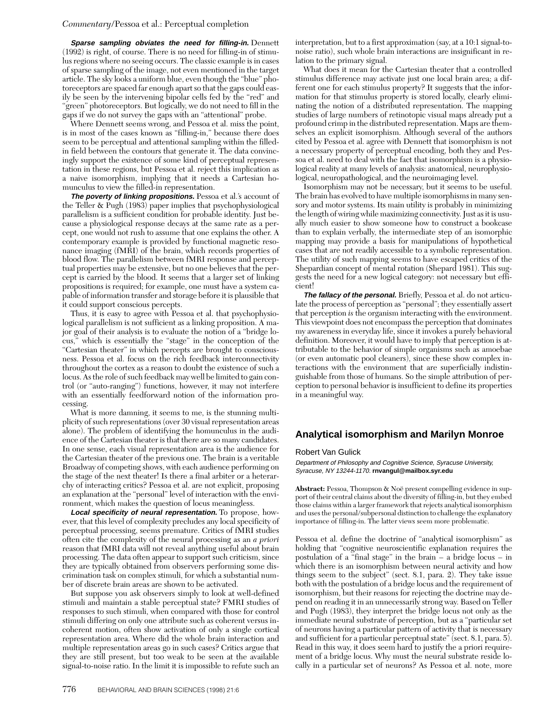**Sparse sampling obviates the need for filling-in.** Dennett (1992) is right, of course. There is no need for filling-in of stimulus regions where no seeing occurs. The classic example is in cases of sparse sampling of the image, not even mentioned in the target article. The sky looks a uniform blue, even though the "blue" photoreceptors are spaced far enough apart so that the gaps could easily be seen by the intervening bipolar cells fed by the "red" and "green" photoreceptors. But logically, we do not need to fill in the gaps if we do not survey the gaps with an "attentional" probe.

Where Dennett seems wrong, and Pessoa et al. miss the point, is in most of the cases known as "filling-in," because there does seem to be perceptual and attentional sampling within the filledin field between the contours that generate it. The data convincingly support the existence of some kind of perceptual representation in these regions, but Pessoa et al. reject this implication as a naive isomorphism, implying that it needs a Cartesian homunculus to view the filled-in representation.

**The poverty of linking propositions.** Pessoa et al.'s account of the Teller & Pugh (1983) paper implies that psychophysiological parallelism is a sufficient condition for probable identity. Just because a physiological response decays at the same rate as a percept, one would not rush to assume that one explains the other. A contemporary example is provided by functional magnetic resonance imaging (fMRI) of the brain, which records properties of blood flow. The parallelism between fMRI response and perceptual properties may be extensive, but no one believes that the percept is carried by the blood. It seems that a larger set of linking propositions is required; for example, one must have a system capable of information transfer and storage before it is plausible that it could support conscious percepts.

Thus, it is easy to agree with Pessoa et al. that psychophysiological parallelism is not sufficient as a linking proposition. A major goal of their analysis is to evaluate the notion of a "bridge locus," which is essentially the "stage" in the conception of the "Cartesian theater" in which percepts are brought to consciousness. Pessoa et al. focus on the rich feedback interconnectivity throughout the cortex as a reason to doubt the existence of such a locus. As the role of such feedback may well be limited to gain control (or "auto-ranging") functions, however, it may not interfere with an essentially feedforward notion of the information processing.

What is more damning, it seems to me, is the stunning multiplicity of such representations (over 30 visual representation areas alone). The problem of identifying the homunculus in the audience of the Cartesian theater is that there are so many candidates. In one sense, each visual representation area is the audience for the Cartesian theater of the previous one. The brain is a veritable Broadway of competing shows, with each audience performing on the stage of the next theater! Is there a final arbiter or a heterarchy of interacting critics? Pessoa et al. are not explicit, proposing an explanation at the "personal" level of interaction with the environment, which makes the question of locus meaningless.

**Local specificity of neural representation.** To propose, however, that this level of complexity precludes any local specificity of perceptual processing, seems premature. Critics of fMRI studies often cite the complexity of the neural processing as an *a priori* reason that fMRI data will not reveal anything useful about brain processing. The data often appear to support such criticism, since they are typically obtained from observers performing some discrimination task on complex stimuli, for which a substantial number of discrete brain areas are shown to be activated.

But suppose you ask observers simply to look at well-defined stimuli and maintain a stable perceptual state? FMRI studies of responses to such stimuli, when compared with those for control stimuli differing on only one attribute such as coherent versus incoherent motion, often show activation of only a single cortical representation area. Where did the whole brain interaction and multiple representation areas go in such cases? Critics argue that they are still present, but too weak to be seen at the available signal-to-noise ratio. In the limit it is impossible to refute such an interpretation, but to a first approximation (say, at a 10:1 signal-tonoise ratio), such whole brain interactions are insignificant in relation to the primary signal.

What does it mean for the Cartesian theater that a controlled stimulus difference may activate just one local brain area; a different one for each stimulus property? It suggests that the information for that stimulus property is stored locally, clearly eliminating the notion of a distributed representation. The mapping studies of large numbers of retinotopic visual maps already put a profound crimp in the distributed representation. Maps are themselves an explicit isomorphism. Although several of the authors cited by Pessoa et al. agree with Dennett that isomorphism is not a necessary property of perceptual encoding, both they and Pessoa et al. need to deal with the fact that isomorphism is a physiological reality at many levels of analysis: anatomical, neurophysiological, neuropathological, and the neuroimaging level.

Isomorphism may not be necessary, but it seems to be useful. The brain has evolved to have multiple isomorphisms in many sensory and motor systems. Its main utility is probably in minimizing the length of wiring while maximizing connectivity. Just as it is usually much easier to show someone how to construct a bookcase than to explain verbally, the intermediate step of an isomorphic mapping may provide a basis for manipulations of hypothetical cases that are not readily accessible to a symbolic representation. The utility of such mapping seems to have escaped critics of the Shepardian concept of mental rotation (Shepard 1981). This suggests the need for a new logical category: not necessary but efficient!

**The fallacy of the personal.** Briefly, Pessoa et al. do not articulate the process of perception as "personal"; they essentially assert that perception *is* the organism interacting with the environment. This viewpoint does not encompass the perception that dominates my awareness in everyday life, since it invokes a purely behavioral definition. Moreover, it would have to imply that perception is attributable to the behavior of simple organisms such as amoebae (or even automatic pool cleaners), since these show complex interactions with the environment that are superficially indistinguishable from those of humans. So the simple attribution of perception to personal behavior is insufficient to define its properties in a meaningful way.

# **Analytical isomorphism and Marilyn Monroe**

#### Robert Van Gulick

Department of Philosophy and Cognitive Science, Syracuse University, Syracuse, NY 13244-1170. **rnvangul@mailbox.syr.edu**

**Abstract:** Pessoa, Thompson & Noë present compelling evidence in support of their central claims about the diversity of filling-in, but they embed those claims within a larger framework that rejects analytical isomorphism and uses the personal/subpersonal distinction to challenge the explanatory importance of filling-in. The latter views seem more problematic.

Pessoa et al. define the doctrine of "analytical isomorphism" as holding that "cognitive neuroscientific explanation requires the postulation of a "final stage" in the brain – a bridge locus – in which there is an isomorphism between neural activity and how things seem to the subject" (sect. 8.1, para. 2). They take issue both with the postulation of a bridge locus and the requirement of isomorphism, but their reasons for rejecting the doctrine may depend on reading it in an unnecessarily strong way. Based on Teller and Pugh (1983), they interpret the bridge locus not only as the immediate neural substrate of perception, but as a "particular set of neurons having a particular pattern of activity that is necessary and sufficient for a particular perceptual state" (sect. 8.1, para. 5). Read in this way, it does seem hard to justify the a priori requirement of a bridge locus. Why must the neural substrate reside locally in a particular set of neurons? As Pessoa et al. note, more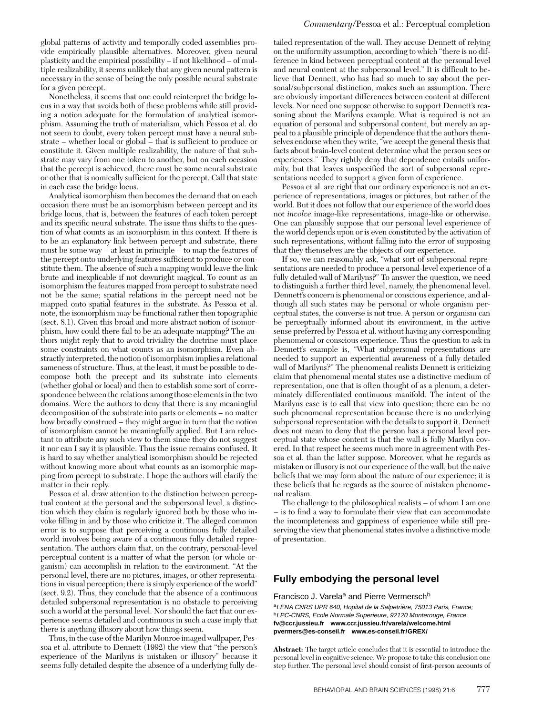global patterns of activity and temporally coded assemblies provide empirically plausible alternatives. Moreover, given neural plasticity and the empirical possibility – if not likelihood – of multiple realizability, it seems unlikely that any given neural pattern is necessary in the sense of being the only possible neural substrate for a given percept.

Nonetheless, it seems that one could reinterpret the bridge locus in a way that avoids both of these problems while still providing a notion adequate for the formulation of analytical isomorphism. Assuming the truth of materialism, which Pessoa et al. do not seem to doubt, every token percept must have a neural substrate – whether local or global – that is sufficient to produce or constitute it. Given multiple realizability, the nature of that substrate may vary from one token to another, but on each occasion that the percept is achieved, there must be some neural substrate or other that is nomically sufficient for the percept. Call that state in each case the bridge locus.

Analytical isomorphism then becomes the demand that on each occasion there must be an isomorphism between percept and its bridge locus, that is, between the features of each token percept and its specific neural substrate. The issue thus shifts to the question of what counts as an isomorphism in this context. If there is to be an explanatory link between percept and substrate, there must be some way – at least in principle – to map the features of the percept onto underlying features sufficient to produce or constitute them. The absence of such a mapping would leave the link brute and inexplicable if not downright magical. To count as an isomorphism the features mapped from percept to substrate need not be the same; spatial relations in the percept need not be mapped onto spatial features in the substrate. As Pessoa et al. note, the isomorphism may be functional rather then topographic (sect. 8.1). Given this broad and more abstract notion of isomorphism, how could there fail to be an adequate mapping? The authors might reply that to avoid triviality the doctrine must place some constraints on what counts as an isomorphism. Even abstractly interpreted, the notion of isomorphism implies a relational sameness of structure. Thus, at the least, it must be possible to decompose both the precept and its substrate into elements (whether global or local) and then to establish some sort of correspondence between the relations among those elements in the two domains. Were the authors to deny that there is any meaningful decomposition of the substrate into parts or elements – no matter how broadly construed – they might argue in turn that the notion of isomorphism cannot be meaningfully applied. But I am reluctant to attribute any such view to them since they do not suggest it nor can I say it is plausible. Thus the issue remains confused. It is hard to say whether analytical isomorphism should be rejected without knowing more about what counts as an isomorphic mapping from percept to substrate. I hope the authors will clarify the matter in their reply.

Pessoa et al. draw attention to the distinction between perceptual content at the personal and the subpersonal level, a distinction which they claim is regularly ignored both by those who invoke filling in and by those who criticize it. The alleged common error is to suppose that perceiving a continuous fully detailed world involves being aware of a continuous fully detailed representation. The authors claim that, on the contrary, personal-level perceptual content is a matter of what the person (or whole organism) can accomplish in relation to the environment. "At the personal level, there are no pictures, images, or other representations in visual perception; there is simply experience of the world" (sect. 9.2). Thus, they conclude that the absence of a continuous detailed subpersonal representation is no obstacle to perceiving such a world at the personal level. Nor should the fact that our experience seems detailed and continuous in such a case imply that there is anything illusory about how things seem.

Thus, in the case of the Marilyn Monroe imaged wallpaper, Pessoa et al. attribute to Dennett (1992) the view that "the person's experience of the Marilyns is mistaken or illusory" because it seems fully detailed despite the absence of a underlying fully de-

tailed representation of the wall. They accuse Dennett of relying on the uniformity assumption, according to which "there is no difference in kind between perceptual content at the personal level and neural content at the subpersonal level." It is difficult to believe that Dennett, who has had so much to say about the personal/subpersonal distinction, makes such an assumption. There are obviously important differences between content at different levels. Nor need one suppose otherwise to support Dennett's reasoning about the Marilyns example. What is required is not an equation of personal and subpersonal content, but merely an appeal to a plausible principle of dependence that the authors themselves endorse when they write, "we accept the general thesis that facts about brain-level content determine what the person sees or experiences." They rightly deny that dependence entails uniformity, but that leaves unspecified the sort of subpersonal representations needed to support a given form of experience.

Pessoa et al. are right that our ordinary experience is not an experience of representations, images or pictures, but rather of the world. But it does not follow that our experience of the world does not *involve* image-like representations, image-like or otherwise. One can plausibly suppose that our personal level experience of the world depends upon or is even constituted by the activation of such representations, without falling into the error of supposing that they themselves are the objects of our experience.

If so, we can reasonably ask, "what sort of subpersonal representations are needed to produce a personal-level experience of a fully detailed wall of Marilyns?" To answer the question, we need to distinguish a further third level, namely, the phenomenal level. Dennett's concern is phenomenal or conscious experience, and although all such states may be personal or whole organism perceptual states, the converse is not true. A person or organism can be perceptually informed about its environment, in the active sense preferred by Pessoa et al. without having any corresponding phenomenal or conscious experience. Thus the question to ask in Dennett's example is, "What subpersonal representations are needed to support an experiential awareness of a fully detailed wall of Marilyns?" The phenomenal realists Dennett is criticizing claim that phenomenal mental states use a distinctive medium of representation, one that is often thought of as a plenum, a determinately differentiated continuous manifold. The intent of the Marilyns case is to call that view into question; there can be no such phenomenal representation because there is no underlying subpersonal representation with the details to support it. Dennett does not mean to deny that the person has a personal level perceptual state whose content is that the wall is fully Marilyn covered. In that respect he seems much more in agreement with Pessoa et al. than the latter suppose. Moreover, what he regards as mistaken or illusory is not our experience of the wall, but the naive beliefs that we may form about the nature of our experience; it is these beliefs that he regards as the source of mistaken phenomenal realism.

The challenge to the philosophical realists – of whom I am one – is to find a way to formulate their view that can accommodate the incompleteness and gappiness of experience while still preserving the view that phenomenal states involve a distinctive mode of presentation.

# **Fully embodying the personal level**

Francisco J. Varela<sup>a</sup> and Pierre Vermersch<sup>b</sup>

<sup>a</sup>LENA CNRS UPR 640, Hopital de la Salpetrière, 75013 Paris, France; <sup>b</sup>LPC-CNRS, Ecole Normale Superieure, 92120 Monterouge, France. **fv@ccr.jussieu.fr www.ccr.jussieu.fr/varela/welcome.html pvermers@es-conseil.fr www.es-conseil.fr/GREX/**

**Abstract:** The target article concludes that it is essential to introduce the personal level in cognitive science. We propose to take this conclusion one step further. The personal level should consist of first-person accounts of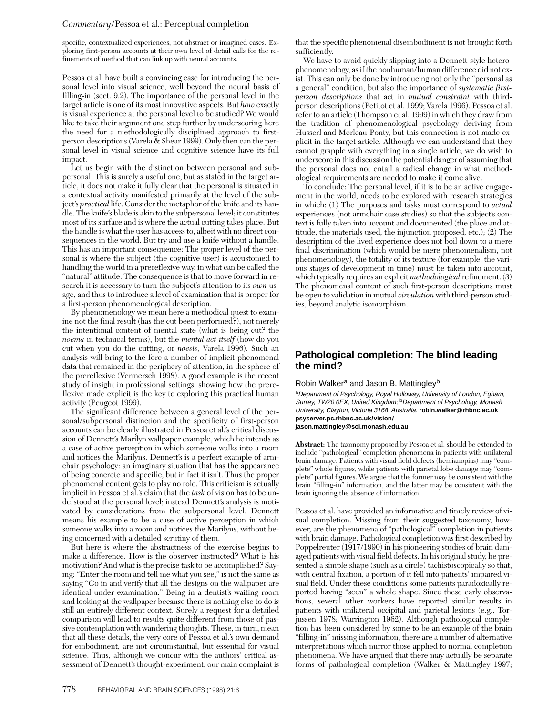specific, contextualized experiences, not abstract or imagined cases. Exploring first-person accounts at their own level of detail calls for the refinements of method that can link up with neural accounts.

Pessoa et al. have built a convincing case for introducing the personal level into visual science, well beyond the neural basis of filling-in (sect. 9.2). The importance of the personal level in the target article is one of its most innovative aspects. But *how* exactly is visual experience at the personal level to be studied? We would like to take their argument one step further by underscoring here the need for a methodologically disciplined approach to firstperson descriptions (Varela & Shear 1999). Only then can the personal level in visual science and cognitive science have its full impact.

Let us begin with the distinction between personal and subpersonal. This is surely a useful one, but as stated in the target article, it does not make it fully clear that the personal is situated in a contextual activity manifested primarily at the level of the subject's *practical* life. Consider the metaphor of the knife and its handle. The knife's blade is akin to the subpersonal level; it constitutes most of its surface and is where the actual cutting takes place. But the handle is what the user has access to, albeit with no direct consequences in the world. But try and use a knife without a handle. This has an important consequence: The proper level of the personal is where the subject (the cognitive user) is accustomed to handling the world in a prereflexive way, in what can be called the "natural" attitude. The consequence is that to move forward in research it is necessary to turn the subject's attention to its *own* usage, and thus to introduce a level of examination that is proper for a first-person phenomenological description.

By phenomenology we mean here a methodical quest to examine not the final result (has the cut been performed?), not merely the intentional content of mental state (what is being cut? the *noema* in technical terms), but the *mental act itself* (how do you cut when you do the cutting, or *noesis,* Varela 1996). Such an analysis will bring to the fore a number of implicit phenomenal data that remained in the periphery of attention, in the sphere of the prereflexive (Vermersch 1998). A good example is the recent study of insight in professional settings, showing how the prereflexive made explicit is the key to exploring this practical human activity (Peugeot 1999).

The significant difference between a general level of the personal/subpersonal distinction and the specificity of first-person accounts can be clearly illustrated in Pessoa et al.'s critical discussion of Dennett's Marilyn wallpaper example, which he intends as a case of active perception in which someone walks into a room and notices the Marilyns. Dennett's is a perfect example of armchair psychology: an imaginary situation that has the appearance of being concrete and specific, but in fact it isn't. Thus the proper phenomenal content gets to play no role. This criticism is actually implicit in Pessoa et al.'s claim that the *task* of vision has to be understood at the personal level; instead Dennett's analysis is motivated by considerations from the subpersonal level. Dennett means his example to be a case of active perception in which someone walks into a room and notices the Marilyns, without being concerned with a detailed scrutiny of them.

But here is where the abstractness of the exercise begins to make a difference. How is the observer instructed? What is his motivation? And what is the precise task to be accomplished? Saying: "Enter the room and tell me what you see," is not the same as saying "Go in and verify that all the designs on the wallpaper are identical under examination." Being in a dentist's waiting room and looking at the wallpaper because there is nothing else to do is still an entirely different context. Surely a request for a detailed comparison will lead to results quite different from those of passive contemplation with wandering thoughts. These, in turn, mean that all these details, the very core of Pessoa et al.'s own demand for embodiment, are not circumstantial, but essential for visual science. Thus, although we concur with the authors' critical assessment of Dennett's thought-experiment, our main complaint is that the specific phenomenal disembodiment is not brought forth sufficiently.

We have to avoid quickly slipping into a Dennett-style heterophenomenology, as if the nonhuman/human difference did not exist. This can only be done by introducing not only the "personal as a general" condition, but also the importance of *systematic firstperson descriptions* that act in *mutual constraint* with thirdperson descriptions (Petitot et al. 1999; Varela 1996). Pessoa et al. refer to an article (Thompson et al. 1999) in which they draw from the tradition of phenomenological psychology deriving from Husserl and Merleau-Ponty, but this connection is not made explicit in the target article. Although we can understand that they cannot grapple with everything in a single article, we do wish to underscore in this discussion the potential danger of assuming that the personal does not entail a radical change in what methodological requirements are needed to make it come alive.

To conclude: The personal level, if it is to be an active engagement in the world, needs to be explored with research strategies in which: (1) The purposes and tasks must correspond to *actual* experiences (not armchair case studies) so that the subject's context is fully taken into account and documented (the place and attitude, the materials used, the injunction proposed, etc.); (2) The description of the lived experience does not boil down to a mere final discrimination (which would be mere phenomenalism, not phenomenology), the totality of its texture (for example, the various stages of development in time) must be taken into account, which typically requires an explicit *methodological*refinement. (3) The phenomenal content of such first-person descriptions must be open to validation in mutual *circulation* with third-person studies, beyond analytic isomorphism.

# **Pathological completion: The blind leading the mind?**

#### Robin Walker<sup>a</sup> and Jason B. Mattingley<sup>b</sup>

aDepartment of Psychology, Royal Holloway, University of London, Egham, Surrey, TW20 0EX, United Kingdom; <sup>b</sup>Department of Psychology, Monash University, Clayton, Victoria 3168, Australia. **robin.walker@rhbnc.ac.uk psyserver.pc.rhbnc.ac.uk/vision/ jason.mattingley@sci.monash.edu.au**

**Abstract:** The taxonomy proposed by Pessoa et al. should be extended to include "pathological" completion phenomena in patients with unilateral brain damage. Patients with visual field defects (hemianopias) may "complete" whole figures, while patients with parietal lobe damage may "complete" partial figures. We argue that the former may be consistent with the brain "filling-in" information, and the latter may be consistent with the brain ignoring the absence of information.

Pessoa et al. have provided an informative and timely review of visual completion. Missing from their suggested taxonomy, however, are the phenomena of "pathological" completion in patients with brain damage. Pathological completion was first described by Poppelreuter (1917/1990) in his pioneering studies of brain damaged patients with visual field defects. In his original study, he presented a simple shape (such as a circle) tachistoscopically so that, with central fixation, a portion of it fell into patients' impaired visual field. Under these conditions some patients paradoxically reported having "seen" a whole shape. Since these early observations, several other workers have reported similar results in patients with unilateral occipital and parietal lesions (e.g., Torjussen 1978; Warrington 1962). Although pathological completion has been considered by some to be an example of the brain "filling-in" missing information, there are a number of alternative interpretations which mirror those applied to normal completion phenomena. We have argued that there may actually be separate forms of pathological completion (Walker & Mattingley 1997;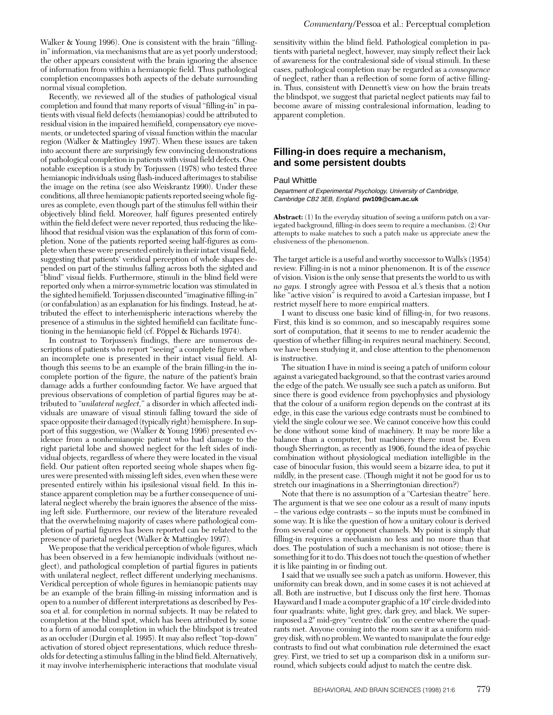Walker & Young 1996). One is consistent with the brain "fillingin" information, via mechanisms that are as yet poorly understood; the other appears consistent with the brain ignoring the absence of information from within a hemianopic field. Thus pathological completion encompasses both aspects of the debate surrounding normal visual completion.

Recently, we reviewed all of the studies of pathological visual completion and found that many reports of visual "filling-in" in patients with visual field defects (hemianopias) could be attributed to residual vision in the impaired hemifield, compensatory eye movements, or undetected sparing of visual function within the macular region (Walker & Mattingley 1997). When these issues are taken into account there are surprisingly few convincing demonstrations of pathological completion in patients with visual field defects. One notable exception is a study by Torjussen (1978) who tested three hemianopic individuals using flash-induced afterimages to stabilise the image on the retina (see also Weiskrantz 1990). Under these conditions, all three hemianopic patients reported seeing whole figures as complete, even though part of the stimulus fell within their objectively blind field. Moreover, half figures presented entirely within the field defect were never reported, thus reducing the likelihood that residual vision was the explanation of this form of completion. None of the patients reported seeing half-figures as complete when these were presented entirely in their intact visual field, suggesting that patients' veridical perception of whole shapes depended on part of the stimulus falling across both the sighted and "blind" visual fields. Furthermore, stimuli in the blind field were reported only when a mirror-symmetric location was stimulated in the sighted hemifield. Torjussen discounted "imaginative filling-in" (or confabulation) as an explanation for his findings. Instead, he attributed the effect to interhemispheric interactions whereby the presence of a stimulus in the sighted hemifield can facilitate functioning in the hemianopic field (cf. Pöppel & Richards 1974).

In contrast to Torjussen's findings, there are numerous descriptions of patients who report "seeing" a complete figure when an incomplete one is presented in their intact visual field. Although this seems to be an example of the brain filling-in the incomplete portion of the figure, the nature of the patient's brain damage adds a further confounding factor. We have argued that previous observations of completion of partial figures may be attributed to "*unilateral neglect,*" a disorder in which affected individuals are unaware of visual stimuli falling toward the side of space opposite their damaged (typically right) hemisphere. In support of this suggestion, we (Walker & Young 1996) presented evidence from a nonhemianopic patient who had damage to the right parietal lobe and showed neglect for the left sides of individual objects, regardless of where they were located in the visual field. Our patient often reported seeing whole shapes when figures were presented with missing left sides, even when these were presented entirely within his ipsilesional visual field. In this instance apparent completion may be a further consequence of unilateral neglect whereby the brain ignores the absence of the missing left side. Furthermore, our review of the literature revealed that the overwhelming majority of cases where pathological completion of partial figures has been reported can be related to the presence of parietal neglect (Walker & Mattingley 1997).

We propose that the veridical perception of whole figures, which has been observed in a few hemianopic individuals (without neglect), and pathological completion of partial figures in patients with unilateral neglect, reflect different underlying mechanisms. Veridical perception of whole figures in hemianopic patients may be an example of the brain filling-in missing information and is open to a number of different interpretations as described by Pessoa et al. for completion in normal subjects. It may be related to completion at the blind spot, which has been attributed by some to a form of amodal completion in which the blindspot is treated as an occluder (Durgin et al. 1995). It may also reflect "top-down" activation of stored object representations, which reduce thresholds for detecting a stimulus falling in the blind field. Alternatively, it may involve interhemispheric interactions that modulate visual

sensitivity within the blind field. Pathological completion in patients with parietal neglect, however, may simply reflect their lack of awareness for the contralesional side of visual stimuli. In these cases, pathological completion may be regarded as a *consequence* of neglect, rather than a reflection of some form of active fillingin. Thus, consistent with Dennett's view on how the brain treats the blindspot, we suggest that parietal neglect patients may fail to become aware of missing contralesional information, leading to apparent completion.

# **Filling-in does require a mechanism, and some persistent doubts**

#### Paul Whittle

Department of Experimental Psychology, University of Cambridge, Cambridge CB2 3EB, England. **pw109@cam.ac.uk**

**Abstract:** (1) In the everyday situation of seeing a uniform patch on a variegated background, filling-in does seem to require a mechanism. (2) Our attempts to make matches to such a patch make us appreciate anew the elusiveness of the phenomenon.

The target article is a useful and worthy successor to Walls's (1954) review. Filling-in is not a minor phenomenon. It is of the *essence* of vision. Vision is the only sense that presents the world to us with *no gaps.* I strongly agree with Pessoa et al.'s thesis that a notion like "active vision" is required to avoid a Cartesian impasse, but I restrict myself here to more empirical matters.

I want to discuss one basic kind of filling-in, for two reasons. First, this kind is so common, and so inescapably requires some sort of computation, that it seems to me to render academic the question of whether filling-in requires neural machinery. Second, we have been studying it, and close attention to the phenomenon is instructive.

The situation I have in mind is seeing a patch of uniform colour against a variegated background, so that the contrast varies around the edge of the patch. We usually see such a patch as uniform. But since there is good evidence from psychophysics and physiology that the colour of a uniform region depends on the contrast at its edge, in this case the various edge contrasts must be combined to yield the single colour we see. We cannot conceive how this could be done without some kind of machinery. It may be more like a balance than a computer, but machinery there must be. Even though Sherrington, as recently as 1906, found the idea of psychic combination without physiological mediation intelligible in the case of binocular fusion, this would seem a bizarre idea, to put it mildly, in the present case. (Though might it not be good for us to stretch our imaginations in a Sherringtonian direction?)

Note that there is no assumption of a "Cartesian theatre" here. The argument is that we see one colour as a result of many inputs – the various edge contrasts – so the inputs must be combined in some way. It is like the question of how a unitary colour is derived from several cone or opponent channels. My point is simply that filling-in requires a mechanism no less and no more than that does. The postulation of such a mechanism is not otiose; there is something for it to do. This does not touch the question of whether it is like painting in or finding out.

I said that we usually see such a patch as uniform. However, this uniformity can break down, and in some cases it is not achieved at all. Both are instructive, but I discuss only the first here. Thomas Hayward and I made a computer graphic of a 10<sup>°</sup> circle divided into four quadrants: white, light grey, dark grey, and black. We superimposed a 2° mid-grey "centre disk" on the centre where the quadrants met. Anyone coming into the room saw it as a uniform midgrey disk, with no problem. We wanted to manipulate the four edge contrasts to find out what combination rule determined the exact grey. First, we tried to set up a comparison disk in a uniform surround, which subjects could adjust to match the centre disk.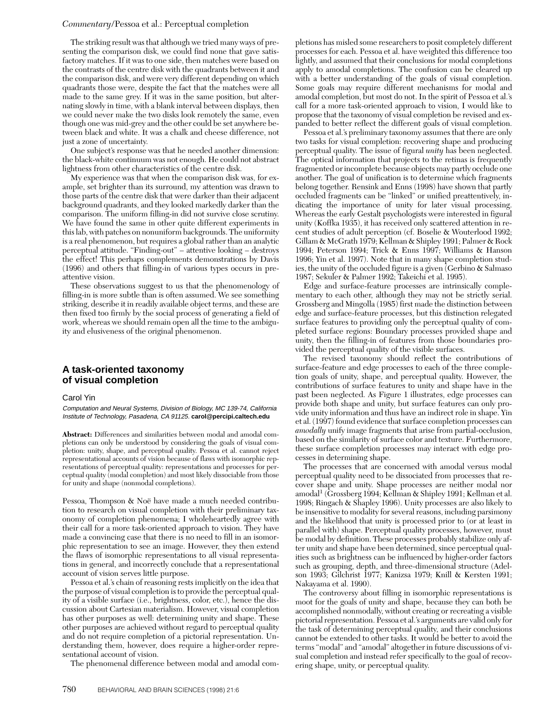The striking result was that although we tried many ways of presenting the comparison disk, we could find none that gave satisfactory matches. If it was to one side, then matches were based on the contrasts of the centre disk with the quadrants between it and the comparison disk, and were very different depending on which quadrants those were, despite the fact that the matches were all made to the same grey. If it was in the same position, but alternating slowly in time, with a blank interval between displays, then we could never make the two disks look remotely the same, even though one was mid-grey and the other could be set anywhere between black and white. It was a chalk and cheese difference, not just a zone of uncertainty.

One subject's response was that he needed another dimension: the black-white continuum was not enough. He could not abstract lightness from other characteristics of the centre disk.

My experience was that when the comparison disk was, for example, set brighter than its surround, my attention was drawn to those parts of the centre disk that were darker than their adjacent background quadrants, and they looked markedly darker than the comparison. The uniform filling-in did not survive close scrutiny. We have found the same in other quite different experiments in this lab, with patches on nonuniform backgrounds. The uniformity is a real phenomenon, but requires a global rather than an analytic perceptual attitude. "Finding-out" – attentive looking – destroys the effect! This perhaps complements demonstrations by Davis (1996) and others that filling-in of various types occurs in preattentive vision.

These observations suggest to us that the phenomenology of filling-in is more subtle than is often assumed. We see something striking, describe it in readily available object terms, and these are then fixed too firmly by the social process of generating a field of work, whereas we should remain open all the time to the ambiguity and elusiveness of the original phenomenon.

# **A task-oriented taxonomy of visual completion**

#### Carol Yin

Computation and Neural Systems, Division of Biology, MC 139-74, California Institute of Technology, Pasadena, CA 91125. **carol@percipi.caltech.edu**

**Abstract:** Differences and similarities between modal and amodal completions can only be understood by considering the goals of visual completion: unity, shape, and perceptual quality. Pessoa et al. cannot reject representational accounts of vision because of flaws with isomorphic representations of perceptual quality: representations and processes for perceptual quality (modal completion) and most likely dissociable from those for unity and shape (nonmodal completions).

Pessoa, Thompson & Noë have made a much needed contribution to research on visual completion with their preliminary taxonomy of completion phenomena; I wholeheartedly agree with their call for a more task-oriented approach to vision. They have made a convincing case that there is no need to fill in an isomorphic representation to see an image. However, they then extend the flaws of isomorphic representations to all visual representations in general, and incorrectly conclude that a representational account of vision serves little purpose.

Pessoa et al.'s chain of reasoning rests implicitly on the idea that the purpose of visual completion is to provide the perceptual quality of a visible surface (i.e., brightness, color, etc.), hence the discussion about Cartesian materialism. However, visual completion has other purposes as well: determining unity and shape. These other purposes are achieved without regard to perceptual quality and do not require completion of a pictorial representation. Understanding them, however, does require a higher-order representational account of vision.

The phenomenal difference between modal and amodal com-

pletions has misled some researchers to posit completely different processes for each. Pessoa et al. have weighted this difference too lightly, and assumed that their conclusions for modal completions apply to amodal completions. The confusion can be cleared up with a better understanding of the goals of visual completion. Some goals may require different mechanisms for modal and amodal completion, but most do not. In the spirit of Pessoa et al.'s call for a more task-oriented approach to vision, I would like to propose that the taxonomy of visual completion be revised and expanded to better reflect the different goals of visual completion.

Pessoa et al.'s preliminary taxonomy assumes that there are only two tasks for visual completion: recovering shape and producing perceptual quality. The issue of figural *unity* has been neglected. The optical information that projects to the retinas is frequently fragmented or incomplete because objects may partly occlude one another. The goal of unification is to determine which fragments belong together. Rensink and Enns (1998) have shown that partly occluded fragments can be "linked" or unified preattentively, indicating the importance of unity for later visual processing. Whereas the early Gestalt psychologists were interested in figural unity (Koffka 1935), it has received only scattered attention in recent studies of adult perception (cf. Boselie & Wouterlood 1992; Gillam & McGrath 1979; Kellman & Shipley 1991; Palmer & Rock 1994; Peterson 1994; Trick & Enns 1997; Williams & Hanson 1996; Yin et al. 1997). Note that in many shape completion studies, the unity of the occluded figure is a given (Gerbino & Salmaso 1987; Sekuler & Palmer 1992; Takeichi et al. 1995).

Edge and surface-feature processes are intrinsically complementary to each other, although they may not be strictly serial. Grossberg and Mingolla (1985) first made the distinction between edge and surface-feature processes, but this distinction relegated surface features to providing only the perceptual quality of completed surface regions: Boundary processes provided shape and unity, then the filling-in of features from those boundaries provided the perceptual quality of the visible surfaces.

The revised taxonomy should reflect the contributions of surface-feature and edge processes to each of the three completion goals of unity, shape, and perceptual quality. However, the contributions of surface features to unity and shape have in the past been neglected. As Figure 1 illustrates, edge processes can provide both shape and unity, but surface features can only provide unity information and thus have an indirect role in shape. Yin et al. (1997) found evidence that surface completion processes can *amodally* unify image fragments that arise from partial-occlusion, based on the similarity of surface color and texture. Furthermore, these surface completion processes may interact with edge processes in determining shape.

The processes that are concerned with amodal versus modal perceptual quality need to be dissociated from processes that recover shape and unity. Shape processes are neither modal nor amodal1 (Grossberg 1994; Kellman & Shipley 1991; Kellman et al. 1998; Ringach & Shapley 1996). Unity processes are also likely to be insensitive to modality for several reasons, including parsimony and the likelihood that unity is processed prior to (or at least in parallel with) shape. Perceptual quality processes, however, must be modal by definition. These processes probably stabilize only after unity and shape have been determined, since perceptual qualities such as brightness can be influenced by higher-order factors such as grouping, depth, and three-dimensional structure (Adelson 1993; Gilchrist 1977; Kanizsa 1979; Knill & Kersten 1991; Nakayama et al. 1990).

The controversy about filling in isomorphic representations is moot for the goals of unity and shape, because they can both be accomplished nonmodally, without creating or recreating a visible pictorial representation. Pessoa et al.'s arguments are valid only for the task of determining perceptual quality, and their conclusions cannot be extended to other tasks. It would be better to avoid the terms "modal" and "amodal" altogether in future discussions of visual completion and instead refer specifically to the goal of recovering shape, unity, or perceptual quality.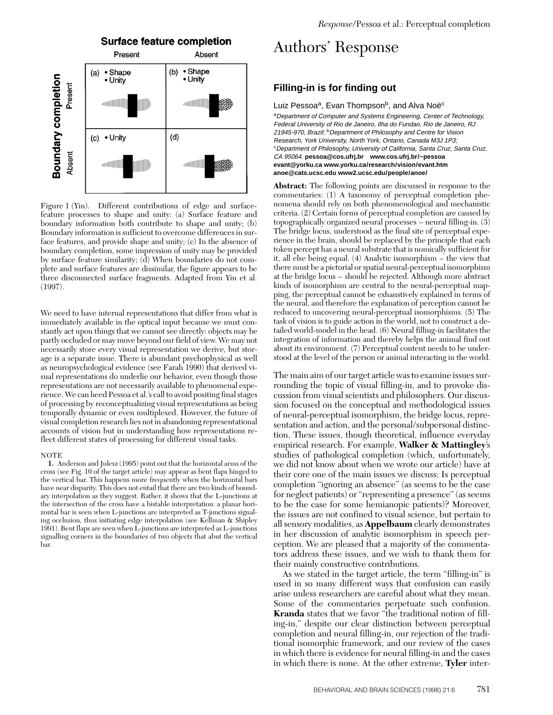

Figure 1 (Yin). Different contributions of edge and surfacefeature processes to shape and unity: (a) Surface feature and boundary information both contribute to shape and unity; (b) Boundary information is sufficient to overcome differences in surface features, and provide shape and unity; (c) In the absence of boundary completion, some impression of unity may be provided by surface feature similarity; (d) When boundaries do not complete and surface features are dissimilar, the figure appears to be three disconnected surface fragments. Adapted from Yin et al. (1997).

We need to have internal representations that differ from what is immediately available in the optical input because we must constantly act upon things that we cannot see directly: objects may be partly occluded or may move beyond our field of view. We may not necessarily store every visual representation we derive, but storage is a separate issue. There is abundant psychophysical as well as neuropsychological evidence (see Farah 1990) that derived visual representations do underlie our behavior, even though those representations are not necessarily available to phenomenal experience. We can heed Pessoa et al.'s call to avoid positing final stages of processing by reconceptualizing visual representations as being temporally dynamic or even multiplexed. However, the future of visual completion research lies not in abandoning representational accounts of vision but in understanding how representations reflect different states of processing for different visual tasks.

#### **NOTE**

**1.** Anderson and Julesz (1995) point out that the horizontal arms of the cross (see Fig. 10 of the target article) may appear as bent flaps hinged to the vertical bar. This happens more frequently when the horizontal bars have near disparity. This does not entail that there are two kinds of boundary interpolation as they suggest. Rather, it shows that the L-junctions at the intersection of the cross have a bistable interpretation: a planar horizontal bar is seen when L-junctions are interpreted as T-junctions signaling occlusion, thus initiating edge interpolation (see Kellman & Shipley 1991). Bent flaps are seen when L-junctions are interpreted as L-junctions signalling corners in the boundaries of two objects that abut the vertical bar.

# Authors' Response

# **Filling-in is for finding out**

Luiz Pessoa<sup>a</sup>, Evan Thompson<sup>b</sup>, and Alva Noë<sup>c</sup> aDepartment of Computer and Systems Engineering, Center of Technology, Federal University of Rio de Janeiro, Ilha do Fundao, Rio de Janeiro, RJ 21945-970, Brazil; <sup>b</sup>Department of Philosophy and Centre for Vision Research, York University, North York, Ontario, Canada M3J 1P3; <sup>c</sup>Department of Philosophy, University of California, Santa Cruz, Santa Cruz, CA 95064. **pessoa@cos.ufrj.br www.cos.ufrj.br/~pessoa evant@yorku.ca www.yorku.ca/research/vision/evant.htm anoe@cats.ucsc.edu www2.ucsc.edu/people/anoe/**

**Abstract:** The following points are discussed in response to the commentaries: (1) A taxonomy of perceptual completion phenomena should rely on both phenomenological and mechanistic criteria. (2) Certain forms of perceptual completion are caused by topographically organized neural processes – neural filling-in. (3) The bridge locus, understood as the final site of perceptual experience in the brain, should be replaced by the principle that each token percept has a neural substrate that is nomically sufficient for it, all else being equal. (4) Analytic isomorphism – the view that there must be a pictorial or spatial neural-perceptual isomorphism at the bridge locus – should be rejected. Although more abstract kinds of isomorphism are central to the neural-perceptual mapping, the perceptual cannot be exhaustively explained in terms of the neural, and therefore the explanation of perception cannot be reduced to uncovering neural-perceptual isomorphisms. (5) The task of vision is to guide action in the world, not to construct a detailed world-model in the head. (6) Neural filling-in facilitates the integration of information and thereby helps the animal find out about its environment. (7) Perceptual content needs to be understood at the level of the person or animal interacting in the world.

The main aim of our target article was to examine issues surrounding the topic of visual filling-in, and to provoke discussion from visual scientists and philosophers. Our discussion focused on the conceptual and methodological issues of neural-perceptual isomorphism, the bridge locus, representation and action, and the personal/subpersonal distinction. These issues, though theoretical, influence everyday empirical research. For example, **Walker & Mattingley**'s studies of pathological completion (which, unfortunately, we did not know about when we wrote our article) have at their core one of the main issues we discuss: Is perceptual completion "ignoring an absence" (as seems to be the case for neglect patients) or "representing a presence" (as seems to be the case for some hemianopic patients)? Moreover, the issues are not confined to visual science, but pertain to all sensory modalities, as **Appelbaum** clearly demonstrates in her discussion of analytic isomorphism in speech perception. We are pleased that a majority of the commentators address these issues, and we wish to thank them for their mainly constructive contributions.

As we stated in the target article, the term "filling-in" is used in so many different ways that confusion can easily arise unless researchers are careful about what they mean. Some of the commentaries perpetuate such confusion. **Kranda** states that we favor "the traditional notion of filling-in," despite our clear distinction between perceptual completion and neural filling-in, our rejection of the traditional isomorphic framework, and our review of the cases in which there is evidence for neural filling-in and the cases in which there is none. At the other extreme, **Tyler** inter-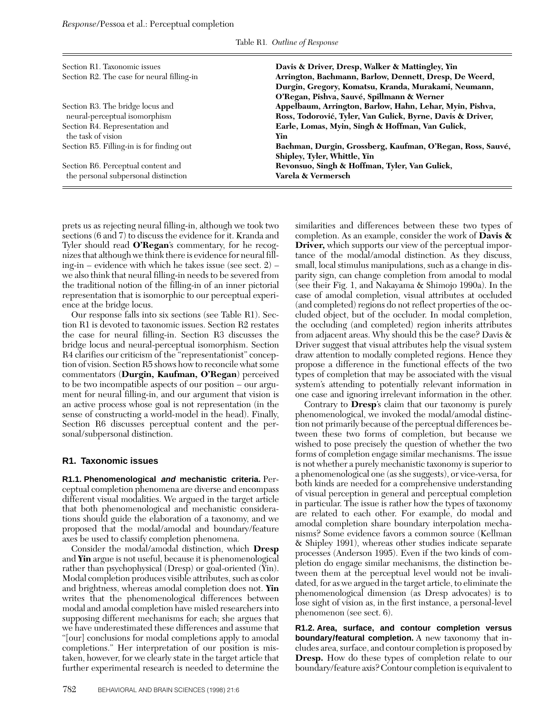| Section R1. Taxonomic issues<br>Section R2. The case for neural filling-in | Davis & Driver, Dresp, Walker & Mattingley, Yin<br>Arrington, Bachmann, Barlow, Dennett, Dresp, De Weerd,<br>Durgin, Gregory, Komatsu, Kranda, Murakami, Neumann,<br>O'Regan, Pishva, Sauvé, Spillmann & Werner |
|----------------------------------------------------------------------------|-----------------------------------------------------------------------------------------------------------------------------------------------------------------------------------------------------------------|
| Section R3. The bridge locus and                                           | Appelbaum, Arrington, Barlow, Hahn, Lehar, Myin, Pishva,                                                                                                                                                        |
| neural-perceptual isomorphism                                              | Ross, Todorović, Tyler, Van Gulick, Byrne, Davis & Driver,                                                                                                                                                      |
| Section R4. Representation and                                             | Earle, Lomas, Myin, Singh & Hoffman, Van Gulick,                                                                                                                                                                |
| the task of vision                                                         | Yin                                                                                                                                                                                                             |
| Section R5. Filling-in is for finding out                                  | Bachman, Durgin, Grossberg, Kaufman, O'Regan, Ross, Sauvé,<br>Shipley, Tyler, Whittle, Yin                                                                                                                      |
| Section R6. Perceptual content and                                         | Revonsuo, Singh & Hoffman, Tyler, Van Gulick,                                                                                                                                                                   |
| the personal subpersonal distinction                                       | Varela & Vermersch                                                                                                                                                                                              |

prets us as rejecting neural filling-in, although we took two sections (6 and 7) to discuss the evidence for it. Kranda and Tyler should read **O'Regan**'s commentary, for he recognizes that although we think there is evidence for neural filling-in – evidence with which he takes issue (see sect. 2) – we also think that neural filling-in needs to be severed from the traditional notion of the filling-in of an inner pictorial representation that is isomorphic to our perceptual experience at the bridge locus.

Our response falls into six sections (see Table R1). Section R1 is devoted to taxonomic issues. Section R2 restates the case for neural filling-in. Section R3 discusses the bridge locus and neural-perceptual isomorphism. Section R4 clarifies our criticism of the "representationist" conception of vision. Section R5 shows how to reconcile what some commentators (**Durgin, Kaufman, O'Regan**) perceived to be two incompatible aspects of our position – our argument for neural filling-in, and our argument that vision is an active process whose goal is not representation (in the sense of constructing a world-model in the head). Finally, Section R6 discusses perceptual content and the personal/subpersonal distinction.

# **R1. Taxonomic issues**

**R1.1. Phenomenological and mechanistic criteria.** Perceptual completion phenomena are diverse and encompass different visual modalities. We argued in the target article that both phenomenological and mechanistic considerations should guide the elaboration of a taxonomy, and we proposed that the modal/amodal and boundary/feature axes be used to classify completion phenomena.

Consider the modal/amodal distinction, which **Dresp** and **Yin** argue is not useful, because it is phenomenological rather than psychophysical (Dresp) or goal-oriented (Yin). Modal completion produces visible attributes, such as color and brightness, whereas amodal completion does not. **Yin** writes that the phenomenological differences between modal and amodal completion have misled researchers into supposing different mechanisms for each; she argues that we have underestimated these differences and assume that "[our] conclusions for modal completions apply to amodal completions." Her interpretation of our position is mistaken, however, for we clearly state in the target article that further experimental research is needed to determine the

similarities and differences between these two types of completion. As an example, consider the work of **Davis & Driver,** which supports our view of the perceptual importance of the modal/amodal distinction. As they discuss, small, local stimulus manipulations, such as a change in disparity sign, can change completion from amodal to modal (see their Fig. 1, and Nakayama & Shimojo 1990a). In the case of amodal completion, visual attributes at occluded (and completed) regions do not reflect properties of the occluded object, but of the occluder. In modal completion, the occluding (and completed) region inherits attributes from adjacent areas. Why should this be the case? Davis & Driver suggest that visual attributes help the visual system draw attention to modally completed regions. Hence they propose a difference in the functional effects of the two types of completion that may be associated with the visual system's attending to potentially relevant information in one case and ignoring irrelevant information in the other.

Contrary to **Dresp**'s claim that our taxonomy is purely phenomenological, we invoked the modal/amodal distinction not primarily because of the perceptual differences between these two forms of completion, but because we wished to pose precisely the question of whether the two forms of completion engage similar mechanisms. The issue is not whether a purely mechanistic taxonomy is superior to a phenomenological one (as she suggests), or vice-versa, for both kinds are needed for a comprehensive understanding of visual perception in general and perceptual completion in particular. The issue is rather how the types of taxonomy are related to each other. For example, do modal and amodal completion share boundary interpolation mechanisms? Some evidence favors a common source (Kellman & Shipley 1991), whereas other studies indicate separate processes (Anderson 1995). Even if the two kinds of completion do engage similar mechanisms, the distinction between them at the perceptual level would not be invalidated, for as we argued in the target article, to eliminate the phenomenological dimension (as Dresp advocates) is to lose sight of vision as, in the first instance, a personal-level phenomenon (see sect. 6).

**R1.2. Area, surface, and contour completion versus boundary/featural completion.** A new taxonomy that includes area, surface, and contour completion is proposed by **Dresp.** How do these types of completion relate to our boundary/feature axis? Contour completion is equivalent to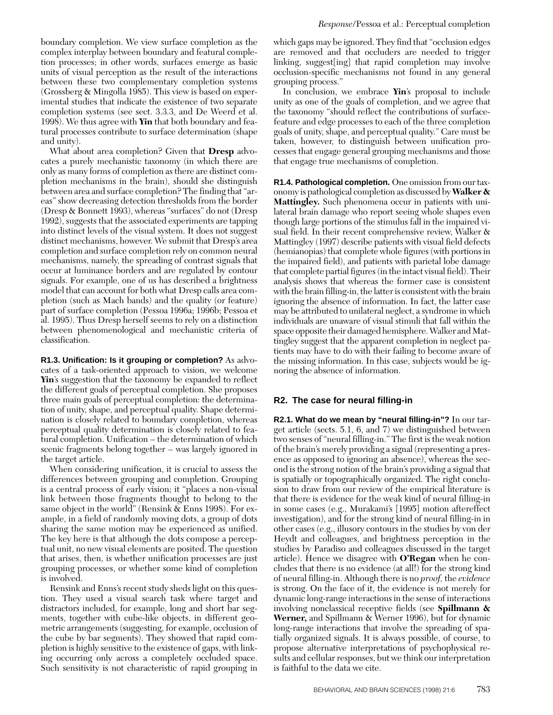boundary completion. We view surface completion as the complex interplay between boundary and featural completion processes; in other words, surfaces emerge as basic units of visual perception as the result of the interactions between these two complementary completion systems (Grossberg & Mingolla 1985). This view is based on experimental studies that indicate the existence of two separate completion systems (see sect. 3.3.3, and De Weerd et al. 1998). We thus agree with **Yin** that both boundary and featural processes contribute to surface determination (shape and unity).

What about area completion? Given that **Dresp** advocates a purely mechanistic taxonomy (in which there are only as many forms of completion as there are distinct completion mechanisms in the brain), should she distinguish between area and surface completion? The finding that "areas" show decreasing detection thresholds from the border (Dresp & Bonnett 1993), whereas "surfaces" do not (Dresp 1992), suggests that the associated experiments are tapping into distinct levels of the visual system. It does not suggest distinct mechanisms, however. We submit that Dresp's area completion and surface completion rely on common neural mechanisms, namely, the spreading of contrast signals that occur at luminance borders and are regulated by contour signals. For example, one of us has described a brightness model that can account for both what Dresp calls area completion (such as Mach bands) and the quality (or feature) part of surface completion (Pessoa 1996a; 1996b; Pessoa et al. 1995). Thus Dresp herself seems to rely on a distinction between phenomenological and mechanistic criteria of classification.

**R1.3. Unification: Is it grouping or completion?** As advocates of a task-oriented approach to vision, we welcome **Yin**'s suggestion that the taxonomy be expanded to reflect the different goals of perceptual completion. She proposes three main goals of perceptual completion: the determination of unity, shape, and perceptual quality. Shape determination is closely related to boundary completion, whereas perceptual quality determination is closely related to featural completion. Unification – the determination of which scenic fragments belong together – was largely ignored in the target article.

When considering unification, it is crucial to assess the differences between grouping and completion. Grouping is a central process of early vision; it "places a non-visual link between those fragments thought to belong to the same object in the world" (Rensink & Enns 1998). For example, in a field of randomly moving dots, a group of dots sharing the same motion may be experienced as unified. The key here is that although the dots compose a perceptual unit, no new visual elements are posited. The question that arises, then, is whether unification processes are just grouping processes, or whether some kind of completion is involved.

Rensink and Enns's recent study sheds light on this question. They used a visual search task where target and distractors included, for example, long and short bar segments, together with cube-like objects, in different geometric arrangements (suggesting, for example, occlusion of the cube by bar segments). They showed that rapid completion is highly sensitive to the existence of gaps, with linking occurring only across a completely occluded space. Such sensitivity is not characteristic of rapid grouping in

which gaps may be ignored. They find that "occlusion edges are removed and that occluders are needed to trigger linking, suggest[ing] that rapid completion may involve occlusion-specific mechanisms not found in any general grouping process."

In conclusion, we embrace **Yin**'s proposal to include unity as one of the goals of completion, and we agree that the taxonomy "should reflect the contributions of surfacefeature and edge processes to each of the three completion goals of unity, shape, and perceptual quality." Care must be taken, however, to distinguish between unification processes that engage general grouping mechanisms and those that engage true mechanisms of completion.

**R1.4. Pathological completion.** One omission from our taxonomy is pathological completion as discussed by **Walker & Mattingley.** Such phenomena occur in patients with unilateral brain damage who report seeing whole shapes even though large portions of the stimulus fall in the impaired visual field. In their recent comprehensive review, Walker & Mattingley (1997) describe patients with visual field defects (hemianopias) that complete whole figures (with portions in the impaired field), and patients with parietal lobe damage that complete partial figures (in the intact visual field). Their analysis shows that whereas the former case is consistent with the brain filling-in, the latter is consistent with the brain ignoring the absence of information. In fact, the latter case may be attributed to unilateral neglect, a syndrome in which individuals are unaware of visual stimuli that fall within the space opposite their damaged hemisphere. Walker and Mattingley suggest that the apparent completion in neglect patients may have to do with their failing to become aware of the missing information. In this case, subjects would be ignoring the absence of information.

# **R2. The case for neural filling-in**

**R2.1. What do we mean by "neural filling-in"?** In our target article (sects. 5.1, 6, and 7) we distinguished between two senses of "neural filling-in." The first is the weak notion of the brain's merely providing a signal (representing a presence as opposed to ignoring an absence), whereas the second is the strong notion of the brain's providing a signal that is spatially or topographically organized. The right conclusion to draw from our review of the empirical literature is that there is evidence for the weak kind of neural filling-in in some cases (e.g., Murakami's [1995] motion aftereffect investigation), and for the strong kind of neural filling-in in other cases (e.g., illusory contours in the studies by von der Heydt and colleagues, and brightness perception in the studies by Paradiso and colleagues discussed in the target article). Hence we disagree with **O'Regan** when he concludes that there is no evidence (at all!) for the strong kind of neural filling-in. Although there is no *proof,* the *evidence* is strong. On the face of it, the evidence is not merely for dynamic long-range interactions in the sense of interactions involving nonclassical receptive fields (see **Spillmann & Werner,** and Spillmann & Werner 1996), but for dynamic long-range interactions that involve the spreading of spatially organized signals. It is always possible, of course, to propose alternative interpretations of psychophysical results and cellular responses, but we think our interpretation is faithful to the data we cite.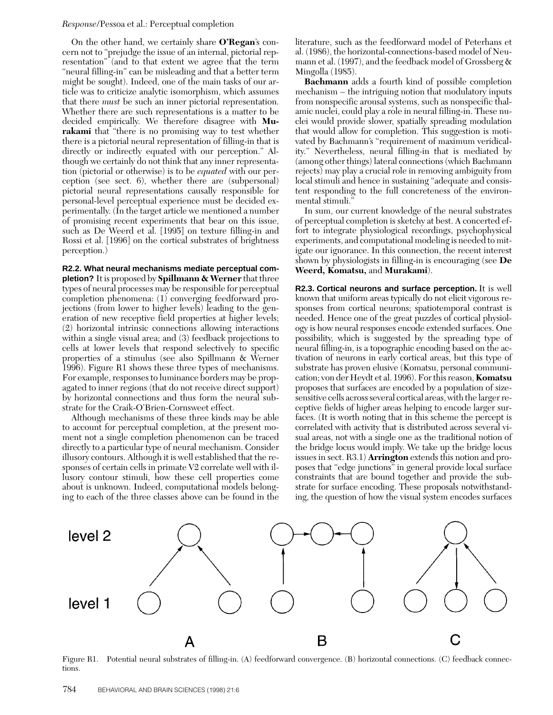### *Response/*Pessoa et al.: Perceptual completion

On the other hand, we certainly share **O'Regan**'s concern not to "prejudge the issue of an internal, pictorial representation" (and to that extent we agree that the term "neural filling-in" can be misleading and that a better term might be sought). Indeed, one of the main tasks of our article was to criticize analytic isomorphism, which assumes that there *must* be such an inner pictorial representation. Whether there are such representations is a matter to be decided empirically. We therefore disagree with **Murakami** that "there is no promising way to test whether there is a pictorial neural representation of filling-in that is directly or indirectly equated with our perception." Although we certainly do not think that any inner representation (pictorial or otherwise) is to be *equated* with our perception (see sect. 6), whether there are (subpersonal) pictorial neural representations causally responsible for personal-level perceptual experience must be decided experimentally. (In the target article we mentioned a number of promising recent experiments that bear on this issue, such as De Weerd et al. [1995] on texture filling-in and Rossi et al. [1996] on the cortical substrates of brightness perception.)

**R2.2. What neural mechanisms mediate perceptual completion?** It is proposed by **Spillmann & Werner** that three types of neural processes may be responsible for perceptual completion phenomena: (1) converging feedforward projections (from lower to higher levels) leading to the generation of new receptive field properties at higher levels; (2) horizontal intrinsic connections allowing interactions within a single visual area; and (3) feedback projections to cells at lower levels that respond selectively to specific properties of a stimulus (see also Spillmann & Werner 1996). Figure R1 shows these three types of mechanisms. For example, responses to luminance borders may be propagated to inner regions (that do not receive direct support) by horizontal connections and thus form the neural substrate for the Craik-O'Brien-Cornsweet effect.

Although mechanisms of these three kinds may be able to account for perceptual completion, at the present moment not a single completion phenomenon can be traced directly to a particular type of neural mechanism. Consider illusory contours. Although it is well established that the responses of certain cells in primate V2 correlate well with illusory contour stimuli, how these cell properties come about is unknown. Indeed, computational models belonging to each of the three classes above can be found in the literature, such as the feedforward model of Peterhans et al. (1986), the horizontal-connections-based model of Neumann et al. (1997), and the feedback model of Grossberg & Mingolla (1985).

**Bachmann** adds a fourth kind of possible completion mechanism – the intriguing notion that modulatory inputs from nonspecific arousal systems, such as nonspecific thalamic nuclei, could play a role in neural filling-in. These nuclei would provide slower, spatially spreading modulation that would allow for completion. This suggestion is motivated by Bachmann's "requirement of maximum veridicality." Nevertheless, neural filling-in that is mediated by (among other things) lateral connections (which Bachmann rejects) may play a crucial role in removing ambiguity from local stimuli and hence in sustaining "adequate and consistent responding to the full concreteness of the environmental stimuli."

In sum, our current knowledge of the neural substrates of perceptual completion is sketchy at best. A concerted effort to integrate physiological recordings, psychophysical experiments, and computational modeling is needed to mitigate our ignorance. In this connection, the recent interest shown by physiologists in filling-in is encouraging (see **De Weerd, Komatsu,** and **Murakami**).

**R2.3. Cortical neurons and surface perception.** It is well known that uniform areas typically do not elicit vigorous responses from cortical neurons; spatiotemporal contrast is needed. Hence one of the great puzzles of cortical physiology is how neural responses encode extended surfaces. One possibility, which is suggested by the spreading type of neural filling-in, is a topographic encoding based on the activation of neurons in early cortical areas, but this type of substrate has proven elusive (Komatsu, personal communication; von der Heydt et al. 1996). For this reason, **Komatsu** proposes that surfaces are encoded by a population of sizesensitive cells across several cortical areas, with the larger receptive fields of higher areas helping to encode larger surfaces. (It is worth noting that in this scheme the percept is correlated with activity that is distributed across several visual areas, not with a single one as the traditional notion of the bridge locus would imply. We take up the bridge locus issues in sect. R3.1) **Arrington** extends this notion and proposes that "edge junctions" in general provide local surface constraints that are bound together and provide the substrate for surface encoding. These proposals notwithstanding, the question of how the visual system encodes surfaces



Figure R1. Potential neural substrates of filling-in. (A) feedforward convergence. (B) horizontal connections. (C) feedback connections.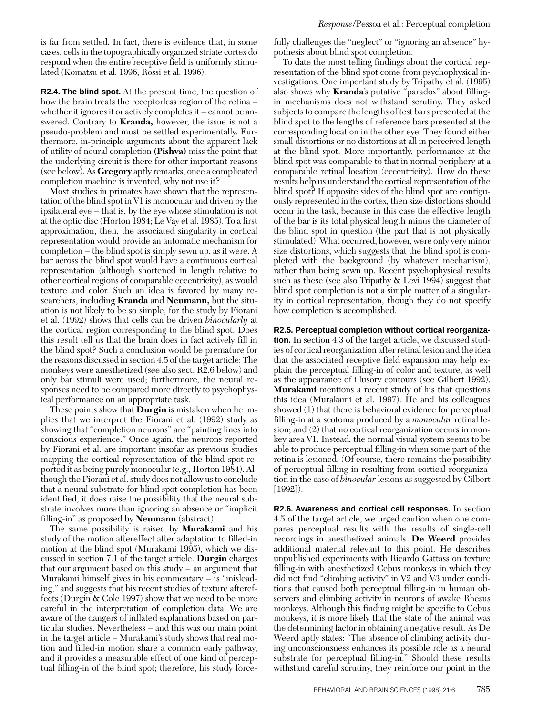is far from settled. In fact, there is evidence that, in some cases, cells in the topographically organized striate cortex do respond when the entire receptive field is uniformly stimulated (Komatsu et al. 1996; Rossi et al. 1996).

**R2.4. The blind spot.** At the present time, the question of how the brain treats the receptorless region of the retina – whether it ignores it or actively completes it – cannot be answered. Contrary to **Kranda,** however, the issue is not a pseudo-problem and must be settled experimentally. Furthermore, in-principle arguments about the apparent lack of utility of neural completion **(Pishva)** miss the point that the underlying circuit is there for other important reasons (see below). As **Gregory** aptly remarks, once a complicated completion machine is invented, why not use it?

Most studies in primates have shown that the representation of the blind spot in V1 is monocular and driven by the ipsilateral eye – that is, by the eye whose stimulation is not at the optic disc (Horton 1984; Le Vay et al. 1985). To a first approximation, then, the associated singularity in cortical representation would provide an automatic mechanism for completion – the blind spot is simply sewn up, as it were. A bar across the blind spot would have a continuous cortical representation (although shortened in length relative to other cortical regions of comparable eccentricity), as would texture and color. Such an idea is favored by many researchers, including **Kranda** and **Neumann,** but the situation is not likely to be so simple, for the study by Fiorani et al. (1992) shows that cells can be driven *binocularly* at the cortical region corresponding to the blind spot. Does this result tell us that the brain does in fact actively fill in the blind spot? Such a conclusion would be premature for the reasons discussed in section 4.5 of the target article: The monkeys were anesthetized (see also sect. R2.6 below) and only bar stimuli were used; furthermore, the neural responses need to be compared more directly to psychophysical performance on an appropriate task.

These points show that **Durgin** is mistaken when he implies that we interpret the Fiorani et al. (1992) study as showing that "completion neurons" are "painting lines into conscious experience." Once again, the neurons reported by Fiorani et al. are important insofar as previous studies mapping the cortical representation of the blind spot reported it as being purely monocular (e.g., Horton 1984). Although the Fiorani et al. study does not allow us to conclude that a neural substrate for blind spot completion has been identified, it does raise the possibility that the neural substrate involves more than ignoring an absence or "implicit filling-in" as proposed by **Neumann** (abstract).

The same possibility is raised by **Murakami** and his study of the motion aftereffect after adaptation to filled-in motion at the blind spot (Murakami 1995), which we discussed in section 7.1 of the target article. **Durgin** charges that our argument based on this study – an argument that Murakami himself gives in his commentary – is "misleading," and suggests that his recent studies of texture aftereffects (Durgin & Cole 1997) show that we need to be more careful in the interpretation of completion data. We are aware of the dangers of inflated explanations based on particular studies. Nevertheless – and this was our main point in the target article – Murakami's study shows that real motion and filled-in motion share a common early pathway, and it provides a measurable effect of one kind of perceptual filling-in of the blind spot; therefore, his study forcefully challenges the "neglect" or "ignoring an absence" hypothesis about blind spot completion.

To date the most telling findings about the cortical representation of the blind spot come from psychophysical investigations. One important study by Tripathy et al. (1995) also shows why **Kranda**'s putative "paradox" about fillingin mechanisms does not withstand scrutiny. They asked subjects to compare the lengths of test bars presented at the blind spot to the lengths of reference bars presented at the corresponding location in the other eye. They found either small distortions or no distortions at all in perceived length at the blind spot. More importantly, performance at the blind spot was comparable to that in normal periphery at a comparable retinal location (eccentricity). How do these results help us understand the cortical representation of the blind spot? If opposite sides of the blind spot are contiguously represented in the cortex, then size distortions should occur in the task, because in this case the effective length of the bar is its total physical length minus the diameter of the blind spot in question (the part that is not physically stimulated). What occurred, however, were only very minor size distortions, which suggests that the blind spot is completed with the background (by whatever mechanism), rather than being sewn up. Recent psychophysical results such as these (see also Tripathy & Levi 1994) suggest that blind spot completion is not a simple matter of a singularity in cortical representation, though they do not specify how completion is accomplished.

### **R2.5. Perceptual completion without cortical reorganiza-**

**tion.** In section 4.3 of the target article, we discussed studies of cortical reorganization after retinal lesion and the idea that the associated receptive field expansion may help explain the perceptual filling-in of color and texture, as well as the appearance of illusory contours (see Gilbert 1992). **Murakami** mentions a recent study of his that questions this idea (Murakami et al. 1997). He and his colleagues showed (1) that there is behavioral evidence for perceptual filling-in at a scotoma produced by a *monocular* retinal lesion; and (2) that no cortical reorganization occurs in monkey area V1. Instead, the normal visual system seems to be able to produce perceptual filling-in when some part of the retina is lesioned. (Of course, there remains the possibility of perceptual filling-in resulting from cortical reorganization in the case of *binocular* lesions as suggested by Gilbert [1992]).

**R2.6. Awareness and cortical cell responses.** In section 4.5 of the target article, we urged caution when one compares perceptual results with the results of single-cell recordings in anesthetized animals. **De Weerd** provides additional material relevant to this point. He describes unpublished experiments with Ricardo Gattass on texture filling-in with anesthetized Cebus monkeys in which they did not find "climbing activity" in V2 and V3 under conditions that caused both perceptual filling-in in human observers and climbing activity in neurons of awake Rhesus monkeys. Although this finding might be specific to Cebus monkeys, it is more likely that the state of the animal was the determining factor in obtaining a negative result. As De Weerd aptly states: "The absence of climbing activity during unconsciousness enhances its possible role as a neural substrate for perceptual filling-in." Should these results withstand careful scrutiny, they reinforce our point in the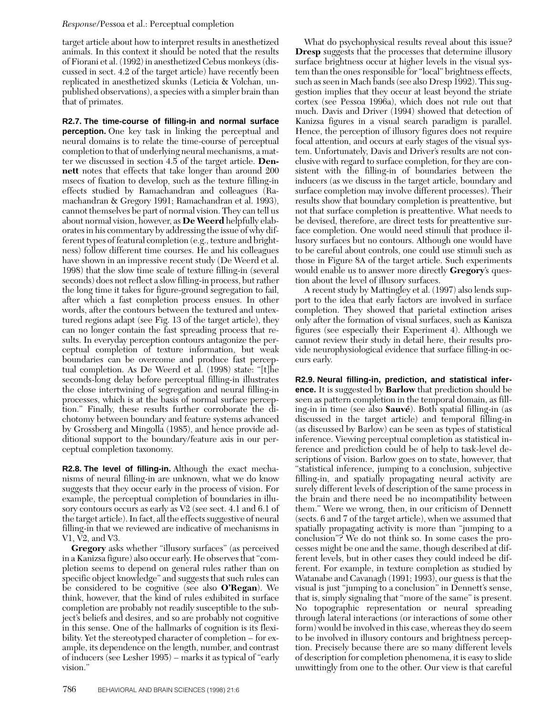# *Response/*Pessoa et al.: Perceptual completion

target article about how to interpret results in anesthetized animals. In this context it should be noted that the results of Fiorani et al. (1992) in anesthetized Cebus monkeys (discussed in sect. 4.2 of the target article) have recently been replicated in anesthetized skunks (Leticia & Volchan, unpublished observations), a species with a simpler brain than that of primates.

**R2.7. The time-course of filling-in and normal surface perception.** One key task in linking the perceptual and neural domains is to relate the time-course of perceptual completion to that of underlying neural mechanisms, a matter we discussed in section 4.5 of the target article. **Dennett** notes that effects that take longer than around 200 msecs of fixation to develop, such as the texture filling-in effects studied by Ramachandran and colleagues (Ramachandran & Gregory 1991; Ramachandran et al. 1993), cannot themselves be part of normal vision. They can tell us about normal vision, however, as **De Weerd** helpfully elaborates in his commentary by addressing the issue of why different types of featural completion (e.g., texture and brightness) follow different time courses. He and his colleagues have shown in an impressive recent study (De Weerd et al. 1998) that the slow time scale of texture filling-in (several seconds) does not reflect a slow filling-in process, but rather the long time it takes for figure-ground segregation to fail, after which a fast completion process ensues. In other words, after the contours between the textured and untextured regions adapt (see Fig. 13 of the target article), they can no longer contain the fast spreading process that results. In everyday perception contours antagonize the perceptual completion of texture information, but weak boundaries can be overcome and produce fast perceptual completion. As De Weerd et al. (1998) state: "[t]he seconds-long delay before perceptual filling-in illustrates the close intertwining of segregation and neural filling-in processes, which is at the basis of normal surface perception." Finally, these results further corroborate the dichotomy between boundary and feature systems advanced by Grossberg and Mingolla (1985), and hence provide additional support to the boundary/feature axis in our perceptual completion taxonomy.

**R2.8. The level of filling-in.** Although the exact mechanisms of neural filling-in are unknown, what we do know suggests that they occur early in the process of vision. For example, the perceptual completion of boundaries in illusory contours occurs as early as V2 (see sect. 4.1 and 6.1 of the target article). In fact, all the effects suggestive of neural filling-in that we reviewed are indicative of mechanisms in V1, V2, and V3.

**Gregory** asks whether "illusory surfaces" (as perceived in a Kanizsa figure) also occur early. He observes that "completion seems to depend on general rules rather than on specific object knowledge" and suggests that such rules can be considered to be cognitive (see also **O'Regan**). We think, however, that the kind of rules exhibited in surface completion are probably not readily susceptible to the subject's beliefs and desires, and so are probably not cognitive in this sense. One of the hallmarks of cognition is its flexibility. Yet the stereotyped character of completion – for example, its dependence on the length, number, and contrast of inducers (see Lesher 1995) – marks it as typical of "early vision."

What do psychophysical results reveal about this issue? **Dresp** suggests that the processes that determine illusory surface brightness occur at higher levels in the visual system than the ones responsible for "local" brightness effects, such as seen in Mach bands (see also Dresp 1992). This suggestion implies that they occur at least beyond the striate cortex (see Pessoa 1996a), which does not rule out that much. Davis and Driver (1994) showed that detection of Kanizsa figures in a visual search paradigm is parallel. Hence, the perception of illusory figures does not require focal attention, and occurs at early stages of the visual system. Unfortunately, Davis and Driver's results are not conclusive with regard to surface completion, for they are consistent with the filling-in of boundaries between the inducers (as we discuss in the target article, boundary and surface completion may involve different processes). Their results show that boundary completion is preattentive, but not that surface completion is preattentive. What needs to be devised, therefore, are direct tests for preattentive surface completion. One would need stimuli that produce illusory surfaces but no contours. Although one would have to be careful about controls, one could use stimuli such as those in Figure 8A of the target article. Such experiments would enable us to answer more directly **Gregory**'s question about the level of illusory surfaces.

A recent study by Mattingley et al. (1997) also lends support to the idea that early factors are involved in surface completion. They showed that parietal extinction arises only after the formation of visual surfaces, such as Kanisza figures (see especially their Experiment 4). Although we cannot review their study in detail here, their results provide neurophysiological evidence that surface filling-in occurs early.

**R2.9. Neural filling-in, prediction, and statistical inference.** It is suggested by **Barlow** that prediction should be seen as pattern completion in the temporal domain, as filling-in in time (see also **Sauvé**). Both spatial filling-in (as discussed in the target article) and temporal filling-in (as discussed by Barlow) can be seen as types of statistical inference. Viewing perceptual completion as statistical inference and prediction could be of help to task-level descriptions of vision. Barlow goes on to state, however, that "statistical inference, jumping to a conclusion, subjective filling-in, and spatially propagating neural activity are surely different levels of description of the same process in the brain and there need be no incompatibility between them." Were we wrong, then, in our criticism of Dennett (sects. 6 and 7 of the target article), when we assumed that spatially propagating activity is more than "jumping to a conclusion"? We do not think so. In some cases the processes might be one and the same, though described at different levels, but in other cases they could indeed be different. For example, in texture completion as studied by Watanabe and Cavanagh (1991; 1993), our guess is that the visual is just "jumping to a conclusion" in Dennett's sense, that is, simply signaling that "more of the same" is present. No topographic representation or neural spreading through lateral interactions (or interactions of some other form) would be involved in this case, whereas they do seem to be involved in illusory contours and brightness perception. Precisely because there are so many different levels of description for completion phenomena, it is easy to slide unwittingly from one to the other. Our view is that careful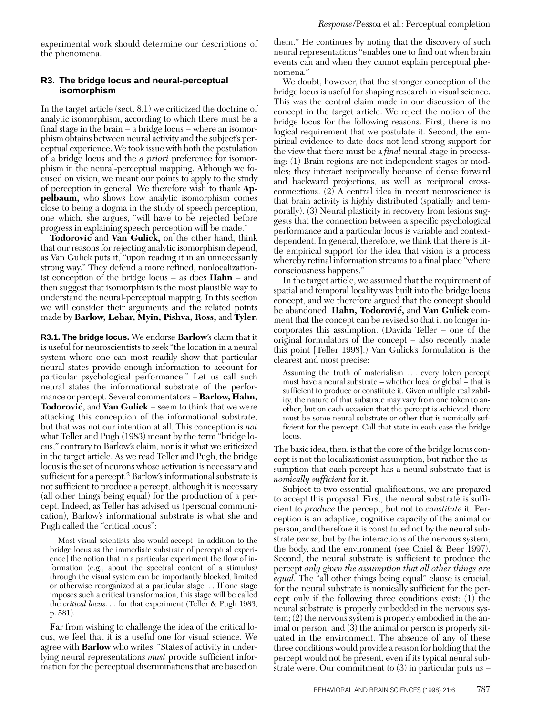experimental work should determine our descriptions of the phenomena.

### **R3. The bridge locus and neural-perceptual isomorphism**

In the target article (sect. 8.1) we criticized the doctrine of analytic isomorphism, according to which there must be a final stage in the brain – a bridge locus – where an isomorphism obtains between neural activity and the subject's perceptual experience. We took issue with both the postulation of a bridge locus and the *a priori* preference for isomorphism in the neural-perceptual mapping. Although we focused on vision, we meant our points to apply to the study of perception in general. We therefore wish to thank **Appelbaum,** who shows how analytic isomorphism comes close to being a dogma in the study of speech perception, one which, she argues, "will have to be rejected before progress in explaining speech perception will be made."

**Todorovic´** and **Van Gulick,** on the other hand, think that our reasons for rejecting analytic isomorphism depend, as Van Gulick puts it, "upon reading it in an unnecessarily strong way." They defend a more refined, nonlocalizationist conception of the bridge locus – as does **Hahn** – and then suggest that isomorphism is the most plausible way to understand the neural-perceptual mapping. In this section we will consider their arguments and the related points made by **Barlow, Lehar, Myin, Pishva, Ross,** and **Tyler.**

**R3.1. The bridge locus.** We endorse **Barlow**'s claim that it is useful for neuroscientists to seek "the location in a neural system where one can most readily show that particular neural states provide enough information to account for particular psychological performance." Let us call such neural states the informational substrate of the performance or percept. Several commentators – **Barlow, Hahn, Todorović, and Van Gulick** – seem to think that we were attacking this conception of the informational substrate, but that was not our intention at all. This conception is *not* what Teller and Pugh (1983) meant by the term "bridge locus," contrary to Barlow's claim, nor is it what we criticized in the target article. As we read Teller and Pugh, the bridge locus is the set of neurons whose activation is necessary and sufficient for a percept.<sup>2</sup> Barlow's informational substrate is not sufficient to produce a percept, although it is necessary (all other things being equal) for the production of a percept. Indeed, as Teller has advised us (personal communication), Barlow's informational substrate is what she and Pugh called the "critical locus":

Most visual scientists also would accept [in addition to the bridge locus as the immediate substrate of perceptual experience] the notion that in a particular experiment the flow of information (e.g., about the spectral content of a stimulus) through the visual system can be importantly blocked, limited or otherwise reorganized at a particular stage. . . If one stage imposes such a critical transformation, this stage will be called the *critical locus. . .* for that experiment (Teller & Pugh 1983, p. 581).

Far from wishing to challenge the idea of the critical locus, we feel that it is a useful one for visual science. We agree with **Barlow** who writes: "States of activity in underlying neural representations *must* provide sufficient information for the perceptual discriminations that are based on them." He continues by noting that the discovery of such neural representations "enables one to find out when brain events can and when they cannot explain perceptual phenomena."

We doubt, however, that the stronger conception of the bridge locus is useful for shaping research in visual science. This was the central claim made in our discussion of the concept in the target article. We reject the notion of the bridge locus for the following reasons. First, there is no logical requirement that we postulate it. Second, the empirical evidence to date does not lend strong support for the view that there must be a *final* neural stage in processing: (1) Brain regions are not independent stages or modules; they interact reciprocally because of dense forward and backward projections, as well as reciprocal crossconnections. (2) A central idea in recent neuroscience is that brain activity is highly distributed (spatially and temporally). (3) Neural plasticity in recovery from lesions suggests that the connection between a specific psychological performance and a particular locus is variable and contextdependent. In general, therefore, we think that there is little empirical support for the idea that vision is a process whereby retinal information streams to a final place "where consciousness happens."

In the target article, we assumed that the requirement of spatial and temporal locality was built into the bridge locus concept, and we therefore argued that the concept should be abandoned. **Hahn, Todorovic´,** and **Van Gulick** comment that the concept can be revised so that it no longer incorporates this assumption. (Davida Teller – one of the original formulators of the concept – also recently made this point [Teller 1998].) Van Gulick's formulation is the clearest and most precise:

Assuming the truth of materialism . . . every token percept must have a neural substrate – whether local or global – that is sufficient to produce or constitute it. Given multiple realizability, the nature of that substrate may vary from one token to another, but on each occasion that the percept is achieved, there must be some neural substrate or other that is nomically sufficient for the percept. Call that state in each case the bridge locus.

The basic idea, then, is that the core of the bridge locus concept is not the localizationist assumption, but rather the assumption that each percept has a neural substrate that is *nomically sufficient* for it.

Subject to two essential qualifications, we are prepared to accept this proposal. First, the neural substrate is sufficient to *produce* the percept, but not to *constitute* it. Perception is an adaptive, cognitive capacity of the animal or person, and therefore it is constituted not by the neural substrate *per se,* but by the interactions of the nervous system, the body, and the environment (see Chiel & Beer 1997). Second, the neural substrate is sufficient to produce the percept *only given the assumption that all other things are equal.* The "all other things being equal" clause is crucial, for the neural substrate is nomically sufficient for the percept only if the following three conditions exist: (1) the neural substrate is properly embedded in the nervous system; (2) the nervous system is properly embodied in the animal or person; and (3) the animal or person is properly situated in the environment. The absence of any of these three conditions would provide a reason for holding that the percept would not be present, even if its typical neural substrate were. Our commitment to (3) in particular puts us –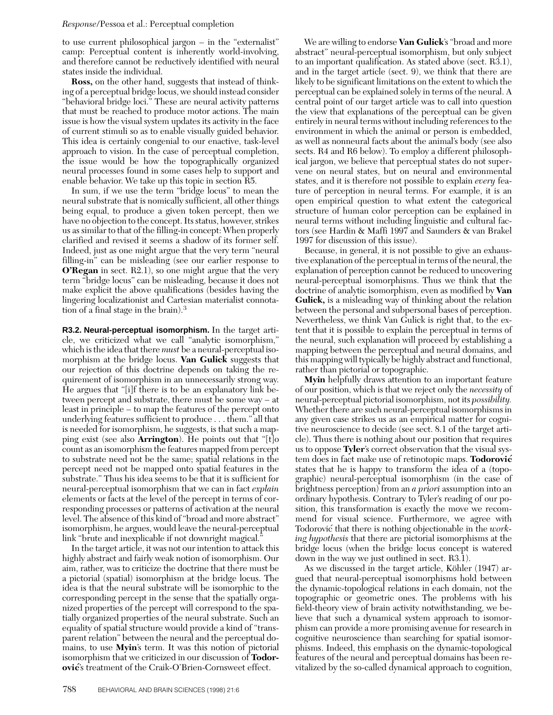### *Response/*Pessoa et al.: Perceptual completion

to use current philosophical jargon – in the "externalist" camp: Perceptual content is inherently world-involving, and therefore cannot be reductively identified with neural states inside the individual.

**Ross,** on the other hand, suggests that instead of thinking of a perceptual bridge locus, we should instead consider "behavioral bridge loci." These are neural activity patterns that must be reached to produce motor actions. The main issue is how the visual system updates its activity in the face of current stimuli so as to enable visually guided behavior. This idea is certainly congenial to our enactive, task-level approach to vision. In the case of perceptual completion, the issue would be how the topographically organized neural processes found in some cases help to support and enable behavior. We take up this topic in section R5.

In sum, if we use the term "bridge locus" to mean the neural substrate that is nomically sufficient, all other things being equal, to produce a given token percept, then we have no objection to the concept. Its status, however, strikes us as similar to that of the filling-in concept: When properly clarified and revised it seems a shadow of its former self. Indeed, just as one might argue that the very term "neural filling-in" can be misleading (see our earlier response to **O'Regan** in sect. R2.1), so one might argue that the very term "bridge locus" can be misleading, because it does not make explicit the above qualifications (besides having the lingering localizationist and Cartesian materialist connotation of a final stage in the brain).<sup>3</sup>

**R3.2. Neural-perceptual isomorphism.** In the target article, we criticized what we call "analytic isomorphism," which is the idea that there *must* be a neural-perceptual isomorphism at the bridge locus. **Van Gulick** suggests that our rejection of this doctrine depends on taking the requirement of isomorphism in an unnecessarily strong way. He argues that "[i]f there is to be an explanatory link between percept and substrate, there must be some way – at least in principle – to map the features of the percept onto underlying features sufficient to produce . . . them." all that is needed for isomorphism, he suggests, is that such a mapping exist (see also **Arrington**). He points out that "[t]o count as an isomorphism the features mapped from percept to substrate need not be the same; spatial relations in the percept need not be mapped onto spatial features in the substrate." Thus his idea seems to be that it is sufficient for neural-perceptual isomorphism that we can in fact *explain* elements or facts at the level of the percept in terms of corresponding processes or patterns of activation at the neural level. The absence of this kind of "broad and more abstract" isomorphism, he argues, would leave the neural-perceptual link "brute and inexplicable if not downright magical."

In the target article, it was not our intention to attack this highly abstract and fairly weak notion of isomorphism. Our aim, rather, was to criticize the doctrine that there must be a pictorial (spatial) isomorphism at the bridge locus. The idea is that the neural substrate will be isomorphic to the corresponding percept in the sense that the spatially organized properties of the percept will correspond to the spatially organized properties of the neural substrate. Such an equality of spatial structure would provide a kind of "transparent relation" between the neural and the perceptual domains, to use **Myin**'s term. It was this notion of pictorial isomorphism that we criticized in our discussion of **Todorovic´**'s treatment of the Craik-O'Brien-Cornsweet effect.

We are willing to endorse **Van Gulick**'s "broad and more abstract" neural-perceptual isomorphism, but only subject to an important qualification. As stated above (sect. R3.1), and in the target article (sect. 9), we think that there are likely to be significant limitations on the extent to which the perceptual can be explained solely in terms of the neural. A central point of our target article was to call into question the view that explanations of the perceptual can be given entirely in neural terms without including references to the environment in which the animal or person is embedded, as well as nonneural facts about the animal's body (see also sects. R4 and R6 below). To employ a different philosophical jargon, we believe that perceptual states do not supervene on neural states, but on neural and environmental states, and it is therefore not possible to explain *every* feature of perception in neural terms. For example, it is an open empirical question to what extent the categorical structure of human color perception can be explained in neural terms without including linguistic and cultural factors (see Hardin & Maffi 1997 and Saunders & van Brakel 1997 for discussion of this issue).

Because, in general, it is not possible to give an exhaustive explanation of the perceptual in terms of the neural, the explanation of perception cannot be reduced to uncovering neural-perceptual isomorphisms. Thus we think that the doctrine of analytic isomorphism, even as modified by **Van Gulick,** is a misleading way of thinking about the relation between the personal and subpersonal bases of perception. Nevertheless, we think Van Gulick is right that, to the extent that it is possible to explain the perceptual in terms of the neural, such explanation will proceed by establishing a mapping between the perceptual and neural domains, and this mapping will typically be highly abstract and functional, rather than pictorial or topographic.

**Myin** helpfully draws attention to an important feature of our position, which is that we reject only the *necessity* of neural-perceptual pictorial isomorphism, not its *possibility.* Whether there are such neural-perceptual isomorphisms in any given case strikes us as an empirical matter for cognitive neuroscience to decide (see sect. 8.1 of the target article). Thus there is nothing about our position that requires us to oppose **Tyler**'s correct observation that the visual system does in fact make use of retinotopic maps. **Todorovic´** states that he is happy to transform the idea of a (topographic) neural-perceptual isomorphism (in the case of brightness perception) from an *a priori* assumption into an ordinary hypothesis. Contrary to Tyler's reading of our position, this transformation is exactly the move we recommend for visual science. Furthermore, we agree with Todorovic´ that there is nothing objectionable in the *working hypothesis* that there are pictorial isomorphisms at the bridge locus (when the bridge locus concept is watered down in the way we just outlined in sect. R3.1).

As we discussed in the target article, Köhler (1947) argued that neural-perceptual isomorphisms hold between the dynamic-topological relations in each domain, not the topographic or geometric ones. The problems with his field-theory view of brain activity notwithstanding, we believe that such a dynamical system approach to isomorphism can provide a more promising avenue for research in cognitive neuroscience than searching for spatial isomorphisms. Indeed, this emphasis on the dynamic-topological features of the neural and perceptual domains has been revitalized by the so-called dynamical approach to cognition,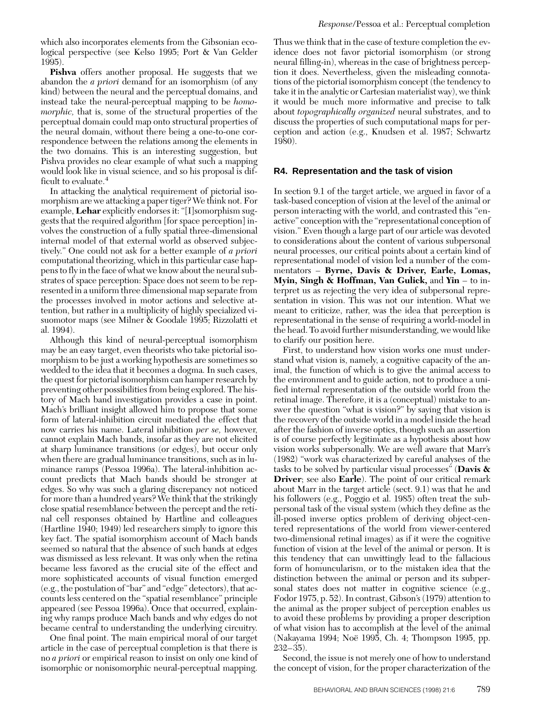which also incorporates elements from the Gibsonian ecological perspective (see Kelso 1995; Port & Van Gelder 1995).

**Pishva** offers another proposal. He suggests that we abandon the *a priori* demand for an isomorphism (of any kind) between the neural and the perceptual domains, and instead take the neural-perceptual mapping to be *homomorphic,* that is, some of the structural properties of the perceptual domain could map onto structural properties of the neural domain, without there being a one-to-one correspondence between the relations among the elements in the two domains. This is an interesting suggestion, but Pishva provides no clear example of what such a mapping would look like in visual science, and so his proposal is difficult to evaluate.<sup>4</sup>

In attacking the analytical requirement of pictorial isomorphism are we attacking a paper tiger? We think not. For example, **Lehar** explicitly endorses it: "[I]somorphism suggests that the required algorithm [for space perception] involves the construction of a fully spatial three-dimensional internal model of that external world as observed subjectively." One could not ask for a better example of *a priori* computational theorizing, which in this particular case happens to fly in the face of what we know about the neural substrates of space perception: Space does not seem to be represented in a uniform three dimensional map separate from the processes involved in motor actions and selective attention, but rather in a multiplicity of highly specialized visuomotor maps (see Milner & Goodale 1995; Rizzolatti et al. 1994).

Although this kind of neural-perceptual isomorphism may be an easy target, even theorists who take pictorial isomorphism to be just a working hypothesis are sometimes so wedded to the idea that it becomes a dogma. In such cases, the quest for pictorial isomorphism can hamper research by preventing other possibilities from being explored. The history of Mach band investigation provides a case in point. Mach's brilliant insight allowed him to propose that some form of lateral-inhibition circuit mediated the effect that now carries his name. Lateral inhibition *per se,* however, cannot explain Mach bands, insofar as they are not elicited at sharp luminance transitions (or edges), but occur only when there are gradual luminance transitions, such as in luminance ramps (Pessoa 1996a). The lateral-inhibition account predicts that Mach bands should be stronger at edges. So why was such a glaring discrepancy not noticed for more than a hundred years? We think that the strikingly close spatial resemblance between the percept and the retinal cell responses obtained by Hartline and colleagues (Hartline 1940; 1949) led researchers simply to ignore this key fact. The spatial isomorphism account of Mach bands seemed so natural that the absence of such bands at edges was dismissed as less relevant. It was only when the retina became less favored as the crucial site of the effect and more sophisticated accounts of visual function emerged (e.g., the postulation of "bar" and "edge" detectors), that accounts less centered on the "spatial resemblance" principle appeared (see Pessoa 1996a). Once that occurred, explaining why ramps produce Mach bands and why edges do not became central to understanding the underlying circuitry.

One final point. The main empirical moral of our target article in the case of perceptual completion is that there is no *a priori* or empirical reason to insist on only one kind of isomorphic or nonisomorphic neural-perceptual mapping.

Thus we think that in the case of texture completion the evidence does not favor pictorial isomorphism (or strong neural filling-in), whereas in the case of brightness perception it does. Nevertheless, given the misleading connotations of the pictorial isomorphism concept (the tendency to take it in the analytic or Cartesian materialist way), we think it would be much more informative and precise to talk about *topographically organized* neural substrates, and to discuss the properties of such computational maps for perception and action (e.g., Knudsen et al. 1987; Schwartz 1980).

### **R4. Representation and the task of vision**

In section 9.1 of the target article, we argued in favor of a task-based conception of vision at the level of the animal or person interacting with the world, and contrasted this "enactive" conception with the "representational conception of vision." Even though a large part of our article was devoted to considerations about the content of various subpersonal neural processes, our critical points about a certain kind of representational model of vision led a number of the commentators – **Byrne, Davis & Driver, Earle, Lomas, Myin, Singh & Hoffman, Van Gulick,** and **Yin** – to interpret us as rejecting the very idea of subpersonal representation in vision. This was not our intention. What we meant to criticize, rather, was the idea that perception is representational in the sense of requiring a world-model in the head. To avoid further misunderstanding, we would like to clarify our position here.

First, to understand how vision works one must understand what vision is, namely, a cognitive capacity of the animal, the function of which is to give the animal access to the environment and to guide action, not to produce a unified internal representation of the outside world from the retinal image. Therefore, it is a (conceptual) mistake to answer the question "what is vision?" by saying that vision is the recovery of the outside world in a model inside the head after the fashion of inverse optics, though such an assertion is of course perfectly legitimate as a hypothesis about how vision works subpersonally. We are well aware that Marr's (1982) "work was characterized by careful analyses of the tasks to be solved by particular visual processes" (**Davis & Driver**; see also **Earle**). The point of our critical remark about Marr in the target article (sect. 9.1) was that he and his followers (e.g., Poggio et al. 1985) often treat the subpersonal task of the visual system (which they define as the ill-posed inverse optics problem of deriving object-centered representations of the world from viewer-centered two-dimensional retinal images) as if it were the cognitive function of vision at the level of the animal or person. It is this tendency that can unwittingly lead to the fallacious form of homuncularism, or to the mistaken idea that the distinction between the animal or person and its subpersonal states does not matter in cognitive science (e.g., Fodor 1975, p. 52). In contrast, Gibson's (1979) attention to the animal as the proper subject of perception enables us to avoid these problems by providing a proper description of what vision has to accomplish at the level of the animal (Nakayama 1994; Noë 1995, Ch. 4; Thompson 1995, pp. 232–35).

Second, the issue is not merely one of how to understand the concept of vision, for the proper characterization of the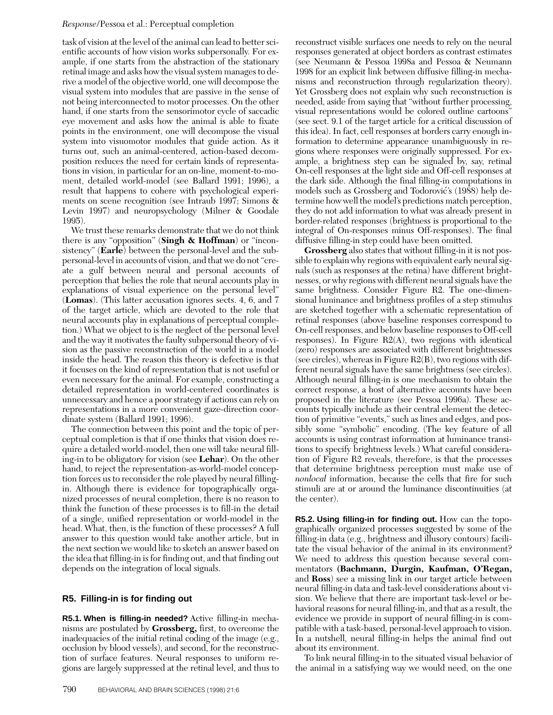### *Response/*Pessoa et al.: Perceptual completion

task of vision at the level of the animal can lead to better scientific accounts of how vision works subpersonally. For example, if one starts from the abstraction of the stationary retinal image and asks how the visual system manages to derive a model of the objective world, one will decompose the visual system into modules that are passive in the sense of not being interconnected to motor processes. On the other hand, if one starts from the sensorimotor cycle of saccadic eye movement and asks how the animal is able to fixate points in the environment, one will decompose the visual system into visuomotor modules that guide action. As it turns out, such an animal-centered, action-based decomposition reduces the need for certain kinds of representations in vision, in particular for an on-line, moment-to-moment, detailed world-model (see Ballard 1991; 1996), a result that happens to cohere with psychological experiments on scene recognition (see Intraub 1997; Simons & Levin 1997) and neuropsychology (Milner & Goodale 1995).

We trust these remarks demonstrate that we do not think there is any "opposition" (**Singh & Hoffman**) or "inconsistency" (**Earle**) between the personal-level and the subpersonal-level in accounts of vision, and that we do not "create a gulf between neural and personal accounts of perception that belies the role that neural accounts play in explanations of visual experience on the personal level" (**Lomas**). (This latter accusation ignores sects. 4, 6, and 7 of the target article, which are devoted to the role that neural accounts play in explanations of perceptual completion.) What we object to is the neglect of the personal level and the way it motivates the faulty subpersonal theory of vision as the passive reconstruction of the world in a model inside the head. The reason this theory is defective is that it focuses on the kind of representation that is not useful or even necessary for the animal. For example, constructing a detailed representation in world-centered coordinates is unnecessary and hence a poor strategy if actions can rely on representations in a more convenient gaze-direction coordinate system (Ballard 1991; 1996).

The connection between this point and the topic of perceptual completion is that if one thinks that vision does require a detailed world-model, then one will take neural filling-in to be obligatory for vision (see **Lehar**). On the other hand, to reject the representation-as-world-model conception forces us to reconsider the role played by neural fillingin. Although there is evidence for topographically organized processes of neural completion, there is no reason to think the function of these processes is to fill-in the detail of a single, unified representation or world-model in the head. What, then, is the function of these processes? A full answer to this question would take another article, but in the next section we would like to sketch an answer based on the idea that filling-in is for finding out, and that finding out depends on the integration of local signals.

# **R5. Filling-in is for finding out**

**R5.1. When is filling-in needed?** Active filling-in mechanisms are postulated by **Grossberg,** first, to overcome the inadequacies of the initial retinal coding of the image (e.g., occlusion by blood vessels), and second, for the reconstruction of surface features. Neural responses to uniform regions are largely suppressed at the retinal level, and thus to reconstruct visible surfaces one needs to rely on the neural responses generated at object borders as contrast estimates (see Neumann & Pessoa 1998a and Pessoa & Neumann 1998 for an explicit link between diffusive filling-in mechanisms and reconstruction through regularization theory). Yet Grossberg does not explain why such reconstruction is needed, aside from saying that "without further processing, visual representations would be colored outline cartoons" (see sect. 9.1 of the target article for a critical discussion of this idea). In fact, cell responses at borders carry enough information to determine appearance unambiguously in regions where responses were originally suppressed. For example, a brightness step can be signaled by, say, retinal On-cell responses at the light side and Off-cell responses at the dark side. Although the final filling-in computations in models such as Grossberg and Todorović's (1988) help determine how well the model's predictions match perception, they do not add information to what was already present in border-related responses (brightness is proportional to the integral of On-responses minus Off-responses). The final diffusive filling-in step could have been omitted.

**Grossberg** also states that without filling-in it is not possible to explain why regions with equivalent early neural signals (such as responses at the retina) have different brightnesses, or why regions with different neural signals have the same brightness. Consider Figure R2. The one-dimensional luminance and brightness profiles of a step stimulus are sketched together with a schematic representation of retinal responses (above baseline responses correspond to On-cell responses, and below baseline responses to Off-cell responses). In Figure  $R2(A)$ , two regions with identical (zero) responses are associated with different brightnesses (see circles), whereas in Figure  $R2(B)$ , two regions with different neural signals have the same brightness (see circles). Although neural filling-in is one mechanism to obtain the correct response, a host of alternative accounts have been proposed in the literature (see Pessoa 1996a). These accounts typically include as their central element the detection of primitive "events," such as lines and edges, and possibly some "symbolic" encoding. (The key feature of all accounts is using contrast information at luminance transitions to specify brightness levels.) What careful consideration of Figure R2 reveals, therefore, is that the processes that determine brightness perception must make use of *nonlocal* information, because the cells that fire for such stimuli are at or around the luminance discontinuities (at the center).

**R5.2. Using filling-in for finding out.** How can the topographically organized processes suggested by some of the filling-in data (e.g., brightness and illusory contours) facilitate the visual behavior of the animal in its environment? We need to address this question because several commentators **(Bachmann, Durgin, Kaufman, O'Regan,** and **Ross**) see a missing link in our target article between neural filling-in data and task-level considerations about vision. We believe that there are important task-level or behavioral reasons for neural filling-in, and that as a result, the evidence we provide in support of neural filling-in is compatible with a task-based, personal-level approach to vision. In a nutshell, neural filling-in helps the animal find out about its environment.

To link neural filling-in to the situated visual behavior of the animal in a satisfying way we would need, on the one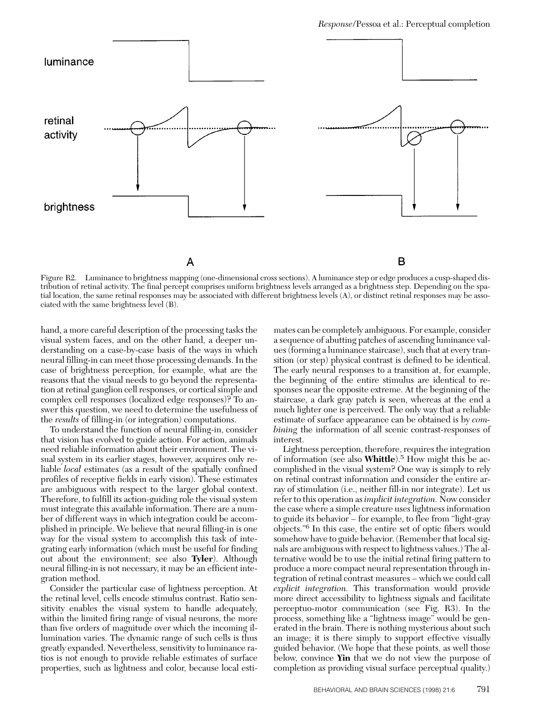

Figure R2. Luminance to brightness mapping (one-dimensional cross sections). A luminance step or edge produces a cusp-shaped distribution of retinal activity. The final percept comprises uniform brightness levels arranged as a brightness step. Depending on the spatial location, the same retinal responses may be associated with different brightness levels (A), or distinct retinal responses may be associated with the same brightness level (B).

hand, a more careful description of the processing tasks the visual system faces, and on the other hand, a deeper understanding on a case-by-case basis of the ways in which neural filling-in can meet those processing demands. In the case of brightness perception, for example, what are the reasons that the visual needs to go beyond the representation at retinal ganglion cell responses, or cortical simple and complex cell responses (localized edge responses)? To answer this question, we need to determine the usefulness of the *results* of filling-in (or integration) computations.

To understand the function of neural filling-in, consider that vision has evolved to guide action. For action, animals need reliable information about their environment. The visual system in its earlier stages, however, acquires only reliable *local* estimates (as a result of the spatially confined profiles of receptive fields in early vision). These estimates are ambiguous with respect to the larger global context. Therefore, to fulfill its action-guiding role the visual system must integrate this available information. There are a number of different ways in which integration could be accomplished in principle. We believe that neural filling-in is one way for the visual system to accomplish this task of integrating early information (which must be useful for finding out about the environment; see also **Tyler**). Although neural filling-in is not necessary, it may be an efficient integration method.

Consider the particular case of lightness perception. At the retinal level, cells encode stimulus contrast. Ratio sensitivity enables the visual system to handle adequately, within the limited firing range of visual neurons, the more than five orders of magnitude over which the incoming illumination varies. The dynamic range of such cells is thus greatly expanded. Nevertheless, sensitivity to luminance ratios is not enough to provide reliable estimates of surface properties, such as lightness and color, because local esti-

mates can be completely ambiguous. For example, consider a sequence of abutting patches of ascending luminance values (forming a luminance staircase), such that at every transition (or step) physical contrast is defined to be identical. The early neural responses to a transition at, for example, the beginning of the entire stimulus are identical to responses near the opposite extreme. At the beginning of the staircase, a dark gray patch is seen, whereas at the end a much lighter one is perceived. The only way that a reliable estimate of surface appearance can be obtained is by *combining* the information of all scenic contrast-responses of interest.

Lightness perception, therefore, requires the integration of information (see also **Whittle**).5 How might this be accomplished in the visual system? One way is simply to rely on retinal contrast information and consider the entire array of stimulation (i.e., neither fill-in nor integrate). Let us refer to this operation as *implicit integration.* Now consider the case where a simple creature uses lightness information to guide its behavior – for example, to flee from "light-gray objects."6 In this case, the entire set of optic fibers would somehow have to guide behavior. (Remember that local signals are ambiguous with respect to lightness values.) The alternative would be to use the initial retinal firing pattern to produce a more compact neural representation through integration of retinal contrast measures – which we could call *explicit integration.* This transformation would provide more direct accessibility to lightness signals and facilitate perceptuo-motor communication (see Fig. R3). In the process, something like a "lightness image" would be generated in the brain. There is nothing mysterious about such an image; it is there simply to support effective visually guided behavior. (We hope that these points, as well those below, convince **Yin** that we do not view the purpose of completion as providing visual surface perceptual quality.)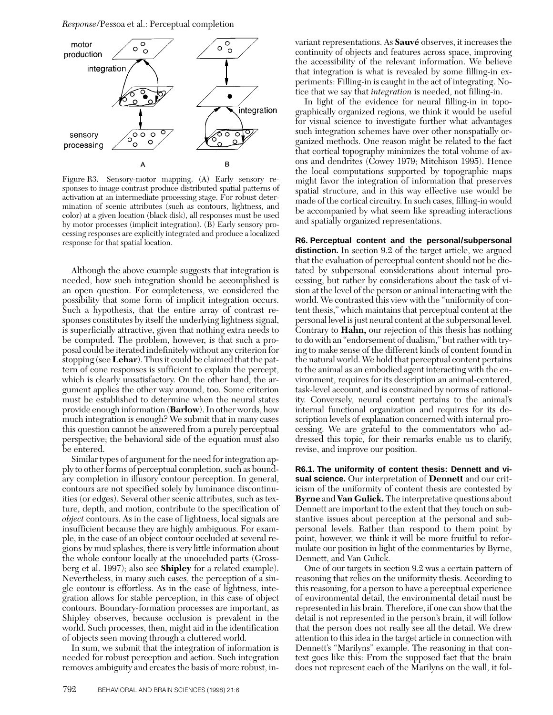*Response/*Pessoa et al.: Perceptual completion



Figure R3. Sensory-motor mapping. (A) Early sensory responses to image contrast produce distributed spatial patterns of activation at an intermediate processing stage. For robust determination of scenic attributes (such as contours, lightness, and color) at a given location (black disk), all responses must be used by motor processes (implicit integration). (B) Early sensory processing responses are explicitly integrated and produce a localized response for that spatial location.

Although the above example suggests that integration is needed, how such integration should be accomplished is an open question. For completeness, we considered the possibility that some form of implicit integration occurs. Such a hypothesis, that the entire array of contrast responses constitutes by itself the underlying lightness signal, is superficially attractive, given that nothing extra needs to be computed. The problem, however, is that such a proposal could be iterated indefinitely without any criterion for stopping (see **Lehar**). Thus it could be claimed that the pattern of cone responses is sufficient to explain the percept, which is clearly unsatisfactory. On the other hand, the argument applies the other way around, too. Some criterion must be established to determine when the neural states provide enough information (**Barlow**). In other words, how much integration is enough? We submit that in many cases this question cannot be answered from a purely perceptual perspective; the behavioral side of the equation must also be entered.

Similar types of argument for the need for integration apply to other forms of perceptual completion, such as boundary completion in illusory contour perception. In general, contours are not specified solely by luminance discontinuities (or edges). Several other scenic attributes, such as texture, depth, and motion, contribute to the specification of *object* contours. As in the case of lightness, local signals are insufficient because they are highly ambiguous. For example, in the case of an object contour occluded at several regions by mud splashes, there is very little information about the whole contour locally at the unoccluded parts (Grossberg et al. 1997); also see **Shipley** for a related example). Nevertheless, in many such cases, the perception of a single contour is effortless. As in the case of lightness, integration allows for stable perception, in this case of object contours. Boundary-formation processes are important, as Shipley observes, because occlusion is prevalent in the world. Such processes, then, might aid in the identification of objects seen moving through a cluttered world.

In sum, we submit that the integration of information is needed for robust perception and action. Such integration removes ambiguity and creates the basis of more robust, invariant representations. As **Sauvé** observes, it increases the continuity of objects and features across space, improving the accessibility of the relevant information. We believe that integration is what is revealed by some filling-in experiments: Filling-in is caught in the act of integrating. Notice that we say that *integration* is needed, not filling-in.

In light of the evidence for neural filling-in in topographically organized regions, we think it would be useful for visual science to investigate further what advantages such integration schemes have over other nonspatially organized methods. One reason might be related to the fact that cortical topography minimizes the total volume of axons and dendrites (Cowey 1979; Mitchison 1995). Hence the local computations supported by topographic maps might favor the integration of information that preserves spatial structure, and in this way effective use would be made of the cortical circuitry. In such cases, filling-in would be accompanied by what seem like spreading interactions and spatially organized representations.

**R6. Perceptual content and the personal/subpersonal distinction.** In section 9.2 of the target article, we argued that the evaluation of perceptual content should not be dictated by subpersonal considerations about internal processing, but rather by considerations about the task of vision at the level of the person or animal interacting with the world. We contrasted this view with the "uniformity of content thesis," which maintains that perceptual content at the personal level is just neural content at the subpersonal level. Contrary to **Hahn,** our rejection of this thesis has nothing to do with an "endorsement of dualism," but rather with trying to make sense of the different kinds of content found in the natural world. We hold that perceptual content pertains to the animal as an embodied agent interacting with the environment, requires for its description an animal-centered, task-level account, and is constrained by norms of rationality. Conversely, neural content pertains to the animal's internal functional organization and requires for its description levels of explanation concerned with internal processing. We are grateful to the commentators who addressed this topic, for their remarks enable us to clarify, revise, and improve our position.

**R6.1. The uniformity of content thesis: Dennett and visual science.** Our interpretation of **Dennett** and our criticism of the uniformity of content thesis are contested by **Byrne** and **Van Gulick.** The interpretative questions about Dennett are important to the extent that they touch on substantive issues about perception at the personal and subpersonal levels. Rather than respond to them point by point, however, we think it will be more fruitful to reformulate our position in light of the commentaries by Byrne, Dennett, and Van Gulick.

One of our targets in section 9.2 was a certain pattern of reasoning that relies on the uniformity thesis. According to this reasoning, for a person to have a perceptual experience of environmental detail, the environmental detail must be represented in his brain. Therefore, if one can show that the detail is not represented in the person's brain, it will follow that the person does not really see all the detail. We drew attention to this idea in the target article in connection with Dennett's "Marilyns" example. The reasoning in that context goes like this: From the supposed fact that the brain does not represent each of the Marilyns on the wall, it fol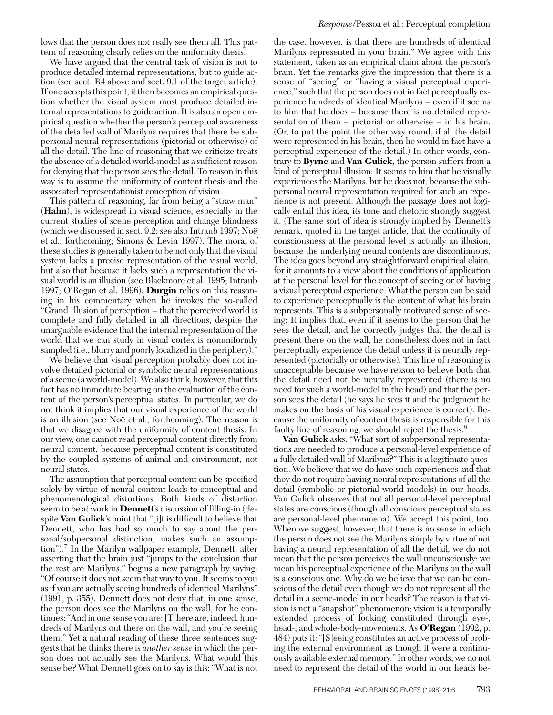lows that the person does not really see them all. This pattern of reasoning clearly relies on the uniformity thesis.

We have argued that the central task of vision is not to produce detailed internal representations, but to guide action (see sect. R4 above and sect. 9.1 of the target article). If one accepts this point, it then becomes an empirical question whether the visual system must produce detailed internal representations to guide action. It is also an open empirical question whether the person's perceptual awareness of the detailed wall of Marilyns requires that there be subpersonal neural representations (pictorial or otherwise) of all the detail. The line of reasoning that we criticize treats the absence of a detailed world-model as a sufficient reason for denying that the person sees the detail. To reason in this way is to assume the uniformity of content thesis and the associated representationist conception of vision.

This pattern of reasoning, far from being a "straw man" (**Hahn**), is widespread in visual science, especially in the current studies of scene perception and change blindness (which we discussed in sect. 9.2; see also Intraub 1997; Noë et al., forthcoming; Simons & Levin 1997). The moral of these studies is generally taken to be not only that the visual system lacks a precise representation of the visual world, but also that because it lacks such a representation the visual world is an illusion (see Blackmore et al. 1995; Intraub 1997; O'Regan et al. 1996). **Durgin** relies on this reasoning in his commentary when he invokes the so-called "Grand Illusion of perception – that the perceived world is complete and fully detailed in all directions, despite the unarguable evidence that the internal representation of the world that we can study in visual cortex is nonuniformly sampled (i.e., blurry and poorly localized in the periphery)."

We believe that visual perception probably does not involve detailed pictorial or symbolic neural representations of a scene (a world-model). We also think, however, that this fact has no immediate bearing on the evaluation of the content of the person's perceptual states. In particular, we do not think it implies that our visual experience of the world is an illusion (see Noë et al., forthcoming). The reason is that we disagree with the uniformity of content thesis. In our view, one cannot read perceptual content directly from neural content, because perceptual content is constituted by the coupled systems of animal and environment, not neural states.

The assumption that perceptual content can be specified solely by virtue of neural content leads to conceptual and phenomenological distortions. Both kinds of distortion seem to be at work in **Dennett**'s discussion of filling-in (despite **Van Gulick**'s point that "[i]t is difficult to believe that Dennett, who has had so much to say about the personal/subpersonal distinction, makes such an assumption").<sup>7</sup> In the Marilyn wallpaper example, Dennett, after asserting that the brain just "jumps to the conclusion that the rest are Marilyns," begins a new paragraph by saying: "Of course it does not seem that way to you. It seems to you as if you are actually seeing hundreds of identical Marilyns" (1991, p. 355). Dennett does not deny that, in one sense, the person does see the Marilyns on the wall, for he continues: "And in one sense you are: [T]here are, indeed, hundreds of Marilyns out there on the wall, and you're seeing them." Yet a natural reading of these three sentences suggests that he thinks there is *another sense* in which the person does not actually see the Marilyns. What would this sense be? What Dennett goes on to say is this: "What is not

the case, however, is that there are hundreds of identical Marilyns represented in your brain." We agree with this statement, taken as an empirical claim about the person's brain. Yet the remarks give the impression that there is a sense of "seeing" or "having a visual perceptual experience," such that the person does not in fact perceptually experience hundreds of identical Marilyns – even if it seems to him that he does – because there is no detailed representation of them – pictorial or otherwise – in his brain. (Or, to put the point the other way round, if all the detail were represented in his brain, then he would in fact have a perceptual experience of the detail.) In other words, contrary to **Byrne** and **Van Gulick,** the person suffers from a kind of perceptual illusion: It seems to him that he visually experiences the Marilyns, but he does not, because the subpersonal neural representation required for such an experience is not present. Although the passage does not logically entail this idea, its tone and rhetoric strongly suggest it. (The same sort of idea is strongly implied by Dennett's remark, quoted in the target article, that the continuity of consciousness at the personal level is actually an illusion, because the underlying neural contents are discontinuous. The idea goes beyond any straightforward empirical claim, for it amounts to a view about the conditions of application at the personal level for the concept of seeing or of having a visual perceptual experience: What the person can be said to experience perceptually is the content of what his brain represents. This is a subpersonally motivated sense of seeing: It implies that, even if it seems to the person that he sees the detail, and he correctly judges that the detail is present there on the wall, he nonetheless does not in fact perceptually experience the detail unless it is neurally represented (pictorially or otherwise). This line of reasoning is unacceptable because we have reason to believe both that the detail need not be neurally represented (there is no need for such a world-model in the head) and that the person sees the detail (he says he sees it and the judgment he makes on the basis of his visual experience is correct). Because the uniformity of content thesis is responsible for this faulty line of reasoning, we should reject the thesis.<sup>8</sup>

**Van Gulick** asks: "What sort of subpersonal representations are needed to produce a personal-level experience of a fully detailed wall of Marilyns?" This is a legitimate question. We believe that we do have such experiences and that they do not require having neural representations of all the detail (symbolic or pictorial world-models) in our heads. Van Gulick observes that not all personal-level perceptual states are conscious (though all conscious perceptual states are personal-level phenomena). We accept this point, too. When we suggest, however, that there is no sense in which the person does not see the Marilyns simply by virtue of not having a neural representation of all the detail, we do not mean that the person perceives the wall unconsciously; we mean his perceptual experience of the Marilyns on the wall is a conscious one. Why do we believe that we can be conscious of the detail even though we do not represent all the detail in a scene-model in our heads? The reason is that vision is not a "snapshot" phenomenon; vision is a temporally extended process of looking constituted through eye-, head-, and whole-body-movements. As **O'Regan** (1992, p. 484) puts it: "[S]eeing constitutes an active process of probing the external environment as though it were a continuously available external memory." In other words, we do not need to represent the detail of the world in our heads be-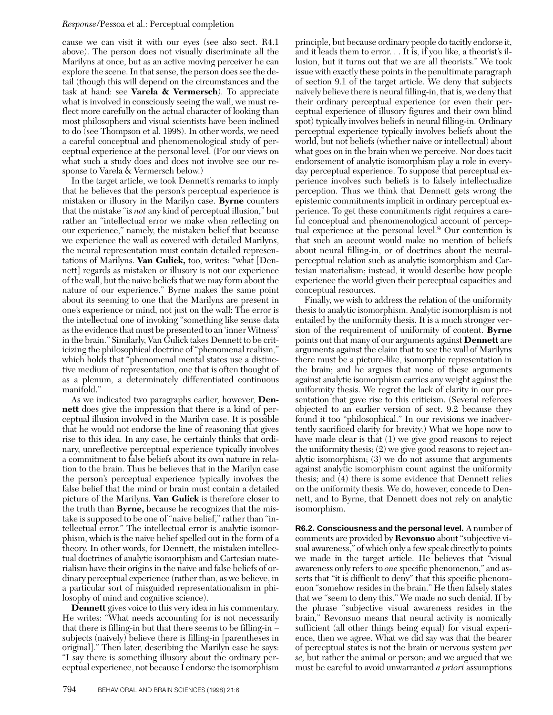### *Response/*Pessoa et al.: Perceptual completion

cause we can visit it with our eyes (see also sect. R4.1 above). The person does not visually discriminate all the Marilyns at once, but as an active moving perceiver he can explore the scene. In that sense, the person does see the detail (though this will depend on the circumstances and the task at hand: see **Varela & Vermersch**). To appreciate what is involved in consciously seeing the wall, we must reflect more carefully on the actual character of looking than most philosophers and visual scientists have been inclined to do (see Thompson et al. 1998). In other words, we need a careful conceptual and phenomenological study of perceptual experience at the personal level. (For our views on what such a study does and does not involve see our response to Varela & Vermersch below.)

In the target article, we took Dennett's remarks to imply that he believes that the person's perceptual experience is mistaken or illusory in the Marilyn case. **Byrne** counters that the mistake "is *not* any kind of perceptual illusion," but rather an "intellectual error we make when reflecting on our experience," namely, the mistaken belief that because we experience the wall as covered with detailed Marilyns, the neural representation must contain detailed representations of Marilyns. **Van Gulick,** too, writes: "what [Dennett] regards as mistaken or illusory is not our experience of the wall, but the naive beliefs that we may form about the nature of our experience." Byrne makes the same point about its seeming to one that the Marilyns are present in one's experience or mind, not just on the wall: The error is the intellectual one of invoking "something like sense data as the evidence that must be presented to an 'inner Witness' in the brain." Similarly, Van Gulick takes Dennett to be criticizing the philosophical doctrine of "phenomenal realism," which holds that "phenomenal mental states use a distinctive medium of representation, one that is often thought of as a plenum, a determinately differentiated continuous manifold."

As we indicated two paragraphs earlier, however, **Dennett** does give the impression that there is a kind of perceptual illusion involved in the Marilyn case. It is possible that he would not endorse the line of reasoning that gives rise to this idea. In any case, he certainly thinks that ordinary, unreflective perceptual experience typically involves a commitment to false beliefs about its own nature in relation to the brain. Thus he believes that in the Marilyn case the person's perceptual experience typically involves the false belief that the mind or brain must contain a detailed picture of the Marilyns. **Van Gulick** is therefore closer to the truth than **Byrne,** because he recognizes that the mistake is supposed to be one of "naive belief," rather than "intellectual error." The intellectual error is analytic isomorphism, which is the naive belief spelled out in the form of a theory. In other words, for Dennett, the mistaken intellectual doctrines of analytic isomorphism and Cartesian materialism have their origins in the naive and false beliefs of ordinary perceptual experience (rather than, as we believe, in a particular sort of misguided representationalism in philosophy of mind and cognitive science).

**Dennett** gives voice to this very idea in his commentary. He writes: "What needs accounting for is not necessarily that there is filling-in but that there seems to be filling-in – subjects (naively) believe there is filling-in [parentheses in original]." Then later, describing the Marilyn case he says: "I say there is something illusory about the ordinary perceptual experience, not because I endorse the isomorphism

principle, but because ordinary people do tacitly endorse it, and it leads them to error. . . It is, if you like, a theorist's illusion, but it turns out that we are all theorists." We took issue with exactly these points in the penultimate paragraph of section 9.1 of the target article. We deny that subjects naively believe there is neural filling-in, that is, we deny that their ordinary perceptual experience (or even their perceptual experience of illusory figures and their own blind spot) typically involves beliefs in neural filling-in. Ordinary perceptual experience typically involves beliefs about the world, but not beliefs (whether naive or intellectual) about what goes on in the brain when we perceive. Nor does tacit endorsement of analytic isomorphism play a role in everyday perceptual experience. To suppose that perceptual experience involves such beliefs is to falsely intellectualize perception. Thus we think that Dennett gets wrong the epistemic commitments implicit in ordinary perceptual experience. To get these commitments right requires a careful conceptual and phenomenological account of perceptual experience at the personal level.9 Our contention is that such an account would make no mention of beliefs about neural filling-in, or of doctrines about the neuralperceptual relation such as analytic isomorphism and Cartesian materialism; instead, it would describe how people experience the world given their perceptual capacities and conceptual resources.

Finally, we wish to address the relation of the uniformity thesis to analytic isomorphism. Analytic isomorphism is not entailed by the uniformity thesis. It is a much stronger version of the requirement of uniformity of content. **Byrne** points out that many of our arguments against **Dennett** are arguments against the claim that to see the wall of Marilyns there must be a picture-like, isomorphic representation in the brain; and he argues that none of these arguments against analytic isomorphism carries any weight against the uniformity thesis. We regret the lack of clarity in our presentation that gave rise to this criticism. (Several referees objected to an earlier version of sect. 9.2 because they found it too "philosophical." In our revisions we inadvertently sacrificed clarity for brevity.) What we hope now to have made clear is that (1) we give good reasons to reject the uniformity thesis; (2) we give good reasons to reject analytic isomorphism; (3) we do not assume that arguments against analytic isomorphism count against the uniformity thesis; and (4) there is some evidence that Dennett relies on the uniformity thesis. We do, however, concede to Dennett, and to Byrne, that Dennett does not rely on analytic isomorphism.

**R6.2. Consciousness and the personal level.** A number of comments are provided by **Revonsuo** about "subjective visual awareness," of which only a few speak directly to points we made in the target article. He believes that "visual awareness only refers to *one* specific phenomenon," and asserts that "it is difficult to deny" that this specific phenomenon "somehow resides in the brain." He then falsely states that we "seem to deny this." We made no such denial. If by the phrase "subjective visual awareness resides in the brain," Revonsuo means that neural activity is nomically sufficient (all other things being equal) for visual experience, then we agree. What we did say was that the bearer of perceptual states is not the brain or nervous system *per se,* but rather the animal or person; and we argued that we must be careful to avoid unwarranted *a priori* assumptions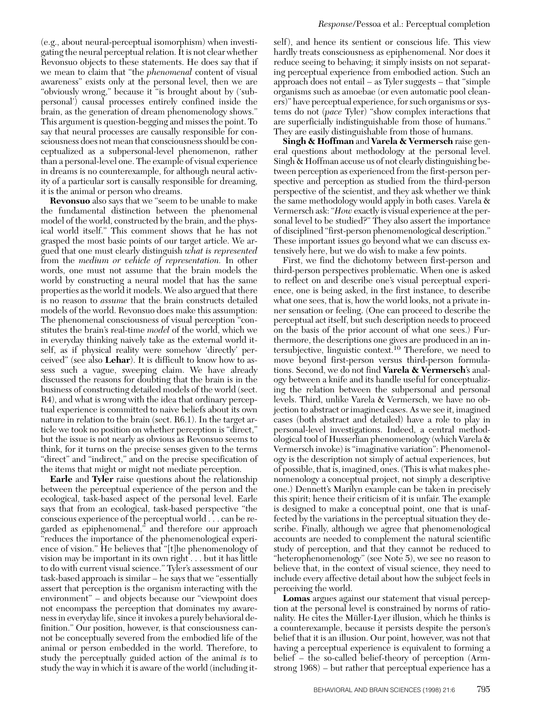(e.g., about neural-perceptual isomorphism) when investigating the neural perceptual relation. It is not clear whether Revonsuo objects to these statements. He does say that if we mean to claim that "the *phenomenal* content of visual awareness" exists only at the personal level, then we are "obviously wrong," because it "is brought about by ('subpersonal') causal processes entirely confined inside the brain, as the generation of dream phenomenology shows." This argument is question-begging and misses the point. To say that neural processes are causally responsible for consciousness does not mean that consciousness should be conceptualized as a subpersonal-level phenomenon, rather than a personal-level one. The example of visual experience in dreams is no counterexample, for although neural activity of a particular sort is causally responsible for dreaming, it is the animal or person who dreams.

**Revonsuo** also says that we "seem to be unable to make the fundamental distinction between the phenomenal model of the world, constructed by the brain, and the physical world itself." This comment shows that he has not grasped the most basic points of our target article. We argued that one must clearly distinguish *what is represented* from the *medium or vehicle of representation.* In other words, one must not assume that the brain models the world by constructing a neural model that has the same properties as the world it models. We also argued that there is no reason to *assume* that the brain constructs detailed models of the world. Revonsuo does make this assumption: The phenomenal consciousness of visual perception "constitutes the brain's real-time *model* of the world, which we in everyday thinking naively take as the external world itself, as if physical reality were somehow 'directly' perceived" (see also **Lehar**). It is difficult to know how to assess such a vague, sweeping claim. We have already discussed the reasons for doubting that the brain is in the business of constructing detailed models of the world (sect. R4), and what is wrong with the idea that ordinary perceptual experience is committed to naive beliefs about its own nature in relation to the brain (sect. R6.1). In the target article we took no position on whether perception is "direct," but the issue is not nearly as obvious as Revonsuo seems to think, for it turns on the precise senses given to the terms "direct" and "indirect," and on the precise specification of the items that might or might not mediate perception.

**Earle** and **Tyler** raise questions about the relationship between the perceptual experience of the person and the ecological, task-based aspect of the personal level. Earle says that from an ecological, task-based perspective "the conscious experience of the perceptual world . . . can be regarded as epiphenomenal," and therefore our approach "reduces the importance of the phenomenological experience of vision." He believes that "[t]he phenomenology of vision may be important in its own right . . . but it has little to do with current visual science." Tyler's assessment of our task-based approach is similar – he says that we "essentially assert that perception is the organism interacting with the environment" – and objects because our "viewpoint does not encompass the perception that dominates my awareness in everyday life, since it invokes a purely behavioral definition." Our position, however, is that consciousness cannot be conceptually severed from the embodied life of the animal or person embedded in the world. Therefore, to study the perceptually guided action of the animal *is* to study the way in which it is aware of the world (including it-

self), and hence its sentient or conscious life. This view hardly treats consciousness as epiphenomenal. Nor does it reduce seeing to behaving; it simply insists on not separating perceptual experience from embodied action. Such an approach does not entail – as Tyler suggests – that "simple organisms such as amoebae (or even automatic pool cleaners)" have perceptual experience, for such organisms or systems do not (*pace* Tyler) "show complex interactions that are superficially indistinguishable from those of humans." They are easily distinguishable from those of humans.

**Singh & Hoffman** and **Varela & Vermersch** raise general questions about methodology at the personal level. Singh & Hoffman accuse us of not clearly distinguishing between perception as experienced from the first-person perspective and perception as studied from the third-person perspective of the scientist, and they ask whether we think the same methodology would apply in both cases. Varela & Vermersch ask: "*How* exactly is visual experience at the personal level to be studied?" They also assert the importance of disciplined "first-person phenomenological description." These important issues go beyond what we can discuss extensively here, but we do wish to make a few points.

First, we find the dichotomy between first-person and third-person perspectives problematic. When one is asked to reflect on and describe one's visual perceptual experience, one is being asked, in the first instance, to describe what one sees, that is, how the world looks, not a private inner sensation or feeling. (One can proceed to describe the perceptual act itself, but such description needs to proceed on the basis of the prior account of what one sees.) Furthermore, the descriptions one gives are produced in an intersubjective, linguistic context.<sup>10</sup> Therefore, we need to move beyond first-person versus third-person formulations. Second, we do not find **Varela & Vermersch**'s analogy between a knife and its handle useful for conceptualizing the relation between the subpersonal and personal levels. Third, unlike Varela & Vermersch, we have no objection to abstract or imagined cases. As we see it, imagined cases (both abstract and detailed) have a role to play in personal-level investigations. Indeed, a central methodological tool of Husserlian phenomenology (which Varela & Vermersch invoke) is "imaginative variation": Phenomenology is the description not simply of actual experiences, but of possible, that is, imagined, ones. (This is what makes phenomenology a conceptual project, not simply a descriptive one.) Dennett's Marilyn example can be taken in precisely this spirit; hence their criticism of it is unfair. The example is designed to make a conceptual point, one that is unaffected by the variations in the perceptual situation they describe. Finally, although we agree that phenomenological accounts are needed to complement the natural scientific study of perception, and that they cannot be reduced to "heterophenomenology" (see Note 5), we see no reason to believe that, in the context of visual science, they need to include every affective detail about how the subject feels in perceiving the world.

**Lomas** argues against our statement that visual perception at the personal level is constrained by norms of rationality. He cites the Müller-Lyer illusion, which he thinks is a counterexample, because it persists despite the person's belief that it is an illusion. Our point, however, was not that having a perceptual experience is equivalent to forming a belief – the so-called belief-theory of perception (Armstrong 1968) – but rather that perceptual experience has a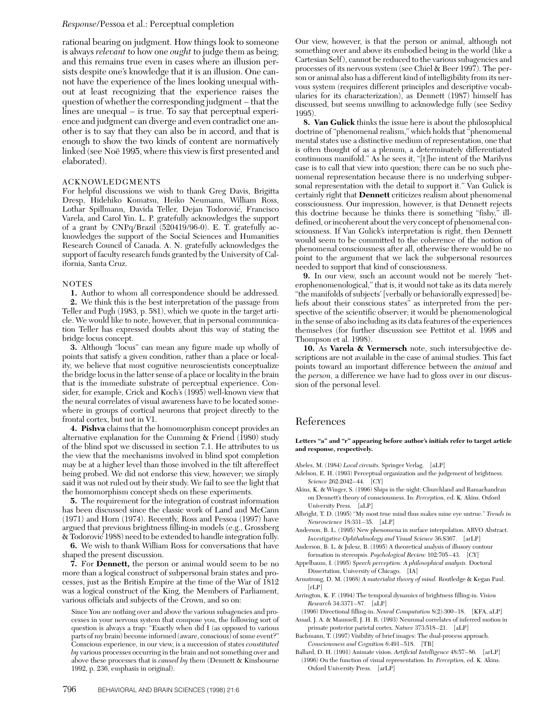### *Response/*Pessoa et al.: Perceptual completion

rational bearing on judgment. How things look to someone is always *relevant* to how one *ought* to judge them as being; and this remains true even in cases where an illusion persists despite one's knowledge that it is an illusion. One cannot have the experience of the lines looking unequal without at least recognizing that the experience raises the question of whether the corresponding judgment – that the lines are unequal – is true. To say that perceptual experience and judgment can diverge and even contradict one another is to say that they can also be in accord, and that is enough to show the two kinds of content are normatively linked (see Noë 1995, where this view is first presented and elaborated).

## ACKNOWLEDGMENTS

For helpful discussions we wish to thank Greg Davis, Brigitta Dresp, Hidehiko Komatsu, Heiko Neumann, William Ross, Lothar Spillmann, Davida Teller, Dejan Todorović, Francisco Varela, and Carol Yin. L. P. gratefully acknowledges the support of a grant by CNPq/Brazil (520419/96-0). E. T. gratefully acknowledges the support of the Social Sciences and Humanities Research Council of Canada. A. N. gratefully acknowledges the support of faculty research funds granted by the University of California, Santa Cruz.

#### NOTES

**1.** Author to whom all correspondence should be addressed. **2.** We think this is the best interpretation of the passage from

Teller and Pugh (1983, p. 581), which we quote in the target article. We would like to note, however, that in personal communication Teller has expressed doubts about this way of stating the bridge locus concept.

**3.** Although "locus" can mean any figure made up wholly of points that satisfy a given condition, rather than a place or locality, we believe that most cognitive neuroscientists conceptualize the bridge locus in the latter sense of a place or locality in the brain that is the immediate substrate of perceptual experience. Consider, for example, Crick and Koch's (1995) well-known view that the neural correlates of visual awareness have to be located somewhere in groups of cortical neurons that project directly to the frontal cortex, but not in V1.

**4. Pishva** claims that the homomorphism concept provides an alternative explanation for the Cumming  $\&$  Friend (1980) study of the blind spot we discussed in section 7.1. He attributes to us the view that the mechanisms involved in blind spot completion may be at a higher level than those involved in the tilt aftereffect being probed. We did not endorse this view, however; we simply said it was not ruled out by their study. We fail to see the light that the homomorphism concept sheds on these experiments.

**5.** The requirement for the integration of contrast information has been discussed since the classic work of Land and McCann (1971) and Horn (1974). Recently, Ross and Pessoa (1997) have argued that previous brightness filling-in models (e.g., Grossberg & Todorovic´ 1988) need to be extended to handle integration fully.

**6.** We wish to thank William Ross for conversations that have shaped the present discussion.

**7.** For **Dennett,** the person or animal would seem to be no more than a logical construct of subpersonal brain states and processes, just as the British Empire at the time of the War of 1812 was a logical construct of the King, the Members of Parliament, various officials and subjects of the Crown, and so on:

Since You are nothing over and above the various subagencies and processes in your nervous system that compose you, the following sort of question is always a trap: "Exactly when did I (as opposed to various parts of my brain) become informed (aware, conscious) of some event?" Conscious experience, in our view, is a succession of states *constituted by* various processes occurring in the brain and not something over and above these processes that is *caused by* them (Dennett & Kinsbourne 1992, p. 236, emphasis in original).

Our view, however, is that the person or animal, although not something over and above its embodied being in the world (like a Cartesian Self), cannot be reduced to the various subagencies and processes of its nervous system (see Chiel & Beer 1997). The person or animal also has a different kind of intelligibility from its nervous system (requires different principles and descriptive vocabularies for its characterization), as Dennett (1987) himself has discussed, but seems unwilling to acknowledge fully (see Sedivy 1995).

**8. Van Gulick** thinks the issue here is about the philosophical doctrine of "phenomenal realism," which holds that "phenomenal mental states use a distinctive medium of representation, one that is often thought of as a plenum, a determinately differentiated continuous manifold." As he sees it, "[t]he intent of the Marilyns case is to call that view into question; there can be no such phenomenal representation because there is no underlying subpersonal representation with the detail to support it." Van Gulick is certainly right that **Dennett** criticizes realism about phenomenal consciousness. Our impression, however, is that Dennett rejects this doctrine because he thinks there is something "fishy," illdefined, or incoherent about the very concept of phenomenal consciousness. If Van Gulick's interpretation is right, then Dennett would seem to be committed to the coherence of the notion of phenomenal consciousness after all, otherwise there would be no point to the argument that we lack the subpersonal resources needed to support that kind of consciousness.

**9.** In our view, such an account would not be merely "heterophenomenological," that is, it would not take as its data merely "the manifolds of subjects' [verbally or behaviorally expressed] beliefs about their conscious states" as interpreted from the perspective of the scientific observer; it would be phenomenological in the sense of also including as its data features of the experiences themselves (for further discussion see Pettitot et al. 1998 and Thompson et al. 1998).

**10.** As **Varela & Vermersch** note, such intersubjective descriptions are not available in the case of animal studies. This fact points toward an important difference between the *animal* and the *person,* a difference we have had to gloss over in our discussion of the personal level.

# References

**Letters "a" and "r" appearing before author's initials refer to target article and response, respectively.**

- Abeles, M. (1984) *Local circuits.* Springer Verlag. [aLP]
- Adelson, E. H. (1993) Perceptual organization and the judgement of brightness. *Science* 262:2042–44. [CY]
- Akins, K. & Winger, S. (1996) Ships in the night: Churchland and Ramachandran on Dennett's theory of consciousness. In: *Perception,* ed. K. Akins. Oxford University Press. [aLP]
- Albright, T. D. (1995) "My most true mind thus makes mine eye untrue." *Trends in Neuroscience* 18:331–35. [aLP]
- Anderson, B. L. (1995) New phenomena in surface interpolation. ARVO Abstract. *Investigative Ophthalmology and Visual Science* 36:S367. [arLP]
- Anderson, B. L. & Julesz, B. (1995) A theoretical analysis of illusory contour formation in stereopsis. *Psychological Review* 102:705–43. [CY]
- Appelbaum, I. (1995) *Speech perception: A philosophical analysis.* Doctoral Dissertation, University of Chicago. [IA]
- Armstrong, D. M. (1968) *A materialist theory of mind.* Routledge & Kegan Paul.  $[rLP]$
- Arrington, K. F. (1994) The temporal dynamics of brightness filling-in. *Vision Research* 34:3371–87. [aLP]
- (1996) Directional filling-in. *Neural Computation* 8(2):300–18. [KFA, aLP] Assad, J. A. & Maunsell, J. H. R. (1993) Neuronal correlates of inferred motion in
- primate posterior parietal cortex. *Nature* 373:518–21. [aLP] Bachmann, T. (1997) Visibility of brief images: The dual-process approach.
- *Consciousness and Cognition 6*:491–518. [TB] Ballard, D. H. (1991) Animate vision. *Artificial Intelligence* 48:57–86. [arLP]
- (1996) On the function of visual representation. In: *Perception,* ed. K. Akins. Oxford University Press. [arLP]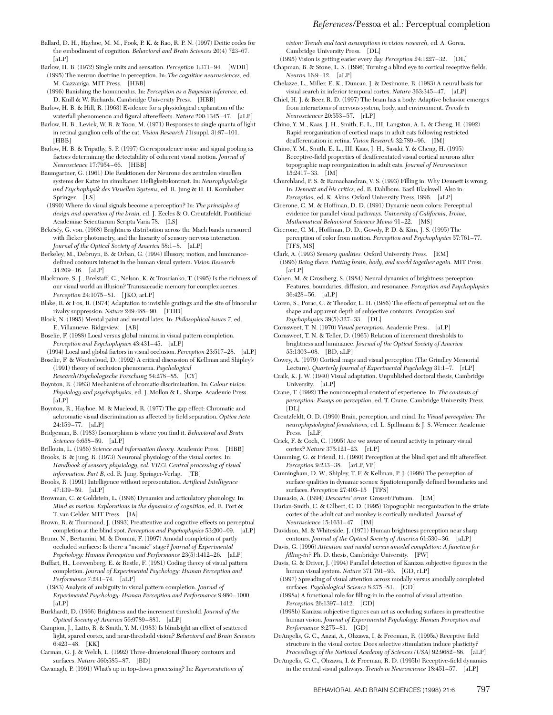Ballard, D. H., Hayhoe, M. M., Pook, P. K. & Rao, R. P. N. (1997) Deitic codes for the embodiment of cognition. *Behavioral and Brain Sciences* 20(4) 723–67. [aLP]

Barlow, H. B. (1972) Single units and sensation. *Perception* 1:371–94. [WDR] (1995) The neuron doctrine in perception. In: *The cognitive neurosciences,* ed. M. Gazzaniga. MIT Press. [HBB]

(1996) Banishing the homunculus. In: *Perception as a Bayesian inference,* ed. D. Knill & W. Richards. Cambridge University Press. [HBB]

Barlow, H. B. & Hill, R. (1963) Evidence for a physiological explanation of the waterfall phenomenon and figural aftereffects. *Nature* 200:1345–47. [aLP]

Barlow, H. B., Levick, W. R. & Yoon, M. (1971) Responses to single quanta of light in retinal ganglion cells of the cat. *Vision Research 1*1(suppl. 3):87–101. [HBB]

Barlow, H. B. & Tripathy, S. P. (1997) Correspondence noise and signal pooling as factors determining the detectability of coherent visual motion. *Journal of Neuroscience* 17:7954–66. [HBB]

Baumgartner, G. (1961) Die Reaktionen der Neurone des zentralen visuellen systems der Katze im simultanen Helligkeitskontrast. In: *Neurophysiologie und Psychophysik des Visuellen Systems,* ed. R. Jung & H. H. Kornhuber. Springer. [LS]

(1990) Where do visual signals become a perception? In: *The principles of design and operation of the brain,* ed. J. Eccles & O. Creutzfeldt. Pontificiae Academiae Scientiarum Scripta Varia 78. [LS]

Békéséy, G. von. (1968) Brightness distribution across the Mach bands measured with flicker photometry, and the linearity of sensory nervous interaction. *Journal of the Optical Society of America* 58:1–8. [aLP]

Berkeley, M., Debruyn, B. & Orban, G. (1994) Illusory, motion, and luminancedefined contours interact in the human visual system. *Vision Research 3*4:209–16. [aLP]

Blackmore, S. J., Brelstaff, G., Nelson, K. & Troscianko, T. (1995) Is the richness of our visual world an illusion? Transsaccadic memory for complex scenes. *Perception* 24:1075–81. [JKO, arLP]

Blake, R. & Fox, R. (1974) Adaptation to invisible gratings and the site of binocular rivalry suppression. *Nature* 249:488–90. [FHD]

Block, N. (1995) Mental paint and mental latex. In: *Philosophical issues 7,* ed. E. Villanueve. Ridgeview. [AB]

Boselie, F. (1988) Local versus global minima in visual pattern completion. *Perception and Psychophysics* 43:431–45. [aLP]

(1994) Local and global factors in visual occlusion. *Perception* 23:517–28. [aLP] Boselie, F. & Wouterloud, D. (1992) A critical discussion of Kellman and Shipley's (1991) theory of occlusion phenomena. *Psychological*

*Research/Psychologische Forschung 5*4:278–85. [CY] Boynton, R. (1983) Mechanisms of chromatic discrimination. In: *Colour vision:*

*Physiology and psychophysics,* ed. J. Mollon & L. Sharpe. Academic Press. [aLP]

Boynton, R., Hayhoe, M. & Macleod, R. (1977) The gap effect: Chromatic and achromatic visual discrimination as affected by field separation. *Optica Acta* 24:159–77. [aLP]

Bridgeman, B. (1983) Isomorphism is where you find it. *Behavioral and Brain Sciences* 6:658–59. [aLP]

Brillouin, L. (1956) *Science and information theory.* Academic Press. [HBB]

Brooks, B. & Jung, R. (1973) Neuronal physiology of the visual cortex. In: *Handbook of sensory physiology, vol. VII/3: Central processing of visual information. Part B,* ed. R. Jung. Springer-Verlag. [TB]

Brooks, R. (1991) Intelligence without representation. *Artificial Intelligence* 47:139–59. [aLP]

Browman, C. & Goldstein, L. (1996) Dynamics and articulatory phonology. In: *Mind as motion: Explorations in the dynamics of cognition,* ed. R. Port & T. van Gelder. MIT Press. [IA]

Brown, R. & Thurmond, J. (1993) Preattentive and cognitive effects on perceptual completion at the blind spot. *Perception and Psychophysics* 53:200–09. [aLP]

Bruno, N., Bertamini, M. & Domini, F. (1997) Amodal completion of partly occluded surfaces: Is there a "mosaic" stage? *Journal of Experimental Psychology: Human Perception and Performance* 23(5):1412–26. [aLP]

Buffart, H., Leewenberg, E. & Restle, F. (1981) Coding theory of visual pattern completion. *Journal of Experimental Psychology: Human Perception and Performance 7*:241–74. [aLP]

(1983) Analysis of ambiguity in visual pattern completion. *Journal of Experimental Psychology: Human Perception and Performance* 9:980–1000. [aLP]

Burkhardt, D. (1966) Brightness and the increment threshold. *Journal of the Optical Society of America* 56:9789–881. [aLP]

Campion, J., Latto, R. & Smith, Y. M. (1983) Is blindsight an effect of scattered light, spared cortex, and near-threshold vision? *Behavioral and Brain Sciences* 6:423–48. [KK]

Carman, G. J. & Welch, L. (1992) Three-dimensional illusory contours and surfaces. *Nature 3*60:585–87. [BD]

Cavanagh, P. (1991) What's up in top-down processing? In: *Representations of*

*vision: Trends and tacit assumptions in vision research,* ed. A. Gorea. Cambridge University Press. [DL]

(1995) Vision is getting easier every day. *Perception 2*4:1227–32. [DL]

- Chapman, B. & Stone, L. S. (1996) Turning a blind eye to cortical receptive fields. *Neuron* 16:9–12. [aLP]
- Chelazze, L., Miller, E. K., Duncan, J. & Desimone, R. (1983) A neural basis for visual search in inferior temporal cortex. *Nature* 363:345–47. [aLP]
- Chiel, H. J. & Beer, R. D. (1997) The brain has a body: Adaptive behavior emerges from interactions of nervous system, body, and environment. *Trends in Neurosciences* 20:553–57. [rLP]
- Chino, Y. M., Kaas, J. H., Smith, E. L., III, Langston, A. L. & Cheng, H. (1992) Rapid reorganization of cortical maps in adult cats following restricted deafferentation in retina. *Vision Research* 32:789–96. [IM]

Chino, Y. M., Smith, E. L., III, Kaas, J. H., Sasaki, Y. & Cheng, H. (1995) Receptive-field properties of deafferentated visual cortical neurons after topographic map reorganization in adult cats. *Journal of Neuroscience* 15:2417–33. [IM]

Churchland, P. S. & Ramachandran, V. S. (1993) Filling in: Why Dennett is wrong. In: *Dennett and his critics,* ed. B. Dahlbom. Basil Blackwell. Also in: *Perception,* ed. K. Akins. Oxford University Press, 1996. [aLP]

Cicerone, C. M. & Hoffman, D. D. (1991) Dynamic neon colors: Perceptual evidence for parallel visual pathways. *University of California, Irvine, Mathematical Behavioral Sciences Memo* 91–22. [MS]

Cicerone, C. M., Hoffman, D. D., Gowdy, P. D. & Kim, J. S. (1995) The perception of color from motion. *Perception and Psychophysics* 57:761–77. [TFS, MS]

Clark, A. (1993) *Sensory qualities.* Oxford University Press. [EM] (1996) *Being there: Putting brain, body, and world together again.* MIT Press. [arLP]

Cohen, M. & Grossberg, S. (1984) Neural dynamics of brightness perception: Features, boundaries, diffusion, and resonance. *Perception and Psychophysics* 36:428–56. [aLP]

Coren, S., Porac, C. & Theodor, L. H. (1986) The effects of perceptual set on the shape and apparent depth of subjective contours. *Perception and Psychophysics* 39(5):327–33. [DL]

Cornsweet, T. N. (1970) *Visual perception.* Academic Press. [aLP]

Cornsweet, T. N. & Teller, D. (1965) Relation of increment thresholds to brightness and luminance. *Journal of the Optical Society of America 5*5:1303–08. [BD, aLP]

Cowey, A. (1979) Cortical maps and visual perception (The Grindley Memorial Lecture). *Quarterly Journal of Experimental Psychology* 31:1–7. [rLP]

Craik, K. J. W. (1940) Visual adaptation. Unpublished doctoral thesis, Cambridge University. [aLP]

Crane, T. (1992) The nonconceptual content of experience. In: *The contents of perception: Essays on perception,* ed. T. Crane. Cambridge University Press.  $[DL]$ 

Creutzfeldt, O. D. (1990) Brain, perception, and mind. In: *Visual perception: The neurophysiological foundations,* ed. L. Spillmann & J. S. Werneer. Academic Press. [aLP]

Crick, F. & Coch, C. (1995) Are we aware of neural activity in primary visual cortex? *Nature* 375:121–23. [rLP]

Cumming, G. & Friend, H. (1980) Perception at the blind spot and tilt aftereffect. *Perception* 9:233–38. [arLP, VP]

Cunningham, D. W., Shipley, T. F. & Kellman, P. J. (1998) The perception of surface qualities in dynamic scenes: Spatiotemporally defined boundaries and surfaces. *Perception* 27:403–15 [TFS]

Damasio, A. (1994) *Descartes' error.* Grosset/Putnam. [EM]

Darian-Smith, C. & Gilbert, C. D. (1995) Topographic reorganization in the striate cortex of the adult cat and monkey is cortically mediated. *Journal of Neuroscience* 15:1631–47. [IM]

Davidson, M. & Whiteside, J. (1971) Human brightness perception near sharp contours. *Journal of the Optical Society of America* 61:530–36. [aLP]

Davis, G. (1996) *Attention and modal versus amodal completion: A function for filling-in?* Ph. D. thesis, Cambridge University. [PW]

Davis, G. & Driver, J. (1994) Parallel detection of Kanizsa subjective figures in the human visual system. *Nature* 371:791–93. [GD, rLP]

(1997) Spreading of visual attention across modally versus amodally completed surfaces. *Psychological Science* 8:275–81. [GD]

(1998a) A functional role for filling-in in the control of visual attention. *Perception* 26:1397–1412. [GD]

(1998b) Kanizsa subjective figures can act as occluding surfaces in preattentive human vision. *Journal of Experimental Psychology: Human Perception and Performance 8*:275–81. [GD]

DeAngelis, G. C., Anzai, A., Ohzawa, I. & Freeman, R. (1995a) Receptive field structure in the visual cortex: Does selective stimulation induce plasticity? *Proceedings of the National Academy of Sciences (USA)* 92:9682–86. [aLP]

DeAngelis, G. C., Ohzawa, I. & Freeman, R. D. (1995b) Receptive-field dynamics in the central visual pathways. *Trends in Neuroscience* 18:451–57. [aLP]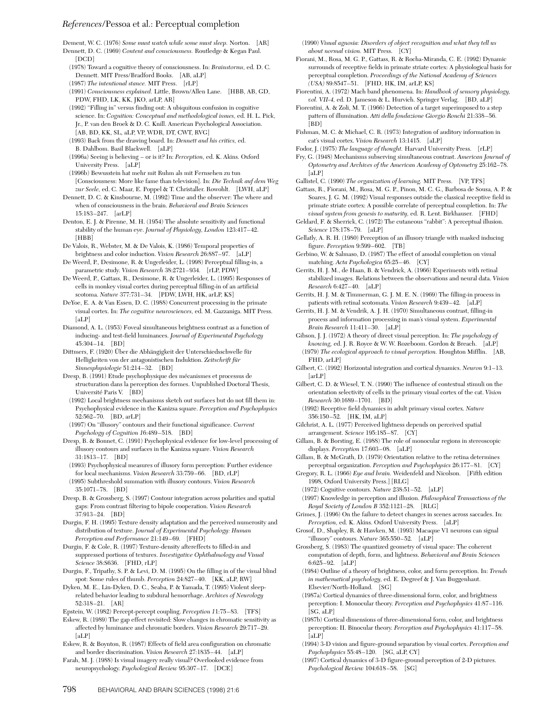# *References/*Pessoa et al.: Perceptual completion

Dement, W. C. (1976) *Some must watch while some must sleep.* Norton. [AR] Dennett, D. C. (1969) *Content and consciousness.* Routledge & Kegan Paul. [DCD]

(1978) Toward a cognitive theory of consciousness. In: *Brainstorms,* ed. D. C. Dennett. MIT Press/Bradford Books. [AB, aLP]

(1987) *The intentional stance.* MIT Press. [rLP]

- (1991) *Consciousness explained.* Little, Brown/Allen Lane. [HBB, AB, GD, PDW, FHD, LK, KK, JKO, arLP, AR]
- (1992) "Filling in" versus finding out: A ubiquitous confusion in cognitive science. In: *Cognition: Conceptual and methodological issues,* ed. H. L. Pick, Jr., P. van den Broek & D. C. Knill. American Psychological Association. [AB, BD, KK, SL, aLP, VP, WDR, DT, CWT, RVG]
- (1993) Back from the drawing board. In: *Dennett and his critics,* ed. B. Dahlbom. Basil Blackwell. [aLP]

(1996a) Seeing is believing – or is it? In: *Perception,* ed. K. Akins. Oxford University Press. [aLP]

(1996b) Bewusstein hat mehr mit Ruhm als mit Fernsehen zu tun [Consciousness: More like fame than television]. In: *Die Technik auf dem Weg zur Seele,* ed. C. Maar, E. Poppel & T. Christaller. Rowohlt. [LWH, aLP]

Dennett, D. C. & Kinsbourne, M. (1992) Time and the observer: The where and when of consciousness in the brain. *Behavioral and Brain Sciences* 15:183–247. [arLP]

Denton, E. J. & Pirenne, M. H. (1954) The absolute sensitivity and functional stability of the human eye. *Journal of Physiology, London* 123:417–42. [HBB]

De Valois, R., Webster, M. & De Valois, K. (1986) Temporal properties of brightness and color induction. *Vision Research 2*6:887–97. [aLP]

De Weerd, P., Desimone, R. & Ungerleider, L. (1998) Perceptual filling-in, a parametric study. *Vision Research* 38:2721–934. [rLP, PDW]

De Weerd, P., Gattass, R., Desimone, R. & Ungerleider, L. (1995) Responses of cells in monkey visual cortex during perceptual filling-in of an artificial scotoma. *Nature* 377:731–34. [PDW, LWH, HK, arLP, KS]

DeYoe, E. A. & Van Essen, D. C. (1988) Concurrent processing in the primate visual cortex. In: *The cognitive neurosciences,* ed. M. Gazzaniga. MIT Press.  $|aLP|$ 

Diamond, A. L. (1953) Foveal simultaneous brightness contrast as a function of inducing- and test-field luminances. *Journal of Experimental Psychology* 45:304–14. [BD]

Dittmers, F. (1920) Über die Abhängigkeit der Unterschiedsschwelle für Helligkeiten von der antagonistischen Induktion. *Zeitschrift für Sinnesphysiologie* 51:214–32. [BD]

- Dresp, B. (1991) Etude psychophysique des mécanismes et processus de structuration dans la perception des formes. Unpublished Doctoral Thesis, Université Paris V. [BD]
- (1992) Local brightness mechanisms sketch out surfaces but do not fill them in: Psychophysical evidence in the Kanizsa square. *Perception and Psychophysics* 52:562–70. [BD, arLP]
- (1997) On "illusory" contours and their functional significance. *Current Psychology of Cognition 1*6:489–518. [BD]
- Dresp, B. & Bonnet, C. (1991) Psychophysical evidence for low-level processing of illusory contours and surfaces in the Kanizsa square. *Vision Research* 31:1813–17. [BD]
	- (1993) Psychophysical measures of illusory form perception: Further evidence for local mechanisms. *Vision Research* 33:759–66. [BD, rLP]
- (1995) Subthreshold summation with illusory contours. *Vision Research* 35:1071–78. [BD]

Dresp, B. & Grossberg, S. (1997) Contour integration across polarities and spatial gaps: From contrast filtering to bipole cooperation. *Vision Research* 37:913–24. [BD]

Durgin, F. H. (1995) Texture density adaptation and the perceived numerosity and distribution of texture. *Journal of Experimental Psychology: Human Perception and Performance* 21:149–69. [FHD]

Durgin, F. & Cole, R. (1997) Texture-density aftereffects to filled-in and suppressed portions of textures. *Investigative Ophthalmology and Visual Science* 38:S636. [FHD, rLP]

Durgin, F., Tripathy, S. P. & Levi, D. M. (1995) On the filling in of the visual blind spot: Some rules of thumb. *Perception* 24:827–40. [KK, aLP, RW]

Dyken, M. E., Lin-Dyken, D. C., Seaba, P. & Yamada, T. (1995) Violent sleeprelated behavior leading to subdural hemorrhage. *Archives of Neurology* 52:318–21. [AR]

Epstein, W. (1982) Percept-percept coupling. *Perception 1*1:75–83. [TFS]

Eskew, R. (1989) The gap effect revisited: Slow changes in chromatic sensitivity as affected by luminance and chromatic borders. *Vision Research* 29:717–29. [aLP]

Eskew, R. & Boynton, R. (1987) Effects of field area configuration on chromatic and border discrimination. *Vision Research* 27:1835–44. [aLP]

Farah, M. J. (1988) Is visual imagery really visual? Overlooked evidence from neuropsychology. *Psychological Review* 95:307–17. [DCE]

(1990) *Visual agnosia: Disorders of object recognition and what they tell us about normal vision.* MIT Press. [CY]

Fiorani, M., Rosa, M. G. P., Gattass, R. & Rocha-Miranda, C. E. (1992) Dynamic surrounds of receptive fields in primate striate cortex: A physiological basis for perceptual completion. *Proceedings of the National Academy of Sciences (USA)* 89:8547–51. [FHD, HK, IM, arLP, KS]

Fiorentini, A. (1972) Mach band phenomena. In: *Handbook of sensory physiology, vol. VII-4,* ed. D. Jameson & L. Hurvich. Springer Verlag. [BD, aLP]

- Fiorentini, A. & Zoli, M. T. (1966) Detection of a target superimposed to a step pattern of illumination. *Atti della fondazione Giorgio Ronchi* 21:338–56. [BD]
- Fishman, M. C. & Michael, C. R. (1973) Integration of auditory information in cat's visual cortex. *Vision Research* 13:1415. [aLP]
- Fodor, J. (1975) *The language of thought.* Harvard University Press. [rLP]
- Fry, G. (1948) Mechanisms subserving simultaneous contrast. *American Journal of Optometry and Archives of the American Academy of Optometry* 25:162–78. [aLP]
- Gallistel, C. (1990) *The organization of learning.* MIT Press. [VP, TFS]

Gattass, R., Fiorani, M., Rosa, M. G. P., Pinon, M. C. G., Barbosa de Sousa, A. P. & Soares, J. G. M. (1992) Visual responses outside the classical receptive field in primate striate cortex: A possible correlate of perceptual completion. In: *The visual system from genesis to maturity,* ed. R. Lent. Birkhauser. [FHD] Geldard, F. & Sherrick, C. (1972) The cutaneous "rabbit": A perceptual illusion.

*Science* 178:178–79. [aLP]

Gellatly, A. R. H. (1980) Perception of an illusory triangle with masked inducing figure. *Perception* 9:599–602. [TB]

Gerbino, W. & Salmaso, D. (1987) The effect of amodal completion on visual matching. *Acta Psychologica* 65:25–46. [CY]

Gerrits, H. J. M., de Haan, B. & Vendrick, A. (1966) Experiments with retinal stabilized images. Relations between the observations and neural data. *Vision Research* 6:427–40. [aLP]

Gerrits, H. J. M. & Timmerman, G. J. M. E. N. (1969) The filling-in process in patients with retinal scotomata. *Vision Research* 9:439–42. [aLP]

Gerrits, H. J. M. & Vendrik, A. J. H. (1970) Simultaneous contrast, filling-in process and information processing in man's visual system. *Experimental Brain Research* 11:411–30. [aLP]

Gibson, J. J. (1972) A theory of direct visual perception. In: *The psychology of knowing,* ed. J. R. Royce & W. W. Rozeboom. Gordon & Breach. [aLP] (1979) *The ecological approach to visual perception.* Houghton Mifflin. [AB, FHD, arLP]

- Gilbert, C. (1992) Horizontal integration and cortical dynamics. *Neuron* 9:1–13. [arLP]
- Gilbert, C. D. & Wiesel, T. N. (1990) The influence of contextual stimuli on the orientation selectivity of cells in the primary visual cortex of the cat. *Vision Research* 30:1689–1701. [BD]
- (1992) Receptive field dynamics in adult primary visual cortex. *Nature* 356:150–52. [HK, IM, aLP]
- Gilchrist, A. L. (1977) Perceived lightness depends on perceived spatial arrangement. *Science* 195:185–87. [CY]
- Gillam, B. & Borsting, E. (1988) The role of monocular regions in stereoscopic displays. *Perception* 17:603–08. [aLP]

Gillam, B. & McGrath, D. (1979) Orientation relative to the retina determines perceptual organization. *Perception and Psychophysics* 26:177–81. [CY]

Gregory, R. L. (1966) *Eye and brain.* Weidenfeld and Nicolson. [Fifth edition 1998, Oxford University Press.] [RLG]

(1972) Cognitive contours. *Nature* 238:51–52. [aLP]

- (1997) Knowledge in perception and illusion. *Philosophical Transactions of the Royal Society of London B* 352:1121–28. [RLG]
- Grimes, J. (1996) On the failure to detect changes in scenes across saccades. In: *Perception,* ed. K. Akins. Oxford University Press. [aLP]

Grosof, D., Shapley, R. & Hawken, M. (1993) Macaque V1 neurons can signal "illusory" contours. *Nature* 365:550–52. [aLP]

- Grossberg, S. (1983) The quantized geometry of visual space: The coherent computation of depth, form, and lightness. *Behavioral and Brain Sciences* 6:625–92. [aLP]
	- (1984) Outline of a theory of brightness, color, and form perception. In: *Trends in mathematical psychology,* ed. E. Degreef & J. Van Buggenhaut. Elsevier/North-Holland. [SG]
	- (1987a) Cortical dynamics of three-dimensional form, color, and brightness perception: I. Monocular theory. *Perception and Psychophysics* 41:87–116. [SG, aLP]
- (1987b) Cortical dimensions of three-dimensional form, color, and brightness perception: II. Binocular theory. *Perception and Psychophysics* 41:117–58. [aLP]
- (1994) 3-D vision and figure-ground separation by visual cortex. *Perception and Psychophysics* 55:48–120. [SG, aLP, CY]
- (1997) Cortical dynamics of 3-D figure-ground perception of 2-D pictures. *Psychological Review* 104:618–58. [SG]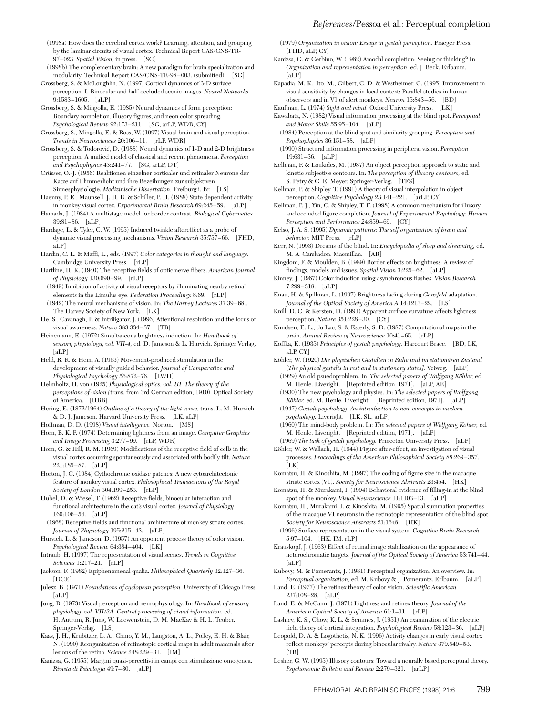- (1998a) How does the cerebral cortex work? Learning, attention, and grouping by the laminar circuits of visual cortex. Technical Report CAS/CNS-TR-97–023. *Spatial Vision,* in press. [SG]
- (1998b) The complementary brain: A new paradigm for brain specialization and modularity. Technical Report CAS/CNS-TR-98–003. (submitted). [SG]

Grossberg, S. & McLoughlin, N. (1997) Cortical dynamics of 3-D surface perception: I. Binocular and half-occluded scenic images. *Neural Networks* 9:1583–1605. [aLP]

Grossberg, S. & Mingolla, E. (1985) Neural dynamics of form perception: Boundary completion, illusory figures, and neon color spreading. *Psychological Review* 92:173–211. [SG, arLP, WDR, CY]

Grossberg, S., Mingolla, E. & Ross, W. (1997) Visual brain and visual perception. *Trends in Neurosciences* 20:106–11. [rLP, WDR]

Grossberg, S. & Todorovic´, D. (1988) Neural dynamics of 1-D and 2-D brightness perception: A unified model of classical and recent phenomena. *Perception and Psychophysics* 43:241–77. [SG, arLP, DT]

Grüsser, O.-J. (1956) Reaktionen einzelner corticaler und retinaler Neurone der Katze auf Flimmerlicht und ihre Bezeihungen zur subjektiven Sinnesphysiologie. *Medizinische Dissertation,* Freiburg i. Br. [LS]

Haenny, P. E., Maunsell, J. H. R. & Schiller, P. H. (1988) State dependent activity in monkey visual cortex. *Experimental Brain Research* 69:245–59. [aLP]

Hamada, J. (1984) A multistage model for border contrast. *Biological Cybernetics* 39:81–86. [aLP]

Hardage, L. & Tyler, C. W. (1995) Induced twinkle aftereffect as a probe of dynamic visual processing mechanisms. *Vision Research* 35:757–66. [FHD, aLP]

Hardin, C. L. & Maffi, L., eds. (1997) *Color categories in thought and language.* Cambridge University Press. [rLP]

- Hartline, H. K. (1940) The receptive fields of optic nerve fibers. *American Journal of Physiology* 130:690–99. [rLP]
- (1949) Inhibition of activity of visual receptors by illuminating nearby retinal elements in the Limulus eye. *Federation Proceedings* 8:69. [rLP] (1942) The neural mechanisms of vision. In: *The Harvey Lectures* 37:39–68..

The Harvey Society of New York. [LK] He, S., Cavanagh, P. & Intriligator, J. (1996) Attentional resolution and the locus of

visual awareness. *Nature* 383:334–37. [TB]

Heinemann, E. (1972) Simultaneous brightness induction. In: *Handbook of sensory physiology, vol. VII-4,* ed. D. Jameson & L. Hurvich. Springer Verlag. [aLP]

Held, R. R. & Hein, A. (1963) Movement-produced stimulation in the development of visually guided behavior. *Journal of Comparative and Physiological Psychology* 56:872–76. [LWH]

Helmholtz, H. von (1925) *Physiological optics, vol. III. The theory of the perceptions of vision (*trans. from 3rd German edition, 1910). Optical Society of America. [HBB]

Hering, E. (1872/1964) *Outline of a theory of the light sense,* trans. L. M. Hurvich & D. J. Jameson. Harvard University Press. [LK, aLP]

Hoffman, D. D. (1998) *Visual intelligence.* Norton. [MS]

Horn, B. K. P. (1974) Determining lightness from an image. *Computer Graphics and Image Processing* 3:277–99. [rLP, WDR]

Horn, G. & Hill, R. M. (1969) Modifications of the receptive field of cells in the visual cortex occurring spontaneously and associated with bodily tilt. *Nature* 221:185–87. [aLP]

Horton, J. C. (1984) Cythochrome oxidase patches: A new cytoarchitectonic feature of monkey visual cortex. *Philosophical Transactions of the Royal Society of London* 304:199–253. [rLP]

Hubel, D. & Wiesel, T. (1962) Receptive fields, binocular interaction and functional architecture in the cat's visual cortex. *Journal of Physiology* 160:106–54. [aLP]

(1968) Receptive fields and functional architecture of monkey striate cortex. *Journal of Physiology* 195:215–43. [aLP]

Hurvich, L. & Jameson, D. (1957) An opponent process theory of color vision. *Psychological Review* 64:384–404. [LK]

Intraub, H. (1997) The representation of visual scenes. *Trends in Cognitive Sciences* 1:217–21. [rLP]

Jackson, F. (1982) Epiphenomenal qualia. *Philosophical Quarterly* 32:127–36. [DCE]

Julesz, B. (1971) *Foundations of cyclopean perception.* University of Chicago Press. [aLP]

Jung, R. (1973) Visual perception and neurophysiology. In: *Handbook of sensory physiology, vol. VII/3A. Central processing of visual information,* ed. H. Autrum, R. Jung, W. Loewenstein, D. M. MacKay & H. L. Teuber. Springer-Verlag. [LS]

Kaas, J. H., Krubitzer, L. A., Chino, Y. M., Langston, A. L., Polley, E. H. & Blair, N. (1990) Reorganization of retinotopic cortical maps in adult mammals after lesions of the retina. *Science 2*48:229–31. [IM]

Kanizsa, G. (1955) Margini quasi-percettivi in campi con stimulazione omogenea. *Rivista di Psicologia* 49:7–30. [aLP]

(1979) *Organization in vision: Essays in gestalt perception.* Praeger Press. [FHD, aLP, CY]

Kanizsa, G. & Gerbino, W. (1982) Amodal completion: Seeing or thinking? In: *Organization and representation in perception,* ed. J. Beck. Erlbaum. [aLP]

Kapadia, M. K., Ito, M., Gilbert, C. D. & Westheimer, G. (1995) Improvement in visual sensitivity by changes in local context: Parallel studies in human observers and in V1 of alert monkeys. *Neuron* 15:843–56. [BD]

Kaufman, L. (1974) *Sight and mind.* Oxford University Press. [LK]

Kawabata, N. (1982) Visual information processing at the blind spot. *Perceptual and Motor Skills* 55:95–104. [aLP]

(1984) Perception at the blind spot and similarity grouping. *Perception and Psychophysics* 36:151–58. [aLP]

(1990) Structural information processing in peripheral vision. *Perception* 19:631–36. [aLP]

- Kellman, P. & Loukides, M. (1987) An object perception approach to static and kinetic subjective contours. In: *The perception of illusory contours,* ed. S. Petry & G. E. Meyer. Springer-Verlag. [TFS]
- Kellman, P. & Shipley, T. (1991) A theory of visual interpolation in object perception. *Cognitive Psychology* 23:141–221. [arLP, CY]

Kellman, P. J., Yin, C. & Shipley, T. F. (1998) A common mechanism for illusory and occluded figure completion. *Journal of Experimental Psychology: Human Perception and Performance 2*4:859–69. [CY]

Kelso, J. A. S. (1995) *Dynamic patterns: The self organization of brain and behavior.* MIT Press. [rLP]

Kerr, N. (1993) Dreams of the blind. In: *Encyclopedia of sleep and dreaming,* ed. M. A. Carskadon. Macmillan. [AR]

Kingdom, F. & Moulden, B. (1989) Border effects on brightness: A review of findings, models and issues. *Spatial Vision* 3:225–62. [aLP]

Kinney, J. (1967) Color induction using asynchronous flashes. *Vision Research* 7:299–318. [aLP]

Knau, H. & Spillman, L. (1997) Brightness fading during *Ganzfeld* adaptation. *Journal of the Optical Society of America A* 14:1213–22. [LS]

Knill, D. C. & Kersten, D. (1991) Apparent surface curvature affects lightness perception. *Nature* 351:228–30. [CY]

Knudsen, E. L., du Lac, S. & Esterly, S. D. (1987) Computational maps in the brain. *Annual Review of Neuroscience* 10:41–65. [rLP]

Koffka, K. (1935) *Principles of gestalt psychology.* Harcourt Brace. [BD, LK, aLP, CY]

Köhler, W. (1920) *Die physischen Gestalten in Ruhe und im stationären Zustand* [*The physical gestalts in rest and in stationary states]*. Veiweg. [aLP]

(1929) An old psuedoproblem. In: *The selected papers of Wolfgang Köhler,* ed. M. Henle. Liveright. [Reprinted edition, 1971]. [aLP, AR]

(1930) The new psychology and physics. In: *The selected papers of Wolfgang Köhler,* ed. M. Henle. Liveright. [Reprinted edition, 1971]. [aLP]

(1947) *Gestalt psychology: An introduction to new concepts in modern psychology.* Liveright. [LK, SL, arLP]

(1960) The mind-body problem. In: *The selected papers of Wolfgang Köhler,* ed. M. Henle. Liveright. [Reprinted edition, 1971]. [aLP]

(1969) *The task of gestalt psychology.* Princeton University Press. [aLP]

Köhler, W. & Wallach, H. (1944) Figure after-effect, an investigation of visual processes. *Proceedings of the American Philosophical Society* 88:269–357.  $[LK]$ 

Komatsu, H. & Kinoshita, M. (1997) The coding of figure size in the macaque striate cortex (V1). *Society for Neuroscience Abstracts* 23:454. [HK]

Komatsu, H. & Murakami, I. (1994) Behavioral evidence of filling-in at the blind spot of the monkey. *Visual Neuroscience* 11:1103–13. [aLP]

Komatsu, H., Murakami, I. & Kinoshita, M. (1995) Spatial summation properties of the macaque V1 neurons in the retinotopic representation of the blind spot. *Society for Neuroscience Abstracts* 21:1648. [HK]

(1996) Surface representation in the visual system. *Cognitive Brain Research* 5:97–104. [HK, IM, rLP]

Krauskopf, J. (1963) Effect of retinal image stabilization on the appearance of heterochromatic targets. *Journal of the Optical Society of America* 53:741–44. [aLP]

Kubovy, M. & Pomerantz, J. (1981) Perceptual organization: An overview. In: *Perceptual organization,* ed. M. Kubovy & J. Pomerantz. Erlbaum. [aLP]

Land, E. (1977) The retinex theory of color vision. *Scientific American* 237:108–28. [aLP]

Land, E. & McCann, J. (1971) Lightness and retinex theory. *Journal of the American Optical Society of America 6*1:1–11. [rLP]

Lashley, K. S., Chow, K. L. & Semmes, J. (1951) An examination of the electric field theory of cortical integration. *Psychological Review* 58:123–36. [aLP]

Leopold, D. A. & Logothetis, N. K. (1996) Activity changes in early visual cortex reflect monkeys' percepts during binocular rivalry. *Nature* 379:549–53. [TB]

Lesher, G. W. (1995) Illusory contours: Toward a neurally based perceptual theory. *Psychonomic Bulletin and Review* 2:279–321. [arLP]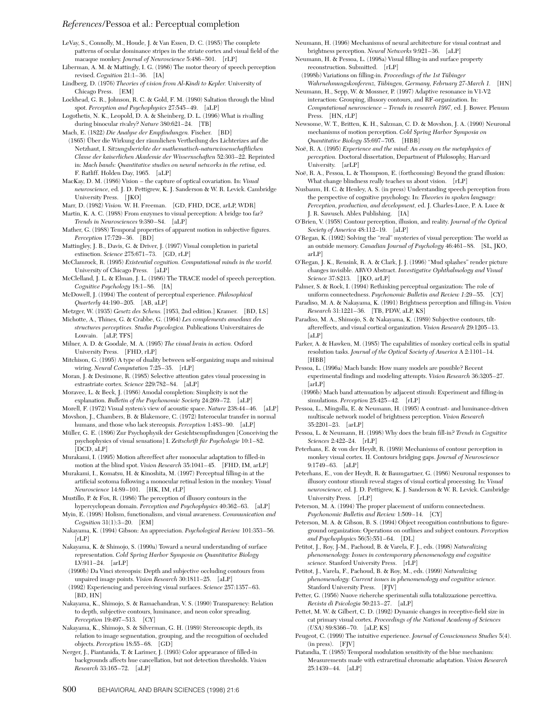# *References/*Pessoa et al.: Perceptual completion

- LeVay, S., Connolly, M., Houde, J. & Van Essen, D. C. (1985) The complete patterns of ocular dominance stripes in the striate cortex and visual field of the macaque monkey. *Journal of Neuroscience* 5:486–501. [rLP]
- Liberman, A. M. & Mattingly, I. G. (1986) The motor theory of speech perception revised. *Cognition* 21:1–36. [IA]
- Lindberg, D. (1976) *Theories of vision from Al-Kindi to Kepler.* University of Chicago Press. [EM]
- Lockhead, G. R., Johnson, R. C. & Gold, F. M. (1980) Saltation through the blind spot. *Perception and Psychophysics* 27:545–49. [aLP]
- Logothetis, N. K., Leopold, D. A. & Sheinberg, D. L. (1996) What is rivalling during binocular rivalry? *Nature* 380:621–24. [TB]
- Mach, E. (1822) *Die Analyse der Empfindungen.* Fischer. [BD] (1865) Über die Wirkung der räumlichen Vertheilung des Lichterizes auf die Netzhaut, I. *Sitzungsberichte der mathematisch-naturwissenschaftlichen Classe der kaiserlichen Akademie der Wissernschaften* 52:303–22. Reprinted in: *Mach bands: Quantitative studies on neural networks in the retina,* ed. F. Ratliff. Holden Day, 1965. [aLP]
- MacKay, D. M. (1986) Vision the capture of optical covariation. In: *Visual neuroscience,* ed. J. D. Pettigrew, K. J. Sanderson & W. R. Levick. Cambridge University Press. [JKO]
- Marr, D. (1982) *Vision.* W. H. Freeman. [GD, FHD, DCE, arLP, WDR] Martin, K. A. C. (1988) From enzymes to visual perception: A bridge too far? *Trends in Neurosciences* 9:380–84. [aLP]
- Mather, G. (1988) Temporal properties of apparent motion in subjective figures. *Perception* 17:729–36. [BD]
- Mattingley, J. B., Davis, G. & Driver, J. (1997) Visual completion in parietal extinction. *Science* 275:671–73. [GD, rLP]
- McClamrock, R. (1995) *Existential cognition. Computational minds in the world.* University of Chicago Press. [aLP]
- McClelland, J. L. & Elman, J. L. (1986) The TRACE model of speech perception. *Cognitive Psychology* 18:1–86. [IA]
- McDowell, J. (1994) The content of perceptual experience. *Philosophical Quarterly* 44:190–205. [AB, aLP]

Metzger, W. (1935) *Gesetz des Schens.* [1953, 2nd edition.] Kramer. [BD, LS]

- Michotte, A., Thines, G. & Crabbe, G. (1964) *Les complements amodaux des structures perceptives. Studia Psycologica.* Publications Universitaires de Louvain. [aLP, TFS]
- Milner, A. D. & Goodale, M. A. (1995) *The visual brain in action.* Oxford University Press. [FHD, rLP]
- Mitchison, G. (1995) A type of duality between self-organizing maps and minimal wiring. *Neural Computation* 7:25–35. [rLP]
- Moran, J. & Desimone, R. (1985) Selective attention gates visual processing in extrastriate cortex. *Science* 229:782–84. [aLP]
- Moravec, L. & Beck, J. (1986) Amodal completion: Simplicity is not the explanation. *Bulletin of the Psychonomic Society* 24:269–72. [aLP]
- Morell, F. (1972) Visual system's view of acoustic space. *Nature* 238:44–46. [aLP] Movshon, J., Chambers, B. & Blakemore, C. (1972) Interocular transfer in normal
- humans, and those who lack stereopsis. *Perception* 1:483–90. [aLP]
- Müller, G. E. (1896) Zur Psychophysik der Gesichtsempfindungen [Conceiving the psychophysics of visual sensations] I. *Zeitschrift für Psychologie* 10:1–82. [DCD, aLP]
- Murakami, I. (1995) Motion aftereffect after monocular adaptation to filled-in motion at the blind spot. *Vision Research* 35:1041–45. [FHD, IM, arLP]
- Murakami, I., Komatsu, H. & Kinoshita, M. (1997) Perceptual filling-in at the artificial scotoma following a monocular retinal lesion in the monkey. *Visual Neuroscience* 14:89–101. [HK, IM, rLP]
- Mustillo, P. & Fox, R. (1986) The perception of illusory contours in the hypercyclopean domain. *Perception and Psychophysics* 40:362–63. [aLP]
- Myin, E. (1998) Holism, functionalism, and visual awareness. *Communication and Cognition* 31(1):3–20. [EM]
- Nakayama, K. (1994) Gibson: An appreciation. *Psychological Review* 101:353–56. [rLP]
- Nakayama, K. & Shimojo, S. (1990a) Toward a neural understanding of surface representation. *Cold Spring Harbor Symposia on Quantitative Biology* LV:911–24. [arLP]
- (1990b) Da Vinci stereopsis: Depth and subjective occluding contours from unpaired image points. *Vision Research* 30:1811–25. [aLP]
- (1992) Experiencing and perceiving visual surfaces. *Science* 257:1357–63. [BD, HN]
- Nakayama, K., Shimojo, S. & Ramachandran, V. S. (1990) Transparency: Relation to depth, subjective contours, luminance, and neon color spreading. *Perception* 19:497–513. [CY]
- Nakayama, K., Shimojo, S. & Silverman, G. H. (1989) Stereoscopic depth, its relation to image segmentation, grouping, and the recognition of occluded objects. *Perception* 18:55–68. [GD]
- Nerger, J., Piantanida, T. & Larimer, J. (1993) Color appearance of filled-in backgrounds affects hue cancellation, but not detection thresholds. *Vision Research* 33:165–72. [aLP]
- Neumann, H. (1996) Mechanisms of neural architecture for visual contrast and brightness perception. *Neural Networks* 9:921–36. [aLP]
- Neumann, H. & Pessoa, L. (1998a) Visual filling-in and surface property reconstruction. Submitted. [rLP] (1998b) Variations on filling-in. *Proceedings of the 1st Tübinger*
- *Wahrnehmungskonferenz, Tübingen, Germany, February 27-March 1.* [HN] Neumann, H., Sepp, W. & Mossner, P. (1997) Adaptive resonance in V1-V2
- interaction: Grouping, illusory contours, and RF-organization. In: *Computational neuroscience – Trends in research 1997,* ed. J. Bower. Plenum Press. [HN, rLP]
- Newsome, W. T., Britten, K. H., Salzman, C. D. & Movshon, J. A. (1990) Neuronal mechanisms of motion perception. *Cold Spring Harbor Symposia on Quantitative Biology 5*5:697–705. [HBB]
- Noë, R. A. (1995) *Experience and the mind: An essay on the metaphysics of perception.* Doctoral dissertation, Department of Philosophy, Harvard University. [arLP]
- Noë, R. A., Pessoa, L. & Thompson, E. (forthcoming) Beyond the grand illusion: What change blindness really teaches us about vision. [rLP]
- Nusbaum, H. C. & Henley, A. S. (in press) Understanding speech perception from the perspective of cognitive psychology. In: *Theories in spoken language: Perception, production, and development,* ed. J. Charles-Luce, P. A. Luce & J. R. Sawusch. Ablex Publishing. [IA]
- O'Brien, V. (1958) Contour perception, illusion, and reality. *Journal of the Optical Society of America* 48:112–19. [aLP]
- O'Regan, K. (1992) Solving the "real" mysteries of visual perception: The world as an outside memory. *Canadian Journal of Psychology* 46:461–88. [SL, JKO, arLP]
- O'Regan, J. K., Rensink, R. A. & Clark, J. J. (1996) "Mud splashes" render picture changes invisible. ARVO Abstract. *Investigative Ophthalmology and Visual Science* 37:S213. [JKO, arLP]
- Palmer, S. & Rock, I. (1994) Rethinking perceptual organization: The role of uniform connectedness. *Psychonomic Bulletin and Review 1*:29–55. [CY]
- Paradiso, M. A. & Nakayama, K. (1991) Brightness perception and filling-in. *Vision Research* 31:1221–36. [TB, PDW, aLP, KS]
- Paradiso, M. A., Shimojo, S. & Nakayama, K. (1989) Subjective contours, tiltaftereffects, and visual cortical organization. *Vision Research* 29:1205–13. [aLP]
- Parker, A. & Hawken, M. (1985) The capabilities of monkey cortical cells in spatial resolution tasks. *Journal of the Optical Society of America* A 2:1101–14. [HBB]
- Pessoa, L. (1996a) Mach bands: How many models are possible? Recent experimental findings and modeling attempts. *Vision Research* 36:3205–27. [arLP]
- (1996b) Mach band attenuation by adjacent stimuli: Experiment and filling-in simulations. *Perception* 25:425–42. [rLP]
- Pessoa, L., Mingolla, E. & Neumann, H. (1995) A contrast- and luminance-driven multiscale network model of brightness perception. *Vision Research* 35:2201–23. [arLP]
- Pessoa, L. & Neumann, H. (1998) Why does the brain fill-in? *Trends in Cognitive Sciences* 2:422–24. [rLP]
- Peterhans, E. & von der Heydt, R. (1989) Mechanisms of contour perception in monkey visual cortex. II. Contours bridging gaps. *Journal of Neuroscience* 9:1749–63. [aLP]
- Peterhans, E., von der Heydt, R. & Baumgartner, G. (1986) Neuronal responses to illusory contour stimuli reveal stages of visual cortical processing. In: *Visual neuroscience,* ed. J. D. Pettigrew, K. J. Sanderson & W. R. Levick. Cambridge University Press. [rLP]
- Peterson, M. A. (1994) The proper placement of uniform connectedness. *Psychonomic Bulletin and Review* 1:509–14. [CY]
- Peterson, M. A. & Gibson, B. S. (1994) Object recognition contributions to figureground organization: Operations on outlines and subject contours. *Perception and Psychophysics* 56(5):551–64. [DL]
- Petitot, J., Roy, J-M., Pachoud, B. & Varela, F. J., eds. (1998) *Naturalizing phenomenology: Issues in contemporary phenomenology and cognitive science.* Stanford University Press. [rLP]
- Petitot, J., Varela, F., Pachoud, B. & Roy, M., eds. (1999) *Naturalizing phenomenology: Current issues in phenomenology and cognitive science.* Stanford University Press. [FJV]
- Petter, G. (1956) Nuove richerche sperimentali sulla totalizzazione percettiva. *Revista di Psicologia* 50:213–27. [aLP]
- Pettet, M. W. & Gilbert, C. D. (1992) Dynamic changes in receptive-field size in cat primary visual cortex. *Proceedings of the National Academy of Sciences (USA)* 89:8366–70. [aLP, KS]
- Peugeot, C. (1999) The intuitive experience. *Journal of Consciousness Studies* 5(4).  $(in press).$  [FJV]
- Piatandia, T. (1985) Temporal modulation sensitivity of the blue mechanism: Measurements made with extraretinal chromatic adaptation. *Vision Research* 25:1439–44. [aLP]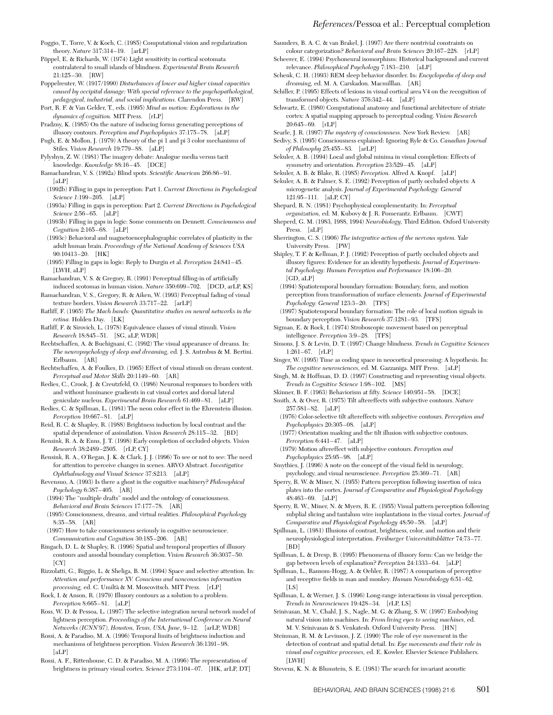- Poggio, T., Torre, V. & Koch, C. (1985) Computational vision and regularization theory. *Nature* 317:314–19. [arLP]
- Pöppel, E. & Richards, W. (1974) Light sensitivity in cortical scotomata contralateral to small islands of blindness. *Experimental Brain Research* 21:125–30. [RW]
- Poppelreuter, W. (1917/1990) *Disturbances of lower and higher visual capacities caused by occipital damage: With special reference to the psychopathological, pedagogical, industrial, and social implications.* Clarendon Press. [RW]
- Port, R. F. & Van Gelder, T., eds. (1995) *Mind as motion: Explorations in the dynamics of cognition.* MIT Press. [rLP]
- Pradzny, K. (1985) On the nature of inducing forms generating perceptions of illusory contours. *Perception and Psychophysics* 37:175–78. [aLP]
- Pugh, E. & Mollon, J. (1979) A theory of the pi 1 and pi 3 color mechanisms of Stiles. *Vision Research* 19:779–88. [aLP]
- Pylyshyn, Z. W. (1981) The imagery debate: Analogue media versus tacit knowledge. *Knowledge* 88:16–45. [DCE]
- Ramachandran, V. S. (1992a) Blind spots. *Scientific American* 266:86–91. [aLP]
- (1992b) Filling in gaps in perception: Part 1. *Current Directions in Psychological Science 1*:199–205. [aLP]
- (1993a) Filling in gaps in perception: Part 2. *Current Directions in Psychological Science* 2:56–65. [aLP]
- (1993b) Filling in gaps in logic: Some comments on Dennett. *Consciousness and Cognition* 2:165–68. [aLP]
- (1993c) Behavioral and magnetoencephalographic correlates of plasticity in the adult human brain. *Proceedings of the National Academy of Sciences USA* 90:10413–20. [HK]
- (1995) Filling in gaps in logic: Reply to Durgin et al. *Perception* 24:841–45. [LWH, aLP]
- Ramachandran, V. S. & Gregory, R. (1991) Perceptual filling-in of artificially
- induced scotomas in human vision. *Nature* 350:699–702. [DCD, arLP, KS] Ramachandran, V. S., Gregory, R. & Aiken, W. (1993) Perceptual fading of visual texture borders. *Vision Research 3*3:717–22. [arLP]
- Ratliff, F. (1965) *The Mach bands: Quantitative studies on neural networks in the retina.* Holden Day. [LK]
- Ratliff, F. & Sirovich, L. (1978) Equivalence classes of visual stimuli. *Vision Research* 18:845–51. [SG, aLP, WDR]
- Rechtschaffen, A. & Buchignani, C. (1992) The visual appearance of dreams. In: *The neuropsychology of sleep and dreaming,* ed. J. S. Antrobus & M. Bertini. Erlbaum. [AR]
- Rechtschaffen, A. & Foulkes, D. (1965) Effect of visual stimuli on dream content. *Perceptual and Motor Skills* 20:1149–60. [AR]
- Redies, C., Crook, J. & Creutzfeld, O. (1986) Neuronal responses to borders with and without luminance gradients in cat visual cortex and dorsal lateral geniculate nucleus. *Experimental Brain Research 6*1:469–81. [aLP]
- Redies, C. & Spillman, L. (1981) The neon color effect in the Ehrenstein illusion. *Perception* 10:667–81. [aLP]
- Reid, R. C. & Shapley, R. (1988) Brightness induction by local contrast and the spatial dependence of assimilation. *Vision Research 2*8:115–32. [BD]
- Rensink, R. A. & Enns, J. T. (1998) Early completion of occluded objects. *Vision Research* 38:2489–2505. [rLP, CY]
- Rensink, R. A., O'Regan, J. K. & Clark, J. J. (1996) To see or not to see: The need for attention to perceive changes in scenes. ARVO Abstract. *Investigative Ophthalmology and Visual Science* 37:S213. [aLP]
- Revensuo, A. (1993) Is there a ghost in the cognitive machinery? *Philosophical Psychology* 6:387–405. [AR]
- (1994) The "multiple drafts" model and the ontology of consciousness. *Behavioral and Brain Sciences* 17:177–78. [AR]
- (1995) Consciousness, dreams, and virtual realities. *Philosophical Psychology* 8:35–58. [AR]
- (1997) How to take consciousness seriously in cognitive neuroscience. *Communication and Cognition* 30:185–206. [AR]
- Ringach, D. L. & Shapley, R. (1996) Spatial and temporal properties of illusory contours and amodal boundary completion. *Vision Research* 36:3037–50.  $[CY]$
- Rizzolatti, G., Riggio, L. & Sheliga, B. M. (1994) Space and selective attention. In: *Attention and performance XV. Conscious and nonconscious information processing,* ed. C. Umiltà & M. Moscovitsch. MIT Press. [rLP]
- Rock, I. & Anson, R. (1979) Illusory contours as a solution to a problem. *Perception* 8:665–81. [aLP]
- Ross, W. D. & Pessoa, L. (1997) The selective integration neural network model of lightness perception. *Proceedings of the International Conference on Neural Networks (ICNN'97), Houston, Texas, USA, June,* 9–12. [arLP, WDR]
- Rossi, A. & Paradiso, M. A. (1996) Temporal limits of brightness induction and mechanisms of brightness perception. *Vision Research* 36:1391–98. [aLP]
- Rossi, A. F., Rittenhouse, C. D. & Paradiso, M. A. (1996) The representation of brightness in primary visual cortex. *Science 2*73:1104–07. [HK, arLP, DT]
- Saunders, B. A. C. & van Brakel, J. (1997) Are there nontrivial constraints on colour categorization? *Behavioral and Brain Sciences* 20:167–228. [rLP]
- Scheerer, E. (1994) Psychoneural isomorphism: Historical background and current relevance. *Philosophical Psychology* 7:183–210. [aLP]
- Schenk, C. H. (1993) REM sleep behavior disorder. In: *Encyclopedia of sleep and dreaming,* ed. M. A. Carskadon. Macmilllan. [AR]
- Schiller, P. (1995) Effects of lesions in visual cortical area V4 on the recognition of transformed objects. *Nature* 376:342–44. [aLP]
- Schwartz, E. (1980) Computational anatomy and functional architecture of striate cortex: A spatial mapping approach to perceptual coding. *Vision Research* 20:645–69. [rLP]
- Searle, J. R. (1997) *The mystery of consciousness.* New York Review. [AR]
- Sedivy, S. (1995) Consciousness explained: Ignoring Ryle & Co. *Canadian Journal of Philosophy 2*5:455–83. [arLP]
- Sekuler, A. B. (1994) Local and global minima in visual completion: Effects of symmetry and orientation. *Perception 2*3:529–45. [aLP]
- Sekuler, A. B. & Blake, R. (1985) *Perception.* Alfred A. Knopf. [aLP]
- Sekuler, A. B. & Palmer, S. E. (1992) Perception of partly occluded objects: A microgenetic analysis. *Journal of Experimental Psychology: General* 121:95–111. [aLP, CY]
- Shepard, R. N. (1981) Psychophysical complementarity. In: *Perceptual organization,* ed. M. Kubovy & J. R. Pomerantz. Erlbaum. [CWT]
- Sheperd, G. M. (1983, 1988, 1994) *Neurobiology,* Third Edition. Oxford University Press. [aLP]
- Sherrington, C. S. (1906) *The integrative action of the nervous system.* Yale University Press. [PW]
- Shipley, T. F. & Kellman, P. J. (1992) Perception of partly occluded objects and illusory figures: Evidence for an identity hypothesis. *Journal of Experimental Psychology: Human Perception and Performance* 18:106–20. [GD, aLP]
- (1994) Spatiotemporal boundary formation: Boundary, form, and motion perception from transformation of surface elements. *Journal of Experimental Psychology: General* 123:3–20. [TFS]
- (1997) Spatiotemporal boundary formation: The role of local motion signals in boundary perception. *Vision Research 3*7:1281–93. [TFS]
- Sigman, E. & Rock, I. (1974) Stroboscopic movement based on perceptual intelligence. *Perception* 3:9–28. [TFS]
- Simons, J. S. & Levin, D. T. (1997) Change blindness. *Trends in Cognitive Sciences* 1:261–67. [rLP]
- Singer, W. (1995) Time as coding space in neocortical processing: A hypothesis. In: *The cognitive neurosciences,* ed. M. Gazzaniga. MIT Press. [aLP]
- Singh, M. & Hoffman, D. D. (1997) Constructing and representing visual objects. *Trends in Cognitive Science* 1:98–102. [MS]
- Skinner, B. F. (1963) Behaviorism at fifty. *Science* 140:951–58. [DCE]
- Smith, A. & Over, R. (1975) Tilt aftereffects with subjective contours. *Nature* 257:581–82. [aLP]
- (1976) Color-selective tilt aftereffects with subjective contours. *Perception and Psychophysics* 20:305–08. [aLP]
- (1977) Orientation masking and the tilt illusion with subjective contours. *Perception* 6:441–47. [aLP]
- (1979) Motion aftereffect with subjective contours. *Perception and Psychophysics* 25:95–98. [aLP]
- Smythies, J. (1996) A note on the concept of the visual field in neurology, psychology, and visual neuroscience. *Perception* 25:369–71. [AR]
- Sperry, R. W. & Miner, N. (1955) Pattern perception following insertion of mica plates into the cortex. *Journal of Comparative and Physiological Psychology* 48:463–69. [aLP]
- Sperry, R. W., Miner, N. & Myers, R. E. (1955) Visual pattern perception following subplial slicing and tantalum wire implantations in the visual cortex. *Journal of Comparative and Physiological Psychology* 48:50–58. [aLP]
- Spillman, L. (1981) Illusions of contrast, brightness, color, and motion and their neurophysiological interpretation. *Freiburger Universitätsblätter* 74:73–77. [BD]
- Spillman, L. & Dresp, B. (1995) Phenomena of illusory form: Can we bridge the gap between levels of explanation? *Perception* 24:1333–64. [aLP]
- Spillman, L., Ransom-Hogg, A. & Oehler, R. (1987) A comparison of perceptive and receptive fields in man and monkey. *Human Neurobiology* 6:51–62. [LS]
- Spillman, L. & Werner, J. S. (1996) Long-range interactions in visual perception. *Trends in Neurosciences* 19:428–34. [rLP, LS]
- Srinivasan, M. V., Chahl, J. S., Nagle, M. G. & Zhang, S. W. (1997) Embodying natural vision into machines. In: *From living eyes to seeing machines,* ed. M. V. Srinivasan & S. Venkatesh. Oxford University Press. [HN]
- Steinman, R. M. & Levinson, J. Z. (1990) The role of eye movement in the detection of contrast and spatial detail. In: *Eye movements and their role in visual and cognitive processes,* ed. E. Kowler. Elsevier Science Publishers. [LWH]
- Stevens, K. N. & Blumstein, S. E. (1981) The search for invariant acoustic